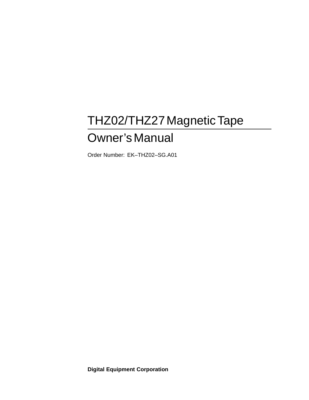# THZ02/THZ27MagneticTape

# Owner'sManual

Order Number: EK–THZ02–SG.A01

**Digital Equipment Corporation**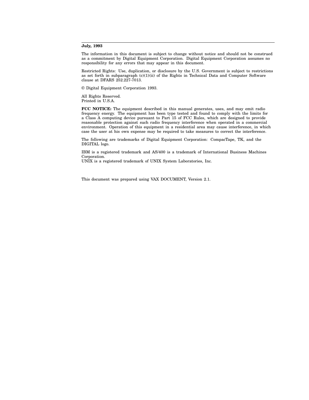#### **July, 1993**

The information in this document is subject to change without notice and should not be construed as a commitment by Digital Equipment Corporation. Digital Equipment Corporation assumes no responsibility for any errors that may appear in this document.

Restricted Rights: Use, duplication, or disclosure by the U.S. Government is subject to restrictions as set forth in subparagraph  $(c)(1)(ii)$  of the Rights in Technical Data and Computer Software clause at DFARS 252.227-7013.

© Digital Equipment Corporation 1993.

All Rights Reserved. Printed in U.S.A.

**FCC NOTICE:** The equipment described in this manual generates, uses, and may emit radio frequency energy. The equipment has been type tested and found to comply with the limits for a Class A computing device pursuant to Part 15 of FCC Rules, which are designed to provide reasonable protection against such radio frequency interference when operated in a commercial environment. Operation of this equipment in a residential area may cause interference, in which case the user at his own expense may be required to take measures to correct the interference.

The following are trademarks of Digital Equipment Corporation: CompacTape, TK, and the DIGITAL logo.

IBM is a registered trademark and AS/400 is a trademark of International Business Machines Corporation.

UNIX is a registered trademark of UNIX System Laboratories, Inc.

This document was prepared using VAX DOCUMENT, Version 2.1.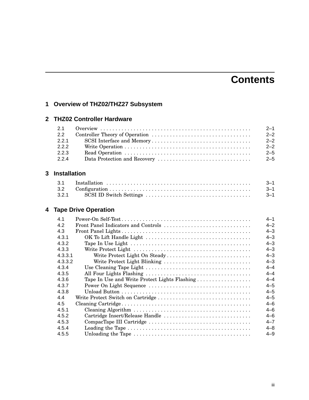# **Contents**

# **1 Overview of THZ02/THZ27 Subsystem**

### **2 THZ02 Controller Hardware**

|       | $2 - 1$ |
|-------|---------|
| 2.2   | $2 - 2$ |
| 2.2.1 | $2 - 2$ |
| 2.2.2 | $2 - 2$ |
| 2.2.3 | $2 - 5$ |
| 2.2.4 | $2 - 5$ |

# **3 Installation**

|       | $3 - 1$ |
|-------|---------|
|       | - 3–1   |
| 3.2.1 |         |

# **4 Tape Drive Operation**

| 4.1     |                                               | $4 - 1$ |
|---------|-----------------------------------------------|---------|
| 4.2     | Front Panel Indicators and Controls           | $4 - 2$ |
| 4.3     |                                               | $4 - 3$ |
| 4.3.1   |                                               | $4 - 3$ |
| 4.3.2   |                                               | $4 - 3$ |
| 4.3.3   |                                               | $4 - 3$ |
| 4.3.3.1 | Write Protect Light On Steady                 | $4 - 3$ |
| 4.3.3.2 | Write Protect Light Blinking                  | $4 - 3$ |
| 4.3.4   |                                               | $4 - 4$ |
| 4.3.5   |                                               | $4 - 4$ |
| 4.3.6   | Tape In Use and Write Protect Lights Flashing | $4 - 4$ |
| 4.3.7   |                                               | $4 - 5$ |
| 4.3.8   |                                               | $4 - 5$ |
| 4.4     |                                               | $4 - 5$ |
| 4.5     |                                               | $4 - 6$ |
| 4.5.1   |                                               | $4 - 6$ |
| 4.5.2   | Cartridge Insert/Release Handle               | $4 - 6$ |
| 4.5.3   |                                               | $4 - 7$ |
| 4.5.4   |                                               | $4 - 8$ |
| 4.5.5   |                                               | $4 - 9$ |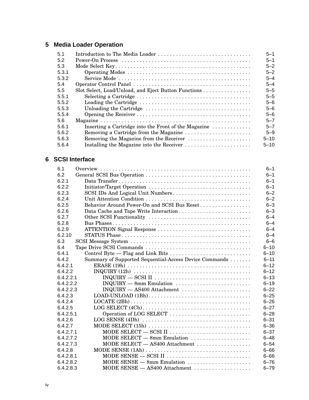# **5 Media Loader Operation**

| Introduction to The Media Loader                     | $5 - 1$  |
|------------------------------------------------------|----------|
|                                                      | $5 - 1$  |
|                                                      | $5 - 2$  |
|                                                      | $5 - 2$  |
|                                                      | $5 - 4$  |
|                                                      | $5 - 4$  |
| Slot Select, Load/Unload, and Eject Button Functions | $5 - 5$  |
|                                                      | $5 - 5$  |
|                                                      | $5 - 6$  |
|                                                      | $5 - 6$  |
|                                                      | $5 - 6$  |
|                                                      | $5 - 7$  |
| Inserting a Cartridge into the Front of the Magazine | $5 - 7$  |
| Removing a Cartridge from the Magazine               | $5 - 9$  |
| Removing the Magazine from the Receiver              | $5 - 10$ |
|                                                      | $5 - 10$ |
|                                                      |          |

### **6 SCSI Interface**

| 6.1       |                                                                                                     | $6 - 1$  |
|-----------|-----------------------------------------------------------------------------------------------------|----------|
| 6.2       |                                                                                                     | $6 - 1$  |
| 6.2.1     |                                                                                                     | $6 - 1$  |
| 6.2.2     |                                                                                                     | $6 - 1$  |
| 6.2.3     | SCSI IDs And Logical Unit Numbers                                                                   | $6 - 2$  |
| 6.2.4     |                                                                                                     | $6 - 2$  |
| 6.2.5     | Behavior Around Power-On and SCSI Bus Reset                                                         | $6 - 3$  |
| 6.2.6     |                                                                                                     | $6 - 3$  |
| 6.2.7     |                                                                                                     | $6 - 4$  |
| 6.2.8     |                                                                                                     | $6 - 4$  |
| 6.2.9     | ATTENTION Signal Response                                                                           | $6 - 4$  |
| 6.2.10    |                                                                                                     | $6 - 4$  |
| 6.3       |                                                                                                     | $6 - 6$  |
| 6.4       |                                                                                                     | $6 - 10$ |
| 6.4.1     | Control Byte — Flag and Link Bits                                                                   | $6 - 10$ |
| 6.4.2     | Summary of Supported Sequential-Access Device Commands                                              | $6 - 11$ |
| 6.4.2.1   |                                                                                                     | $6 - 12$ |
| 6.4.2.2   | $INQUIRY (12h) \ldots \ldots \ldots \ldots \ldots \ldots \ldots \ldots \ldots \ldots \ldots \ldots$ | $6 - 12$ |
| 6.4.2.2.1 |                                                                                                     | $6 - 13$ |
| 6.4.2.2.2 | $INQUIRY$ $-$ 8mm Emulation $\ldots \ldots \ldots \ldots \ldots \ldots \ldots$                      | $6 - 19$ |
| 6.4.2.2.3 | INQUIRY - AS400 Attachment                                                                          | $6 - 22$ |
| 6.4.2.3   |                                                                                                     | $6 - 25$ |
| 6.4.2.4   |                                                                                                     | $6 - 26$ |
| 6.4.2.5   |                                                                                                     | $6 - 27$ |
| 6.4.2.5.1 | Operation of LOG SELECT                                                                             | $6 - 28$ |
| 6.4.2.6   |                                                                                                     | $6 - 31$ |
| 6.4.2.7   |                                                                                                     | $6 - 36$ |
| 6.4.2.7.1 |                                                                                                     | $6 - 37$ |
| 6.4.2.7.2 | MODE SELECT - 8mm Emulation                                                                         | $6 - 48$ |
| 6.4.2.7.3 | MODE SELECT - AS400 Attachment                                                                      | $6 - 54$ |
| 6.4.2.8   |                                                                                                     | $6 - 66$ |
| 6.4.2.8.1 |                                                                                                     | $6 - 66$ |
| 6.4.2.8.2 | MODE SENSE $-$ 8mm Emulation                                                                        | $6 - 76$ |
| 6.4.2.8.3 | MODE SENSE - AS400 Attachment                                                                       | $6 - 79$ |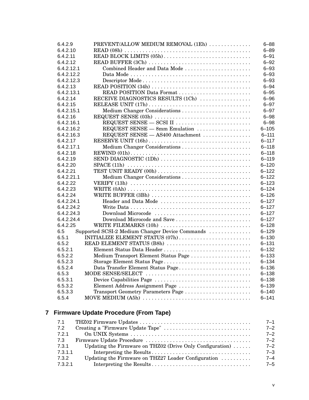| 6.4.2.9    | PREVENT/ALLOW MEDIUM REMOVAL (1Eh)                                                                | $6 - 88$  |
|------------|---------------------------------------------------------------------------------------------------|-----------|
| 6.4.2.10   |                                                                                                   | $6 - 89$  |
| 6.4.2.11   | READ BLOCK LIMITS (05h)                                                                           | $6 - 91$  |
| 6.4.2.12   | READ BUFFER (3Ch)                                                                                 | $6 - 92$  |
| 6.4.2.12.1 | Combined Header and Data Mode                                                                     | $6 - 93$  |
| 6.4.2.12.2 |                                                                                                   | $6 - 93$  |
| 6.4.2.12.3 |                                                                                                   | $6 - 93$  |
| 6.4.2.13   |                                                                                                   | $6 - 94$  |
| 6.4.2.13.1 |                                                                                                   | $6 - 95$  |
| 6.4.2.14   | RECEIVE DIAGNOSTICS RESULTS (1Ch)                                                                 | $6 - 96$  |
| 6.4.2.15   |                                                                                                   | $6 - 97$  |
| 6.4.2.15.1 |                                                                                                   | $6 - 97$  |
| 6.4.2.16   |                                                                                                   | $6 - 98$  |
| 6.4.2.16.1 |                                                                                                   | $6 - 98$  |
| 6.4.2.16.2 | REQUEST SENSE - 8mm Emulation                                                                     | $6 - 105$ |
| 6.4.2.16.3 | REQUEST SENSE - AS400 Attachment                                                                  | $6 - 111$ |
| 6.4.2.17   |                                                                                                   | $6 - 117$ |
| 6.4.2.17.1 |                                                                                                   | $6 - 118$ |
| 6.4.2.18   |                                                                                                   | $6 - 118$ |
| 6.4.2.19   | SEND DIAGNOSTIC (1Dh)                                                                             | $6 - 119$ |
| 6.4.2.20   | $SPACE (11h) \ldots \ldots \ldots \ldots \ldots \ldots \ldots \ldots \ldots \ldots \ldots \ldots$ | $6 - 120$ |
| 6.4.2.21   | TEST UNIT READY (00h)                                                                             | $6 - 122$ |
| 6.4.2.21.1 |                                                                                                   | $6 - 122$ |
| 6.4.2.22   |                                                                                                   | $6 - 123$ |
| 6.4.2.23   |                                                                                                   | $6 - 124$ |
| 6.4.2.24   | WRITE BUFFER (3Bh)                                                                                | $6 - 126$ |
| 6.4.2.24.1 | Header and Data Mode                                                                              | $6 - 127$ |
| 6.4.2.24.2 |                                                                                                   | $6 - 127$ |
| 6.4.2.24.3 | Download Microcode                                                                                | $6 - 127$ |
| 6.4.2.24.4 | Download Microcode and Save                                                                       | $6 - 127$ |
| 6.4.2.25   | WRITE FILEMARKS (10h)                                                                             | $6 - 128$ |
| 6.5        | Supported SCSI-2 Medium Changer Device Commands                                                   | $6 - 129$ |
| 6.5.1      |                                                                                                   | $6 - 130$ |
| 6.5.2      | READ ELEMENT STATUS (B8h)                                                                         | $6 - 131$ |
| 6.5.2.1    |                                                                                                   | $6 - 132$ |
| 6.5.2.2    | Medium Transport Element Status Page                                                              | $6 - 133$ |
| 6.5.2.3    | Storage Element Status Page                                                                       | $6 - 134$ |
| 6.5.2.4    | Data Transfer Element Status Page                                                                 | $6 - 136$ |
| 6.5.3      |                                                                                                   | $6 - 138$ |
| 6.5.3.1    | Device Capabilities Page                                                                          | $6 - 138$ |
| 6.5.3.2    | Element Address Assignment Page                                                                   | $6 - 139$ |
| 6.5.3.3    | Transport Geometry Parameters Page                                                                | $6 - 140$ |
| 6.5.4      |                                                                                                   | $6 - 141$ |

# **7 Firmware Update Procedure (From Tape)**

| 7.1     |                                                                      | $7 - 1$ |
|---------|----------------------------------------------------------------------|---------|
| 7.2     |                                                                      | $7 - 2$ |
| 7.2.1   |                                                                      | $7 - 2$ |
| 7.3     |                                                                      | $7 - 2$ |
| 7.3.1   | Updating the Firmware on THZ02 (Drive Only Configuration) $\ldots$ . | $7 - 2$ |
| 7.3.1.1 |                                                                      | $7 - 3$ |
| 7.3.2   | Updating the Firmware on THZ27 Loader Configuration                  | $7 - 4$ |
| 7.3.2.1 |                                                                      | $7 - 5$ |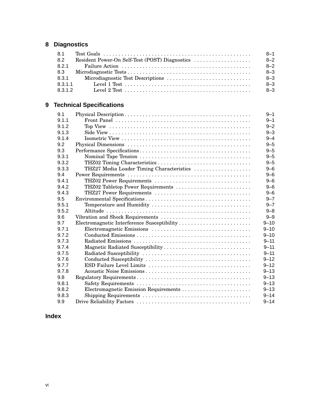# **8 Diagnostics**

| 8.1     | $8 - 1$ |
|---------|---------|
| 8.2     | $8 - 2$ |
| 8.2.1   | $8 - 2$ |
| 8.3     | $8 - 3$ |
| 8.3.1   | $8 - 3$ |
| 8.3.1.1 | $8 - 3$ |
| 8.3.1.2 | $8 - 3$ |

# **9 Technical Specifications**

| 9.1   |                                             | $9 - 1$  |
|-------|---------------------------------------------|----------|
| 9.1.1 |                                             | $9 - 1$  |
| 9.1.2 |                                             | $9 - 2$  |
| 9.1.3 |                                             | $9 - 3$  |
| 9.1.4 |                                             | $9 - 4$  |
| 9.2   |                                             | $9 - 5$  |
| 9.3   |                                             | $9 - 5$  |
| 9.3.1 |                                             | $9 - 5$  |
| 9.3.2 | THZ02 Timing Characteristics                | $9 - 5$  |
| 9.3.3 | THZ27 Media Loader Timing Characteristics   | $9 - 6$  |
| 9.4   |                                             | $9 - 6$  |
| 9.4.1 | THZ02 Power Requirements                    | $9 - 6$  |
| 9.4.2 | THZ02 Tabletop Power Requirements           | $9 - 6$  |
| 9.4.3 | THZ27 Power Requirements                    | $9 - 6$  |
| 9.5   |                                             | $9 - 7$  |
| 9.5.1 |                                             | $9 - 7$  |
| 9.5.2 |                                             | $9 - 8$  |
| 9.6   | Vibration and Shock Requirements            | $9 - 9$  |
| 9.7   | Electromagnetic Interference Susceptibility | $9 - 10$ |
| 9.7.1 |                                             | $9 - 10$ |
| 9.7.2 |                                             | $9 - 10$ |
| 9.7.3 |                                             | $9 - 11$ |
| 9.7.4 | Magnetic Radiated Susceptibility            | $9 - 11$ |
| 9.7.5 |                                             | $9 - 11$ |
| 9.7.6 |                                             | $9 - 12$ |
| 9.7.7 |                                             | $9 - 12$ |
| 9.7.8 |                                             | $9 - 13$ |
| 9.8   |                                             | $9 - 13$ |
| 9.8.1 |                                             | $9 - 13$ |
| 9.8.2 | Electromagnetic Emission Requirements       | $9 - 13$ |
| 9.8.3 |                                             | $9 - 14$ |
| 9.9   |                                             | $9 - 14$ |

# **Index**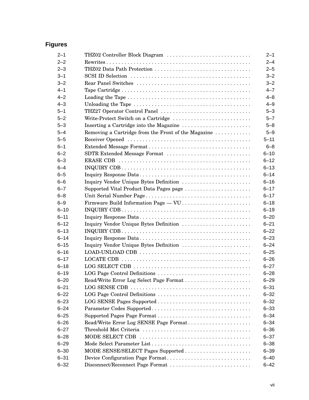# **Figures**

| $2 - 1$  | THZ02 Controller Block Diagram                                                                    | $2 - 1$  |
|----------|---------------------------------------------------------------------------------------------------|----------|
| $2 - 2$  |                                                                                                   | $2 - 4$  |
| $2 - 3$  | THZ02 Data Path Protection                                                                        | $2 - 5$  |
| $3 - 1$  |                                                                                                   | $3 - 2$  |
| $3 - 2$  |                                                                                                   | $3 - 2$  |
| $4 - 1$  |                                                                                                   | $4 - 7$  |
| $4 - 2$  |                                                                                                   | $4 - 8$  |
| $4 - 3$  |                                                                                                   | $4 - 9$  |
| $5 - 1$  | THZ27 Operator Control Panel                                                                      | $5 - 3$  |
| $5 - 2$  | Write-Protect Switch on a Cartridge                                                               | $5 - 7$  |
| $5 - 3$  |                                                                                                   | $5 - 8$  |
| $5 - 4$  | Removing a Cartridge from the Front of the Magazine                                               | $5 - 9$  |
| $5 - 5$  |                                                                                                   | $5 - 11$ |
| $6 - 1$  |                                                                                                   | $6 - 8$  |
| $6 - 2$  | SDTR Extended Message Format                                                                      | $6 - 10$ |
| $6 - 3$  |                                                                                                   | $6 - 12$ |
| $6 - 4$  |                                                                                                   | $6 - 13$ |
| $6 - 5$  |                                                                                                   | $6 - 14$ |
| $6 - 6$  | Inquiry Vendor Unique Bytes Definition                                                            | $6 - 16$ |
| $6 - 7$  | Supported Vital Product Data Pages page                                                           | $6 - 17$ |
| $6 - 8$  |                                                                                                   | $6 - 17$ |
| $6 - 9$  | Firmware Build Information Page - VU.                                                             | $6 - 18$ |
| $6 - 10$ |                                                                                                   | $6 - 19$ |
| $6 - 11$ |                                                                                                   | $6 - 20$ |
| $6 - 12$ | Inquiry Vendor Unique Bytes Definition                                                            | $6 - 21$ |
| $6 - 13$ | $INQUIRY CDB \ldots \ldots \ldots \ldots \ldots \ldots \ldots \ldots \ldots \ldots \ldots \ldots$ | $6 - 22$ |
| $6 - 14$ |                                                                                                   | $6 - 23$ |
| $6 - 15$ | Inquiry Vendor Unique Bytes Definition                                                            | $6 - 24$ |
| $6 - 16$ |                                                                                                   | $6 - 25$ |
| $6 - 17$ |                                                                                                   | $6 - 26$ |
| $6 - 18$ |                                                                                                   | $6 - 27$ |
| $6 - 19$ | LOG Page Control Definitions                                                                      | $6 - 28$ |
| $6 - 20$ |                                                                                                   | $6 - 29$ |
| $6 - 21$ |                                                                                                   | $6 - 31$ |
| $6 - 22$ |                                                                                                   | $6 - 32$ |
| $6 - 23$ |                                                                                                   | $6 - 32$ |
| $6 - 24$ |                                                                                                   | $6 - 33$ |
| $6 - 25$ |                                                                                                   | $6 - 34$ |
| $6 - 26$ | Read/Write Error Log SENSE Page Format                                                            | $6 - 34$ |
| $6 - 27$ |                                                                                                   | $6 - 36$ |
| $6 - 28$ |                                                                                                   | $6 - 37$ |
| $6 - 29$ |                                                                                                   | $6 - 38$ |
| $6 - 30$ | MODE SENSE/SELECT Pages Supported                                                                 | $6 - 39$ |
| $6 - 31$ | Device Configuration Page Format                                                                  | $6 - 40$ |
| $6 - 32$ | Disconnect/Reconnect Page Format                                                                  | $6 - 42$ |
|          |                                                                                                   |          |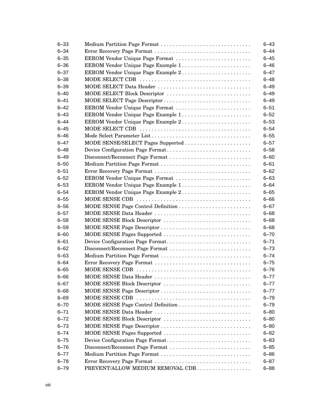| $6 - 33$ | Medium Partition Page Format       | $6 - 43$ |
|----------|------------------------------------|----------|
| $6 - 34$ | Error Recovery Page Format         | $6 - 44$ |
| $6 - 35$ | EEROM Vendor Unique Page Format    | $6 - 45$ |
| $6 - 36$ |                                    | $6 - 46$ |
| $6 - 37$ | EEROM Vendor Unique Page Example 2 | $6 - 47$ |
| $6 - 38$ |                                    | $6 - 48$ |
| $6 - 39$ | MODE SELECT Data Header            | $6 - 49$ |
| $6 - 40$ | MODE SELECT Block Descriptor       | $6 - 49$ |
| $6 - 41$ |                                    | $6 - 49$ |
| $6 - 42$ | EEROM Vendor Unique Page Format    | $6 - 51$ |
| $6 - 43$ |                                    | $6 - 52$ |
| $6 - 44$ | EEROM Vendor Unique Page Example 2 | $6 - 53$ |
| $6 - 45$ |                                    | $6 - 54$ |
| $6 - 46$ |                                    | $6 - 55$ |
| $6 - 47$ | MODE SENSE/SELECT Pages Supported  | $6 - 57$ |
| $6 - 48$ | Device Configuration Page Format   | $6 - 58$ |
| $6 - 49$ | Disconnect/Reconnect Page Format   | $6 - 60$ |
| $6 - 50$ |                                    | $6 - 61$ |
| $6 - 51$ | Error Recovery Page Format         | $6 - 62$ |
| $6 - 52$ | EEROM Vendor Unique Page Format    | $6 - 63$ |
| $6 - 53$ | EEROM Vendor Unique Page Example 1 | $6 - 64$ |
| $6 - 54$ |                                    | $6 - 65$ |
| $6 - 55$ |                                    | $6 - 66$ |
| $6 - 56$ |                                    | $6 - 67$ |
| $6 - 57$ | MODE SENSE Data Header             | $6 - 68$ |
| $6 - 58$ | MODE SENSE Block Descriptor        | $6 - 68$ |
| $6 - 59$ | MODE SENSE Page Descriptor         | $6 - 68$ |
| $6 - 60$ | MODE SENSE Pages Supported         | $6 - 70$ |
| $6 - 61$ | Device Configuration Page Format   | $6 - 71$ |
| $6 - 62$ | Disconnect/Reconnect Page Format   | $6 - 73$ |
| $6 - 63$ |                                    | $6 - 74$ |
| $6 - 64$ | Error Recovery Page Format         | $6 - 75$ |
| $6 - 65$ |                                    | 6–76     |
| $6 - 66$ | MODE SENSE Data Header             | $6 - 77$ |
| $6 - 67$ | MODE SENSE Block Descriptor        | $6 - 77$ |
| $6 - 68$ | MODE SENSE Page Descriptor         | $6 - 77$ |
| $6 - 69$ |                                    | $6 - 79$ |
| $6 - 70$ |                                    | $6 - 79$ |
| $6 - 71$ | MODE SENSE Data Header             | $6 - 80$ |
| $6 - 72$ | MODE SENSE Block Descriptor        | $6 - 80$ |
| $6 - 73$ | MODE SENSE Page Descriptor         | $6 - 80$ |
| $6 - 74$ | MODE SENSE Pages Supported         | $6 - 82$ |
| $6 - 75$ | Device Configuration Page Format   | $6 - 83$ |
| $6 - 76$ | Disconnect/Reconnect Page Format   | $6 - 85$ |
| $6 - 77$ | Medium Partition Page Format       | $6 - 86$ |
| $6 - 78$ | Error Recovery Page Format         | $6 - 87$ |
| $6 - 79$ | PREVENT/ALLOW MEDIUM REMOVAL CDB   | $6 - 88$ |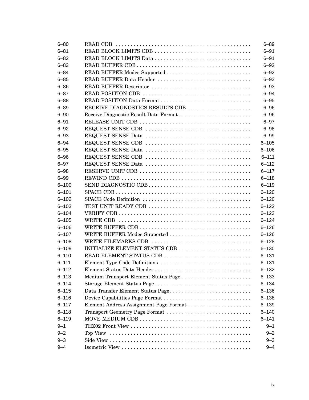| $6 - 80$  |                                        | $6 - 89$  |
|-----------|----------------------------------------|-----------|
| $6 - 81$  | READ BLOCK LIMITS CDB                  | $6 - 91$  |
| $6 - 82$  |                                        | $6 - 91$  |
| $6 - 83$  |                                        | $6 - 92$  |
| $6 - 84$  | READ BUFFER Modes Supported            | $6 - 92$  |
| $6 - 85$  | READ BUFFER Data Header                | $6 - 93$  |
| $6 - 86$  |                                        | $6 - 93$  |
| $6 - 87$  |                                        | $6 - 94$  |
| $6 - 88$  |                                        | $6 - 95$  |
| $6 - 89$  | RECEIVE DIAGNOSTICS RESULTS CDB        | $6 - 96$  |
| $6 - 90$  | Receive Diagnostic Result Data Format  | $6 - 96$  |
| $6 - 91$  |                                        | $6 - 97$  |
| $6 - 92$  |                                        | $6 - 98$  |
| $6 - 93$  |                                        | $6 - 99$  |
| $6 - 94$  |                                        | $6 - 105$ |
| $6 - 95$  |                                        | $6 - 106$ |
| $6 - 96$  |                                        | $6 - 111$ |
| $6 - 97$  |                                        | $6 - 112$ |
| $6 - 98$  |                                        | $6 - 117$ |
| $6 - 99$  |                                        | $6 - 118$ |
| $6 - 100$ |                                        | $6 - 119$ |
| $6 - 101$ |                                        | $6 - 120$ |
| $6 - 102$ |                                        | $6 - 120$ |
| $6 - 103$ | TEST UNIT READY CDB                    | $6 - 122$ |
| $6 - 104$ |                                        | $6 - 123$ |
| $6 - 105$ |                                        | $6 - 124$ |
| $6 - 106$ |                                        | $6 - 126$ |
| $6 - 107$ | WRITE BUFFER Modes Supported           | $6 - 126$ |
| $6 - 108$ | WRITE FILEMARKS CDB                    | $6 - 128$ |
| $6 - 109$ | INITIALIZE ELEMENT STATUS CDB          | $6 - 130$ |
| $6 - 110$ |                                        | $6 - 131$ |
| $6 - 111$ | Element Type Code Definitions          | $6 - 131$ |
| $6 - 112$ | Element Status Data Header             | $6 - 132$ |
| $6 - 113$ | Medium Transport Element Status Page   | $6 - 133$ |
| $6 - 114$ | Storage Element Status Page            | $6 - 134$ |
| $6 - 115$ | Data Transfer Element Status Page      | $6 - 136$ |
| $6 - 116$ | Device Capabilities Page Format        | $6 - 138$ |
| $6 - 117$ | Element Address Assignment Page Format | $6 - 139$ |
| $6 - 118$ | Transport Geometry Page Format         | $6 - 140$ |
| $6 - 119$ |                                        | $6 - 141$ |
| $9 - 1$   |                                        | $9 - 1$   |
| $9 - 2$   |                                        | $9 - 2$   |
| $9 - 3$   |                                        | $9 - 3$   |
| $9 - 4$   |                                        | $9 - 4$   |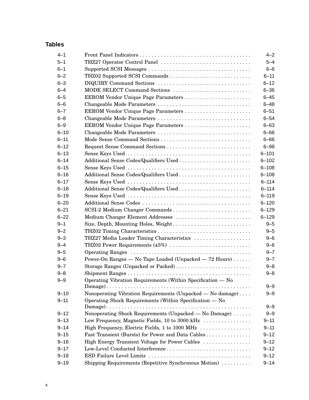### **Tables**

| $4 - 1$  |                                                             | $4 - 2$   |
|----------|-------------------------------------------------------------|-----------|
| $5 - 1$  | THZ27 Operator Control Panel                                | $5 - 4$   |
| $6 - 1$  |                                                             | $6 - 6$   |
| $6 - 2$  | THZ02 Supported SCSI Commands                               | $6 - 11$  |
| $6 - 3$  | INQUIRY Command Sections                                    | $6 - 12$  |
| $6 - 4$  | MODE SELECT Command Sections                                | $6 - 36$  |
| $6 - 5$  | EEROM Vendor Unique Page Parameters                         | $6 - 45$  |
| $6 - 6$  | Changeable Mode Parameters                                  | $6 - 48$  |
| $6 - 7$  | EEROM Vendor Unique Page Parameters                         | $6 - 51$  |
| $6 - 8$  | Changeable Mode Parameters                                  | $6 - 54$  |
| $6 - 9$  | EEROM Vendor Unique Page Parameters                         | $6 - 63$  |
| $6 - 10$ | Changeable Mode Parameters                                  | $6 - 66$  |
| $6 - 11$ | Mode Sense Command Sections                                 | $6 - 66$  |
| $6 - 12$ |                                                             | $6 - 98$  |
| $6 - 13$ |                                                             | $6 - 101$ |
| $6 - 14$ | Additional Sense Codes/Qualifiers Used                      | $6 - 102$ |
| $6 - 15$ |                                                             | $6 - 108$ |
| $6 - 16$ | Additional Sense Codes/Qualifiers Used                      | $6 - 108$ |
| $6 - 17$ |                                                             | $6 - 114$ |
| $6 - 18$ | Additional Sense Codes/Qualifiers Used                      | $6 - 114$ |
| $6 - 19$ |                                                             | $6 - 119$ |
| $6 - 20$ |                                                             | $6 - 120$ |
| $6 - 21$ | SCSI-2 Medium Changer Commands                              | $6 - 129$ |
| $6 - 22$ | Medium Changer Element Addresses                            | $6 - 129$ |
| $9 - 1$  | Size, Depth, Mounting Holes, Weight                         | $9 - 5$   |
| $9 - 2$  |                                                             | $9 - 5$   |
| $9 - 3$  | THZ27 Media Loader Timing Characteristics                   | $9 - 6$   |
| $9 - 4$  | THZ02 Power Requirements (±5%)                              | $9 - 6$   |
| $9 - 5$  |                                                             | $9 - 7$   |
| $9 - 6$  | Power-On Ranges — No Tape Loaded (Unpacked — 72 Hours)      | $9 - 7$   |
| $9 - 7$  | Storage Ranges (Unpacked or Packed)                         | $9 - 8$   |
| $9 - 8$  |                                                             | $9 - 8$   |
| $9 - 9$  | Operating Vibration Requirements (Within Specification - No |           |
|          |                                                             | $9 - 9$   |
| $9 - 10$ | Nonoperating Vibration Requirements (Unpacked — No damage)  | $9 - 9$   |
| $9 - 11$ | Operating Shock Requirements (Within Specification — No     |           |
|          |                                                             | $9 - 9$   |
| $9 - 12$ | Nonoperating Shock Requirements (Unpacked - No Damage)      | $9 - 9$   |
| $9 - 13$ | Low Frequency, Magnetic Fields, 10 to 3000 kHz              | $9 - 11$  |
| $9 - 14$ | High Frequency, Electric Fields, 1 to 1000 MHz              | $9 - 11$  |
| $9 - 15$ | Fast Transient (Bursts) for Power and Data Cables           | $9 - 12$  |
| $9 - 16$ | High Energy Transient Voltage for Power Cables              | $9 - 12$  |
| $9 - 17$ |                                                             | $9 - 12$  |
| $9 - 18$ |                                                             | $9 - 12$  |
| $9 - 19$ | Shipping Requirements (Repetitive Synchronous Motion)       | $9 - 14$  |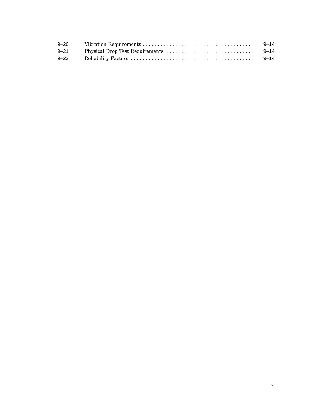| $9 - 20$ | 9–14     |
|----------|----------|
| 9–21     | 9–14     |
| $9 - 22$ | $9 - 14$ |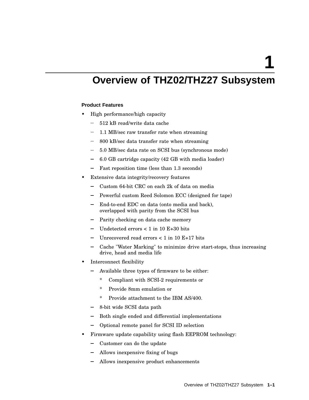**1**

# **Overview of THZ02/THZ27 Subsystem**

#### **Product Features**

- High performance/high capacity
	- 512 kB read/write data cache
	- 1.1 MB/sec raw transfer rate when streaming  $\overline{\phantom{0}}$
	- 800 kB/sec data transfer rate when streaming
	- 5.0 MB/sec data rate on SCSI bus (synchronous mode)
	- 6.0 GB cartridge capacity (42 GB with media loader)  $\equiv$
	- Fast reposition time (less than 1.3 seconds)
- Extensive data integrity/recovery features
	- Custom 64-bit CRC on each 2k of data on media
	- Powerful custom Reed Solomon ECC (designed for tape)
	- End-to-end EDC on data (onto media and back), overlapped with parity from the SCSI bus
	- Parity checking on data cache memory
	- Undetected errors < 1 in 10 E+30 bits
	- Unrecovered read errors  $< 1$  in 10 E+17 bits
	- Cache "Water Marking" to minimize drive start-stops, thus increasing drive, head and media life
- Interconnect flexibility
	- $\blacksquare$ Available three types of firmware to be either:
		- \* Compliant with SCSI-2 requirements or
		- \* Provide 8mm emulation or
		- \* Provide attachment to the IBM AS/400.
	- 8-bit wide SCSI data path
	- Both single ended and differential implementations
	- Optional remote panel for SCSI ID selection
- Firmware update capability using flash EEPROM technology:
	- Customer can do the update
	- Allows inexpensive fixing of bugs
	- Allows inexpensive product enhancements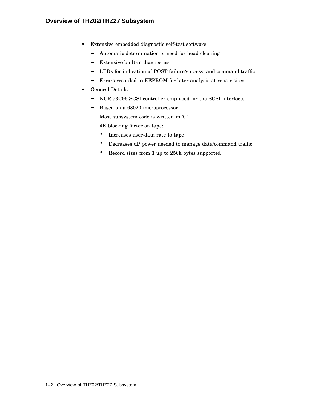- Extensive embedded diagnostic self-test software
	- Automatic determination of need for head cleaning
	- Extensive built-in diagnostics
	- LEDs for indication of POST failure/success, and command traffic
	- Errors recorded in EEPROM for later analysis at repair sites
- General Details
	- NCR 53C96 SCSI controller chip used for the SCSI interface.
	- Based on a 68020 microprocessor
	- $-$  Most subsystem code is written in 'C'
	- 4K blocking factor on tape:
		- \* Increases user-data rate to tape
		- \* Decreases uP power needed to manage data/command traffic
		- \* Record sizes from 1 up to 256k bytes supported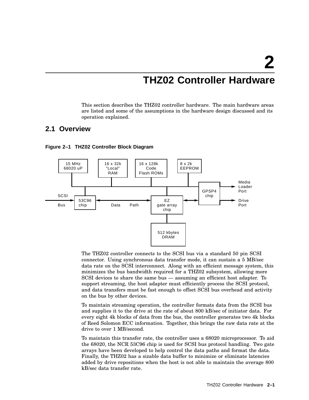# **THZ02 Controller Hardware**

This section describes the THZ02 controller hardware. The main hardware areas are listed and some of the assumptions in the hardware design discussed and its operation explained.

#### **2.1 Overview**



#### **Figure 2–1 THZ02 Controller Block Diagram**

The THZ02 controller connects to the SCSI bus via a standard 50 pin SCSI connector. Using synchronous data transfer mode, it can sustain a 5 MB/sec data rate on the SCSI interconnect. Along with an efficient message system, this minimizes the bus bandwidth required for a THZ02 subsystem, allowing more SCSI devices to share the same bus — assuming an efficient host adapter. To support streaming, the host adapter must efficiently process the SCSI protocol, and data transfers must be fast enough to offset SCSI bus overhead and activity on the bus by other devices.

To maintain streaming operation, the controller formats data from the SCSI bus and supplies it to the drive at the rate of about 800 kB/sec of initiator data. For every eight 4k blocks of data from the bus, the controller generates two 4k blocks of Reed Solomon ECC information. Together, this brings the raw data rate at the drive to over 1 MB/second.

To maintain this transfer rate, the controller uses a 68020 microprocessor. To aid the 68020, the NCR 53C96 chip is used for SCSI bus protocol handling. Two gate arrays have been developed to help control the data paths and format the data. Finally, the THZ02 has a sizable data buffer to minimize or eliminate latencies added by drive repositions when the host is not able to maintain the average 800 kB/sec data transfer rate.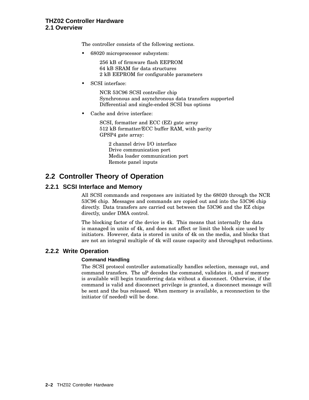#### **THZ02 Controller Hardware 2.1 Overview**

The controller consists of the following sections.

• 68020 microprocessor subsystem:

256 kB of firmware flash EEPROM 64 kB SRAM for data structures 2 kB EEPROM for configurable parameters

• SCSI interface:

NCR 53C96 SCSI controller chip Synchronous and asynchronous data transfers supported Differential and single-ended SCSI bus options

Cache and drive interface:

SCSI, formatter and ECC (EZ) gate array 512 kB formatter/ECC buffer RAM, with parity GPSP4 gate array:

2 channel drive I/O interface Drive communication port Media loader communication port Remote panel inputs

# **2.2 Controller Theory of Operation**

#### **2.2.1 SCSI Interface and Memory**

All SCSI commands and responses are initiated by the 68020 through the NCR 53C96 chip. Messages and commands are copied out and into the 53C96 chip directly. Data transfers are carried out between the 53C96 and the EZ chips directly, under DMA control.

The blocking factor of the device is 4k. This means that internally the data is managed in units of 4k, and does not affect or limit the block size used by initiators. However, data is stored in units of 4k on the media, and blocks that are not an integral multiple of 4k will cause capacity and throughput reductions.

#### **2.2.2 Write Operation**

#### **Command Handling**

The SCSI protocol controller automatically handles selection, message out, and command transfers. The uP decodes the command, validates it, and if memory is available will begin transferring data without a disconnect. Otherwise, if the command is valid and disconnect privilege is granted, a disconnect message will be sent and the bus released. When memory is available, a reconnection to the initiator (if needed) will be done.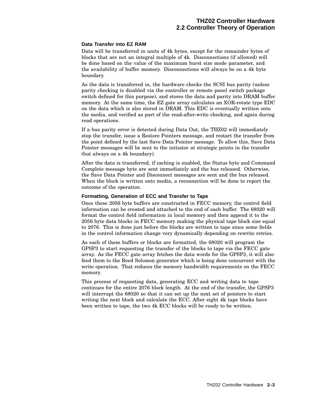#### **Data Transfer into EZ RAM**

Data will be transferred in units of 4k bytes, except for the remainder bytes of blocks that are not an integral multiple of 4k. Disconnections (if allowed) will be done based on the value of the maximum burst size mode parameter, and the availability of buffer memory. Disconnections will always be on a 4k byte boundary.

As the data is transferred in, the hardware checks the SCSI bus parity (unless parity checking is disabled via the controller or remote panel switch package switch defined for this purpose), and stores the data and parity into DRAM buffer memory. At the same time, the EZ gate array calculates an XOR-rotate type EDC on the data which is also stored in DRAM. This EDC is eventually written onto the media, and verified as part of the read-after-write checking, and again during read operations.

If a bus parity error is detected during Data Out, the THZ02 will immediately stop the transfer, issue a Restore Pointers message, and restart the transfer from the point defined by the last Save Data Pointer message. To allow this, Save Data Pointer messages will be sent to the initiator at strategic points in the transfer (but always on a 4k boundary).

After the data is transferred, if caching is enabled, the Status byte and Command Complete message byte are sent immediately and the bus released. Otherwise, the Save Data Pointer and Disconnect messages are sent and the bus released. When the block is written onto media, a reconnection will be done to report the outcome of the operation.

#### **Formatting, Generation of ECC and Transfer to Tape**

Once these 2056 byte buffers are constructed in FECC memory, the control field information can be created and attached to the end of each buffer. The 68020 will format the control field information in local memory and then append it to the 2056 byte data blocks in FECC memory making the physical tape block size equal to 2076. This is done just before the blocks are written to tape since some fields in the control information change very dynamically depending on rewrite retries.

As each of these buffers or blocks are formatted, the 68020 will program the GPSP3 to start requesting the transfer of the blocks to tape via the FECC gate array. As the FECC gate array fetches the data words for the GPSP3, it will also feed them to the Reed Solomon generator which is being done concurrent with the write operation. That reduces the memory bandwidth requirements on the FECC memory.

This process of requesting data, generating ECC and writing data to tape continues for the entire 2076 block length. At the end of the transfer, the GPSP3 will interrupt the 68020 so that it can set up the next set of pointers to start writing the next block and calculate the ECC. After eight 4k tape blocks have been written to tape, the two 4k ECC blocks will be ready to be written.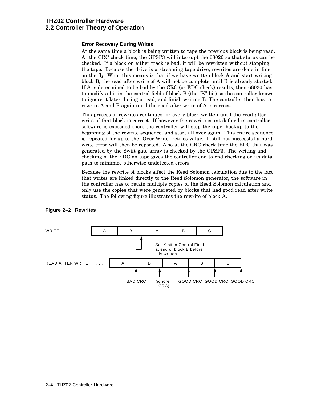#### **THZ02 Controller Hardware 2.2 Controller Theory of Operation**

#### **Error Recovery During Writes**

At the same time a block is being written to tape the previous block is being read. At the CRC check time, the GPSP3 will interrupt the 68020 so that status can be checked. If a block on either track is bad, it will be rewritten without stopping the tape. Because the drive is a streaming tape drive, rewrites are done in line on the fly. What this means is that if we have written block A and start writing block B, the read after write of A will not be complete until B is already started. If A is determined to be bad by the CRC (or EDC check) results, then 68020 has to modify a bit in the control field of block B (the "K" bit) so the controller knows to ignore it later during a read, and finish writing B. The controller then has to rewrite A and B again until the read after write of A is correct.

This process of rewrites continues for every block written until the read after write of that block is correct. If however the rewrite count defined in controller software is exceeded then, the controller will stop the tape, backup to the beginning of the rewrite sequence, and start all over again. This entire sequence is repeated for up to the "Over-Write" retries value. If still not successful a hard write error will then be reported. Also at the CRC check time the EDC that was generated by the Swift gate array is checked by the GPSP3. The writing and checking of the EDC on tape gives the controller end to end checking on its data path to minimize otherwise undetected errors.

Because the rewrite of blocks affect the Reed Solomon calculation due to the fact that writes are linked directly to the Reed Solomon generator, the software in the controller has to retain multiple copies of the Reed Solomon calculation and only use the copies that were generated by blocks that had good read after write status. The following figure illustrates the rewrite of block A.



#### **Figure 2–2 Rewrites**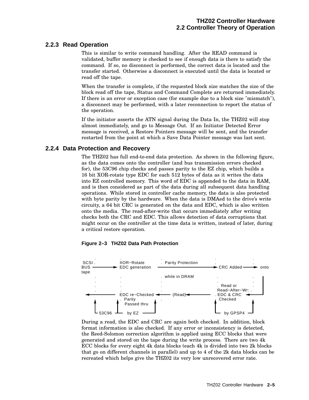#### **2.2.3 Read Operation**

This is similar to write command handling. After the READ command is validated, buffer memory is checked to see if enough data is there to satisfy the command. If so, no disconnect is performed, the correct data is located and the transfer started. Otherwise a disconnect is executed until the data is located or read off the tape.

When the transfer is complete, if the requested block size matches the size of the block read off the tape, Status and Command Complete are returned immediately. If there is an error or exception case (for example due to a block size "mismatch"), a disconnect may be performed, with a later reconnection to report the status of the operation.

If the initiator asserts the ATN signal during the Data In, the THZ02 will stop almost immediately, and go to Message Out. If an Initiator Detected Error message is received, a Restore Pointers message will be sent, and the transfer restarted from the point at which a Save Data Pointer message was last sent.

#### **2.2.4 Data Protection and Recovery**

The THZ02 has full end-to-end data protection. As shown in the following figure, as the data comes onto the controller (and bus transmission errors checked for), the 53C96 chip checks and passes parity to the EZ chip, which builds a 16 bit XOR-rotate type EDC for each 512 bytes of data as it writes the data into EZ controlled memory. This word of EDC is appended to the data in RAM, and is then considered as part of the data during all subsequent data handling operations. While stored in controller cache memory, the data is also protected with byte parity by the hardware. When the data is DMAed to the drive's write circuity, a 64 bit CRC is generated on the data and EDC, which is also written onto the media. The read-after-write that occurs immediately after writing checks both the CRC and EDC. This allows detection of data corruptions that might occur on the controller at the time data is written, instead of later, during a critical restore operation.

#### **Figure 2–3 THZ02 Data Path Protection**



During a read, the EDC and CRC are again both checked. In addition, block format information is also checked. If any error or inconsistency is detected, the Reed-Solomon correction algorithm is applied using ECC blocks that were generated and stored on the tape during the write process. There are two 4k ECC blocks for every eight 4k data blocks (each 4k is divided into two 2k blocks that go on different channels in parallel) and up to 4 of the 2k data blocks can be recreated which helps give the THZ02 its very low unrecovered error rate.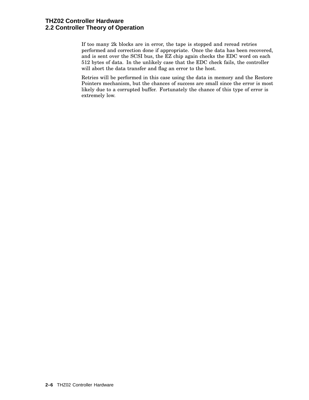If too many 2k blocks are in error, the tape is stopped and reread retries performed and correction done if appropriate. Once the data has been recovered, and is sent over the SCSI bus, the EZ chip again checks the EDC word on each 512 bytes of data. In the unlikely case that the EDC check fails, the controller will abort the data transfer and flag an error to the host.

Retries will be performed in this case using the data in memory and the Restore Pointers mechanism, but the chances of success are small since the error is most likely due to a corrupted buffer. Fortunately the chance of this type of error is extremely low.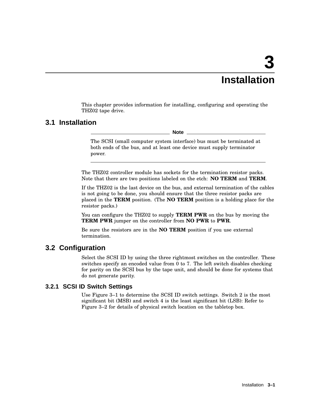# **3 Installation**

This chapter provides information for installing, configuring and operating the THZ02 tape drive.

### **3.1 Installation**

**Note**

The SCSI (small computer system interface) bus must be terminated at both ends of the bus, and at least one device must supply terminator power.

The THZ02 controller module has sockets for the termination resistor packs. Note that there are two positions labeled on the etch: **NO TERM** and **TERM**.

If the THZ02 is the last device on the bus, and external termination of the cables is not going to be done, you should ensure that the three resistor packs are placed in the **TERM** position. (The **NO TERM** position is a holding place for the resistor packs.)

You can configure the THZ02 to supply **TERM PWR** on the bus by moving the **TERM PWR** jumper on the controller from **NO PWR** to **PWR**.

Be sure the resistors are in the **NO TERM** position if you use external termination.

#### **3.2 Configuration**

Select the SCSI ID by using the three rightmost switches on the controller. These switches specify an encoded value from 0 to 7. The left switch disables checking for parity on the SCSI bus by the tape unit, and should be done for systems that do not generate parity.

#### **3.2.1 SCSI ID Switch Settings**

Use Figure 3–1 to determine the SCSI ID switch settings. Switch 2 is the most significant bit (MSB) and switch 4 is the least significant bit (LSB): Refer to Figure 3–2 for details of physical switch location on the tabletop box.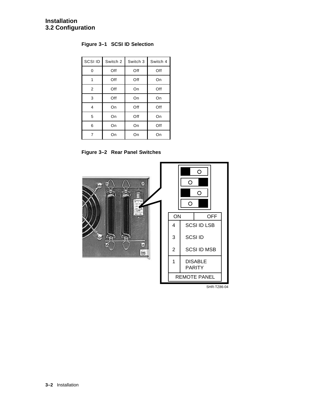**Figure 3–1 SCSI ID Selection**

| SCSI ID        | Switch 2 | Switch 3 | Switch 4 |
|----------------|----------|----------|----------|
| 0              | Off      | Off      | Off      |
| 1              | Off      | Off      | On       |
| $\overline{2}$ | Off      | On       | Off      |
| 3              | Off      | On       | On       |
| 4              | On       | Off      | Off      |
| 5              | On       | Off      | On       |
| 6              | On       | On       | Off      |
| 7              | On       | On       | On       |

**Figure 3–2 Rear Panel Switches**



SHR-TZ86-04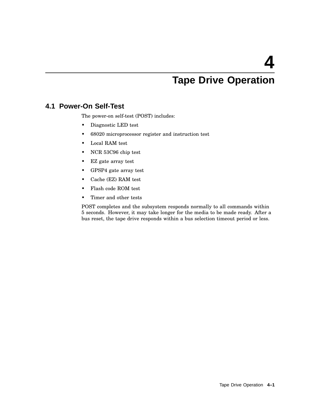# **Tape Drive Operation**

### **4.1 Power-On Self-Test**

The power-on self-test (POST) includes:

- Diagnostic LED test
- 68020 microprocessor register and instruction test
- Local RAM test
- NCR 53C96 chip test
- EZ gate array test
- GPSP4 gate array test
- Cache (EZ) RAM test
- Flash code ROM test
- Timer and other tests

POST completes and the subsystem responds normally to all commands within 5 seconds. However, it may take longer for the media to be made ready. After a bus reset, the tape drive responds within a bus selection timeout period or less.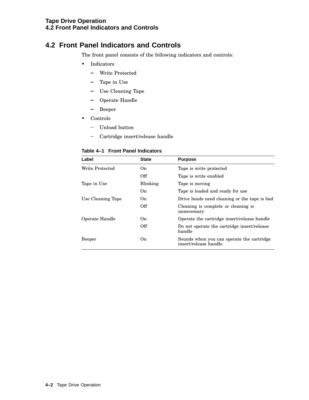# **4.2 Front Panel Indicators and Controls**

The front panel consists of the following indicators and controls:

- Indicators
	- Write Protected
	- Tape in Use
	- Use Cleaning Tape
	- Operate Handle
	- Beeper
- Controls
	- Unload button
	- Cartridge insert/release handle

| Table 4–1 Front Panel Indicators |  |  |  |  |
|----------------------------------|--|--|--|--|
|----------------------------------|--|--|--|--|

| Label             | <b>State</b> | <b>Purpose</b>                                                     |
|-------------------|--------------|--------------------------------------------------------------------|
| Write Protected   | On.          | Tape is write protected                                            |
|                   | Off          | Tape is write enabled                                              |
| Tape in Use       | Blinking     | Tape is moving                                                     |
|                   | On           | Tape is loaded and ready for use                                   |
| Use Cleaning Tape | On.          | Drive heads need cleaning or the tape is bad                       |
|                   | Off          | Cleaning is complete or cleaning is<br>unnecessary                 |
| Operate Handle    | On.          | Operate the cartridge insert/release handle                        |
|                   | Off          | Do not operate the cartridge insert/release<br>handle              |
| Beeper            | On.          | Sounds when you can operate the cartridge<br>insert/release handle |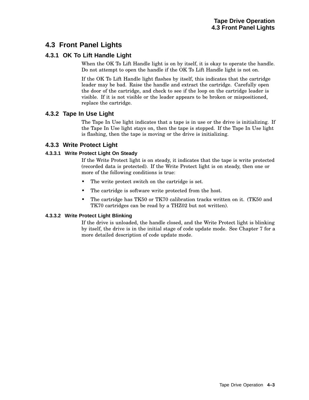# **4.3 Front Panel Lights**

#### **4.3.1 OK To Lift Handle Light**

When the OK To Lift Handle light is on by itself, it is okay to operate the handle. Do not attempt to open the handle if the OK To Lift Handle light is not on.

If the OK To Lift Handle light flashes by itself, this indicates that the cartridge leader may be bad. Raise the handle and extract the cartridge. Carefully open the door of the cartridge, and check to see if the loop on the cartridge leader is visible. If it is not visible or the leader appears to be broken or mispositioned, replace the cartridge.

#### **4.3.2 Tape In Use Light**

The Tape In Use light indicates that a tape is in use or the drive is initializing. If the Tape In Use light stays on, then the tape is stopped. If the Tape In Use light is flashing, then the tape is moving or the drive is initializing.

#### **4.3.3 Write Protect Light**

#### **4.3.3.1 Write Protect Light On Steady**

If the Write Protect light is on steady, it indicates that the tape is write protected (recorded data is protected). If the Write Protect light is on steady, then one or more of the following conditions is true:

- The write protect switch on the cartridge is set.
- The cartridge is software write protected from the host.
- The cartridge has TK50 or TK70 calibration tracks written on it. (TK50 and TK70 cartridges can be read by a THZ02 but not written).

#### **4.3.3.2 Write Protect Light Blinking**

If the drive is unloaded, the handle closed, and the Write Protect light is blinking by itself, the drive is in the initial stage of code update mode. See Chapter 7 for a more detailed description of code update mode.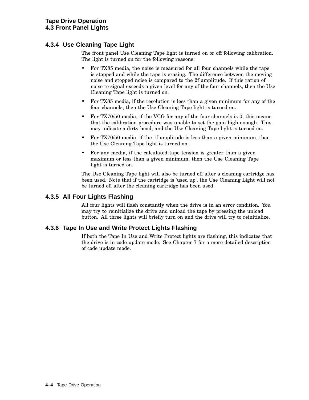#### **4.3.4 Use Cleaning Tape Light**

The front panel Use Cleaning Tape light is turned on or off following calibration. The light is turned on for the following reasons:

- For TX85 media, the noise is measured for all four channels while the tape is stopped and while the tape is erasing. The difference between the moving noise and stopped noise is compared to the 2f amplitude. If this ration of noise to signal exceeds a given level for any of the four channels, then the Use Cleaning Tape light is turned on.
- For TX85 media, if the resolution is less than a given minimum for any of the four channels, then the Use Cleaning Tape light is turned on.
- For TX70/50 media, if the VCG for any of the four channels is 0, this means that the calibration procedure was unable to set the gain high enough. This may indicate a dirty head, and the Use Cleaning Tape light is turned on.
- For TX70/50 media, if the 1f amplitude is less than a given minimum, then the Use Cleaning Tape light is turned on.
- For any media, if the calculated tape tension is greater than a given maximum or less than a given minimum, then the Use Cleaning Tape light is turned on.

The Use Cleaning Tape light will also be turned off after a cleaning cartridge has been used. Note that if the cartridge is 'used up', the Use Cleaning Light will not be turned off after the cleaning cartridge has been used.

#### **4.3.5 All Four Lights Flashing**

All four lights will flash constantly when the drive is in an error condition. You may try to reinitialize the drive and unload the tape by pressing the unload button. All three lights will briefly turn on and the drive will try to reinitialize.

#### **4.3.6 Tape In Use and Write Protect Lights Flashing**

If both the Tape In Use and Write Protect lights are flashing, this indicates that the drive is in code update mode. See Chapter 7 for a more detailed description of code update mode.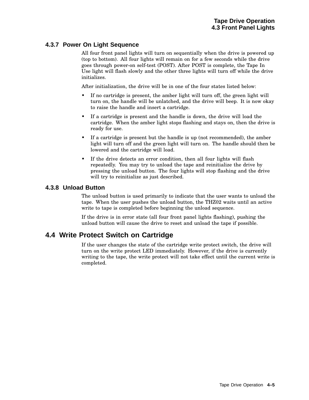#### **4.3.7 Power On Light Sequence**

All four front panel lights will turn on sequentially when the drive is powered up (top to bottom). All four lights will remain on for a few seconds while the drive goes through power-on self-test (POST). After POST is complete, the Tape In Use light will flash slowly and the other three lights will turn off while the drive initializes.

After initialization, the drive will be in one of the four states listed below:

- If no cartridge is present, the amber light will turn off, the green light will turn on, the handle will be unlatched, and the drive will beep. It is now okay to raise the handle and insert a cartridge.
- If a cartridge is present and the handle is down, the drive will load the cartridge. When the amber light stops flashing and stays on, then the drive is ready for use.
- If a cartridge is present but the handle is up (not recommended), the amber light will turn off and the green light will turn on. The handle should then be lowered and the cartridge will load.
- If the drive detects an error condition, then all four lights will flash repeatedly. You may try to unload the tape and reinitialize the drive by pressing the unload button. The four lights will stop flashing and the drive will try to reinitialize as just described.

#### **4.3.8 Unload Button**

The unload button is used primarily to indicate that the user wants to unload the tape. When the user pushes the unload button, the THZ02 waits until an active write to tape is completed before beginning the unload sequence.

If the drive is in error state (all four front panel lights flashing), pushing the unload button will cause the drive to reset and unload the tape if possible.

## **4.4 Write Protect Switch on Cartridge**

If the user changes the state of the cartridge write protect switch, the drive will turn on the write protect LED immediately. However, if the drive is currently writing to the tape, the write protect will not take effect until the current write is completed.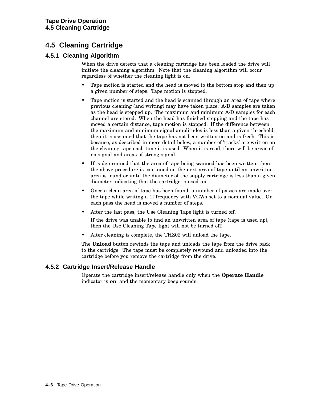# **4.5 Cleaning Cartridge**

#### **4.5.1 Cleaning Algorithm**

When the drive detects that a cleaning cartridge has been loaded the drive will initiate the cleaning algorithm. Note that the cleaning algorithm will occur regardless of whether the cleaning light is on.

- Tape motion is started and the head is moved to the bottom stop and then up a given number of steps. Tape motion is stopped.
- Tape motion is started and the head is scanned through an area of tape where previous cleaning (and writing) may have taken place. A/D samples are taken as the head is stepped up. The maximum and minimum A/D samples for each channel are stored. When the head has finished stepping and the tape has moved a certain distance, tape motion is stopped. If the difference between the maximum and minimum signal amplitudes is less than a given threshold, then it is assumed that the tape has not been written on and is fresh. This is because, as described in more detail below, a number of 'tracks' are written on the cleaning tape each time it is used. When it is read, there will be areas of no signal and areas of strong signal.
- If is determined that the area of tape being scanned has been written, then the above procedure is continued on the next area of tape until an unwritten area is found or until the diameter of the supply cartridge is less than a given diameter indicating that the cartridge is used up.
- Once a clean area of tape has been found, a number of passes are made over the tape while writing a 1f frequency with VCWs set to a nominal value. On each pass the head is moved a number of steps.
- After the last pass, the Use Cleaning Tape light is turned off.

If the drive was unable to find an unwritten area of tape (tape is used up), then the Use Cleaning Tape light will not be turned off.

After cleaning is complete, the THZ02 will unload the tape.

The **Unload** button rewinds the tape and unloads the tape from the drive back to the cartridge. The tape must be completely rewound and unloaded into the cartridge before you remove the cartridge from the drive.

#### **4.5.2 Cartridge Insert/Release Handle**

Operate the cartridge insert/release handle only when the **Operate Handle** indicator is **on**, and the momentary beep sounds.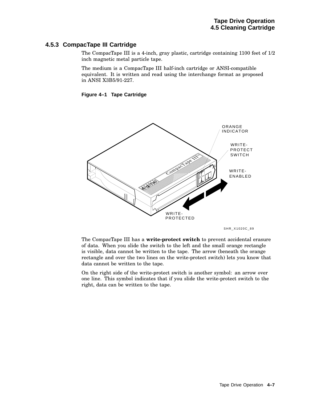#### **Tape Drive Operation 4.5 Cleaning Cartridge**

#### **4.5.3 CompacTape III Cartridge**

The CompacTape III is a 4-inch, gray plastic, cartridge containing 1100 feet of 1/2 inch magnetic metal particle tape.

The medium is a CompacTape III half-inch cartridge or ANSI-compatible equivalent. It is written and read using the interchange format as proposed in ANSI X3B5/91-227.

#### **Figure 4–1 Tape Cartridge**



SHR\_X1020C\_89

The CompacTape III has a **write-protect switch** to prevent accidental erasure of data. When you slide the switch to the left and the small orange rectangle is visible, data cannot be written to the tape. The arrow (beneath the orange rectangle and over the two lines on the write-protect switch) lets you know that data cannot be written to the tape.

On the right side of the write-protect switch is another symbol: an arrow over one line. This symbol indicates that if you slide the write-protect switch to the right, data can be written to the tape.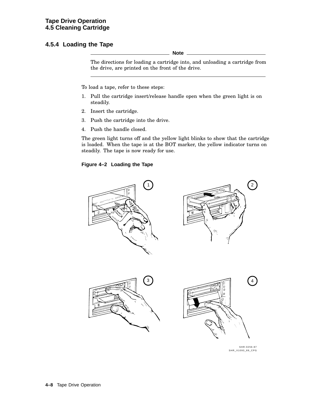#### **4.5.4 Loading the Tape**

**Note**

The directions for loading a cartridge into, and unloading a cartridge from the drive, are printed on the front of the drive.

To load a tape, refer to these steps:

- 1. Pull the cartridge insert/release handle open when the green light is on steadily.
- 2. Insert the cartridge.
- 3. Push the cartridge into the drive.
- 4. Push the handle closed.

The green light turns off and the yellow light blinks to show that the cartridge is loaded. When the tape is at the BOT marker, the yellow indicator turns on steadily. The tape is now ready for use.

#### **Figure 4–2 Loading the Tape**



SHR-0256-87 SHR\_X1093\_89\_CPG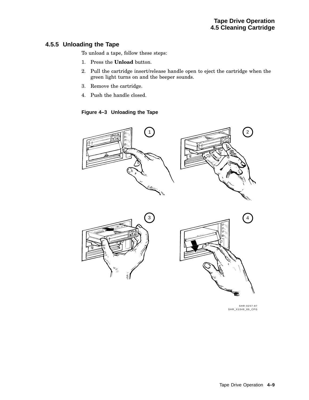#### **4.5.5 Unloading the Tape**

To unload a tape, follow these steps:

- 1. Press the **Unload** button.
- 2. Pull the cartridge insert/release handle open to eject the cartridge when the green light turns on and the beeper sounds.
- 3. Remove the cartridge.
- 4. Push the handle closed.

**Figure 4–3 Unloading the Tape**



SHR-0257-87 SHR\_X1049\_89\_CPG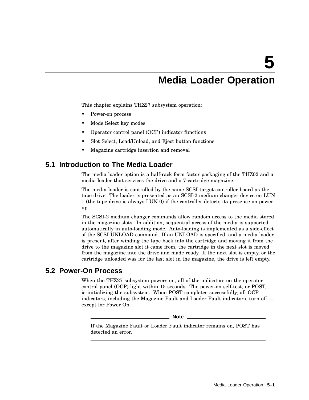# **Media Loader Operation**

This chapter explains THZ27 subsystem operation:

- Power-on process
- Mode Select key modes
- Operator control panel (OCP) indicator functions
- Slot Select, Load/Unload, and Eject button functions
- Magazine cartridge insertion and removal

### **5.1 Introduction to The Media Loader**

The media loader option is a half-rack form factor packaging of the THZ02 and a media loader that services the drive and a 7-cartridge magazine.

The media loader is controlled by the same SCSI target controller board as the tape drive. The loader is presented as an SCSI-2 medium changer device on LUN 1 (the tape drive is always LUN 0) if the controller detects its presence on power up.

The SCSI-2 medium changer commands allow random access to the media stored in the magazine slots. In addition, sequential access of the media is supported automatically in auto-loading mode. Auto-loading is implemented as a side-effect of the SCSI UNLOAD command. If an UNLOAD is specified, and a media loader is present, after winding the tape back into the cartridge and moving it from the drive to the magazine slot it came from, the cartridge in the next slot is moved from the magazine into the drive and made ready. If the next slot is empty, or the cartridge unloaded was for the last slot in the magazine, the drive is left empty.

### **5.2 Power-On Process**

When the THZ27 subsystem powers on, all of the indicators on the operator control panel (OCP) light within 15 seconds. The power-on self-test, or POST, is initializing the subsystem. When POST completes successfully, all OCP indicators, including the Magazine Fault and Loader Fault indicators, turn off except for Power On.

**Note**

If the Magazine Fault or Loader Fault indicator remains on, POST has detected an error.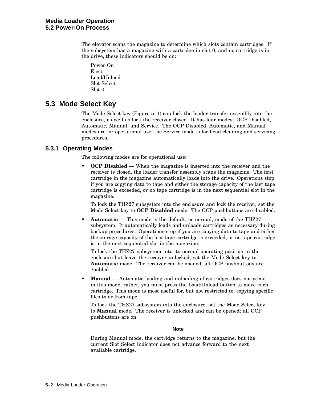The elevator scans the magazine to determine which slots contain cartridges. If the subsystem has a magazine with a cartridge in slot 0, and no cartridge is in the drive, these indicators should be on:

Power On Eject Load/Unload Slot Select Slot 0

# **5.3 Mode Select Key**

The Mode Select key (Figure 5–1) can lock the loader transfer assembly into the enclosure, as well as lock the receiver closed. It has four modes: OCP Disabled, Automatic, Manual, and Service. The OCP Disabled, Automatic, and Manual modes are for operational use; the Service mode is for head cleaning and servicing procedures.

#### **5.3.1 Operating Modes**

The following modes are for operational use:

• **OCP Disabled** — When the magazine is inserted into the receiver and the receiver is closed, the loader transfer assembly scans the magazine. The first cartridge in the magazine automatically loads into the drive. Operations stop if you are copying data to tape and either the storage capacity of the last tape cartridge is exceeded, or no tape cartridge is in the next sequential slot in the magazine.

To lock the THZ27 subsystem into the enclosure and lock the receiver, set the Mode Select key to **OCP Disabled** mode. The OCP pushbuttons are disabled.

• **Automatic** — This mode is the default, or normal, mode of the THZ27 subsystem. It automatically loads and unloads cartridges as necessary during backup procedures. Operations stop if you are copying data to tape and either the storage capacity of the last tape cartridge is exceeded, or no tape cartridge is in the next sequential slot in the magazine.

To lock the THZ27 subsystem into its normal operating position in the enclosure but leave the receiver unlocked, set the Mode Select key to **Automatic** mode. The receiver can be opened; all OCP pushbuttons are enabled.

• **Manual** — Automatic loading and unloading of cartridges does not occur in this mode; rather, you must press the Load/Unload button to move each cartridge. This mode is most useful for, but not restricted to, copying specific files to or from tape.

To lock the THZ27 subsystem into the enclosure, set the Mode Select key to **Manual** mode. The receiver is unlocked and can be opened; all OCP pushbuttons are on.

**Note**

During Manual mode, the cartridge returns to the magazine, but the current Slot Select indicator does not advance forward to the next available cartridge.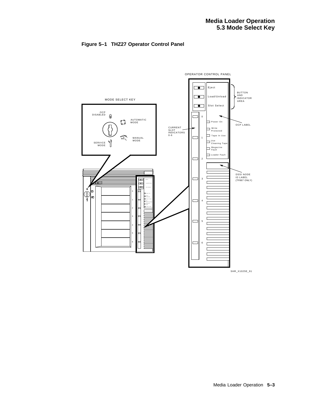



SHR\_X1025E\_91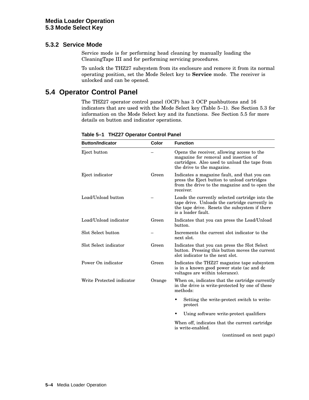#### **5.3.2 Service Mode**

Service mode is for performing head cleaning by manually loading the CleaningTape III and for performing servicing procedures.

To unlock the THZ27 subsystem from its enclosure and remove it from its normal operating position, set the Mode Select key to **Service** mode. The receiver is unlocked and can be opened.

# **5.4 Operator Control Panel**

The THZ27 operator control panel (OCP) has 3 OCP pushbuttons and 16 indicators that are used with the Mode Select key (Table 5–1). See Section 5.3 for information on the Mode Select key and its functions. See Section 5.5 for more details on button and indicator operations.

| <b>Button/Indicator</b>   | Color  | <b>Function</b>                                                                                                                                                          |  |
|---------------------------|--------|--------------------------------------------------------------------------------------------------------------------------------------------------------------------------|--|
| Eject button              |        | Opens the receiver, allowing access to the<br>magazine for removal and insertion of<br>cartridges. Also used to unload the tape from<br>the drive to the magazine.       |  |
| Eject indicator           | Green  | Indicates a magazine fault, and that you can<br>press the Eject button to unload cartridges<br>from the drive to the magazine and to open the<br>receiver.               |  |
| Load/Unload button        |        | Loads the currently selected cartridge into the<br>tape drive. Unloads the cartridge currently in<br>the tape drive. Resets the subsystem if there<br>is a loader fault. |  |
| Load/Unload indicator     | Green  | Indicates that you can press the Load/Unload<br>button.                                                                                                                  |  |
| Slot Select button        |        | Increments the current slot indicator to the<br>next slot.                                                                                                               |  |
| Slot Select indicator     | Green  | Indicates that you can press the Slot Select<br>button. Pressing this button moves the current<br>slot indicator to the next slot.                                       |  |
| Power On indicator        | Green  | Indicates the THZ27 magazine tape subsystem<br>is in a known good power state (ac and dc<br>voltages are within tolerance).                                              |  |
| Write Protected indicator | Orange | When on, indicates that the cartridge currently<br>in the drive is write-protected by one of these<br>methods:                                                           |  |
|                           |        | Setting the write-protect switch to write-<br>$\bullet$<br>protect                                                                                                       |  |
|                           |        | Using software write-protect qualifiers<br>٠                                                                                                                             |  |
|                           |        | When off, indicates that the current cartridge<br>is write-enabled.                                                                                                      |  |
|                           |        | (continued on next page)                                                                                                                                                 |  |

**Table 5–1 THZ27 Operator Control Panel**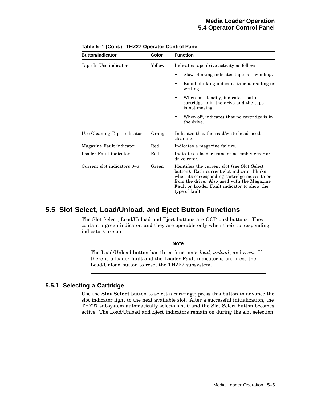| <b>Button/Indicator</b>     | Color  | <b>Function</b>                                                                                                                                                                                                                                              |  |  |  |
|-----------------------------|--------|--------------------------------------------------------------------------------------------------------------------------------------------------------------------------------------------------------------------------------------------------------------|--|--|--|
| Tape In Use indicator       | Yellow | Indicates tape drive activity as follows:                                                                                                                                                                                                                    |  |  |  |
|                             |        | Slow blinking indicates tape is rewinding.                                                                                                                                                                                                                   |  |  |  |
|                             |        | Rapid blinking indicates tape is reading or<br>writing.                                                                                                                                                                                                      |  |  |  |
|                             |        | When on steadily, indicates that a<br>cartridge is in the drive and the tape<br>is not moving.                                                                                                                                                               |  |  |  |
|                             |        | When off, indicates that no cartridge is in<br>the drive.                                                                                                                                                                                                    |  |  |  |
| Use Cleaning Tape indicator | Orange | Indicates that the read/write head needs<br>cleaning.                                                                                                                                                                                                        |  |  |  |
| Magazine Fault indicator    | Red    | Indicates a magazine failure.                                                                                                                                                                                                                                |  |  |  |
| Loader Fault indicator      | Red    | Indicates a loader transfer assembly error or<br>drive error.                                                                                                                                                                                                |  |  |  |
| Current slot indicators 0–6 | Green  | Identifies the current slot (see Slot Select)<br>button). Each current slot indicator blinks<br>when its corresponding cartridge moves to or<br>from the drive. Also used with the Magazine<br>Fault or Loader Fault indicator to show the<br>type of fault. |  |  |  |

**Table 5–1 (Cont.) THZ27 Operator Control Panel**

# **5.5 Slot Select, Load/Unload, and Eject Button Functions**

The Slot Select, Load/Unload and Eject buttons are OCP pushbuttons. They contain a green indicator, and they are operable only when their corresponding indicators are on.

The Load/Unload button has three functions: *load*, *unload*, and *reset*. If there is a loader fault and the Loader Fault indicator is on, press the Load/Unload button to reset the THZ27 subsystem.

\_\_ Note \_\_\_\_\_\_

# **5.5.1 Selecting a Cartridge**

Use the **Slot Select** button to select a cartridge; press this button to advance the slot indicator light to the next available slot. After a successful initialization, the THZ27 subsystem automatically selects slot 0 and the Slot Select button becomes active. The Load/Unload and Eject indicators remain on during the slot selection.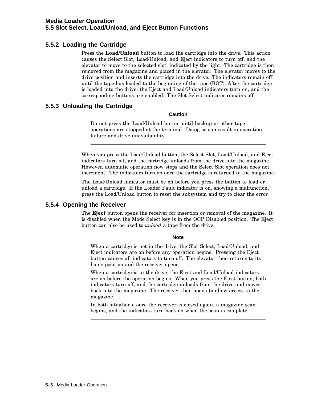# **5.5.2 Loading the Cartridge**

Press the **Load/Unload** button to load the cartridge into the drive. This action causes the Select Slot, Load/Unload, and Eject indicators to turn off, and the elevator to move to the selected slot, indicated by the light. The cartridge is then removed from the magazine and placed in the elevator. The elevator moves to the drive position and inserts the cartridge into the drive. The indicators remain off until the tape has loaded to the beginning of the tape (BOT). After the cartridge is loaded into the drive, the Eject and Load/Unload indicators turn on, and the corresponding buttons are enabled. The Slot Select indicator remains off.

# **5.5.3 Unloading the Cartridge**

**Caution**

Do not press the Load/Unload button until backup or other tape operations are stopped at the terminal. Doing so can result in operation failure and drive unavailability.

When you press the Load/Unload button, the Select Slot, Load/Unload, and Eject indicators turn off, and the cartridge unloads from the drive into the magazine. However, automatic operation now stops and the Select Slot operation does not increment. The indicators turn on once the cartridge is returned to the magazine.

The Load/Unload indicator must be on before you press the button to load or unload a cartridge. If the Loader Fault indicator is on, showing a malfunction, press the Load/Unload button to reset the subsystem and try to clear the error.

# **5.5.4 Opening the Receiver**

The **Eject** button opens the receiver for insertion or removal of the magazine. It is disabled when the Mode Select key is in the OCP Disabled position. The Eject button can also be used to *unload* a tape from the drive.

#### **Note**

When a cartridge is not in the drive, the Slot Select, Load/Unload, and Eject indicators are on before any operation begins. Pressing the Eject button causes all indicators to turn off. The elevator then returns to its home position and the receiver opens.

When a cartridge is in the drive, the Eject and Load/Unload indicators are on before the operation begins. When you press the Eject button, both indicators turn off, and the cartridge unloads from the drive and moves back into the magazine. The receiver then opens to allow access to the magazine.

In both situations, once the receiver is closed again, a magazine scan begins, and the indicators turn back on when the scan is complete.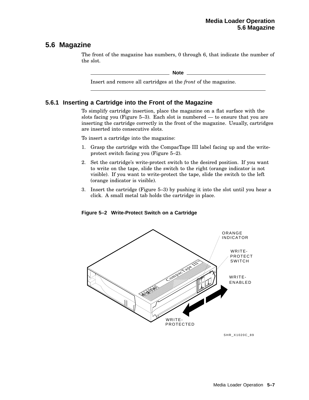# **5.6 Magazine**

The front of the magazine has numbers, 0 through 6, that indicate the number of the slot.

**Note**

Insert and remove all cartridges at the *front* of the magazine.

# **5.6.1 Inserting a Cartridge into the Front of the Magazine**

To simplify cartridge insertion, place the magazine on a flat surface with the slots facing you (Figure 5–3). Each slot is numbered — to ensure that you are inserting the cartridge correctly in the front of the magazine. Usually, cartridges are inserted into consecutive slots.

To insert a cartridge into the magazine:

- 1. Grasp the cartridge with the CompacTape III label facing up and the writeprotect switch facing you (Figure 5–2).
- 2. Set the cartridge's write-protect switch to the desired position. If you want to write on the tape, slide the switch to the right (orange indicator is not visible). If you want to write-protect the tape, slide the switch to the left (orange indicator is visible).
- 3. Insert the cartridge (Figure 5–3) by pushing it into the slot until you hear a click. A small metal tab holds the cartridge in place.

**Figure 5–2 Write-Protect Switch on a Cartridge**



SHR\_X1020C\_89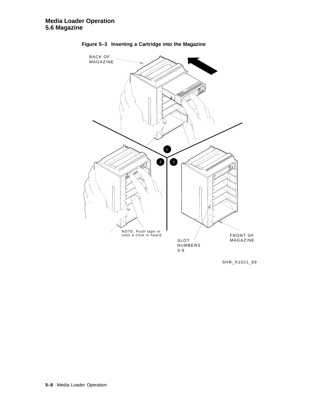

**Figure 5–3 Inserting a Cartridge into the Magazine**

SHR\_X1021\_89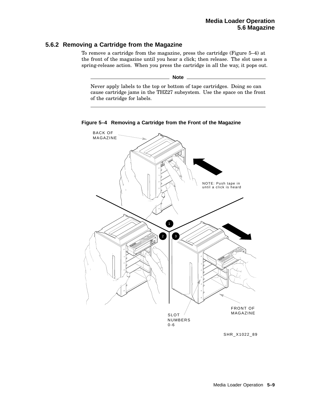# **5.6.2 Removing a Cartridge from the Magazine**

To remove a cartridge from the magazine, press the cartridge (Figure 5–4) at the front of the magazine until you hear a click; then release. The slot uses a spring-release action. When you press the cartridge in all the way, it pops out.

\_ Note \_

Never apply labels to the top or bottom of tape cartridges. Doing so can cause cartridge jams in the THZ27 subsystem. Use the space on the front of the cartridge for labels.



**Figure 5–4 Removing a Cartridge from the Front of the Magazine**

SHR\_X1022\_89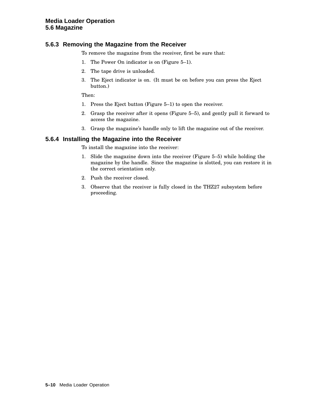# **5.6.3 Removing the Magazine from the Receiver**

To remove the magazine from the receiver, first be sure that:

- 1. The Power On indicator is on (Figure 5–1).
- 2. The tape drive is unloaded.
- 3. The Eject indicator is on. (It must be on before you can press the Eject button.)

Then:

- 1. Press the Eject button (Figure 5–1) to open the receiver.
- 2. Grasp the receiver after it opens (Figure 5–5), and gently pull it forward to access the magazine.
- 3. Grasp the magazine's handle only to lift the magazine out of the receiver.

#### **5.6.4 Installing the Magazine into the Receiver**

To install the magazine into the receiver:

- 1. Slide the magazine down into the receiver (Figure 5–5) while holding the magazine by the handle. Since the magazine is slotted, you can restore it in the correct orientation only.
- 2. Push the receiver closed.
- 3. Observe that the receiver is fully closed in the THZ27 subsystem before proceeding.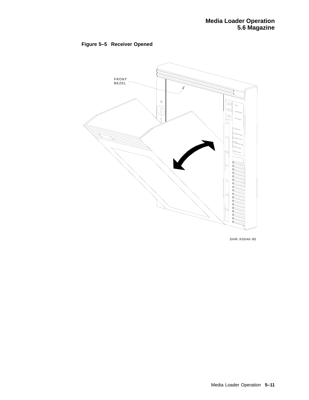



SHR-X0046-90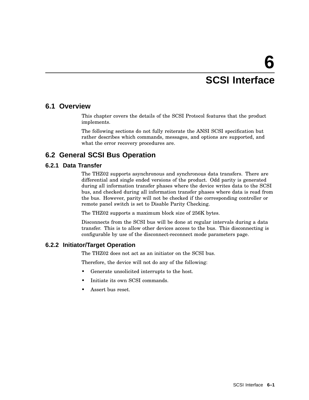# **SCSI Interface**

# **6.1 Overview**

This chapter covers the details of the SCSI Protocol features that the product implements.

The following sections do not fully reiterate the ANSI SCSI specification but rather describes which commands, messages, and options are supported, and what the error recovery procedures are.

# **6.2 General SCSI Bus Operation**

# **6.2.1 Data Transfer**

The THZ02 supports asynchronous and synchronous data transfers. There are differential and single ended versions of the product. Odd parity is generated during all information transfer phases where the device writes data to the SCSI bus, and checked during all information transfer phases where data is read from the bus. However, parity will not be checked if the corresponding controller or remote panel switch is set to Disable Parity Checking.

The THZ02 supports a maximum block size of 256K bytes.

Disconnects from the SCSI bus will be done at regular intervals during a data transfer. This is to allow other devices access to the bus. This disconnecting is configurable by use of the disconnect-reconnect mode parameters page.

# **6.2.2 Initiator/Target Operation**

The THZ02 does not act as an initiator on the SCSI bus.

Therefore, the device will not do any of the following:

- Generate unsolicited interrupts to the host.
- Initiate its own SCSI commands.
- Assert bus reset.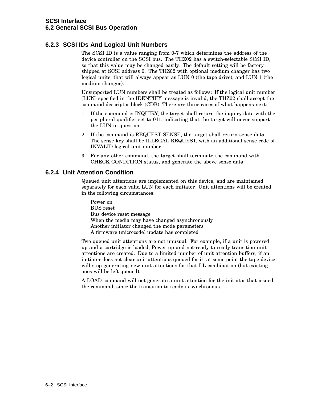# **6.2.3 SCSI IDs And Logical Unit Numbers**

The SCSI ID is a value ranging from 0-7 which determines the address of the device controller on the SCSI bus. The THZ02 has a switch-selectable SCSI ID, so that this value may be changed easily. The default setting will be factory shipped at SCSI address 0. The THZ02 with optional medium changer has two logical units, that will always appear as LUN 0 (the tape drive), and LUN 1 (the medium changer).

Unsupported LUN numbers shall be treated as follows: If the logical unit number (LUN) specified in the IDENTIFY message is invalid, the THZ02 shall accept the command descriptor block (CDB). There are three cases of what happens next:

- 1. If the command is INQUIRY, the target shall return the inquiry data with the peripheral qualifier set to 011, indicating that the target will never support the LUN in question.
- 2. If the command is REQUEST SENSE, the target shall return sense data. The sense key shall be ILLEGAL REQUEST, with an additional sense code of INVALID logical unit number.
- 3. For any other command, the target shall terminate the command with CHECK CONDITION status, and generate the above sense data.

### **6.2.4 Unit Attention Condition**

Queued unit attentions are implemented on this device, and are maintained separately for each valid LUN for each initiator. Unit attentions will be created in the following circumstances:

Power on BUS reset Bus device reset message When the media may have changed asynchronously Another initiator changed the mode parameters A firmware (microcode) update has completed

Two queued unit attentions are not unusual. For example, if a unit is powered up and a cartridge is loaded, Power up and not-ready to ready transition unit attentions are created. Due to a limited number of unit attention buffers, if an initiator does not clear unit attentions queued for it, at some point the tape device will stop generating new unit attentions for that I-L combination (but existing ones will be left queued).

A LOAD command will not generate a unit attention for the initiator that issued the command, since the transition to ready is synchronous.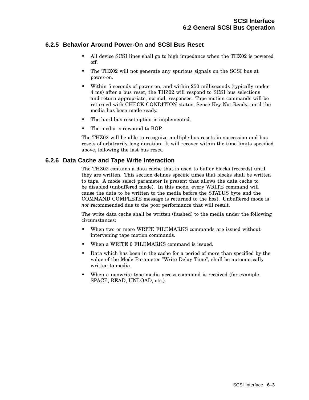# **6.2.5 Behavior Around Power-On and SCSI Bus Reset**

- All device SCSI lines shall go to high impedance when the THZ02 is powered off.
- The THZ02 will not generate any spurious signals on the SCSI bus at power-on.
- Within 5 seconds of power on, and within 250 milliseconds (typically under 4 ms) after a bus reset, the THZ02 will respond to SCSI bus selections and return appropriate, normal, responses. Tape motion commands will be returned with CHECK CONDITION status, Sense Key Not Ready, until the media has been made ready.
- The hard bus reset option is implemented.
- The media is rewound to BOP.

The THZ02 will be able to recognize multiple bus resets in succession and bus resets of arbitrarily long duration. It will recover within the time limits specified above, following the last bus reset.

### **6.2.6 Data Cache and Tape Write Interaction**

The THZ02 contains a data cache that is used to buffer blocks (records) until they are written. This section defines specific times that blocks shall be written to tape. A mode select parameter is present that allows the data cache to be disabled (unbuffered mode). In this mode, every WRITE command will cause the data to be written to the media before the STATUS byte and the COMMAND COMPLETE message is returned to the host. Unbuffered mode is *not* recommended due to the poor performance that will result.

The write data cache shall be written (flushed) to the media under the following circumstances:

- When two or more WRITE FILEMARKS commands are issued without intervening tape motion commands.
- When a WRITE 0 FILEMARKS command is issued.
- Data which has been in the cache for a period of more than specified by the value of the Mode Parameter "Write Delay Time", shall be automatically written to media.
- When a nonwrite type media access command is received (for example, SPACE, READ, UNLOAD, etc.).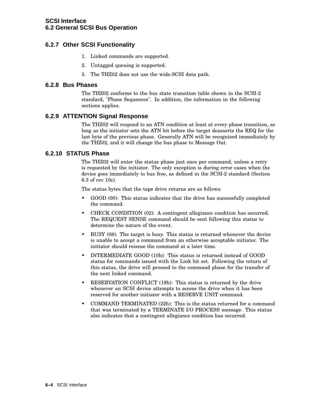# **6.2.7 Other SCSI Functionality**

- 1. Linked commands are supported.
- 2. Untagged queuing is supported.
- 3. The THZ02 does not use the wide-SCSI data path.

#### **6.2.8 Bus Phases**

The THZ02 conforms to the bus state transition table shown in the SCSI-2 standard, "Phase Sequences". In addition, the information in the following sections applies.

### **6.2.9 ATTENTION Signal Response**

The THZ02 will respond to an ATN condition at least at every phase transition, as long as the initiator sets the ATN bit before the target deasserts the REQ for the last byte of the previous phase. Generally ATN will be recognized immediately by the THZ02, and it will change the bus phase to Message Out.

### **6.2.10 STATUS Phase**

The THZ02 will enter the status phase just once per command, unless a retry is requested by the initiator. The only exception is during error cases when the device goes immediately to bus free, as defined in the SCSI-2 standard (Section 6.3 of rev 10c).

The status bytes that the tape drive returns are as follows:

- GOOD (00): This status indicates that the drive has successfully completed the command.
- CHECK CONDITION (02): A contingent allegiance condition has occurred. The REQUEST SENSE command should be sent following this status to determine the nature of the event.
- BUSY (08): The target is busy. This status is returned whenever the device is unable to accept a command from an otherwise acceptable initiator. The initiator should reissue the command at a later time.
- INTERMEDIATE GOOD (10h): This status is returned instead of GOOD status for commands issued with the Link bit set. Following the return of this status, the drive will proceed to the command phase for the transfer of the next linked command.
- RESERVATION CONFLICT (18h): This status is returned by the drive whenever an SCSI device attempts to access the drive when it has been reserved for another initiator with a RESERVE UNIT command.
- COMMAND TERMINATED (22h): This is the status returned for a command that was terminated by a TERMINATE I/O PROCESS message. This status also indicates that a contingent allegiance condition has occurred.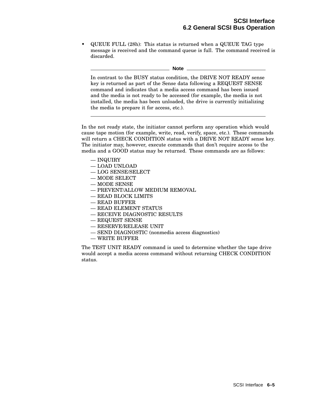• QUEUE FULL (28h): This status is returned when a QUEUE TAG type message is received and the command queue is full. The command received is discarded.

**Note**

In contrast to the BUSY status condition, the DRIVE NOT READY sense key is returned as part of the Sense data following a REQUEST SENSE command and indicates that a media access command has been issued and the media is not ready to be accessed (for example, the media is not installed, the media has been unloaded, the drive is currently initializing the media to prepare it for access, etc.).

In the not ready state, the initiator cannot perform any operation which would cause tape motion (for example, write, read, verify, space, etc.). These commands will return a CHECK CONDITION status with a DRIVE NOT READY sense key. The initiator may, however, execute commands that don't require access to the media and a GOOD status may be returned. These commands are as follows:

- INQUIRY
- LOAD UNLOAD
- LOG SENSE/SELECT
- MODE SELECT
- MODE SENSE
- PREVENT/ALLOW MEDIUM REMOVAL
- READ BLOCK LIMITS
- READ BUFFER
- READ ELEMENT STATUS
- RECEIVE DIAGNOSTIC RESULTS
- REQUEST SENSE
- RESERVE/RELEASE UNIT
- SEND DIAGNOSTIC (nonmedia access diagnostics)
- WRITE BUFFER

The TEST UNIT READY command is used to determine whether the tape drive would accept a media access command without returning CHECK CONDITION status.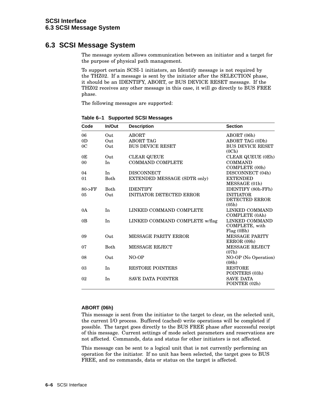# **6.3 SCSI Message System**

The message system allows communication between an initiator and a target for the purpose of physical path management.

To support certain SCSI-1 initiators, an Identify message is not required by the THZ02. If a message is sent by the initiator after the SELECTION phase, it should be an IDENTIFY, ABORT, or BUS DEVICE RESET message. If the THZ02 receives any other message in this case, it will go directly to BUS FREE phase.

The following messages are supported:

| Code           | In/Out      | <b>Description</b>              | <b>Section</b>                                 |
|----------------|-------------|---------------------------------|------------------------------------------------|
| 06             | Out         | <b>ABORT</b>                    | ABORT (06h)                                    |
| 0 <sub>D</sub> | Out         | <b>ABORT TAG</b>                | <b>ABORT TAG (0Dh)</b>                         |
| 0 <sup>C</sup> | Out         | <b>BUS DEVICE RESET</b>         | <b>BUS DEVICE RESET</b><br>(0Ch)               |
| 0 <sup>E</sup> | Out         | <b>CLEAR QUEUE</b>              | CLEAR QUEUE (0Eh)                              |
| 0 <sub>0</sub> | In          | <b>COMMAND COMPLETE</b>         | <b>COMMAND</b><br>COMPLETE (00h)               |
| 04             | In          | <b>DISCONNECT</b>               | DISCONNECT (04h)                               |
| 01             | <b>Both</b> | EXTENDED MESSAGE (SDTR only)    | <b>EXTENDED</b><br>MESSAGE (01h)               |
| $80-$ FF       | <b>Both</b> | <b>IDENTIFY</b>                 | IDENTIFY (80h-FFh)                             |
| 05             | Out         | <b>INITIATOR DETECTED ERROR</b> | <b>INITIATOR</b><br>DETECTED ERROR<br>(05h)    |
| 0A             | In          | LINKED COMMAND COMPLETE         | LINKED COMMAND<br><b>COMPLETE</b> (0Ah)        |
| 0 <sub>B</sub> | In          | LINKED COMMAND COMPLETE w/flag  | LINKED COMMAND<br>COMPLETE, with<br>Flag (0Bh) |
| 09             | Out         | <b>MESSAGE PARITY ERROR</b>     | <b>MESSAGE PARITY</b><br>ERROR (09h)           |
| 07             | <b>Both</b> | <b>MESSAGE REJECT</b>           | <b>MESSAGE REJECT</b><br>(07h)                 |
| 08             | Out         | NO-OP                           | NO-OP (No Operation)<br>(08h)                  |
| 03             | In          | <b>RESTORE POINTERS</b>         | <b>RESTORE</b><br>POINTERS (03h)               |
| 02             | In          | <b>SAVE DATA POINTER</b>        | <b>SAVE DATA</b><br>POINTER (02h)              |

**Table 6–1 Supported SCSI Messages**

#### **ABORT (06h)**

This message is sent from the initiator to the target to clear, on the selected unit, the current I/O process. Buffered (cached) write operations will be completed if possible. The target goes directly to the BUS FREE phase after successful receipt of this message. Current settings of mode select parameters and reservations are not affected. Commands, data and status for other initiators is not affected.

This message can be sent to a logical unit that is not currently performing an operation for the initiator. If no unit has been selected, the target goes to BUS FREE, and no commands, data or status on the target is affected.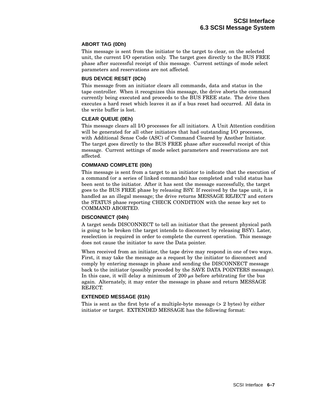#### **ABORT TAG (0Dh)**

This message is sent from the initiator to the target to clear, on the selected unit, the current I/O operation only. The target goes directly to the BUS FREE phase after successful receipt of this message. Current settings of mode select parameters and reservations are not affected.

#### **BUS DEVICE RESET (0Ch)**

This message from an initiator clears all commands, data and status in the tape controller. When it recognizes this message, the drive aborts the command currently being executed and proceeds to the BUS FREE state. The drive then executes a hard reset which leaves it as if a bus reset had occurred. All data in the write buffer is lost.

#### **CLEAR QUEUE (0Eh)**

This message clears all I/O processes for all initiators. A Unit Attention condition will be generated for all other initiators that had outstanding I/O processes, with Additional Sense Code (ASC) of Command Cleared by Another Initiator. The target goes directly to the BUS FREE phase after successful receipt of this message. Current settings of mode select parameters and reservations are not affected.

#### **COMMAND COMPLETE (00h)**

This message is sent from a target to an initiator to indicate that the execution of a command (or a series of linked commands) has completed and valid status has been sent to the initiator. After it has sent the message successfully, the target goes to the BUS FREE phase by releasing BSY. If received by the tape unit, it is handled as an illegal message; the drive returns MESSAGE REJECT and enters the STATUS phase reporting CHECK CONDITION with the sense key set to COMMAND ABORTED.

#### **DISCONNECT (04h)**

A target sends DISCONNECT to tell an initiator that the present physical path is going to be broken (the target intends to disconnect by releasing BSY). Later, reselection is required in order to complete the current operation. This message does not cause the initiator to save the Data pointer.

When received from an initiator, the tape drive may respond in one of two ways. First, it may take the message as a request by the initiator to disconnect and comply by entering message in phase and sending the DISCONNECT message back to the initiator (possibly preceded by the SAVE DATA POINTERS message). In this case, it will delay a minimum of 200  $\mu$ s before arbitrating for the bus again. Alternately, it may enter the message in phase and return MESSAGE REJECT.

#### **EXTENDED MESSAGE (01h)**

This is sent as the first byte of a multiple-byte message (> 2 bytes) by either initiator or target. EXTENDED MESSAGE has the following format: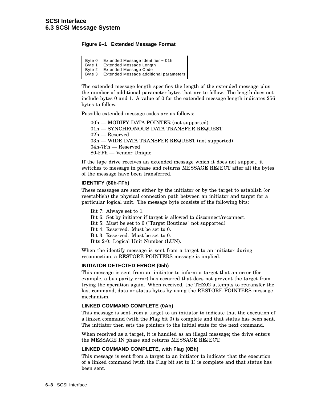#### **Figure 6–1 Extended Message Format**

| Byte 0<br>Byte 1<br>Byte 1<br>Byte 2<br>Extended Message Length<br>Byte 2<br>Byte 3<br>Extended Message Code<br>Byte 3<br>Extended Message Code |
|-------------------------------------------------------------------------------------------------------------------------------------------------|
|                                                                                                                                                 |
|                                                                                                                                                 |
|                                                                                                                                                 |

The extended message length specifies the length of the extended message plus the number of additional parameter bytes that are to follow. The length does not include bytes 0 and 1. A value of 0 for the extended message length indicates 256 bytes to follow.

Possible extended message codes are as follows:

00h — MODIFY DATA POINTER (not supported) 01h — SYNCHRONOUS DATA TRANSFER REQUEST 02h — Reserved 03h — WIDE DATA TRANSFER REQUEST (not supported) 04h-7Fh — Reserved 80-FFh — Vendor Unique

If the tape drive receives an extended message which it does not support, it switches to message in phase and returns MESSAGE REJECT after all the bytes of the message have been transferred.

#### **IDENTIFY (80h-FFh)**

These messages are sent either by the initiator or by the target to establish (or reestablish) the physical connection path between an initiator and target for a particular logical unit. The message byte consists of the following bits:

- Bit 7: Always set to 1.
- Bit 6: Set by initiator if target is allowed to disconnect/reconnect.
- Bit 5: Must be set to 0 ("Target Routines" not supported)
- Bit 4: Reserved. Must be set to 0.
- Bit 3: Reserved. Must be set to 0.
- Bits 2-0: Logical Unit Number (LUN).

When the identify message is sent from a target to an initiator during reconnection, a RESTORE POINTERS message is implied.

#### **INITIATOR DETECTED ERROR (05h)**

This message is sent from an initiator to inform a target that an error (for example, a bus parity error) has occurred that does not prevent the target from trying the operation again. When received, the THZ02 attempts to retransfer the last command, data or status bytes by using the RESTORE POINTERS message mechanism.

#### **LINKED COMMAND COMPLETE (0Ah)**

This message is sent from a target to an initiator to indicate that the execution of a linked command (with the Flag bit 0) is complete and that status has been sent. The initiator then sets the pointers to the initial state for the next command.

When received as a target, it is handled as an illegal message; the drive enters the MESSAGE IN phase and returns MESSAGE REJECT.

#### **LINKED COMMAND COMPLETE, with Flag (0Bh)**

This message is sent from a target to an initiator to indicate that the execution of a linked command (with the Flag bit set to 1) is complete and that status has been sent.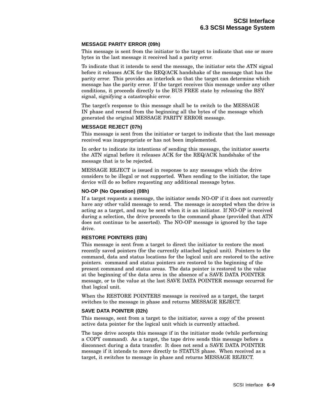#### **MESSAGE PARITY ERROR (09h)**

This message is sent from the initiator to the target to indicate that one or more bytes in the last message it received had a parity error.

To indicate that it intends to send the message, the initiator sets the ATN signal before it releases ACK for the REQ/ACK handshake of the message that has the parity error. This provides an interlock so that the target can determine which message has the parity error. If the target receives this message under any other conditions, it proceeds directly to the BUS FREE state by releasing the BSY signal, signifying a catastrophic error.

The target's response to this message shall be to switch to the MESSAGE IN phase and resend from the beginning all the bytes of the message which generated the original MESSAGE PARITY ERROR message.

#### **MESSAGE REJECT (07h)**

This message is sent from the initiator or target to indicate that the last message received was inappropriate or has not been implemented.

In order to indicate its intentions of sending this message, the initiator asserts the ATN signal before it releases ACK for the REQ/ACK handshake of the message that is to be rejected.

MESSAGE REJECT is issued in response to any messages which the drive considers to be illegal or not supported. When sending to the initiator, the tape device will do so before requesting any additional message bytes.

#### **NO-OP (No Operation) (08h)**

If a target requests a message, the initiator sends NO-OP if it does not currently have any other valid message to send. The message is accepted when the drive is acting as a target, and may be sent when it is an initiator. If NO-OP is received during a selection, the drive proceeds to the command phase (provided that ATN does not continue to be asserted). The NO-OP message is ignored by the tape drive.

#### **RESTORE POINTERS (03h)**

This message is sent from a target to direct the initiator to restore the most recently saved pointers (for the currently attached logical unit). Pointers to the command, data and status locations for the logical unit are restored to the active pointers. command and status pointers are restored to the beginning of the present command and status areas. The data pointer is restored to the value at the beginning of the data area in the absence of a SAVE DATA POINTER message, or to the value at the last SAVE DATA POINTER message occurred for that logical unit.

When the RESTORE POINTERS message is received as a target, the target switches to the message in phase and returns MESSAGE REJECT.

#### **SAVE DATA POINTER (02h)**

This message, sent from a target to the initiator, saves a copy of the present active data pointer for the logical unit which is currently attached.

The tape drive accepts this message if in the initiator mode (while performing a COPY command). As a target, the tape drive sends this message before a disconnect during a data transfer. It does not send a SAVE DATA POINTER message if it intends to move directly to STATUS phase. When received as a target, it switches to message in phase and returns MESSAGE REJECT.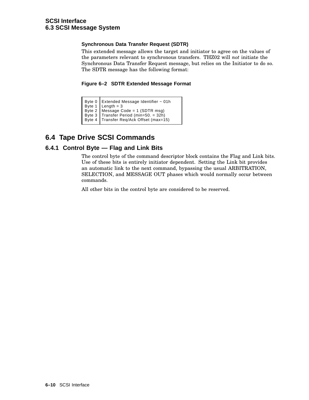#### **Synchronous Data Transfer Request (SDTR)**

This extended message allows the target and initiator to agree on the values of the parameters relevant to synchronous transfers. THZ02 will *not* initiate the Synchronous Data Transfer Request message, but relies on the Initiator to do so. The SDTR message has the following format:

**Figure 6–2 SDTR Extended Message Format**

| Byte 0 Extended Message Identifier - 01h<br>Byte 1<br>Length = 3<br>Byte 2<br>Message Code = 1 (SDTR msg)<br>Byte 3<br>Transfer Period (min=50. = 32h)<br>Byte 4<br>Transfer Req/Ack Offset (max=15) |  |
|------------------------------------------------------------------------------------------------------------------------------------------------------------------------------------------------------|--|
|------------------------------------------------------------------------------------------------------------------------------------------------------------------------------------------------------|--|

# **6.4 Tape Drive SCSI Commands**

# **6.4.1 Control Byte — Flag and Link Bits**

The control byte of the command descriptor block contains the Flag and Link bits. Use of these bits is entirely initiator dependent. Setting the Link bit provides an automatic link to the next command, bypassing the usual ARBITRATION, SELECTION, and MESSAGE OUT phases which would normally occur between commands.

All other bits in the control byte are considered to be reserved.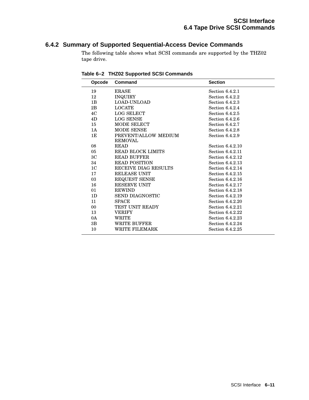# **6.4.2 Summary of Supported Sequential-Access Device Commands**

The following table shows what SCSI commands are supported by the THZ02 tape drive.

| Opcode         | <b>Command</b>                         | <b>Section</b>    |
|----------------|----------------------------------------|-------------------|
| 19             | <b>ERASE</b>                           | Section 6.4.2.1   |
| 12             | <b>INQUIRY</b>                         | Section 6.4.2.2   |
| 1 <sub>B</sub> | LOAD-UNLOAD                            | Section 6.4.2.3   |
| 2B             | <b>LOCATE</b>                          | Section $6.4.2.4$ |
| 4C             | <b>LOG SELECT</b>                      | Section $6.4.2.5$ |
| 4D             | <b>LOG SENSE</b>                       | Section 6.4.2.6   |
| 15             | <b>MODE SELECT</b>                     | Section 6.4.2.7   |
| 1A             | <b>MODE SENSE</b>                      | Section $6.4.2.8$ |
| 1E             | PREVENT/ALLOW MEDIUM<br><b>REMOVAL</b> | Section 6.4.2.9   |
| 08             | <b>READ</b>                            | Section 6.4.2.10  |
| 05             | <b>READ BLOCK LIMITS</b>               | Section 6.4.2.11  |
| ЗC             | <b>READ BUFFER</b>                     | Section 6.4.2.12  |
| 34             | <b>READ POSITION</b>                   | Section 6.4.2.13  |
| 1 <sub>C</sub> | RECEIVE DIAG RESULTS                   | Section 6.4.2.14  |
| 17             | RELEASE UNIT                           | Section 6.4.2.15  |
| 03             | <b>REQUEST SENSE</b>                   | Section 6.4.2.16  |
| 16             | <b>RESERVE UNIT</b>                    | Section 6.4.2.17  |
| 01             | <b>REWIND</b>                          | Section 6.4.2.18  |
| 1 <sub>D</sub> | <b>SEND DIAGNOSTIC</b>                 | Section 6.4.2.19  |
| 11             | <b>SPACE</b>                           | Section 6.4.2.20  |
| 00             | <b>TEST UNIT READY</b>                 | Section 6.4.2.21  |
| 13             | <b>VERIFY</b>                          | Section 6.4.2.22  |
| 0A             | WRITE                                  | Section 6.4.2.23  |
| 3B             | WRITE BUFFER                           | Section 6.4.2.24  |
| 10             | <b>WRITE FILEMARK</b>                  | Section 6.4.2.25  |

**Table 6–2 THZ02 Supported SCSI Commands**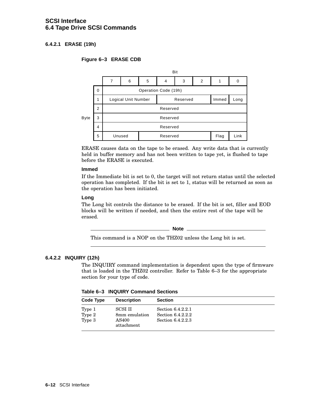# **SCSI Interface 6.4 Tape Drive SCSI Commands**

# **6.4.2.1 ERASE (19h)**

#### **Figure 6–3 ERASE CDB**



ERASE causes data on the tape to be erased. Any write data that is currently held in buffer memory and has not been written to tape yet, is flushed to tape before the ERASE is executed.

#### **Immed**

If the Immediate bit is set to 0, the target will not return status until the selected operation has completed. If the bit is set to 1, status will be returned as soon as the operation has been initiated.

#### **Long**

The Long bit controls the distance to be erased. If the bit is set, filler and EOD blocks will be written if needed, and then the entire rest of the tape will be erased.

**Note**

This command is a NOP on the THZ02 unless the Long bit is set.

#### **6.4.2.2 INQUIRY (12h)**

The INQUIRY command implementation is dependent upon the type of firmware that is loaded in the THZ02 controller. Refer to Table 6–3 for the appropriate section for your type of code.

**Table 6–3 INQUIRY Command Sections**

| Code Type                  | <b>Description</b>                                     | <b>Section</b>                                              |  |
|----------------------------|--------------------------------------------------------|-------------------------------------------------------------|--|
| Type 1<br>Type 2<br>Type 3 | <b>SCSI II</b><br>8mm emulation<br>AS400<br>attachment | Section 6.4.2.2.1<br>Section 6.4.2.2.2<br>Section 6.4.2.2.3 |  |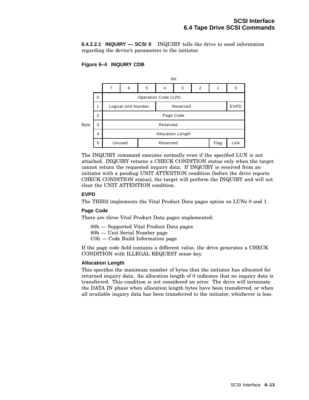**6.4.2.2.1 INQUIRY — SCSI II** INQUIRY tells the drive to send information regarding the device's parameters to the initiator.

#### **Figure 6–4 INQUIRY CDB**



The INQUIRY command executes normally even if the specified LUN is not attached. INQUIRY returns a CHECK CONDITION status only when the target cannot return the requested inquiry data. If INQUIRY is received from an initiator with a pending UNIT ATTENTION condition (before the drive reports CHECK CONDITION status), the target will perform the INQUIRY and will not clear the UNIT ATTENTION condition.

#### **EVPD**

The THZ02 implements the Vital Product Data pages option on LUNs 0 and 1.

#### **Page Code**

There are three Vital Product Data pages implemented:

- 00h Supported Vital Product Data pages
- 80h Unit Serial Number page
- C0h Code Build Information page

If the page code field contains a different value, the drive generates a CHECK CONDITION with ILLEGAL REQUEST sense key.

#### **Allocation Length**

This specifies the maximum number of bytes that the initiator has allocated for returned inquiry data. An allocation length of 0 indicates that no inquiry data is transferred. This condition is not considered an error. The drive will terminate the DATA IN phase when allocation length bytes have been transferred, or when all available inquiry data has been transferred to the initiator, whichever is less.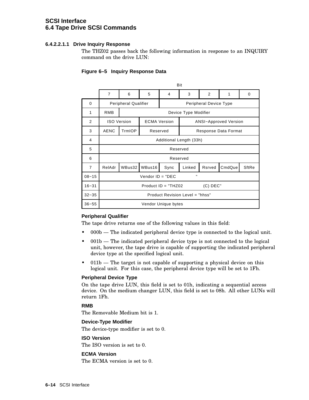# **SCSI Interface 6.4 Tape Drive SCSI Commands**

#### **6.4.2.2.1.1 Drive Inquiry Response**

The THZ02 passes back the following information in response to an INQUIRY command on the drive LUN:

#### **Figure 6–5 Inquiry Response Data**

|                |                                     | Bit                                                   |                                                     |                     |                                 |        |        |       |
|----------------|-------------------------------------|-------------------------------------------------------|-----------------------------------------------------|---------------------|---------------------------------|--------|--------|-------|
|                | $\overline{7}$                      | 6                                                     | 5                                                   | 4                   | 3                               | 2      | 1      | 0     |
| 0              |                                     | <b>Peripheral Qualifier</b><br>Peripheral Device Type |                                                     |                     |                                 |        |        |       |
| 1              | <b>RMB</b>                          |                                                       |                                                     |                     | Device Type Modifier            |        |        |       |
| 2              |                                     | <b>ISO Version</b>                                    | <b>ECMA Version</b><br><b>ANSI-Approved Version</b> |                     |                                 |        |        |       |
| 3              | <b>AENC</b>                         | TrmIOP                                                | Reserved                                            |                     | Response Data Format            |        |        |       |
| 4              |                                     |                                                       |                                                     |                     | Additional Length (33h)         |        |        |       |
| 5              |                                     |                                                       |                                                     |                     | Reserved                        |        |        |       |
| 6              |                                     |                                                       |                                                     |                     | Reserved                        |        |        |       |
| $\overline{7}$ | RelAdr                              | WBus32                                                | WBus16                                              | Sync                | Linked                          | Rsrved | CmdQue | SftRe |
| $08 - 15$      |                                     | н<br>Vendor $ID = "DEC$                               |                                                     |                     |                                 |        |        |       |
| $16 - 31$      | $Product ID = "THZ02$<br>$(C)$ DEC" |                                                       |                                                     |                     |                                 |        |        |       |
| $32 - 35$      |                                     |                                                       |                                                     |                     | Product Revision Level = "hhss" |        |        |       |
| $36 - 55$      |                                     |                                                       |                                                     | Vendor Unique bytes |                                 |        |        |       |

#### **Peripheral Qualifier**

The tape drive returns one of the following values in this field:

- 000b The indicated peripheral device type is connected to the logical unit.
- 001b The indicated peripheral device type is not connected to the logical unit, however, the tape drive is capable of supporting the indicated peripheral device type at the specified logical unit.
- 011b The target is not capable of supporting a physical device on this logical unit. For this case, the peripheral device type will be set to 1Fh.

#### **Peripheral Device Type**

On the tape drive LUN, this field is set to 01h, indicating a sequential access device. On the medium changer LUN, this field is set to 08h. All other LUNs will return 1Fh.

#### **RMB**

The Removable Medium bit is 1.

#### **Device-Type Modifier**

The device-type modifier is set to 0.

#### **ISO Version**

The ISO version is set to 0.

#### **ECMA Version**

The ECMA version is set to 0.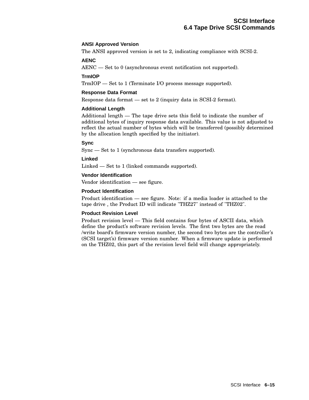#### **ANSI Approved Version**

The ANSI approved version is set to 2, indicating compliance with SCSI-2.

#### **AENC**

AENC — Set to 0 (asynchronous event notification not supported).

#### **TrmIOP**

TrmIOP — Set to 1 (Terminate I/O process message supported).

#### **Response Data Format**

Response data format — set to 2 (inquiry data in SCSI-2 format).

#### **Additional Length**

Additional length — The tape drive sets this field to indicate the number of additional bytes of inquiry response data available. This value is not adjusted to reflect the actual number of bytes which will be transferred (possibly determined by the allocation length specified by the initiator).

#### **Sync**

Sync — Set to 1 (synchronous data transfers supported).

#### **Linked**

Linked — Set to 1 (linked commands supported).

#### **Vendor Identification**

Vendor identification — see figure.

#### **Product Identification**

Product identification — see figure. Note: if a media loader is attached to the tape drive , the Product ID will indicate "THZ27" instead of "THZ02".

#### **Product Revision Level**

Product revision level — This field contains four bytes of ASCII data, which define the product's software revision levels. The first two bytes are the read /write board's firmware version number, the second two bytes are the controller's (SCSI target's) firmware version number. When a firmware update is performed on the THZ02, this part of the revision level field will change appropriately.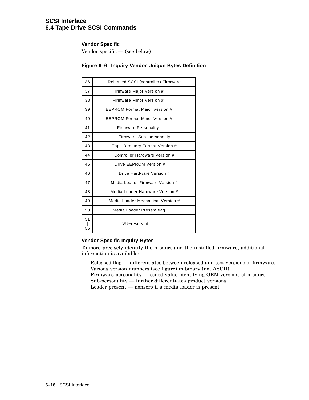# **SCSI Interface 6.4 Tape Drive SCSI Commands**

#### **Vendor Specific**

Vendor specific — (see below)

# **Figure 6–6 Inquiry Vendor Unique Bytes Definition**

| 36       | Released SCSI (controller) Firmware |
|----------|-------------------------------------|
| 37       | Firmware Major Version #            |
| 38       | Firmware Minor Version #            |
| 39       | EEPROM Format Major Version #       |
| 40       | FFPROM Format Minor Version #       |
| 41       | <b>Firmware Personality</b>         |
| 42       | Firmware Sub-personality            |
| 43       | Tape Directory Format Version #     |
| 44       | Controller Hardware Version #       |
| 45       | Drive FFPROM Version #              |
| 46       | Drive Hardware Version #            |
| 47       | Media Loader Firmware Version #     |
| 48       | Media Loader Hardware Version #     |
| 49       | Media Loader Mechanical Version #   |
| 50       | Media Loader Present flag           |
| 51<br>55 | VU-reserved                         |

#### **Vendor Specific Inquiry Bytes**

To more precisely identify the product and the installed firmware, additional information is available:

Released flag — differentiates between released and test versions of firmware. Various version numbers (see figure) in binary (not ASCII) Firmware personality — coded value identifying OEM versions of product Sub-personality — further differentiates product versions Loader present — nonzero if a media loader is present

**6–16** SCSI Interface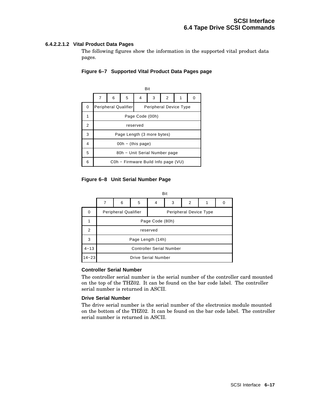#### **6.4.2.2.1.2 Vital Product Data Pages**

The following figures show the information in the supported vital product data pages.



#### **Figure 6–7 Supported Vital Product Data Pages page**

#### **Figure 6–8 Unit Serial Number Page**

|           | Bit                         |                                 |   |                            |   |   |  |   |
|-----------|-----------------------------|---------------------------------|---|----------------------------|---|---|--|---|
|           |                             | 6                               | 5 | 4                          | 3 | 2 |  | 0 |
| 0         | <b>Peripheral Qualifier</b> |                                 |   | Peripheral Device Type     |   |   |  |   |
|           |                             | Page Code (80h)                 |   |                            |   |   |  |   |
| 2         | reserved                    |                                 |   |                            |   |   |  |   |
| 3         |                             | Page Length (14h)               |   |                            |   |   |  |   |
| $4 - 13$  |                             | <b>Controller Serial Number</b> |   |                            |   |   |  |   |
| $14 - 23$ |                             |                                 |   | <b>Drive Serial Number</b> |   |   |  |   |

#### **Controller Serial Number**

The controller serial number is the serial number of the controller card mounted on the top of the THZ02. It can be found on the bar code label. The controller serial number is returned in ASCII.

#### **Drive Serial Number**

The drive serial number is the serial number of the electronics module mounted on the bottom of the THZ02. It can be found on the bar code label. The controller serial number is returned in ASCII.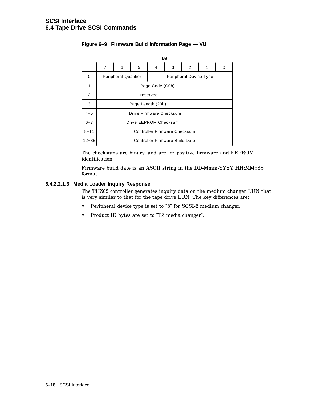|           | Bit                                                   |                              |   |   |                                       |   |  |   |
|-----------|-------------------------------------------------------|------------------------------|---|---|---------------------------------------|---|--|---|
|           | 7                                                     | 6                            | 5 | 4 | 3                                     | 2 |  | O |
| 0         | <b>Peripheral Qualifier</b><br>Peripheral Device Type |                              |   |   |                                       |   |  |   |
|           |                                                       | Page Code (C0h)              |   |   |                                       |   |  |   |
| 2         | reserved                                              |                              |   |   |                                       |   |  |   |
| 3         | Page Length (20h)                                     |                              |   |   |                                       |   |  |   |
| $4 - 5$   | Drive Firmware Checksum                               |                              |   |   |                                       |   |  |   |
| $6 - 7$   | Drive EEPROM Checksum                                 |                              |   |   |                                       |   |  |   |
| $8 - 11$  |                                                       | Controller Firmware Checksum |   |   |                                       |   |  |   |
| $12 - 35$ |                                                       |                              |   |   | <b>Controller Firmware Build Date</b> |   |  |   |

# **Figure 6–9 Firmware Build Information Page — VU**

The checksums are binary, and are for positive firmware and EEPROM identification.

Firmware build date is an ASCII string in the DD-Mmm-YYYY HH:MM::SS format.

#### **6.4.2.2.1.3 Media Loader Inquiry Response**

The THZ02 controller generates inquiry data on the medium changer LUN that is very similar to that for the tape drive LUN. The key differences are:

- Peripheral device type is set to "8" for SCSI-2 medium changer.
- Product ID bytes are set to "TZ media changer".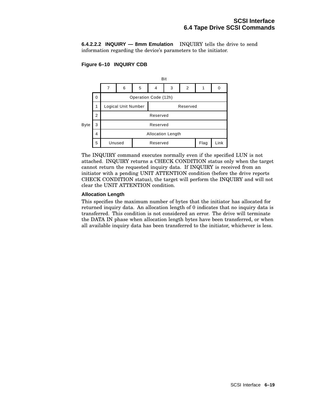**6.4.2.2.2 INQUIRY — 8mm Emulation** INQUIRY tells the drive to send information regarding the device's parameters to the initiator.

### **Figure 6–10 INQUIRY CDB**



The INQUIRY command executes normally even if the specified LUN is not attached. INQUIRY returns a CHECK CONDITION status only when the target cannot return the requested inquiry data. If INQUIRY is received from an initiator with a pending UNIT ATTENTION condition (before the drive reports CHECK CONDITION status), the target will perform the INQUIRY and will not clear the UNIT ATTENTION condition.

#### **Allocation Length**

This specifies the maximum number of bytes that the initiator has allocated for returned inquiry data. An allocation length of 0 indicates that no inquiry data is transferred. This condition is not considered an error. The drive will terminate the DATA IN phase when allocation length bytes have been transferred, or when all available inquiry data has been transferred to the initiator, whichever is less.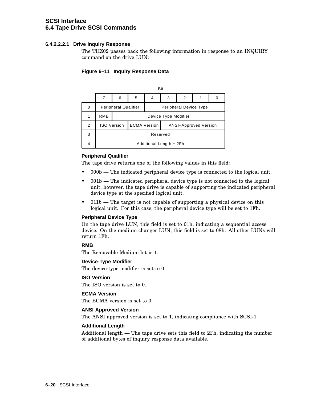# **SCSI Interface 6.4 Tape Drive SCSI Commands**

#### **6.4.2.2.2.1 Drive Inquiry Response**

The THZ02 passes back the following information in response to an INQUIRY command on the drive LUN:

#### **Figure 6–11 Inquiry Response Data**

|   |                             | Bit                     |                      |                               |   |                              |  |  |  |
|---|-----------------------------|-------------------------|----------------------|-------------------------------|---|------------------------------|--|--|--|
|   |                             | 6                       | 5                    | 4                             | 3 | 2                            |  |  |  |
| 0 | <b>Peripheral Qualifier</b> |                         |                      | <b>Peripheral Device Type</b> |   |                              |  |  |  |
|   | <b>RMB</b>                  |                         | Device Type Modifier |                               |   |                              |  |  |  |
| 2 |                             | <b>ISO Version</b>      |                      | <b>ECMA Version</b>           |   | <b>ANSI-Approved Version</b> |  |  |  |
| 3 | Reserved                    |                         |                      |                               |   |                              |  |  |  |
|   |                             | Additional Length - 2Fh |                      |                               |   |                              |  |  |  |

#### **Peripheral Qualifier**

The tape drive returns one of the following values in this field:

- 000b The indicated peripheral device type is connected to the logical unit.
- 001b The indicated peripheral device type is not connected to the logical unit, however, the tape drive is capable of supporting the indicated peripheral device type at the specified logical unit.
- 011b The target is not capable of supporting a physical device on this logical unit. For this case, the peripheral device type will be set to 1Fh.

#### **Peripheral Device Type**

On the tape drive LUN, this field is set to 01h, indicating a sequential access device. On the medium changer LUN, this field is set to 08h. All other LUNs will return 1Fh.

#### **RMB**

The Removable Medium bit is 1.

#### **Device-Type Modifier**

The device-type modifier is set to 0.

#### **ISO Version**

The ISO version is set to 0.

#### **ECMA Version**

The ECMA version is set to 0.

#### **ANSI Approved Version**

The ANSI approved version is set to 1, indicating compliance with SCSI-1.

#### **Additional Length**

Additional length — The tape drive sets this field to 2Fh, indicating the number of additional bytes of inquiry response data available.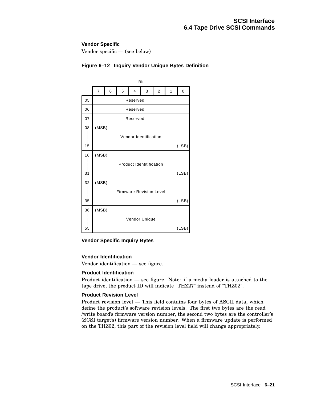#### **Vendor Specific**

Vendor specific — (see below)

|    | Bit   |       |   |          |                                 |   |   |       |  |
|----|-------|-------|---|----------|---------------------------------|---|---|-------|--|
|    | 7     | 6     | 5 | 4        | 3                               | 2 | 1 | 0     |  |
| 05 |       |       |   | Reserved |                                 |   |   |       |  |
| 06 |       |       |   | Reserved |                                 |   |   |       |  |
| 07 |       |       |   | Reserved |                                 |   |   |       |  |
| 08 | (MSB) |       |   |          |                                 |   |   |       |  |
|    |       |       |   |          | Vendor Identification           |   |   |       |  |
| 15 |       | (LSB) |   |          |                                 |   |   |       |  |
| 16 | (MSB) |       |   |          |                                 |   |   |       |  |
|    |       |       |   |          | <b>Product Identitification</b> |   |   |       |  |
| 31 |       | (LSB) |   |          |                                 |   |   |       |  |
| 32 | (MSB) |       |   |          |                                 |   |   |       |  |
|    |       |       |   |          | <b>Firmware Revision Level</b>  |   |   |       |  |
| 35 |       |       |   |          |                                 |   |   | (LSB) |  |
| 36 | (MSB) |       |   |          |                                 |   |   |       |  |
|    |       |       |   |          | Vendor Unique                   |   |   |       |  |
| 55 |       |       |   |          |                                 |   |   | (LSB) |  |

### **Figure 6–12 Inquiry Vendor Unique Bytes Definition**

#### **Vendor Specific Inquiry Bytes**

#### **Vendor Identification**

Vendor identification — see figure.

#### **Product Identification**

Product identification — see figure. Note: if a media loader is attached to the tape drive, the product ID will indicate "THZ27" instead of "THZ02".

#### **Product Revision Level**

Product revision level — This field contains four bytes of ASCII data, which define the product's software revision levels. The first two bytes are the read /write board's firmware version number, the second two bytes are the controller's (SCSI target's) firmware version number. When a firmware update is performed on the THZ02, this part of the revision level field will change appropriately.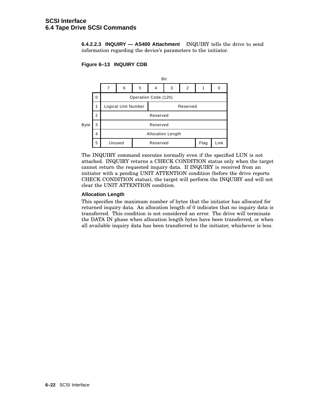**6.4.2.2.3 INQUIRY — AS400 Attachment** INQUIRY tells the drive to send information regarding the device's parameters to the initiator.

#### **Figure 6–13 INQUIRY CDB**



The INQUIRY command executes normally even if the specified LUN is not attached. INQUIRY returns a CHECK CONDITION status only when the target cannot return the requested inquiry data. If INQUIRY is received from an initiator with a pending UNIT ATTENTION condition (before the drive reports CHECK CONDITION status), the target will perform the INQUIRY and will not clear the UNIT ATTENTION condition.

#### **Allocation Length**

This specifies the maximum number of bytes that the initiator has allocated for returned inquiry data. An allocation length of 0 indicates that no inquiry data is transferred. This condition is not considered an error. The drive will terminate the DATA IN phase when allocation length bytes have been transferred, or when all available inquiry data has been transferred to the initiator, whichever is less.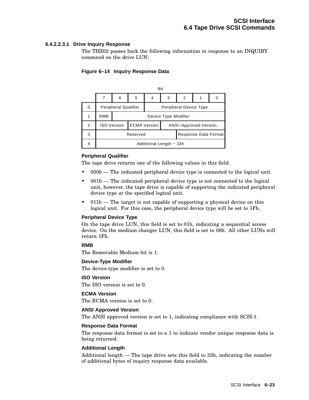#### **6.4.2.2.3.1 Drive Inquiry Response**

The THZ02 passes back the following information in response to an INQUIRY command on the drive LUN:

#### **Figure 6–14 Inquiry Response Data**

|   | Bit                         |                      |   |                        |                              |                      |  |  |
|---|-----------------------------|----------------------|---|------------------------|------------------------------|----------------------|--|--|
|   |                             | 6                    | 5 | 4                      | 3                            | 2                    |  |  |
| 0 | <b>Peripheral Qualifier</b> |                      |   | Peripheral Device Type |                              |                      |  |  |
|   | <b>RMB</b>                  | Device Type Modifier |   |                        |                              |                      |  |  |
| 2 |                             | <b>ISO Version</b>   |   | <b>ECMA Version</b>    | <b>ANSI-Approved Version</b> |                      |  |  |
| 3 | Reserved                    |                      |   |                        |                              | Response Data Format |  |  |
|   | Additional Length - 33h     |                      |   |                        |                              |                      |  |  |

#### **Peripheral Qualifier**

The tape drive returns one of the following values in this field:

- 000b The indicated peripheral device type is connected to the logical unit.
- 001b The indicated peripheral device type is not connected to the logical unit, however, the tape drive is capable of supporting the indicated peripheral device type at the specified logical unit.
- 011b The target is not capable of supporting a physical device on this logical unit. For this case, the peripheral device type will be set to 1Fh.

#### **Peripheral Device Type**

On the tape drive LUN, this field is set to 01h, indicating a sequential access device. On the medium changer LUN, this field is set to 08h. All other LUNs will return 1Fh.

#### **RMB**

The Removable Medium bit is 1.

#### **Device-Type Modifier**

The device-type modifier is set to 0.

#### **ISO Version**

The ISO version is set to 0.

#### **ECMA Version**

The ECMA version is set to 0.

#### **ANSI Approved Version**

The ANSI approved version is set to 1, indicating compliance with SCSI-1.

#### **Response Data Format**

The response data format is set to a 1 to indicate vendor unique response data is being returned.

#### **Additional Length**

Additional length — The tape drive sets this field to 33h, indicating the number of additional bytes of inquiry response data available.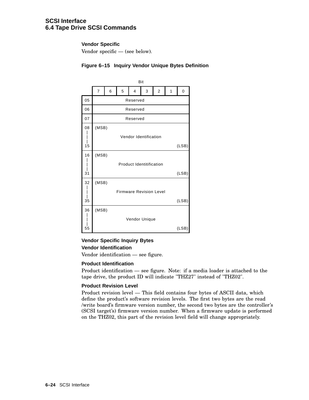# **SCSI Interface 6.4 Tape Drive SCSI Commands**

#### **Vendor Specific**

Vendor specific — (see below).

|    | Bit                             |          |   |                       |   |                         |   |       |
|----|---------------------------------|----------|---|-----------------------|---|-------------------------|---|-------|
|    | $\overline{7}$                  | 6        | 5 | 4                     | 3 | $\overline{\mathbf{c}}$ | 1 | 0     |
| 05 |                                 | Reserved |   |                       |   |                         |   |       |
| 06 |                                 | Reserved |   |                       |   |                         |   |       |
| 07 |                                 | Reserved |   |                       |   |                         |   |       |
| 08 |                                 | (MSB)    |   |                       |   |                         |   |       |
|    |                                 |          |   | Vendor Identification |   |                         |   |       |
| 15 | (LSB)                           |          |   |                       |   |                         |   |       |
| 16 | (MSB)                           |          |   |                       |   |                         |   |       |
|    | <b>Product Identitification</b> |          |   |                       |   |                         |   |       |
| 31 | (LSB)                           |          |   |                       |   |                         |   |       |
| 32 | (MSB)                           |          |   |                       |   |                         |   |       |
|    | <b>Firmware Revision Level</b>  |          |   |                       |   |                         |   |       |
| 35 | (LSB)                           |          |   |                       |   |                         |   |       |
| 36 | (MSB)                           |          |   |                       |   |                         |   |       |
|    | Vendor Unique                   |          |   |                       |   |                         |   |       |
| 55 |                                 |          |   |                       |   |                         |   | (LSB) |

#### **Figure 6–15 Inquiry Vendor Unique Bytes Definition**

### **Vendor Specific Inquiry Bytes Vendor Identification**

Vendor identification — see figure.

#### **Product Identification**

Product identification — see figure. Note: if a media loader is attached to the tape drive, the product ID will indicate "THZ27" instead of "THZ02".

#### **Product Revision Level**

Product revision level — This field contains four bytes of ASCII data, which define the product's software revision levels. The first two bytes are the read /write board's firmware version number, the second two bytes are the controller's (SCSI target's) firmware version number. When a firmware update is performed on the THZ02, this part of the revision level field will change appropriately.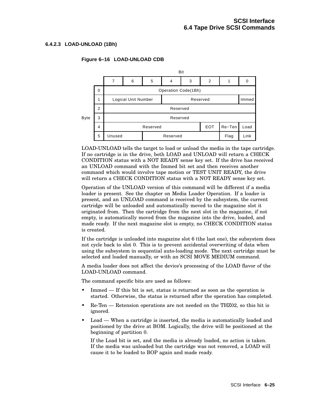#### **6.4.2.3 LOAD-UNLOAD (1Bh)**

#### **Figure 6–16 LOAD-UNLOAD CDB**



LOAD-UNLOAD tells the target to load or unload the media in the tape cartridge. If no cartridge is in the drive, both LOAD and UNLOAD will return a CHECK CONDITION status with a NOT READY sense key set. If the drive has received an UNLOAD command with the Immed bit set and then receives another command which would involve tape motion or TEST UNIT READY, the drive will return a CHECK CONDITION status with a NOT READY sense key set.

Operation of the UNLOAD version of this command will be different if a media loader is present. See the chapter on Media Loader Operation. If a loader is present, and an UNLOAD command is received by the subsystem, the current cartridge will be unloaded and automatically moved to the magazine slot it originated from. Then the cartridge from the next slot in the magazine, if not empty, is automatically moved from the magazine into the drive, loaded, and made ready. If the next magazine slot is empty, no CHECK CONDITION status is created.

If the cartridge is unloaded into magazine slot 6 (the last one), the subsystem does not cycle back to slot 0. This is to prevent accidental overwriting of data when using the subsystem in sequential auto-loading mode. The next cartridge must be selected and loaded manually, or with an SCSI MOVE MEDIUM command.

A media loader does not affect the device's processing of the LOAD flavor of the LOAD-UNLOAD command.

The command specific bits are used as follows:

- Immed If this bit is set, status is returned as soon as the operation is started. Otherwise, the status is returned after the operation has completed.
- Re-Ten Retension operations are not needed on the THZ02, so this bit is ignored.
- Load When a cartridge is inserted, the media is automatically loaded and positioned by the drive at BOM. Logically, the drive will be positioned at the beginning of partition 0.

If the Load bit is set, and the media is already loaded, no action is taken. If the media was unloaded but the cartridge was not removed, a LOAD will cause it to be loaded to BOP again and made ready.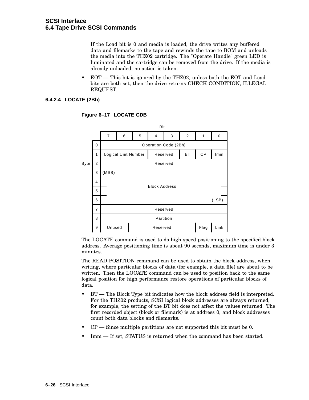If the Load bit is 0 and media is loaded, the drive writes any buffered data and filemarks to the tape and rewinds the tape to BOM and unloads the media into the THZ02 cartridge. The "Operate Handle" green LED is luminated and the cartridge can be removed from the drive. If the media is already unloaded, no action is taken.

• EOT — This bit is ignored by the THZ02, unless both the EOT and Load bits are both set, then the drive returns CHECK CONDITION, ILLEGAL REQUEST.

#### **6.4.2.4 LOCATE (2Bh)**



**Figure 6–17 LOCATE CDB**

The LOCATE command is used to do high speed positioning to the specified block address. Average positioning time is about 90 seconds, maximum time is under 3 minutes.

The READ POSITION command can be used to obtain the block address, when writing, where particular blocks of data (for example, a data file) are about to be written. Then the LOCATE command can be used to position back to the same logical position for high performance restore operations of particular blocks of data.

- BT The Block Type bit indicates how the block address field is interpreted. For the THZ02 products, SCSI logical block addresses are always returned, for example, the setting of the BT bit does not affect the values returned. The first recorded object (block or filemark) is at address 0, and block addresses count both data blocks and filemarks.
- $CP$  Since multiple partitions are not supported this bit must be 0.
- Imm If set, STATUS is returned when the command has been started.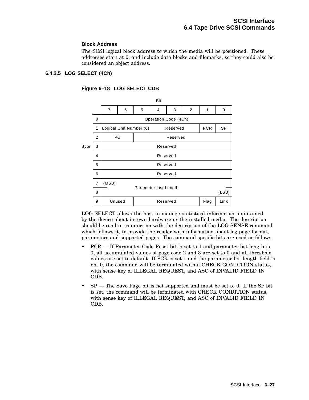#### **Block Address**

The SCSI logical block address to which the media will be positioned. These addresses start at 0, and include data blocks and filemarks, so they could also be considered an object address.

#### **6.4.2.5 LOG SELECT (4Ch)**



#### **Figure 6–18 LOG SELECT CDB**

LOG SELECT allows the host to manage statistical information maintained by the device about its own hardware or the installed media. The description should be read in conjunction with the description of the LOG SENSE command which follows it, to provide the reader with information about log page format, parameters and supported pages. The command specific bits are used as follows:

- PCR If Parameter Code Reset bit is set to 1 and parameter list length is 0, all accumulated values of page code 2 and 3 are set to 0 and all threshold values are set to default. If PCR is set 1 and the parameter list length field is not 0, the command will be terminated with a CHECK CONDITION status, with sense key of ILLEGAL REQUEST, and ASC of INVALID FIELD IN CDB.
- $SP$  The Save Page bit is not supported and must be set to 0. If the SP bit is set, the command will be terminated with CHECK CONDITION status, with sense key of ILLEGAL REQUEST, and ASC of INVALID FIELD IN CDB.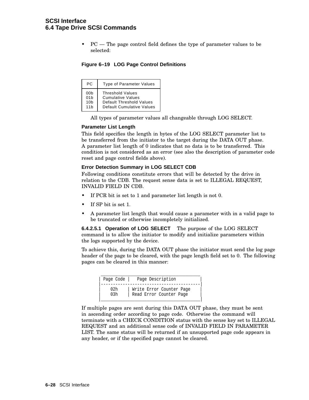# **SCSI Interface 6.4 Tape Drive SCSI Commands**

• PC — The page control field defines the type of parameter values to be selected:

|  |  |  |  |  | Figure 6-19 LOG Page Control Definitions |
|--|--|--|--|--|------------------------------------------|
|--|--|--|--|--|------------------------------------------|

| PC.             | <b>Type of Parameter Values</b>  |
|-----------------|----------------------------------|
| 00 <sub>b</sub> | <b>Threshold Values</b>          |
| 01 <sub>b</sub> | <b>Cumulative Values</b>         |
| 10 <sub>b</sub> | Default Threshold Values         |
| 11h             | <b>Default Cumulative Values</b> |

All types of parameter values all changeable through LOG SELECT.

#### **Parameter List Length**

This field specifies the length in bytes of the LOG SELECT parameter list to be transferred from the initiator to the target during the DATA OUT phase. A parameter list length of 0 indicates that no data is to be transferred. This condition is not considered as an error (see also the description of parameter code reset and page control fields above).

#### **Error Detection Summary in LOG SELECT CDB**

Following conditions constitute errors that will be detected by the drive in relation to the CDB. The request sense data is set to ILLEGAL REQUEST, INVALID FIELD IN CDB.

- If PCR bit is set to 1 and parameter list length is not 0.
- If SP bit is set 1.
- A parameter list length that would cause a parameter with in a valid page to be truncated or otherwise incompletely initialized.

**6.4.2.5.1 Operation of LOG SELECT** The purpose of the LOG SELECT command is to allow the initiator to modify and initialize parameters within the logs supported by the device.

To achieve this, during the DATA OUT phase the initiator must send the log page header of the page to be cleared, with the page length field set to 0. The following pages can be cleared in this manner:

| Page Code | Page Description         |
|-----------|--------------------------|
| 0.2h      | Write Error Counter Page |
| 03h       | Read Error Counter Page  |

If multiple pages are sent during this DATA OUT phase, they must be sent in ascending order according to page code. Otherwise the command will terminate with a CHECK CONDITION status with the sense key set to ILLEGAL REQUEST and an additional sense code of INVALID FIELD IN PARAMETER LIST. The same status will be returned if an unsupported page code appears in any header, or if the specified page cannot be cleared.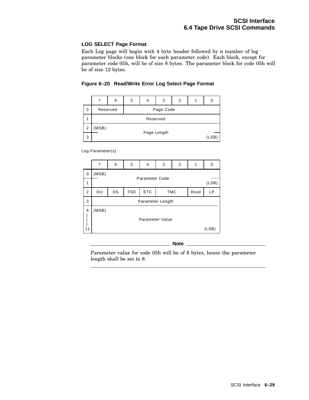## **LOG SELECT Page Format**

Each Log page will begin with 4 byte header followed by n number of log parameter blocks (one block for each parameter code). Each block, except for parameter code 05h, will be of size 8 bytes. The parameter block for code 05h will be of size 12 bytes.

### **Figure 6–20 Read/Write Error Log Select Page Format**



Log Parameter(s)

|                | 7                | 6                                                    | 5 | 4                     | 3               | 2 | 1  | 0     |
|----------------|------------------|------------------------------------------------------|---|-----------------------|-----------------|---|----|-------|
| 0              | (MSB)            |                                                      |   | <b>Parameter Code</b> |                 |   |    |       |
| 1              |                  |                                                      |   |                       |                 |   |    | (LSB) |
| $\overline{2}$ | DU               | <b>ETC</b><br><b>TSD</b><br>DS<br><b>TMC</b><br>Rsvd |   |                       |                 |   | LP |       |
| 3              | Parameter Length |                                                      |   |                       |                 |   |    |       |
| 4<br>11        | (MSB)            |                                                      |   |                       | Parameter Value |   |    | (LSB) |

**Note**

Parameter value for code 05h will be of 8 bytes, hence the parameter length shall be set to 8.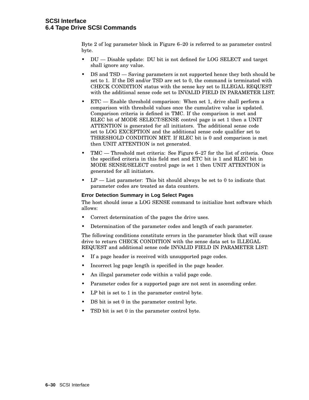Byte 2 of log parameter block in Figure 6–20 is referred to as parameter control byte.

- DU Disable update: DU bit is not defined for LOG SELECT and target shall ignore any value.
- DS and TSD Saving parameters is not supported hence they both should be set to 1. If the DS and/or TSD are set to 0, the command is terminated with CHECK CONDITION status with the sense key set to ILLEGAL REQUEST with the additional sense code set to INVALID FIELD IN PARAMETER LIST.
- $ETC$  Enable threshold comparison: When set 1, drive shall perform a comparison with threshold values once the cumulative value is updated. Comparison criteria is defined in TMC. If the comparison is met and RLEC bit of MODE SELECT/SENSE control page is set 1 then a UNIT ATTENTION is generated for all initiators. The additional sense code set to LOG EXCEPTION and the additional sense code qualifier set to THRESHOLD CONDITION MET. If RLEC bit is 0 and comparison is met then UNIT ATTENTION is not generated.
- TMC Threshold met criteria: See Figure 6–27 for the list of criteria. Once the specified criteria in this field met and ETC bit is 1 and RLEC bit in MODE SENSE/SELECT control page is set 1 then UNIT ATTENTION is generated for all initiators.
- $LP$  List parameter: This bit should always be set to 0 to indicate that parameter codes are treated as data counters.

### **Error Detection Summary in Log Select Pages**

The host should issue a LOG SENSE command to initialize host software which allows:

- Correct determination of the pages the drive uses.
- Determination of the parameter codes and length of each parameter.

The following conditions constitute errors in the parameter block that will cause drive to return CHECK CONDITION with the sense data set to ILLEGAL REQUEST and additional sense code INVALID FIELD IN PARAMETER LIST:

- If a page header is received with unsupported page codes.
- Incorrect log page length is specified in the page header.
- An illegal parameter code within a valid page code.
- Parameter codes for a supported page are not sent in ascending order.
- LP bit is set to 1 in the parameter control byte.
- DS bit is set 0 in the parameter control byte.
- TSD bit is set 0 in the parameter control byte.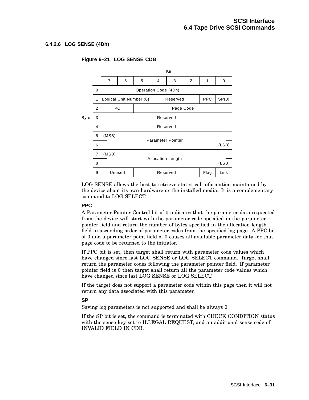### **6.4.2.6 LOG SENSE (4Dh)**



## **Figure 6–21 LOG SENSE CDB**

LOG SENSE allows the host to retrieve statistical information maintained by the device about its own hardware or the installed media. It is a complementary command to LOG SELECT.

### **PPC**

A Parameter Pointer Control bit of 0 indicates that the parameter data requested from the device will start with the parameter code specified in the parameter pointer field and return the number of bytes specified in the allocation length field in ascending order of parameter codes from the specified log page. A PPC bit of 0 and a parameter point field of 0 causes all available parameter data for that page code to be returned to the initiator.

If PPC bit is set, then target shall return with parameter code values which have changed since last LOG SENSE or LOG SELECT command. Target shall return the parameter codes following the parameter pointer field. If parameter pointer field is 0 then target shall return all the parameter code values which have changed since last LOG SENSE or LOG SELECT.

If the target does not support a parameter code within this page then it will not return any data associated with this parameter.

## **SP**

Saving log parameters is not supported and shall be always 0.

If the SP bit is set, the command is terminated with CHECK CONDITION status with the sense key set to ILLEGAL REQUEST, and an additional sense code of INVALID FIELD IN CDB.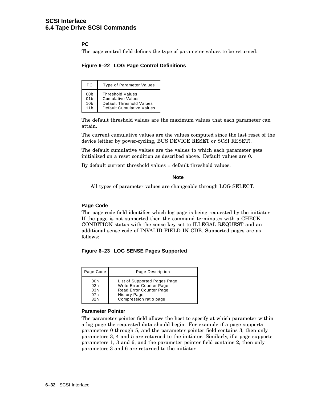## **PC**

The page control field defines the type of parameter values to be returned:

**Figure 6–22 LOG Page Control Definitions**

| PC.             | <b>Type of Parameter Values</b>  |
|-----------------|----------------------------------|
| 00b             | <b>Threshold Values</b>          |
| 01 <sub>b</sub> | <b>Cumulative Values</b>         |
| 10 <sub>b</sub> | Default Threshold Values         |
| 11h             | <b>Default Cumulative Values</b> |

The default threshold values are the maximum values that each parameter can attain.

The current cumulative values are the values computed since the last reset of the device (either by power-cycling, BUS DEVICE RESET or SCSI RESET).

The default cumulative values are the values to which each parameter gets initialized on a reset condition as described above. Default values are 0.

By default current threshold values = default threshold values.

**Note**

All types of parameter values are changeable through LOG SELECT.

### **Page Code**

The page code field identifies which log page is being requested by the initiator. If the page is not supported then the command terminates with a CHECK CONDITION status with the sense key set to ILLEGAL REQUEST and an additional sense code of INVALID FIELD IN CDB. Supported pages are as follows:

#### **Figure 6–23 LOG SENSE Pages Supported**

| Page Code       | Page Description             |
|-----------------|------------------------------|
| 00h             | List of Supported Pages Page |
| 02h             | Write Error Counter Page     |
| 03h             | Read Error Counter Page      |
| 07h             | <b>History Page</b>          |
| 32 <sub>h</sub> | Compression ratio page       |

#### **Parameter Pointer**

The parameter pointer field allows the host to specify at which parameter within a log page the requested data should begin. For example if a page supports parameters 0 through 5, and the parameter pointer field contains 3, then only parameters 3, 4 and 5 are returned to the initiator. Similarly, if a page supports parameters 1, 3 and 6, and the parameter pointer field contains 2, then only parameters 3 and 6 are returned to the initiator.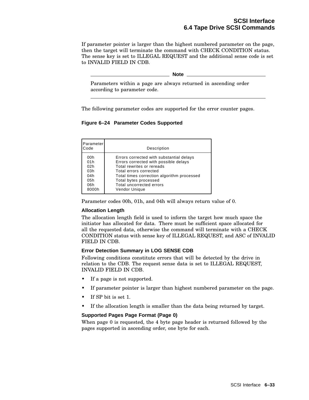If parameter pointer is larger than the highest numbered parameter on the page, then the target will terminate the command with CHECK CONDITION status. The sense key is set to ILLEGAL REQUEST and the additional sense code is set to INVALID FIELD IN CDB.

**Note Note** 

Parameters within a page are always returned in ascending order according to parameter code.

The following parameter codes are supported for the error counter pages.

**Figure 6–24 Parameter Codes Supported**

| Parameter<br>Code | Description                                |
|-------------------|--------------------------------------------|
| 00h               | Errors corrected with substantial delays   |
| 01h               | Errors corrected with possible delays      |
| 02h               | Total rewrites or rereads                  |
| 03h               | Total errors corrected                     |
| 04h               | Total times correction algorithm processed |
| 05h               | Total bytes processed                      |
| 06h               | Total uncorrected errors                   |
| 8000h             | Vendor Unique                              |

Parameter codes 00h, 01h, and 04h will always return value of 0.

### **Allocation Length**

The allocation length field is used to inform the target how much space the initiator has allocated for data. There must be sufficient space allocated for all the requested data, otherwise the command will terminate with a CHECK CONDITION status with sense key of ILLEGAL REQUEST, and ASC of INVALID FIELD IN CDB.

### **Error Detection Summary in LOG SENSE CDB**

Following conditions constitute errors that will be detected by the drive in relation to the CDB. The request sense data is set to ILLEGAL REQUEST, INVALID FIELD IN CDB.

- If a page is not supported.
- If parameter pointer is larger than highest numbered parameter on the page.
- If SP bit is set 1.
- If the allocation length is smaller than the data being returned by target.

## **Supported Pages Page Format (Page 0)**

When page 0 is requested, the 4 byte page header is returned followed by the pages supported in ascending order, one byte for each.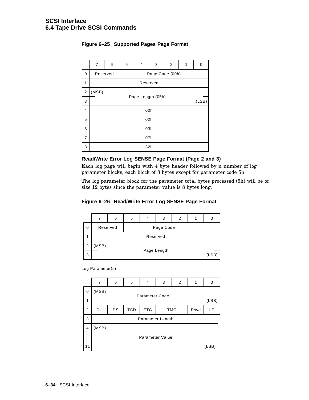|                | 7                           | 6 | 5 | 4 | 3 | 2 | 1 | 0 |  |
|----------------|-----------------------------|---|---|---|---|---|---|---|--|
| 0              | Page Code (00h)<br>Reserved |   |   |   |   |   |   |   |  |
| 1              | Reserved                    |   |   |   |   |   |   |   |  |
| 2              | (MSB)                       |   |   |   |   |   |   |   |  |
| 3              | Page Length (05h)<br>(LSB)  |   |   |   |   |   |   |   |  |
| $\overline{4}$ | 00h                         |   |   |   |   |   |   |   |  |
| 5              | 02h                         |   |   |   |   |   |   |   |  |
| 6              | 03h                         |   |   |   |   |   |   |   |  |
| $\overline{7}$ | 07h                         |   |   |   |   |   |   |   |  |
| 8              | 32h                         |   |   |   |   |   |   |   |  |

## **Figure 6–25 Supported Pages Page Format**

### **Read/Write Error Log SENSE Page Format (Page 2 and 3)**

Each log page will begin with 4 byte header followed by n number of log parameter blocks, each block of 8 bytes except for parameter code 5h.

The log parameter block for the parameter total bytes processed (5h) will be of size 12 bytes since the parameter value is 8 bytes long.

## **Figure 6–26 Read/Write Error Log SENSE Page Format**



Log Parameter(s)

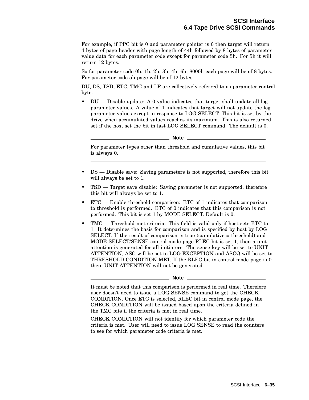For example, if PPC bit is 0 and parameter pointer is 0 then target will return 4 bytes of page header with page length of 44h followed by 8 bytes of parameter value data for each parameter code except for parameter code 5h. For 5h it will return 12 bytes.

So for parameter code 0h, 1h, 2h, 3h, 4h, 6h, 8000h each page will be of 8 bytes. For parameter code 5h page will be of 12 bytes.

DU, DS, TSD, ETC, TMC and LP are collectively referred to as parameter control byte.

• DU — Disable update: A 0 value indicates that target shall update all log parameter values. A value of 1 indicates that target will not update the log parameter values except in response to LOG SELECT. This bit is set by the drive when accumulated values reaches its maximum. This is also returned set if the host set the bit in last LOG SELECT command. The default is 0.

**Note**

For parameter types other than threshold and cumulative values, this bit is always 0.

- DS Disable save: Saving parameters is not supported, therefore this bit will always be set to 1.
- TSD Target save disable: Saving parameter is not supported, therefore this bit will always be set to 1.
- ETC Enable threshold comparison: ETC of 1 indicates that comparison to threshold is performed. ETC of 0 indicates that this comparison is not performed. This bit is set 1 by MODE SELECT. Default is 0.
- TMC Threshold met criteria: This field is valid only if host sets ETC to 1. It determines the basis for comparison and is specified by host by LOG SELECT. If the result of comparison is true (cumulative = threshold) and MODE SELECT/SENSE control mode page RLEC bit is set 1, then a unit attention is generated for all initiators. The sense key will be set to UNIT ATTENTION, ASC will be set to LOG EXCEPTION and ASCQ will be set to THRESHOLD CONDITION MET. If the RLEC bit in control mode page is 0 then, UNIT ATTENTION will not be generated.

It must be noted that this comparison is performed in real time. Therefore user doesn't need to issue a LOG SENSE command to get the CHECK CONDITION. Once ETC is selected, RLEC bit in control mode page, the CHECK CONDITION will be issued based upon the criteria defined in the TMC bits if the criteria is met in real time.

CHECK CONDITION will not identify for which parameter code the criteria is met. User will need to issue LOG SENSE to read the counters to see for which parameter code criteria is met.

**Note**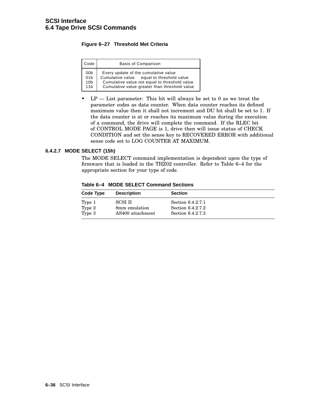## **Figure 6–27 Threshold Met Criteria**

| Code            | <b>Basis of Comparison</b>                    |
|-----------------|-----------------------------------------------|
| 00 <sub>b</sub> | Every update of the cumulative value          |
| 01 <sub>b</sub> | Cumulative value equal to threshold value     |
| 10 <sub>b</sub> | Cumulative value not equal to threshold value |
| 11 <sub>b</sub> | Cumulative value greater than threshold value |

• LP — List parameter: This bit will always be set to 0 as we treat the parameter codes as data counter. When data counter reaches its defined maximum value then it shall not increment and DU bit shall be set to 1. If the data counter is at or reaches its maximum value during the execution of a command, the drive will complete the command. If the RLEC bit of CONTROL MODE PAGE is 1, drive then will issue status of CHECK CONDITION and set the sense key to RECOVERED ERROR with additional sense code set to LOG COUNTER AT MAXIMUM.

## **6.4.2.7 MODE SELECT (15h)**

The MODE SELECT command implementation is dependent upon the type of firmware that is loaded in the THZ02 controller. Refer to Table 6–4 for the appropriate section for your type of code.

| Table 6-4 MODE SELECT Command Sections |  |
|----------------------------------------|--|
|                                        |  |

| Code Type | <b>Description</b> | <b>Section</b>    |  |
|-----------|--------------------|-------------------|--|
| Type 1    | <b>SCSI II</b>     | Section 6.4.2.7.1 |  |
| Type 2    | 8mm emulation      | Section 6.4.2.7.2 |  |
| Type 3    | AS400 attachment   | Section 6.4.2.7.3 |  |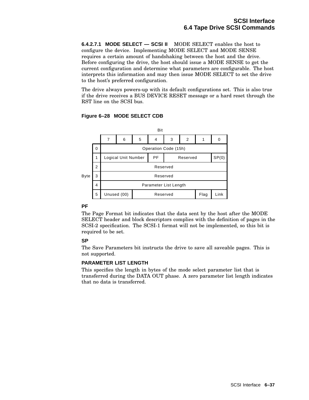**6.4.2.7.1 MODE SELECT — SCSI II** MODE SELECT enables the host to configure the device. Implementing MODE SELECT and MODE SENSE requires a certain amount of handshaking between the host and the drive. Before configuring the drive, the host should issue a MODE SENSE to get the current configuration and determine what parameters are configurable. The host interprets this information and may then issue MODE SELECT to set the drive to the host's preferred configuration.

The drive always powers-up with its default configurations set. This is also true if the drive receives a BUS DEVICE RESET message or a hard reset through the RST line on the SCSI bus.

#### Bit 7 6 5 4 3 2 1 0 0 Operation Code (15h) 1 | Logical Unit Number | PF | Reserved | SP(0) Byte Parameter List Length Flag Reserved Unused (00) **Reserved** Flag Link Reserved 2 Reserved 3 4 5

## **Figure 6–28 MODE SELECT CDB**

## **PF**

The Page Format bit indicates that the data sent by the host after the MODE SELECT header and block descriptors complies with the definition of pages in the SCSI-2 specification. The SCSI-1 format will not be implemented, so this bit is required to be set.

# **SP**

The Save Parameters bit instructs the drive to save all saveable pages. This is not supported.

## **PARAMETER LIST LENGTH**

This specifies the length in bytes of the mode select parameter list that is transferred during the DATA OUT phase. A zero parameter list length indicates that no data is transferred.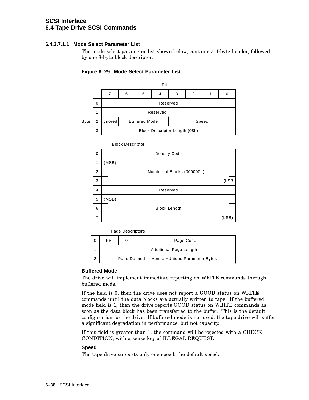### **6.4.2.7.1.1 Mode Select Parameter List**

The mode select parameter list shown below, contains a 4-byte header, followed by one 8-byte block descriptor.

### **Figure 6–29 Mode Select Parameter List**



Block Descriptor: Density Code (MSB) (LSB) (LSB) Reserved Number of Blocks (000000h) Block Length (MSB) 0 1 2 3 4 5 6 7

Page Descriptors

|                                               |  | Page Code |  |  |  |  |
|-----------------------------------------------|--|-----------|--|--|--|--|
| <b>Additional Page Length</b>                 |  |           |  |  |  |  |
| Page Defined or Vendor-Unique Parameter Bytes |  |           |  |  |  |  |

### **Buffered Mode**

The drive will implement immediate reporting on WRITE commands through buffered mode.

If the field is 0, then the drive does not report a GOOD status on WRITE commands until the data blocks are actually written to tape. If the buffered mode field is 1, then the drive reports GOOD status on WRITE commands as soon as the data block has been transferred to the buffer. This is the default configuration for the drive. If buffered mode is not used, the tape drive will suffer a significant degradation in performance, but not capacity.

If this field is greater than 1, the command will be rejected with a CHECK CONDITION, with a sense key of ILLEGAL REQUEST.

#### **Speed**

The tape drive supports only one speed, the default speed.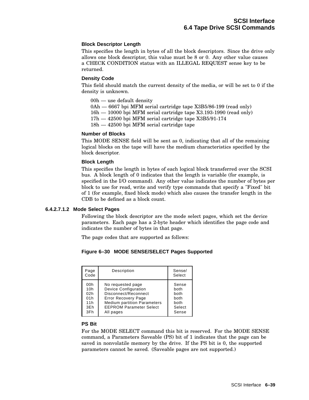### **Block Descriptor Length**

This specifies the length in bytes of all the block descriptors. Since the drive only allows one block descriptor, this value must be 8 or 0. Any other value causes a CHECK CONDITION status with an ILLEGAL REQUEST sense key to be returned.

### **Density Code**

This field should match the current density of the media, or will be set to 0 if the density is unknown.

- 00h use default density
- 0Ah 6667 bpi MFM serial cartridge tape X3B5/86-199 (read only)
- 16h 10000 bpi MFM serial cartridge tape X3.193-1990 (read only)
- 17h 42500 bpi MFM serial cartridge tape X3B5/91-174
- 18h 42500 bpi MFM serial cartridge tape

## **Number of Blocks**

This MODE SENSE field will be sent as 0, indicating that all of the remaining logical blocks on the tape will have the medium characteristics specified by the block descriptor.

#### **Block Length**

This specifies the length in bytes of each logical block transferred over the SCSI bus. A block length of 0 indicates that the length is variable (for example, is specified in the I/O command). Any other value indicates the number of bytes per block to use for read, write and verify type commands that specify a "Fixed" bit of 1 (for example, fixed block mode) which also causes the transfer length in the CDB to be defined as a block count.

#### **6.4.2.7.1.2 Mode Select Pages**

Following the block descriptor are the mode select pages, which set the device parameters. Each page has a 2-byte header which identifies the page code and indicates the number of bytes in that page.

The page codes that are supported as follows:

### **Figure 6–30 MODE SENSE/SELECT Pages Supported**

| Page<br>Code | Description                        | Sense/<br>Select |
|--------------|------------------------------------|------------------|
| 00h          | No requested page                  | Sense            |
| 10h          | <b>Device Configuration</b>        | both             |
| 02h          | Disconnect/Reconnect               | both             |
| 01h          | <b>Error Recovery Page</b>         | both             |
| 11h          | <b>Medium partition Parameters</b> | both             |
| 3Eh          | <b>EEPROM Parameter Select</b>     | Select           |
| 3Fh          | All pages                          | Sense            |

#### **PS Bit**

For the MODE SELECT command this bit is reserved. For the MODE SENSE command, a Parameters Saveable (PS) bit of 1 indicates that the page can be saved in nonvolatile memory by the drive. If the PS bit is 0, the supported parameters cannot be saved. (Saveable pages are not supported.)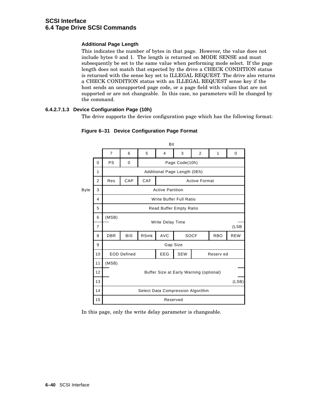## **Additional Page Length**

This indicates the number of bytes in that page. However, the value does not include bytes 0 and 1. The length is returned on MODE SENSE and must subsequently be set to the same value when performing mode select. If the page length does not match that expected by the drive a CHECK CONDITION status is returned with the sense key set to ILLEGAL REQUEST. The drive also returns a CHECK CONDITION status with an ILLEGAL REQUEST sense key if the host sends an unsupported page code, or a page field with values that are not supported or are not changeable. In this case, no parameters will be changed by the command.

## **6.4.2.7.1.3 Device Configuration Page (10h)**

The drive supports the device configuration page which has the following format:



### **Figure 6–31 Device Configuration Page Format**

In this page, only the write delay parameter is changeable.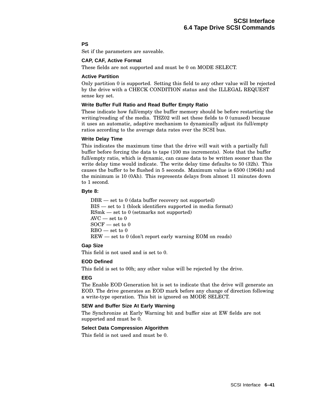## **PS**

Set if the parameters are saveable.

### **CAP, CAF, Active Format**

These fields are not supported and must be 0 on MODE SELECT.

### **Active Partition**

Only partition 0 is supported. Setting this field to any other value will be rejected by the drive with a CHECK CONDITION status and the ILLEGAL REQUEST sense key set.

### **Write Buffer Full Ratio and Read Buffer Empty Ratio**

These indicate how full/empty the buffer memory should be before restarting the writing/reading of the media. THZ02 will set these fields to 0 (unused) because it uses an automatic, adaptive mechanism to dynamically adjust its full/empty ratios according to the average data rates over the SCSI bus.

#### **Write Delay Time**

This indicates the maximum time that the drive will wait with a partially full buffer before forcing the data to tape (100 ms increments). Note that the buffer full/empty ratio, which is dynamic, can cause data to be written sooner than the write delay time would indicate. The write delay time defaults to 50 (32h). This causes the buffer to be flushed in 5 seconds. Maximum value is 6500 (1964h) and the minimum is 10 (0Ah). This represents delays from almost 11 minutes down to 1 second.

## **Byte 8:**

DBR — set to 0 (data buffer recovery not supported) BIS — set to 1 (block identifiers supported in media format) RSmk — set to 0 (setmarks not supported)  $AVC$  — set to  $0$ SOCF — set to 0  $RBO$  — set to  $0$ REW — set to 0 (don't report early warning EOM on reads)

### **Gap Size**

This field is not used and is set to 0.

### **EOD Defined**

This field is set to 00h; any other value will be rejected by the drive.

### **EEG**

The Enable EOD Generation bit is set to indicate that the drive will generate an EOD. The drive generates an EOD mark before any change of direction following a write-type operation. This bit is ignored on MODE SELECT.

## **SEW and Buffer Size At Early Warning**

The Synchronize at Early Warning bit and buffer size at EW fields are not supported and must be 0.

### **Select Data Compression Algorithm**

This field is not used and must be 0.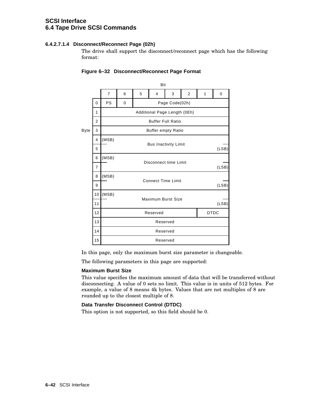## **6.4.2.7.1.4 Disconnect/Reconnect Page (02h)**

The drive shall support the disconnect/reconnect page which has the following format:

|             |                | Bit            |                                      |                             |                              |                |   |   |       |  |  |
|-------------|----------------|----------------|--------------------------------------|-----------------------------|------------------------------|----------------|---|---|-------|--|--|
|             |                | $\overline{7}$ | 6                                    | 5                           | 4                            | 3              | 2 | 1 | 0     |  |  |
|             | $\Omega$       | <b>PS</b>      | 0                                    |                             |                              | Page Code(02h) |   |   |       |  |  |
|             | 1              |                |                                      |                             | Additional Page Length (0Eh) |                |   |   |       |  |  |
|             | $\overline{2}$ |                |                                      |                             | <b>Buffer Full Ratio</b>     |                |   |   |       |  |  |
| <b>Byte</b> | 3              |                |                                      |                             | <b>Buffer empty Ratio</b>    |                |   |   |       |  |  |
|             | $\overline{4}$ | (MSB)          |                                      |                             |                              |                |   |   |       |  |  |
|             | 5              |                | <b>Bus Inactivity Limit</b><br>(LSB) |                             |                              |                |   |   |       |  |  |
|             | 6              | (MSB)          | Disconnect time Limit                |                             |                              |                |   |   |       |  |  |
|             | $\overline{7}$ |                |                                      | (LSB)                       |                              |                |   |   |       |  |  |
|             | 8              | (MSB)          |                                      | <b>Connect Time Limit</b>   |                              |                |   |   |       |  |  |
|             | 9              |                |                                      |                             |                              |                |   |   | (LSB) |  |  |
|             | 10             | (MSB)          |                                      |                             |                              |                |   |   |       |  |  |
|             | 11             |                |                                      | Maximum Burst Size<br>(LSB) |                              |                |   |   |       |  |  |
|             | 12             |                | <b>DTDC</b><br>Reserved              |                             |                              |                |   |   |       |  |  |
|             | 13             |                | Reserved                             |                             |                              |                |   |   |       |  |  |
|             | 14             |                |                                      | Reserved                    |                              |                |   |   |       |  |  |
|             | 15             |                |                                      |                             | Reserved                     |                |   |   |       |  |  |

## **Figure 6–32 Disconnect/Reconnect Page Format**

In this page, only the maximum burst size parameter is changeable.

The following parameters in this page are supported:

### **Maximum Burst Size**

This value specifies the maximum amount of data that will be transferred without disconnecting. A value of 0 sets no limit. This value is in units of 512 bytes. For example, a value of 8 means 4k bytes. Values that are not multiples of 8 are rounded up to the closest multiple of 8.

## **Data Transfer Disconnect Control (DTDC)**

This option is not supported, so this field should be 0.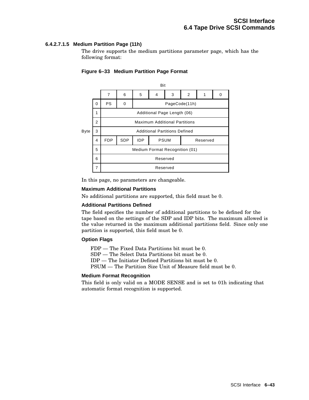## **6.4.2.7.1.5 Medium Partition Page (11h)**

The drive supports the medium partitions parameter page, which has the following format:



### **Figure 6–33 Medium Partition Page Format**

In this page, no parameters are changeable.

#### **Maximum Additional Partitions**

No additional partitions are supported, this field must be 0.

#### **Additional Partitions Defined**

The field specifies the number of additional partitions to be defined for the tape based on the settings of the SDP and IDP bits. The maximum allowed is the value returned in the maximum additional partitions field. Since only one partition is supported, this field must be 0.

### **Option Flags**

FDP — The Fixed Data Partitions bit must be 0.

SDP — The Select Data Partitions bit must be 0.

IDP — The Initiator Defined Partitions bit must be 0.

PSUM — The Partition Size Unit of Measure field must be 0.

#### **Medium Format Recognition**

This field is only valid on a MODE SENSE and is set to 01h indicating that automatic format recognition is supported.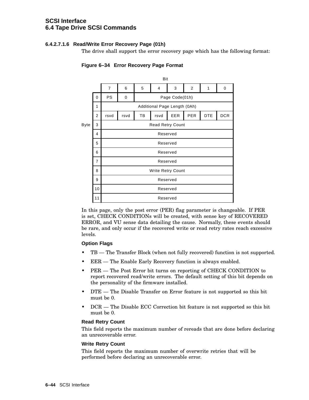## **6.4.2.7.1.6 Read/Write Error Recovery Page (01h)**

The drive shall support the error recovery page which has the following format:



# **Figure 6–34 Error Recovery Page Format**

In this page, only the post error (PER) flag parameter is changeable. If PER is set, CHECK CONDITIONs will be created, with sense key of RECOVERED ERROR, and VU sense data detailing the cause. Normally, these events should be rare, and only occur if the recovered write or read retry rates reach excessive levels.

### **Option Flags**

- TB The Transfer Block (when not fully recovered) function is not supported.
- EER The Enable Early Recovery function is always enabled.
- PER The Post Error bit turns on reporting of CHECK CONDITION to report recovered read/write errors. The default setting of this bit depends on the personality of the firmware installed.
- DTE The Disable Transfer on Error feature is not supported so this bit must be 0.
- DCR The Disable ECC Correction bit feature is not supported so this bit must be 0.

### **Read Retry Count**

This field reports the maximum number of rereads that are done before declaring an unrecoverable error.

### **Write Retry Count**

This field reports the maximum number of overwrite retries that will be performed before declaring an unrecoverable error.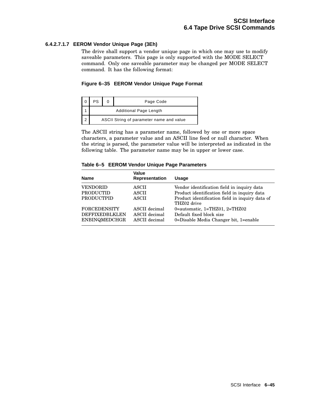## **6.4.2.7.1.7 EEROM Vendor Unique Page (3Eh)**

The drive shall support a vendor unique page in which one may use to modify saveable parameters. This page is only supported with the MODE SELECT command. Only one saveable parameter may be changed per MODE SELECT command. It has the following format:

### **Figure 6–35 EEROM Vendor Unique Page Format**

| PS                                       |  | Page Code |  |  |  |  |
|------------------------------------------|--|-----------|--|--|--|--|
| <b>Additional Page Length</b>            |  |           |  |  |  |  |
| ASCII String of parameter name and value |  |           |  |  |  |  |

The ASCII string has a parameter name, followed by one or more space characters, a parameter value and an ASCII line feed or null character. When the string is parsed, the parameter value will be interpreted as indicated in the following table. The parameter name may be in upper or lower case.

#### **Table 6–5 EEROM Vendor Unique Page Parameters**

| <b>Name</b>           | Value<br><b>Representation</b> | <b>Usage</b>                                                   |
|-----------------------|--------------------------------|----------------------------------------------------------------|
| <b>VENDORID</b>       | <b>ASCII</b>                   | Vendor identification field in inquiry data                    |
| <b>PRODUCTID</b>      | <b>ASCIL</b>                   | Product identification field in inquiry data                   |
| <b>PRODUCTPID</b>     | <b>ASCII</b>                   | Product identification field in inquiry data of<br>THZ02 drive |
| <b>FORCEDENSITY</b>   | ASCII decimal                  | 0=automatic, $1 = THZ01$ , $2 = THZ02$                         |
| <b>DEFFIXEDBLKLEN</b> | ASCII decimal                  | Default fixed block size                                       |
| <b>ENBINQMEDCHGR</b>  | ASCII decimal                  | 0=Disable Media Changer bit, 1=enable                          |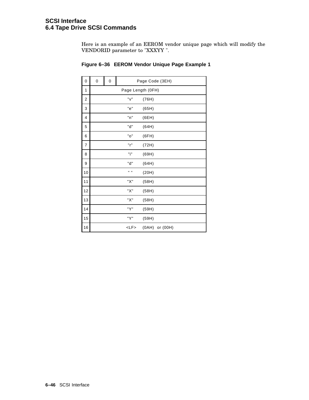Here is an example of an EEROM vendor unique page which will modify the VENDORID parameter to "XXXYY ".

| 0              | 0 | 0 |             | Page Code (3EH)   |
|----------------|---|---|-------------|-------------------|
| 1              |   |   |             | Page Length (OFH) |
| 2              |   |   | "v"         | (76H)             |
| 3              |   |   | "e"         | (65H)             |
| 4              |   |   | "n"         | (6EH)             |
| 5              |   |   | "d"         | (64H)             |
| 6              |   |   | "o"         | (6FH)             |
| $\overline{7}$ |   |   | "r"         | (72H)             |
| 8              |   |   | "i"         | (69H)             |
| 9              |   |   | "d"         | (64H)             |
| 10             |   |   | H H         | (20H)             |
| 11             |   |   | "Х"         | (58H)             |
| 12             |   |   | "Х"         | (58H)             |
| 13             |   |   | "X"         | (58H)             |
| 14             |   |   | "Y"         | (59H)             |
| 15             |   |   | "Y"         | (59H)             |
| 16             |   |   | $<$ L $F$ > | (0AH) or (00H)    |

# **Figure 6–36 EEROM Vendor Unique Page Example 1**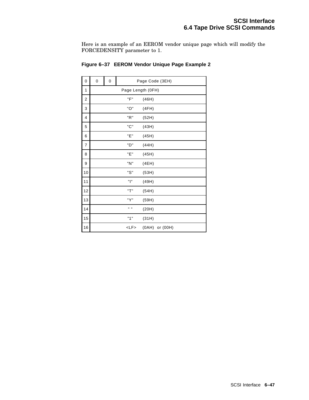Here is an example of an EEROM vendor unique page which will modify the FORCEDENSITY parameter to 1.

| 0  | 0 | 0 |             | Page Code (3EH)   |
|----|---|---|-------------|-------------------|
| 1  |   |   |             | Page Length (OFH) |
| 2  |   |   | "F"         | (46H)             |
| 3  |   |   | "O"         | (4FH)             |
| 4  |   |   | "R"         | (52H)             |
| 5  |   |   | "C"         | (43H)             |
| 6  |   |   | "Е"         | (45H)             |
| 7  |   |   | "D"         | (44H)             |
| 8  |   |   | "Е"         | (45H)             |
| 9  |   |   | "N"         | (4EH)             |
| 10 |   |   | "S"         | (53H)             |
| 11 |   |   | "ו"         | (49H)             |
| 12 |   |   | "T"         | (54H)             |
| 13 |   |   | "Y"         | (59H)             |
| 14 |   |   | H H         | (20H)             |
| 15 |   |   | "1"         | (31H)             |
| 16 |   |   | $<$ L $F$ > | (0AH) or (00H)    |

# **Figure 6–37 EEROM Vendor Unique Page Example 2**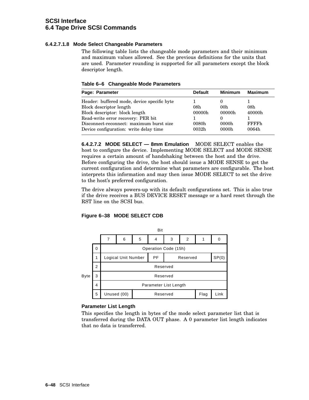## **6.4.2.7.1.8 Mode Select Changeable Parameters**

The following table lists the changeable mode parameters and their minimum and maximum values allowed. See the previous definitions for the units that are used. Parameter rounding is supported for all parameters except the block descriptor length.

**Table 6–6 Changeable Mode Parameters**

| Page: Parameter                                                                                                                                                                            | <b>Default</b>         | <b>Minimum</b>                     | <b>Maximum</b>                 |
|--------------------------------------------------------------------------------------------------------------------------------------------------------------------------------------------|------------------------|------------------------------------|--------------------------------|
| Header: buffered mode, device specific byte<br>Block descriptor length<br>Block descriptor: block length<br>Read-write error recovery: PER bit<br>Disconnect-reconnect: maximum burst size | 08h<br>00000h<br>0080h | 00 <sub>h</sub><br>00000h<br>0000h | 08h<br>40000h<br><b>FFFFFh</b> |
| Device configuration: write delay time                                                                                                                                                     | 0032 <sub>h</sub>      | 0000h                              | 0064h                          |

**6.4.2.7.2 MODE SELECT — 8mm Emulation** MODE SELECT enables the host to configure the device. Implementing MODE SELECT and MODE SENSE requires a certain amount of handshaking between the host and the drive. Before configuring the drive, the host should issue a MODE SENSE to get the current configuration and determine what parameters are configurable. The host interprets this information and may then issue MODE SELECT to set the drive to the host's preferred configuration.

The drive always powers-up with its default configurations set. This is also true if the drive receives a BUS DEVICE RESET message or a hard reset through the RST line on the SCSI bus.

## **Figure 6–38 MODE SELECT CDB**



## **Parameter List Length**

This specifies the length in bytes of the mode select parameter list that is transferred during the DATA OUT phase. A 0 parameter list length indicates that no data is transferred.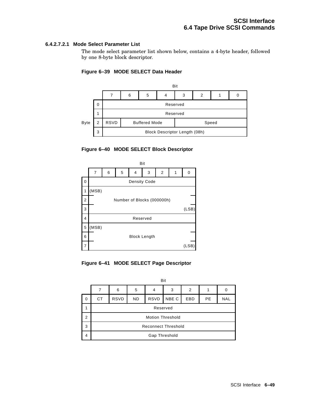### **6.4.2.7.2.1 Mode Select Parameter List**

The mode select parameter list shown below, contains a 4-byte header, followed by one 8-byte block descriptor.

### **Figure 6–39 MODE SELECT Data Header**



#### **Figure 6–40 MODE SELECT Block Descriptor**



**Figure 6–41 MODE SELECT Page Descriptor**

|             |                            | Bit         |           |             |       |                |           |            |
|-------------|----------------------------|-------------|-----------|-------------|-------|----------------|-----------|------------|
|             |                            | 6           | 5         | 4           | 3     | $\overline{2}$ |           | 0          |
| $\mathbf 0$ | <b>CT</b>                  | <b>RSVD</b> | <b>ND</b> | <b>RSVD</b> | NBE C | <b>EBD</b>     | <b>PE</b> | <b>NAL</b> |
|             | Reserved                   |             |           |             |       |                |           |            |
| 2           | <b>Motion Threshold</b>    |             |           |             |       |                |           |            |
| 3           | <b>Reconnect Threshold</b> |             |           |             |       |                |           |            |
| 4           | Gap Threshold              |             |           |             |       |                |           |            |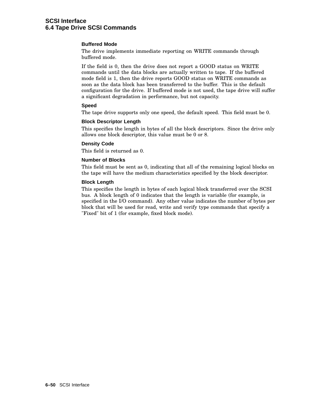### **Buffered Mode**

The drive implements immediate reporting on WRITE commands through buffered mode.

If the field is 0, then the drive does not report a GOOD status on WRITE commands until the data blocks are actually written to tape. If the buffered mode field is 1, then the drive reports GOOD status on WRITE commands as soon as the data block has been transferred to the buffer. This is the default configuration for the drive. If buffered mode is not used, the tape drive will suffer a significant degradation in performance, but not capacity.

#### **Speed**

The tape drive supports only one speed, the default speed. This field must be 0.

#### **Block Descriptor Length**

This specifies the length in bytes of all the block descriptors. Since the drive only allows one block descriptor, this value must be 0 or 8.

#### **Density Code**

This field is returned as 0.

#### **Number of Blocks**

This field must be sent as 0, indicating that all of the remaining logical blocks on the tape will have the medium characteristics specified by the block descriptor.

#### **Block Length**

This specifies the length in bytes of each logical block transferred over the SCSI bus. A block length of 0 indicates that the length is variable (for example, is specified in the I/O command). Any other value indicates the number of bytes per block that will be used for read, write and verify type commands that specify a "Fixed" bit of 1 (for example, fixed block mode).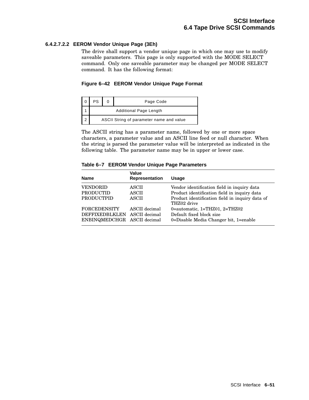## **6.4.2.7.2.2 EEROM Vendor Unique Page (3Eh)**

The drive shall support a vendor unique page in which one may use to modify saveable parameters. This page is only supported with the MODE SELECT command. Only one saveable parameter may be changed per MODE SELECT command. It has the following format:

### **Figure 6–42 EEROM Vendor Unique Page Format**

| PS                                       |  | Page Code |  |  |
|------------------------------------------|--|-----------|--|--|
| <b>Additional Page Length</b>            |  |           |  |  |
| ASCII String of parameter name and value |  |           |  |  |

The ASCII string has a parameter name, followed by one or more space characters, a parameter value and an ASCII line feed or null character. When the string is parsed the parameter value will be interpreted as indicated in the following table. The parameter name may be in upper or lower case.

#### **Table 6–7 EEROM Vendor Unique Page Parameters**

| <b>Name</b>                  | Value<br>Representation | <b>Usage</b>                                                   |
|------------------------------|-------------------------|----------------------------------------------------------------|
| <b>VENDORID</b>              | ASCII                   | Vendor identification field in inquiry data                    |
| <b>PRODUCTID</b>             | ASCII                   | Product identification field in inquiry data                   |
| <b>PRODUCTPID</b>            | <b>ASCII</b>            | Product identification field in inquiry data of<br>THZ02 drive |
| <b>FORCEDENSITY</b>          | ASCII decimal           | 0=automatic, $1 = THZ01$ , $2 = THZ02$                         |
| DEFFIXEDBLKLEN ASCII decimal |                         | Default fixed block size                                       |
| ENBINQMEDCHGR ASCII decimal  |                         | 0=Disable Media Changer bit, 1=enable                          |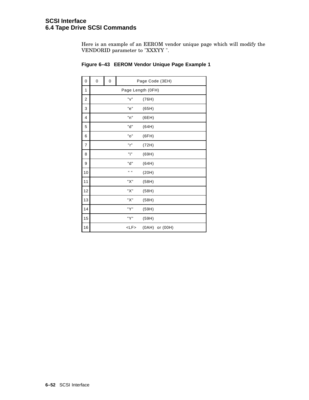Here is an example of an EEROM vendor unique page which will modify the VENDORID parameter to "XXXYY ".

| 0  | 0 | 0 |                  | Page Code (3EH)   |
|----|---|---|------------------|-------------------|
| 1  |   |   |                  | Page Length (OFH) |
| 2  |   |   | "v"              | (76H)             |
| 3  |   |   | "e"              | (65H)             |
| 4  |   |   | "n"              | (6EH)             |
| 5  |   |   | "d"              | (64H)             |
| 6  |   |   | "o"              | (6FH)             |
| 7  |   |   | "r"              | (72H)             |
| 8  |   |   | "i"              | (69H)             |
| 9  |   |   | "d"              | (64H)             |
| 10 |   |   | $\mathbf{u}$ and | (20H)             |
| 11 |   |   | "Х"              | (58H)             |
| 12 |   |   | "X"              | (58H)             |
| 13 |   |   | "Х"              | (58H)             |
| 14 |   |   | "Y"              | (59H)             |
| 15 |   |   | "Y"              | (59H)             |
| 16 |   |   | $<$ L $F$ >      | (0AH) or (00H)    |

# **Figure 6–43 EEROM Vendor Unique Page Example 1**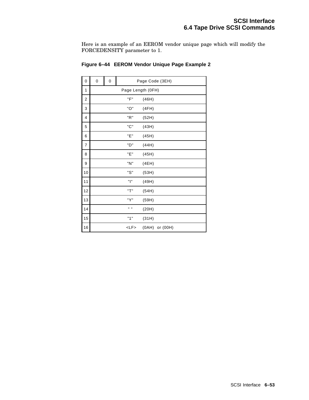Here is an example of an EEROM vendor unique page which will modify the FORCEDENSITY parameter to 1.

| $\pmb{0}$               | 0 | 0 |             | Page Code (3EH)   |
|-------------------------|---|---|-------------|-------------------|
| 1                       |   |   |             | Page Length (OFH) |
| $\overline{\mathbf{c}}$ |   |   | "F"         | (46H)             |
| 3                       |   |   | "O"         | (4FH)             |
| 4                       |   |   | "R"         | (52H)             |
| 5                       |   |   | "C"         | (43H)             |
| 6                       |   |   | "Е"         | (45H)             |
| 7                       |   |   | "D"         | (44H)             |
| 8                       |   |   | "Е"         | (45H)             |
| 9                       |   |   | "N"         | (4EH)             |
| 10                      |   |   | "S"         | (53H)             |
| 11                      |   |   | "ו"         | (49H)             |
| 12                      |   |   | "T"         | (54H)             |
| 13                      |   |   | "Y"         | (59H)             |
| 14                      |   |   | . .         | (20H)             |
| 15                      |   |   | "1"         | (31H)             |
| 16                      |   |   | $<$ L $F$ > | (0AH) or (00H)    |

# **Figure 6–44 EEROM Vendor Unique Page Example 2**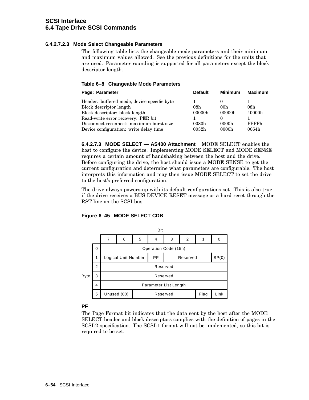## **6.4.2.7.2.3 Mode Select Changeable Parameters**

The following table lists the changeable mode parameters and their minimum and maximum values allowed. See the previous definitions for the units that are used. Parameter rounding is supported for all parameters except the block descriptor length.

**Table 6–8 Changeable Mode Parameters**

| Page: Parameter                                                                    | <b>Default</b>             | <b>Minimum</b>  | <b>Maximum</b>         |
|------------------------------------------------------------------------------------|----------------------------|-----------------|------------------------|
| Header: buffered mode, device specific byte                                        |                            |                 |                        |
| Block descriptor length                                                            | 08h                        | 00 <sub>h</sub> | 08h                    |
| Block descriptor: block length                                                     | 00000h                     | 00000h          | 40000h                 |
| Read-write error recovery: PER bit                                                 |                            |                 |                        |
| Disconnect-reconnect: maximum burst size<br>Device configuration: write delay time | 0080h<br>0032 <sub>h</sub> | 0000h<br>0000h  | <b>FFFFFh</b><br>0064h |

**6.4.2.7.3 MODE SELECT — AS400 Attachment** MODE SELECT enables the host to configure the device. Implementing MODE SELECT and MODE SENSE requires a certain amount of handshaking between the host and the drive. Before configuring the drive, the host should issue a MODE SENSE to get the current configuration and determine what parameters are configurable. The host interprets this information and may then issue MODE SELECT to set the drive to the host's preferred configuration.

The drive always powers-up with its default configurations set. This is also true if the drive receives a BUS DEVICE RESET message or a hard reset through the RST line on the SCSI bus.

## **Figure 6–45 MODE SELECT CDB**



## **PF**

The Page Format bit indicates that the data sent by the host after the MODE SELECT header and block descriptors complies with the definition of pages in the SCSI-2 specification. The SCSI-1 format will not be implemented, so this bit is required to be set.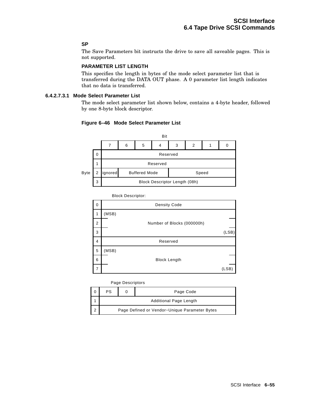## **SP**

The Save Parameters bit instructs the drive to save all saveable pages. This is not supported.

## **PARAMETER LIST LENGTH**

This specifies the length in bytes of the mode select parameter list that is transferred during the DATA OUT phase. A 0 parameter list length indicates that no data is transferred.

## **6.4.2.7.3.1 Mode Select Parameter List**

The mode select parameter list shown below, contains a 4-byte header, followed by one 8-byte block descriptor.

#### **Figure 6–46 Mode Select Parameter List**



Block Descriptor:

| 0              |       | <b>Density Code</b>        |       |
|----------------|-------|----------------------------|-------|
| 1              | (MSB) |                            |       |
| $\overline{2}$ |       | Number of Blocks (000000h) |       |
| 3              |       |                            | (LSB) |
| 4              |       | Reserved                   |       |
| 5              | (MSB) |                            |       |
| 6              |       | <b>Block Length</b>        |       |
| 7              |       |                            | (LSB) |

Page Descriptors

|  | PS                                            |  | Page Code |  |  |  |
|--|-----------------------------------------------|--|-----------|--|--|--|
|  | <b>Additional Page Length</b>                 |  |           |  |  |  |
|  | Page Defined or Vendor-Unique Parameter Bytes |  |           |  |  |  |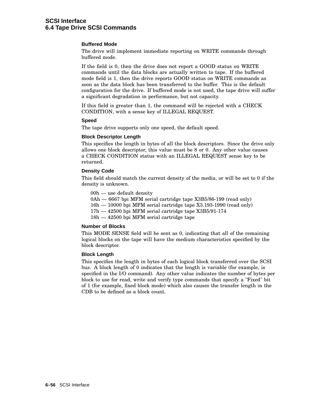#### **Buffered Mode**

The drive will implement immediate reporting on WRITE commands through buffered mode.

If the field is 0, then the drive does not report a GOOD status on WRITE commands until the data blocks are actually written to tape. If the buffered mode field is 1, then the drive reports GOOD status on WRITE commands as soon as the data block has been transferred to the buffer. This is the default configuration for the drive. If buffered mode is not used, the tape drive will suffer a significant degradation in performance, but not capacity.

If this field is greater than 1, the command will be rejected with a CHECK CONDITION, with a sense key of ILLEGAL REQUEST.

#### **Speed**

The tape drive supports only one speed, the default speed.

#### **Block Descriptor Length**

This specifies the length in bytes of all the block descriptors. Since the drive only allows one block descriptor, this value must be 8 or 0. Any other value causes a CHECK CONDITION status with an ILLEGAL REQUEST sense key to be returned.

#### **Density Code**

This field should match the current density of the media, or will be set to 0 if the density is unknown.

00h — use default density

0Ah — 6667 bpi MFM serial cartridge tape X3B5/86-199 (read only)

- 16h 10000 bpi MFM serial cartridge tape X3.193-1990 (read only)
- 17h 42500 bpi MFM serial cartridge tape X3B5/91-174
- 18h 42500 bpi MFM serial cartridge tape

#### **Number of Blocks**

This MODE SENSE field will be sent as 0, indicating that all of the remaining logical blocks on the tape will have the medium characteristics specified by the block descriptor.

#### **Block Length**

This specifies the length in bytes of each logical block transferred over the SCSI bus. A block length of 0 indicates that the length is variable (for example, is specified in the I/O command). Any other value indicates the number of bytes per block to use for read, write and verify type commands that specify a "Fixed" bit of 1 (for example, fixed block mode) which also causes the transfer length in the CDB to be defined as a block count.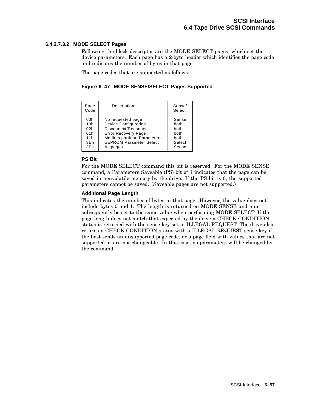### **6.4.2.7.3.2 MODE SELECT Pages**

Following the block descriptor are the MODE SELECT pages, which set the device parameters. Each page has a 2-byte header which identifies the page code and indicates the number of bytes in that page.

The page codes that are supported as follows:

### **Figure 6–47 MODE SENSE/SELECT Pages Supported**

| Page<br>Code | Description                        | Sense/<br>Select |
|--------------|------------------------------------|------------------|
| 00h          | No requested page                  | Sense            |
| 10h          | <b>Device Configuration</b>        | both             |
| 02h          | Disconnect/Reconnect               | both             |
| 01h          | <b>Error Recovery Page</b>         | both             |
| 11h          | <b>Medium partition Parameters</b> | both             |
| 3Eh          | <b>EEPROM Parameter Select</b>     | Select           |
| 3Fh          | All pages                          | Sense            |

### **PS Bit**

For the MODE SELECT command this bit is reserved. For the MODE SENSE command, a Parameters Saveable (PS) bit of 1 indicates that the page can be saved in nonvolatile memory by the drive. If the PS bit is 0, the supported parameters cannot be saved. (Saveable pages are not supported.)

### **Additional Page Length**

This indicates the number of bytes in that page. However, the value does not include bytes 0 and 1. The length is returned on MODE SENSE and must subsequently be set to the same value when performing MODE SELECT. If the page length does not match that expected by the drive a CHECK CONDITION status is returned with the sense key set to ILLEGAL REQUEST. The drive also returns a CHECK CONDITION status with a ILLEGAL REQUEST sense key if the host sends an unsupported page code, or a page field with values that are not supported or are not changeable. In this case, no parameters will be changed by the command.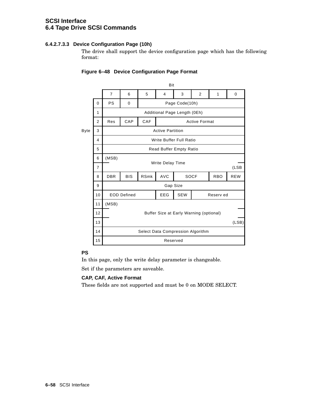## **6.4.2.7.3.3 Device Configuration Page (10h)**

The drive shall support the device configuration page which has the following format:

|                |                                         | Bit                                            |                                         |                                                |            |             |                |            |            |  |
|----------------|-----------------------------------------|------------------------------------------------|-----------------------------------------|------------------------------------------------|------------|-------------|----------------|------------|------------|--|
|                |                                         | $\overline{7}$                                 | 6                                       | 5                                              | 4          | 3           | $\overline{2}$ | 1          | $\Omega$   |  |
|                | $\mathbf 0$                             | <b>PS</b>                                      | 0                                       | Page Code(10h)<br>Additional Page Length (0Eh) |            |             |                |            |            |  |
|                | 1                                       |                                                |                                         |                                                |            |             |                |            |            |  |
|                | 2                                       | CAP<br>CAF<br><b>Active Format</b><br>Res      |                                         |                                                |            |             |                |            |            |  |
| Byte           | 3                                       | <b>Active Partition</b>                        |                                         |                                                |            |             |                |            |            |  |
|                | 4                                       | Write Buffer Full Ratio                        |                                         |                                                |            |             |                |            |            |  |
|                | 5                                       | Read Buffer Empty Ratio                        |                                         |                                                |            |             |                |            |            |  |
| (MSB)<br>6     |                                         |                                                |                                         |                                                |            |             |                |            |            |  |
|                | $\overline{7}$                          |                                                |                                         | Write Delay Time                               |            |             |                |            | (LSB       |  |
|                | 8                                       | <b>DBR</b>                                     | <b>BIS</b>                              | <b>RSmk</b>                                    | <b>AVC</b> | <b>SOCF</b> |                | <b>RBO</b> | <b>REW</b> |  |
|                | 9                                       |                                                | Gap Size                                |                                                |            |             |                |            |            |  |
|                | 10                                      | <b>EEG</b><br><b>SEW</b><br><b>EOD Defined</b> |                                         |                                                |            |             | Reserv ed      |            |            |  |
| (MSB)<br>11    |                                         |                                                |                                         |                                                |            |             |                |            |            |  |
|                | 12                                      |                                                | Buffer Size at Early Warning (optional) |                                                |            |             |                |            |            |  |
|                | 13                                      |                                                |                                         |                                                |            |             | (LSB)          |            |            |  |
|                | 14<br>Select Data Compression Algorithm |                                                |                                         |                                                |            |             |                |            |            |  |
| 15<br>Reserved |                                         |                                                |                                         |                                                |            |             |                |            |            |  |
|                |                                         |                                                |                                         |                                                |            |             |                |            |            |  |

## **Figure 6–48 Device Configuration Page Format**

## **PS**

In this page, only the write delay parameter is changeable.

Set if the parameters are saveable.

## **CAP, CAF, Active Format**

These fields are not supported and must be 0 on MODE SELECT.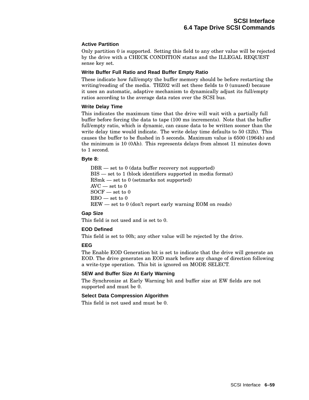## **Active Partition**

Only partition 0 is supported. Setting this field to any other value will be rejected by the drive with a CHECK CONDITION status and the ILLEGAL REQUEST sense key set.

### **Write Buffer Full Ratio and Read Buffer Empty Ratio**

These indicate how full/empty the buffer memory should be before restarting the writing/reading of the media. THZ02 will set these fields to 0 (unused) because it uses an automatic, adaptive mechanism to dynamically adjust its full/empty ratios according to the average data rates over the SCSI bus.

### **Write Delay Time**

This indicates the maximum time that the drive will wait with a partially full buffer before forcing the data to tape (100 ms increments). Note that the buffer full/empty ratio, which is dynamic, can cause data to be written sooner than the write delay time would indicate. The write delay time defaults to 50 (32h). This causes the buffer to be flushed in 5 seconds. Maximum value is 6500 (1964h) and the minimum is 10 (0Ah). This represents delays from almost 11 minutes down to 1 second.

### **Byte 8:**

DBR — set to 0 (data buffer recovery not supported) BIS — set to 1 (block identifiers supported in media format) RSmk — set to 0 (setmarks not supported)  $AVC$  — set to  $0$  $SOCF$  — set to 0  $RBO$  — set to 0 REW — set to 0 (don't report early warning EOM on reads)

### **Gap Size**

This field is not used and is set to 0.

### **EOD Defined**

This field is set to 00h; any other value will be rejected by the drive.

### **EEG**

The Enable EOD Generation bit is set to indicate that the drive will generate an EOD. The drive generates an EOD mark before any change of direction following a write-type operation. This bit is ignored on MODE SELECT.

### **SEW and Buffer Size At Early Warning**

The Synchronize at Early Warning bit and buffer size at EW fields are not supported and must be 0.

### **Select Data Compression Algorithm**

This field is not used and must be 0.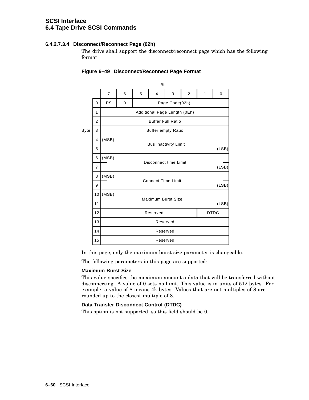## **6.4.2.7.3.4 Disconnect/Reconnect Page (02h)**

The drive shall support the disconnect/reconnect page which has the following format:

|                                                |                | Bit                      |                         |                                    |                              |                |   |       |   |
|------------------------------------------------|----------------|--------------------------|-------------------------|------------------------------------|------------------------------|----------------|---|-------|---|
|                                                |                | $\overline{7}$           | 6                       | 5                                  | 4                            | 3              | 2 | 1     | 0 |
|                                                | $\Omega$       | <b>PS</b>                | 0                       |                                    |                              | Page Code(02h) |   |       |   |
|                                                | 1              |                          |                         |                                    | Additional Page Length (0Eh) |                |   |       |   |
|                                                | $\overline{2}$ | <b>Buffer Full Ratio</b> |                         |                                    |                              |                |   |       |   |
| <b>Byte</b>                                    | 3              |                          |                         |                                    | <b>Buffer empty Ratio</b>    |                |   |       |   |
| (MSB)<br>4<br><b>Bus Inactivity Limit</b><br>5 |                |                          |                         |                                    |                              |                |   |       |   |
|                                                |                |                          |                         |                                    | (LSB)                        |                |   |       |   |
|                                                | 6              | (MSB)                    |                         | Disconnect time Limit              |                              |                |   |       |   |
|                                                | $\overline{7}$ |                          |                         |                                    |                              |                |   | (LSB) |   |
|                                                | 8              | (MSB)                    |                         | <b>Connect Time Limit</b><br>(LSB) |                              |                |   |       |   |
|                                                | 9              |                          |                         |                                    |                              |                |   |       |   |
|                                                | 10             | (MSB)                    |                         | Maximum Burst Size                 |                              |                |   |       |   |
|                                                | 11             |                          |                         | (LSB)                              |                              |                |   |       |   |
|                                                | 12             |                          | <b>DTDC</b><br>Reserved |                                    |                              |                |   |       |   |
|                                                | 13             |                          | Reserved                |                                    |                              |                |   |       |   |
|                                                | 14             |                          | Reserved                |                                    |                              |                |   |       |   |
|                                                | 15             |                          | Reserved                |                                    |                              |                |   |       |   |

## **Figure 6–49 Disconnect/Reconnect Page Format**

In this page, only the maximum burst size parameter is changeable.

The following parameters in this page are supported:

### **Maximum Burst Size**

This value specifies the maximum amount a data that will be transferred without disconnecting. A value of 0 sets no limit. This value is in units of 512 bytes. For example, a value of 8 means 4k bytes. Values that are not multiples of 8 are rounded up to the closest multiple of 8.

### **Data Transfer Disconnect Control (DTDC)**

This option is not supported, so this field should be 0.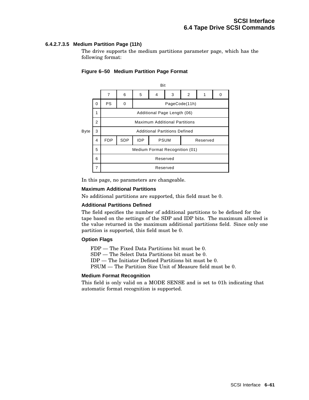## **6.4.2.7.3.5 Medium Partition Page (11h)**

The drive supports the medium partitions parameter page, which has the following format:



### **Figure 6–50 Medium Partition Page Format**

In this page, no parameters are changeable.

#### **Maximum Additional Partitions**

No additional partitions are supported, this field must be 0.

### **Additional Partitions Defined**

The field specifies the number of additional partitions to be defined for the tape based on the settings of the SDP and IDP bits. The maximum allowed is the value returned in the maximum additional partitions field. Since only one partition is supported, this field must be 0.

#### **Option Flags**

FDP — The Fixed Data Partitions bit must be 0.

SDP — The Select Data Partitions bit must be 0.

IDP — The Initiator Defined Partitions bit must be 0.

PSUM — The Partition Size Unit of Measure field must be 0.

#### **Medium Format Recognition**

This field is only valid on a MODE SENSE and is set to 01h indicating that automatic format recognition is supported.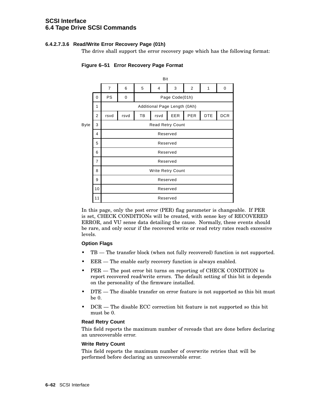## **6.4.2.7.3.6 Read/Write Error Recovery Page (01h)**

The drive shall support the error recovery page which has the following format:



# **Figure 6–51 Error Recovery Page Format**

In this page, only the post error (PER) flag parameter is changeable. If PER is set, CHECK CONDITIONs will be created, with sense key of RECOVERED ERROR, and VU sense data detailing the cause. Normally, these events should be rare, and only occur if the recovered write or read retry rates reach excessive levels.

### **Option Flags**

- TB The transfer block (when not fully recovered) function is not supported.
- EER The enable early recovery function is always enabled.
- PER The post error bit turns on reporting of CHECK CONDITION to report recovered read/write errors. The default setting of this bit is depends on the personality of the firmware installed.
- DTE The disable transfer on error feature is not supported so this bit must be 0.
- DCR The disable ECC correction bit feature is not supported so this bit must be 0.

### **Read Retry Count**

This field reports the maximum number of rereads that are done before declaring an unrecoverable error.

### **Write Retry Count**

This field reports the maximum number of overwrite retries that will be performed before declaring an unrecoverable error.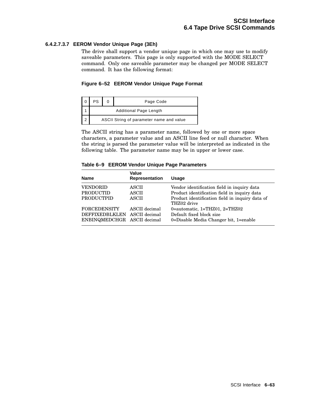## **6.4.2.7.3.7 EEROM Vendor Unique Page (3Eh)**

The drive shall support a vendor unique page in which one may use to modify saveable parameters. This page is only supported with the MODE SELECT command. Only one saveable parameter may be changed per MODE SELECT command. It has the following format:

### **Figure 6–52 EEROM Vendor Unique Page Format**

| PS                                       |  | Page Code |  |  |  |
|------------------------------------------|--|-----------|--|--|--|
| <b>Additional Page Length</b>            |  |           |  |  |  |
| ASCII String of parameter name and value |  |           |  |  |  |

The ASCII string has a parameter name, followed by one or more space characters, a parameter value and an ASCII line feed or null character. When the string is parsed the parameter value will be interpreted as indicated in the following table. The parameter name may be in upper or lower case.

#### **Table 6–9 EEROM Vendor Unique Page Parameters**

| <b>Name</b>                  | Value<br>Representation | <b>Usage</b>                                                   |
|------------------------------|-------------------------|----------------------------------------------------------------|
| <b>VENDORID</b>              | ASCII                   | Vendor identification field in inquiry data                    |
| <b>PRODUCTID</b>             | ASCII                   | Product identification field in inquiry data                   |
| <b>PRODUCTPID</b>            | <b>ASCII</b>            | Product identification field in inquiry data of<br>THZ02 drive |
| <b>FORCEDENSITY</b>          | ASCII decimal           | 0=automatic, $1 = THZ01$ , $2 = THZ02$                         |
| DEFFIXEDBLKLEN ASCII decimal |                         | Default fixed block size                                       |
| ENBINQMEDCHGR ASCII decimal  |                         | 0=Disable Media Changer bit, 1=enable                          |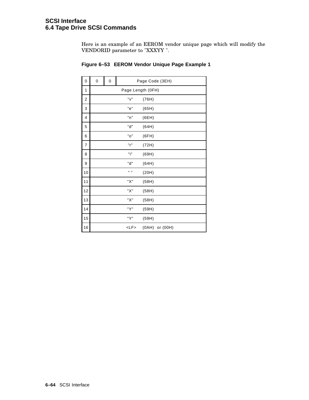Here is an example of an EEROM vendor unique page which will modify the VENDORID parameter to "XXXYY ".

| 0  | 0   | 0 | Page Code (3EH)  |                   |  |
|----|-----|---|------------------|-------------------|--|
| 1  |     |   |                  | Page Length (OFH) |  |
| 2  | "v" |   |                  | (76H)             |  |
| 3  |     |   | "e"              | (65H)             |  |
| 4  |     |   | "n"              | (6EH)             |  |
| 5  |     |   | "d"              | (64H)             |  |
| 6  |     |   | "o"              | (6FH)             |  |
| 7  |     |   | "r"              | (72H)             |  |
| 8  |     |   | "i"              | (69H)             |  |
| 9  |     |   | "d"              | (64H)             |  |
| 10 |     |   | $\mathbf{u}$ and | (20H)             |  |
| 11 |     |   | "Х"              | (58H)             |  |
| 12 |     |   | "X"              | (58H)             |  |
| 13 |     |   | "Х"              | (58H)             |  |
| 14 |     |   | "Y"              | (59H)             |  |
| 15 |     |   | "Y"              | (59H)             |  |
| 16 |     |   | $<$ L $F$ >      | (0AH) or (00H)    |  |

# **Figure 6–53 EEROM Vendor Unique Page Example 1**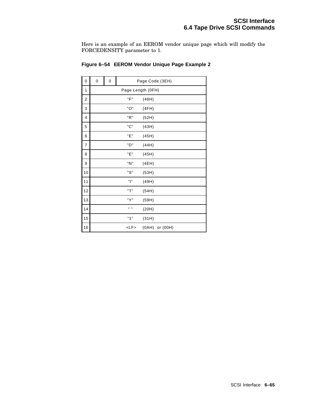Here is an example of an EEROM vendor unique page which will modify the FORCEDENSITY parameter to 1.

| 0  | 0                 | 0 | Page Code (3EH) |                |  |  |  |
|----|-------------------|---|-----------------|----------------|--|--|--|
| 1  | Page Length (OFH) |   |                 |                |  |  |  |
| 2  |                   |   | "F"             | (46H)          |  |  |  |
| 3  |                   |   | "O"             | (4FH)          |  |  |  |
| 4  |                   |   | "R"             | (52H)          |  |  |  |
| 5  |                   |   | "C"             | (43H)          |  |  |  |
| 6  |                   |   | "Е"             | (45H)          |  |  |  |
| 7  |                   |   | "D"             | (44H)          |  |  |  |
| 8  |                   |   | "Е"             | (45H)          |  |  |  |
| 9  |                   |   | "N"             | (4EH)          |  |  |  |
| 10 |                   |   | "S"             | (53H)          |  |  |  |
| 11 |                   |   | "ו"             | (49H)          |  |  |  |
| 12 |                   |   | "T"             | (54H)          |  |  |  |
| 13 |                   |   | "Y"             | (59H)          |  |  |  |
| 14 |                   |   | H H             | (20H)          |  |  |  |
| 15 |                   |   | "1"             | (31H)          |  |  |  |
| 16 |                   |   | $<$ L $F$ >     | (0AH) or (00H) |  |  |  |

## **Figure 6–54 EEROM Vendor Unique Page Example 2**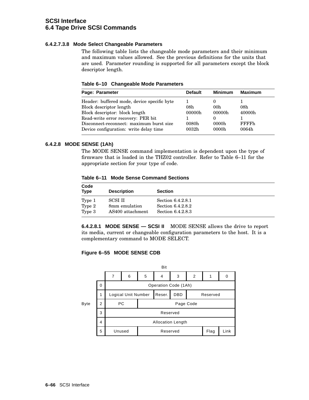## **6.4.2.7.3.8 Mode Select Changeable Parameters**

The following table lists the changeable mode parameters and their minimum and maximum values allowed. See the previous definitions for the units that are used. Parameter rounding is supported for all parameters except the block descriptor length.

**Table 6–10 Changeable Mode Parameters**

| Page: Parameter                             | <b>Default</b>    | <b>Minimum</b>  | <b>Maximum</b> |
|---------------------------------------------|-------------------|-----------------|----------------|
| Header: buffered mode, device specific byte |                   |                 |                |
| Block descriptor length                     | 08h               | 00 <sub>h</sub> | 08h            |
| Block descriptor: block length              | 00000h            | 00000h          | 40000h         |
| Read-write error recovery: PER bit          |                   |                 |                |
| Disconnect-reconnect: maximum burst size    | 0080h             | 0000h           | <b>FFFFFh</b>  |
| Device configuration: write delay time      | 0032 <sub>h</sub> | 0000h           | 0064h          |

## **6.4.2.8 MODE SENSE (1Ah)**

The MODE SENSE command implementation is dependent upon the type of firmware that is loaded in the THZ02 controller. Refer to Table 6–11 for the appropriate section for your type of code.

**Table 6–11 Mode Sense Command Sections**

| Code<br><b>Type</b> | <b>Description</b>                | <b>Section</b>                         |
|---------------------|-----------------------------------|----------------------------------------|
| Type 1              | <b>SCSI II</b>                    | Section 6.4.2.8.1                      |
| Type 2<br>Type 3    | 8mm emulation<br>AS400 attachment | Section 6.4.2.8.2<br>Section 6.4.2.8.3 |

**6.4.2.8.1 MODE SENSE — SCSI II** MODE SENSE allows the drive to report its media, current or changeable configuration parameters to the host. It is a complementary command to MODE SELECT.

## **Figure 6–55 MODE SENSE CDB**

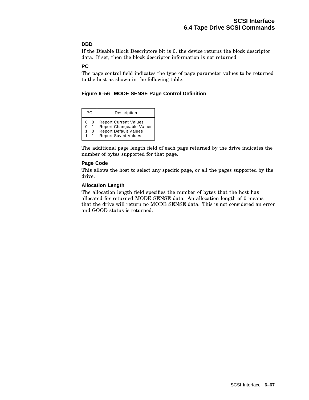## **DBD**

If the Disable Block Descriptors bit is 0, the device returns the block descriptor data. If set, then the block descriptor information is not returned.

## **PC**

The page control field indicates the type of page parameter values to be returned to the host as shown in the following table:

**Figure 6–56 MODE SENSE Page Control Definition**

| PC.    | Description                                                                                                     |
|--------|-----------------------------------------------------------------------------------------------------------------|
| 0<br>ი | Report Current Values<br>Report Changeable Values<br><b>Report Default Values</b><br><b>Report Saved Values</b> |

The additional page length field of each page returned by the drive indicates the number of bytes supported for that page.

## **Page Code**

This allows the host to select any specific page, or all the pages supported by the drive.

#### **Allocation Length**

The allocation length field specifies the number of bytes that the host has allocated for returned MODE SENSE data. An allocation length of 0 means that the drive will return no MODE SENSE data. This is not considered an error and GOOD status is returned.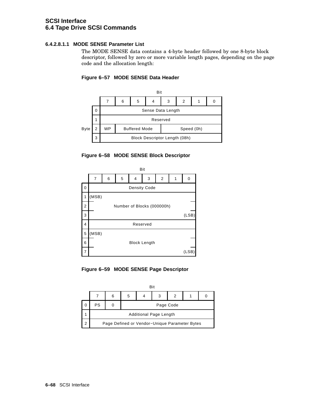## **6.4.2.8.1.1 MODE SENSE Parameter List**

The MODE SENSE data contains a 4-byte header followed by one 8-byte block descriptor, followed by zero or more variable length pages, depending on the page code and the allocation length:









**Figure 6–59 MODE SENSE Page Descriptor**

|   | Bit                    |   |   |           |                                               |   |  |  |  |  |
|---|------------------------|---|---|-----------|-----------------------------------------------|---|--|--|--|--|
|   |                        | 6 | 5 |           |                                               | 2 |  |  |  |  |
| 0 | PS                     |   |   | Page Code |                                               |   |  |  |  |  |
|   | Additional Page Length |   |   |           |                                               |   |  |  |  |  |
| 2 |                        |   |   |           | Page Defined or Vendor-Unique Parameter Bytes |   |  |  |  |  |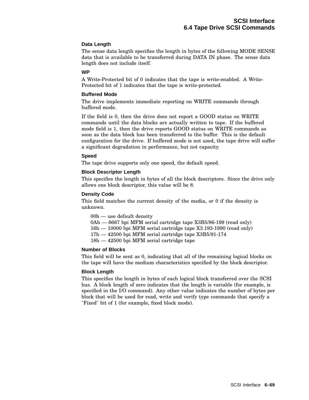## **Data Length**

The sense data length specifies the length in bytes of the following MODE SENSE data that is available to be transferred during DATA IN phase. The sense data length does not include itself.

#### **WP**

A Write-Protected bit of 0 indicates that the tape is write-enabled. A Write-Protected bit of 1 indicates that the tape is write-protected.

#### **Buffered Mode**

The drive implements immediate reporting on WRITE commands through buffered mode.

If the field is 0, then the drive does not report a GOOD status on WRITE commands until the data blocks are actually written to tape. If the buffered mode field is 1, then the drive reports GOOD status on WRITE commands as soon as the data block has been transferred to the buffer. This is the default configuration for the drive. If buffered mode is not used, the tape drive will suffer a significant degradation in performance, but not capacity.

#### **Speed**

The tape drive supports only one speed, the default speed.

#### **Block Descriptor Length**

This specifies the length in bytes of all the block descriptors. Since the drive only allows one block descriptor, this value will be 8.

#### **Density Code**

This field matches the current density of the media, or 0 if the density is unknown.

00h — use default density

- 0Ah 6667 bpi MFM serial cartridge tape X3B5/86-199 (read only)
- 16h 10000 bpi MFM serial cartridge tape X3.193-1990 (read only)
- 17h 42500 bpi MFM serial cartridge tape X3B5/91-174
- 18h 42500 bpi MFM serial cartridge tape

#### **Number of Blocks**

This field will be sent as 0, indicating that all of the remaining logical blocks on the tape will have the medium characteristics specified by the block descriptor.

#### **Block Length**

This specifies the length in bytes of each logical block transferred over the SCSI bus. A block length of zero indicates that the length is variable (for example, is specified in the I/O command). Any other value indicates the number of bytes per block that will be used for read, write and verify type commands that specify a "Fixed" bit of 1 (for example, fixed block mode).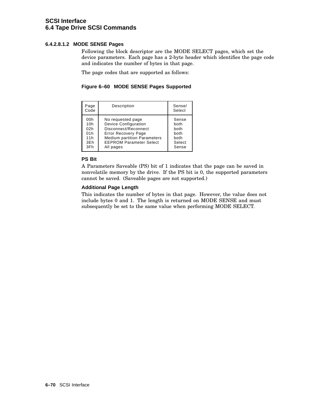## **6.4.2.8.1.2 MODE SENSE Pages**

Following the block descriptor are the MODE SELECT pages, which set the device parameters. Each page has a 2-byte header which identifies the page code and indicates the number of bytes in that page.

The page codes that are supported as follows:

**Figure 6–60 MODE SENSE Pages Supported**

| Page<br>Code | Description                        | Sense/<br>Select |
|--------------|------------------------------------|------------------|
| 00h          | No requested page                  | Sense            |
| 10h          | <b>Device Configuration</b>        | both             |
| 02h          | Disconnect/Reconnect               | both             |
| 01h          | <b>Error Recovery Page</b>         | both             |
| 11h          | <b>Medium partition Parameters</b> | both             |
| 3Eh          | <b>EEPROM Parameter Select</b>     | Select           |
| 3Fh          | All pages                          | Sense            |

## **PS Bit**

A Parameters Saveable (PS) bit of 1 indicates that the page can be saved in nonvolatile memory by the drive. If the PS bit is 0, the supported parameters cannot be saved. (Saveable pages are not supported.)

## **Additional Page Length**

This indicates the number of bytes in that page. However, the value does not include bytes 0 and 1. The length is returned on MODE SENSE and must subsequently be set to the same value when performing MODE SELECT.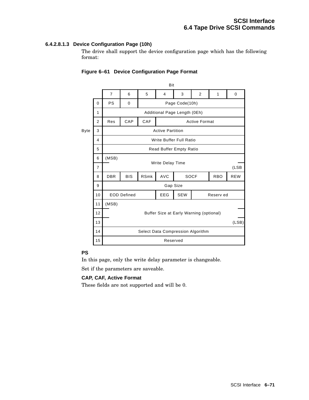## **6.4.2.8.1.3 Device Configuration Page (10h)**

The drive shall support the device configuration page which has the following format:

|                | $\overline{7}$ | 6                       | 5                  | 4          | 3          | $\overline{2}$                                                                    | 1                                                                                               | 0                                                                                                                 |  |  |
|----------------|----------------|-------------------------|--------------------|------------|------------|-----------------------------------------------------------------------------------|-------------------------------------------------------------------------------------------------|-------------------------------------------------------------------------------------------------------------------|--|--|
| $\mathbf 0$    | <b>PS</b>      | 0                       |                    |            |            |                                                                                   |                                                                                                 |                                                                                                                   |  |  |
| 1              |                |                         |                    |            |            |                                                                                   |                                                                                                 |                                                                                                                   |  |  |
| $\overline{2}$ | Res            | CAP                     | CAF                |            |            |                                                                                   |                                                                                                 |                                                                                                                   |  |  |
| 3              |                |                         |                    |            |            |                                                                                   |                                                                                                 |                                                                                                                   |  |  |
| 4              |                | Write Buffer Full Ratio |                    |            |            |                                                                                   |                                                                                                 |                                                                                                                   |  |  |
| 5              |                |                         |                    |            |            |                                                                                   |                                                                                                 |                                                                                                                   |  |  |
| 6              | (MSB)          |                         |                    |            |            |                                                                                   |                                                                                                 |                                                                                                                   |  |  |
| $\overline{7}$ |                |                         |                    |            |            |                                                                                   |                                                                                                 | (LSB                                                                                                              |  |  |
| 8              | <b>DBR</b>     | <b>BIS</b>              | <b>RSmk</b>        | <b>AVC</b> |            |                                                                                   | <b>RBO</b>                                                                                      | <b>REW</b>                                                                                                        |  |  |
| 9              |                |                         |                    |            |            |                                                                                   |                                                                                                 |                                                                                                                   |  |  |
| 10             |                |                         |                    | EEG        | <b>SEW</b> |                                                                                   |                                                                                                 |                                                                                                                   |  |  |
| 11             | (MSB)          |                         |                    |            |            |                                                                                   |                                                                                                 |                                                                                                                   |  |  |
| 12             |                |                         |                    |            |            |                                                                                   |                                                                                                 |                                                                                                                   |  |  |
| 13             |                |                         |                    |            |            |                                                                                   |                                                                                                 | (LSB)                                                                                                             |  |  |
| 14             |                |                         |                    |            |            |                                                                                   |                                                                                                 |                                                                                                                   |  |  |
| 15             |                |                         |                    |            |            |                                                                                   |                                                                                                 |                                                                                                                   |  |  |
|                |                |                         | <b>EOD Defined</b> |            |            | Bit<br><b>Active Partition</b><br><b>Write Delay Time</b><br>Gap Size<br>Reserved | Page Code(10h)<br>Additional Page Length (0Eh)<br><b>Read Buffer Empty Ratio</b><br><b>SOCF</b> | <b>Active Format</b><br>Reserv ed<br>Buffer Size at Early Warning (optional)<br>Select Data Compression Algorithm |  |  |

## **Figure 6–61 Device Configuration Page Format**

## **PS**

In this page, only the write delay parameter is changeable.

Set if the parameters are saveable.

## **CAP, CAF, Active Format**

These fields are not supported and will be 0.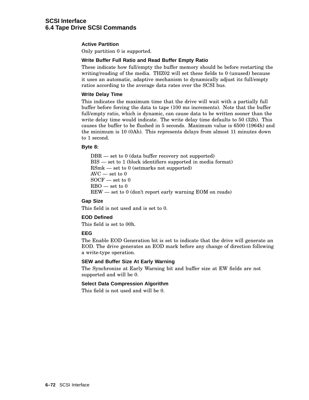### **Active Partition**

Only partition 0 is supported.

#### **Write Buffer Full Ratio and Read Buffer Empty Ratio**

These indicate how full/empty the buffer memory should be before restarting the writing/reading of the media. THZ02 will set these fields to 0 (unused) because it uses an automatic, adaptive mechanism to dynamically adjust its full/empty ratios according to the average data rates over the SCSI bus.

#### **Write Delay Time**

This indicates the maximum time that the drive will wait with a partially full buffer before forcing the data to tape (100 ms increments). Note that the buffer full/empty ratio, which is dynamic, can cause data to be written sooner than the write delay time would indicate. The write delay time defaults to 50 (32h). This causes the buffer to be flushed in 5 seconds. Maximum value is 6500 (1964h) and the minimum is 10 (0Ah). This represents delays from almost 11 minutes down to 1 second.

#### **Byte 8:**

DBR — set to 0 (data buffer recovery not supported) BIS — set to 1 (block identifiers supported in media format) RSmk — set to 0 (setmarks not supported) AVC — set to 0  $SOCF$  — set to 0  $RBO$  — set to  $0$ REW — set to 0 (don't report early warning EOM on reads)

#### **Gap Size**

This field is not used and is set to 0.

#### **EOD Defined**

This field is set to 00h.

#### **EEG**

The Enable EOD Generation bit is set to indicate that the drive will generate an EOD. The drive generates an EOD mark before any change of direction following a write-type operation.

#### **SEW and Buffer Size At Early Warning**

The Synchronize at Early Warning bit and buffer size at EW fields are not supported and will be 0.

## **Select Data Compression Algorithm**

This field is not used and will be 0.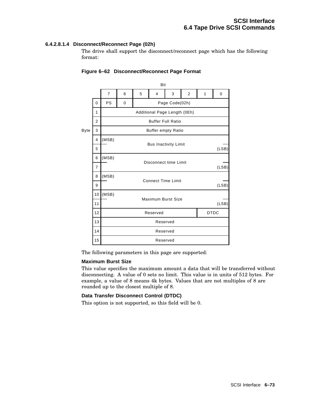## **6.4.2.8.1.4 Disconnect/Reconnect Page (02h)**

The drive shall support the disconnect/reconnect page which has the following format:

|             |                | Bit            |   |                                    |                              |                |   |   |       |  |
|-------------|----------------|----------------|---|------------------------------------|------------------------------|----------------|---|---|-------|--|
|             |                | $\overline{7}$ | 6 | 5                                  | $\overline{4}$               | 3              | 2 | 1 | 0     |  |
|             | 0              | PS             | 0 |                                    |                              | Page Code(02h) |   |   |       |  |
|             | 1              |                |   |                                    | Additional Page Length (0Eh) |                |   |   |       |  |
|             | 2              |                |   |                                    | <b>Buffer Full Ratio</b>     |                |   |   |       |  |
| <b>Byte</b> | 3              |                |   |                                    | <b>Buffer empty Ratio</b>    |                |   |   |       |  |
|             | 4              | (MSB)          |   |                                    | <b>Bus Inactivity Limit</b>  |                |   |   |       |  |
|             | 5              |                |   |                                    |                              |                |   |   | (LSB) |  |
|             | 6              | (MSB)          |   | Disconnect time Limit              |                              |                |   |   |       |  |
|             | $\overline{7}$ |                |   | (LSB)                              |                              |                |   |   |       |  |
|             | 8              | (MSB)          |   | <b>Connect Time Limit</b>          |                              |                |   |   |       |  |
|             | 9              |                |   |                                    |                              |                |   |   | (LSB) |  |
|             | 10             | (MSB)          |   |                                    |                              |                |   |   |       |  |
|             | 11             |                |   | <b>Maximum Burst Size</b><br>(LSB) |                              |                |   |   |       |  |
|             | 12             |                |   | <b>DTDC</b><br>Reserved            |                              |                |   |   |       |  |
|             | 13             |                |   | Reserved                           |                              |                |   |   |       |  |
|             | 14             |                |   |                                    | Reserved                     |                |   |   |       |  |
|             | 15             |                |   |                                    | Reserved                     |                |   |   |       |  |

### **Figure 6–62 Disconnect/Reconnect Page Format**

The following parameters in this page are supported:

#### **Maximum Burst Size**

This value specifies the maximum amount a data that will be transferred without disconnecting. A value of 0 sets no limit. This value is in units of 512 bytes. For example, a value of 8 means 4k bytes. Values that are not multiples of 8 are rounded up to the closest multiple of 8.

#### **Data Transfer Disconnect Control (DTDC)**

This option is not supported, so this field will be 0.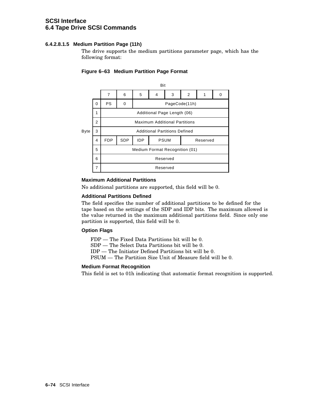## **6.4.2.8.1.5 Medium Partition Page (11h)**

The drive supports the medium partitions parameter page, which has the following format:



## **Figure 6–63 Medium Partition Page Format**

## **Maximum Additional Partitions**

No additional partitions are supported, this field will be 0.

#### **Additional Partitions Defined**

The field specifies the number of additional partitions to be defined for the tape based on the settings of the SDP and IDP bits. The maximum allowed is the value returned in the maximum additional partitions field. Since only one partition is supported, this field will be 0.

#### **Option Flags**

FDP — The Fixed Data Partitions bit will be 0.

SDP — The Select Data Partitions bit will be 0.

IDP — The Initiator Defined Partitions bit will be 0.

PSUM — The Partition Size Unit of Measure field will be 0.

## **Medium Format Recognition**

This field is set to 01h indicating that automatic format recognition is supported.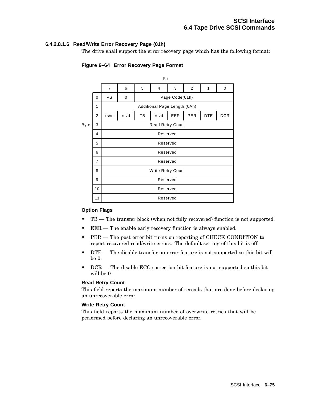### **6.4.2.8.1.6 Read/Write Error Recovery Page (01h)**

The drive shall support the error recovery page which has the following format:



## **Figure 6–64 Error Recovery Page Format**

#### **Option Flags**

- $TB$  The transfer block (when not fully recovered) function is not supported.
- EER The enable early recovery function is always enabled.
- PER The post error bit turns on reporting of CHECK CONDITION to report recovered read/write errors. The default setting of this bit is off.
- DTE The disable transfer on error feature is not supported so this bit will be 0.
- DCR The disable ECC correction bit feature is not supported so this bit will be 0.

#### **Read Retry Count**

This field reports the maximum number of rereads that are done before declaring an unrecoverable error.

### **Write Retry Count**

This field reports the maximum number of overwrite retries that will be performed before declaring an unrecoverable error.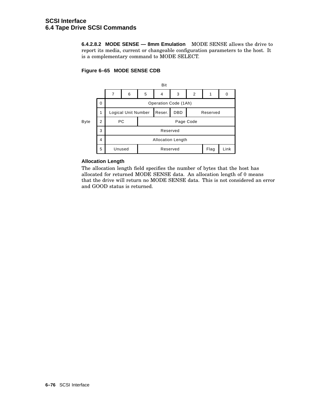**6.4.2.8.2 MODE SENSE — 8mm Emulation** MODE SENSE allows the drive to report its media, current or changeable configuration parameters to the host. It is a complementary command to MODE SELECT.

## **Figure 6–65 MODE SENSE CDB**



## **Allocation Length**

The allocation length field specifies the number of bytes that the host has allocated for returned MODE SENSE data. An allocation length of 0 means that the drive will return no MODE SENSE data. This is not considered an error and GOOD status is returned.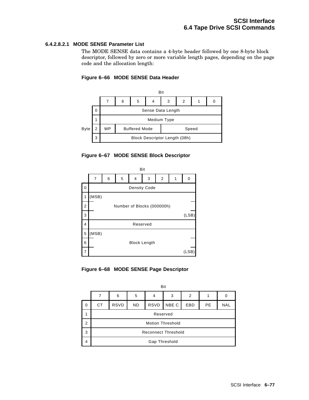## **6.4.2.8.2.1 MODE SENSE Parameter List**

The MODE SENSE data contains a 4-byte header followed by one 8-byte block descriptor, followed by zero or more variable length pages, depending on the page code and the allocation length:



## **Figure 6–66 MODE SENSE Data Header**





**Figure 6–68 MODE SENSE Page Descriptor**

|                | Bit                        |             |           |             |       |     |           |            |  |  |
|----------------|----------------------------|-------------|-----------|-------------|-------|-----|-----------|------------|--|--|
|                |                            | 6           | 5         | 4           | 3     | 2   |           |            |  |  |
| 0              | <b>CT</b>                  | <b>RSVD</b> | <b>ND</b> | <b>RSVD</b> | NBE C | EBD | <b>PE</b> | <b>NAL</b> |  |  |
|                | Reserved                   |             |           |             |       |     |           |            |  |  |
| $\overline{2}$ | <b>Motion Threshold</b>    |             |           |             |       |     |           |            |  |  |
| 3              | <b>Reconnect Threshold</b> |             |           |             |       |     |           |            |  |  |
| 4              | Gap Threshold              |             |           |             |       |     |           |            |  |  |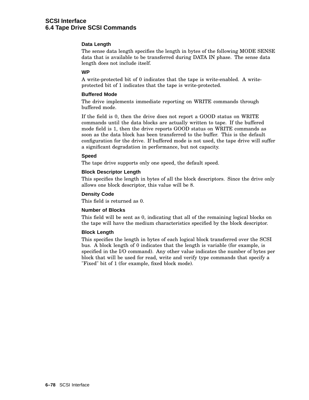### **Data Length**

The sense data length specifies the length in bytes of the following MODE SENSE data that is available to be transferred during DATA IN phase. The sense data length does not include itself.

#### **WP**

A write-protected bit of 0 indicates that the tape is write-enabled. A writeprotected bit of 1 indicates that the tape is write-protected.

#### **Buffered Mode**

The drive implements immediate reporting on WRITE commands through buffered mode.

If the field is 0, then the drive does not report a GOOD status on WRITE commands until the data blocks are actually written to tape. If the buffered mode field is 1, then the drive reports GOOD status on WRITE commands as soon as the data block has been transferred to the buffer. This is the default configuration for the drive. If buffered mode is not used, the tape drive will suffer a significant degradation in performance, but not capacity.

#### **Speed**

The tape drive supports only one speed, the default speed.

#### **Block Descriptor Length**

This specifies the length in bytes of all the block descriptors. Since the drive only allows one block descriptor, this value will be 8.

#### **Density Code**

This field is returned as 0.

#### **Number of Blocks**

This field will be sent as 0, indicating that all of the remaining logical blocks on the tape will have the medium characteristics specified by the block descriptor.

#### **Block Length**

This specifies the length in bytes of each logical block transferred over the SCSI bus. A block length of 0 indicates that the length is variable (for example, is specified in the I/O command). Any other value indicates the number of bytes per block that will be used for read, write and verify type commands that specify a "Fixed" bit of 1 (for example, fixed block mode).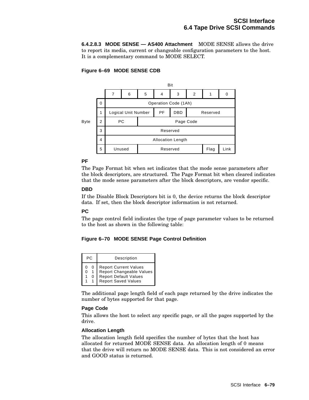**6.4.2.8.3 MODE SENSE — AS400 Attachment** MODE SENSE allows the drive to report its media, current or changeable configuration parameters to the host. It is a complementary command to MODE SELECT.

## **Figure 6–69 MODE SENSE CDB**



## **PF**

The Page Format bit when set indicates that the mode sense parameters after the block descriptors, are structured. The Page Format bit when cleared indicates that the mode sense parameters after the block descriptors, are vendor specific.

## **DBD**

If the Disable Block Descriptors bit is 0, the device returns the block descriptor data. If set, then the block descriptor information is not returned.

## **PC**

The page control field indicates the type of page parameter values to be returned to the host as shown in the following table:

## **Figure 6–70 MODE SENSE Page Control Definition**

| PC. | Description                                                                                              |
|-----|----------------------------------------------------------------------------------------------------------|
| ი   | Report Current Values<br>Report Changeable Values<br>Report Default Values<br><b>Report Saved Values</b> |

The additional page length field of each page returned by the drive indicates the number of bytes supported for that page.

#### **Page Code**

This allows the host to select any specific page, or all the pages supported by the drive.

#### **Allocation Length**

The allocation length field specifies the number of bytes that the host has allocated for returned MODE SENSE data. An allocation length of 0 means that the drive will return no MODE SENSE data. This is not considered an error and GOOD status is returned.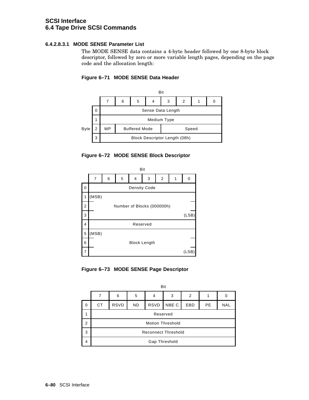## **6.4.2.8.3.1 MODE SENSE Parameter List**

The MODE SENSE data contains a 4-byte header followed by one 8-byte block descriptor, followed by zero or more variable length pages, depending on the page code and the allocation length:



## **Figure 6–71 MODE SENSE Data Header**





**Figure 6–73 MODE SENSE Page Descriptor**

|             | Bit                        |             |           |             |       |            |           |            |  |  |
|-------------|----------------------------|-------------|-----------|-------------|-------|------------|-----------|------------|--|--|
|             |                            | 6           | 5         | 4           | 3     | 2          |           | 0          |  |  |
| $\mathbf 0$ | CТ                         | <b>RSVD</b> | <b>ND</b> | <b>RSVD</b> | NBE C | <b>EBD</b> | <b>PE</b> | <b>NAL</b> |  |  |
| 1           | Reserved                   |             |           |             |       |            |           |            |  |  |
| 2           | <b>Motion Threshold</b>    |             |           |             |       |            |           |            |  |  |
| 3           | <b>Reconnect Threshold</b> |             |           |             |       |            |           |            |  |  |
| 4           | Gap Threshold              |             |           |             |       |            |           |            |  |  |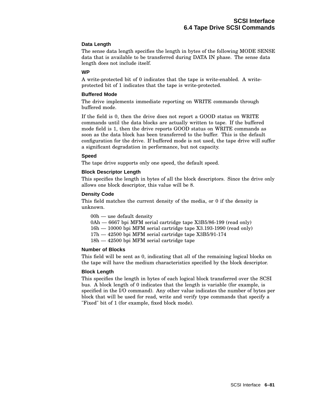### **Data Length**

The sense data length specifies the length in bytes of the following MODE SENSE data that is available to be transferred during DATA IN phase. The sense data length does not include itself.

#### **WP**

A write-protected bit of 0 indicates that the tape is write-enabled. A writeprotected bit of 1 indicates that the tape is write-protected.

#### **Buffered Mode**

The drive implements immediate reporting on WRITE commands through buffered mode.

If the field is 0, then the drive does not report a GOOD status on WRITE commands until the data blocks are actually written to tape. If the buffered mode field is 1, then the drive reports GOOD status on WRITE commands as soon as the data block has been transferred to the buffer. This is the default configuration for the drive. If buffered mode is not used, the tape drive will suffer a significant degradation in performance, but not capacity.

#### **Speed**

The tape drive supports only one speed, the default speed.

#### **Block Descriptor Length**

This specifies the length in bytes of all the block descriptors. Since the drive only allows one block descriptor, this value will be 8.

#### **Density Code**

This field matches the current density of the media, or 0 if the density is unknown.

00h — use default density

- 0Ah 6667 bpi MFM serial cartridge tape X3B5/86-199 (read only)
- 16h 10000 bpi MFM serial cartridge tape X3.193-1990 (read only)
- 17h 42500 bpi MFM serial cartridge tape X3B5/91-174
- 18h 42500 bpi MFM serial cartridge tape

### **Number of Blocks**

This field will be sent as 0, indicating that all of the remaining logical blocks on the tape will have the medium characteristics specified by the block descriptor.

#### **Block Length**

This specifies the length in bytes of each logical block transferred over the SCSI bus. A block length of 0 indicates that the length is variable (for example, is specified in the I/O command). Any other value indicates the number of bytes per block that will be used for read, write and verify type commands that specify a "Fixed" bit of 1 (for example, fixed block mode).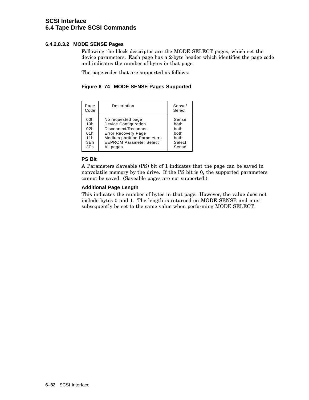## **6.4.2.8.3.2 MODE SENSE Pages**

Following the block descriptor are the MODE SELECT pages, which set the device parameters. Each page has a 2-byte header which identifies the page code and indicates the number of bytes in that page.

The page codes that are supported as follows:

**Figure 6–74 MODE SENSE Pages Supported**

| Page<br>Code                                  | Description                                                                                                                                                                                 | Sense/<br>Select                                         |
|-----------------------------------------------|---------------------------------------------------------------------------------------------------------------------------------------------------------------------------------------------|----------------------------------------------------------|
| 00h<br>10h<br>02h<br>01h<br>11h<br>3Eh<br>3Fh | No requested page<br><b>Device Configuration</b><br>Disconnect/Reconnect<br><b>Error Recovery Page</b><br><b>Medium partition Parameters</b><br><b>EEPROM Parameter Select</b><br>All pages | Sense<br>both<br>both<br>both<br>both<br>Select<br>Sense |

## **PS Bit**

A Parameters Saveable (PS) bit of 1 indicates that the page can be saved in nonvolatile memory by the drive. If the PS bit is 0, the supported parameters cannot be saved. (Saveable pages are not supported.)

## **Additional Page Length**

This indicates the number of bytes in that page. However, the value does not include bytes 0 and 1. The length is returned on MODE SENSE and must subsequently be set to the same value when performing MODE SELECT.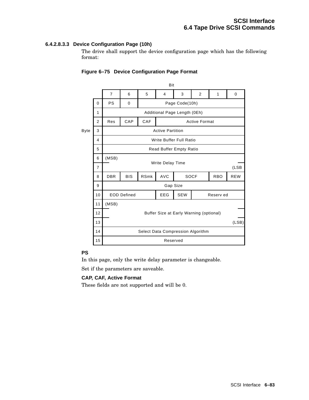## **6.4.2.8.3.3 Device Configuration Page (10h)**

The drive shall support the device configuration page which has the following format:

|                | Bit                     |                                                  |                              |            |   |                              |                                        |                                   |  |
|----------------|-------------------------|--------------------------------------------------|------------------------------|------------|---|------------------------------|----------------------------------------|-----------------------------------|--|
|                | $\overline{7}$          | 6                                                | 5                            | 4          | 3 | 2                            | 1                                      | 0                                 |  |
| $\Omega$       | <b>PS</b>               | 0                                                | Page Code(10h)               |            |   |                              |                                        |                                   |  |
| 1              |                         |                                                  | Additional Page Length (0Eh) |            |   |                              |                                        |                                   |  |
| $\overline{2}$ | Res                     | CAP<br>CAF<br><b>Active Format</b>               |                              |            |   |                              |                                        |                                   |  |
| 3              | <b>Active Partition</b> |                                                  |                              |            |   |                              |                                        |                                   |  |
| 4              | Write Buffer Full Ratio |                                                  |                              |            |   |                              |                                        |                                   |  |
| 5              |                         |                                                  |                              |            |   |                              |                                        |                                   |  |
| 6              | (MSB)                   |                                                  |                              |            |   |                              |                                        |                                   |  |
| 7              |                         |                                                  | (LSB)                        |            |   |                              |                                        |                                   |  |
| 8              | <b>DBR</b>              | <b>BIS</b>                                       | <b>RSmk</b>                  | <b>AVC</b> |   |                              | <b>RBO</b>                             | <b>REW</b>                        |  |
| 9              |                         | Gap Size                                         |                              |            |   |                              |                                        |                                   |  |
| 10             |                         | <b>SEW</b><br><b>EEG</b><br>Reserv ed            |                              |            |   |                              |                                        |                                   |  |
| 11             | (MSB)                   |                                                  |                              |            |   |                              |                                        |                                   |  |
| 12             |                         | Buffer Size at Early Warning (optional)<br>(LSB) |                              |            |   |                              |                                        |                                   |  |
| 13             |                         |                                                  |                              |            |   |                              |                                        |                                   |  |
| 14             |                         |                                                  |                              |            |   |                              |                                        |                                   |  |
| 15             |                         |                                                  |                              |            |   |                              |                                        |                                   |  |
|                |                         |                                                  | <b>EOD Defined</b>           |            |   | Write Delay Time<br>Reserved | Read Buffer Empty Ratio<br><b>SOCF</b> | Select Data Compression Algorithm |  |

## **Figure 6–75 Device Configuration Page Format**

## **PS**

In this page, only the write delay parameter is changeable.

Set if the parameters are saveable.

## **CAP, CAF, Active Format**

These fields are not supported and will be 0.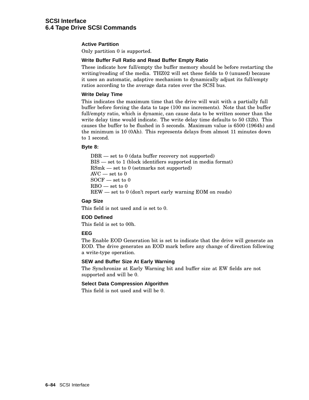### **Active Partition**

Only partition 0 is supported.

#### **Write Buffer Full Ratio and Read Buffer Empty Ratio**

These indicate how full/empty the buffer memory should be before restarting the writing/reading of the media. THZ02 will set these fields to 0 (unused) because it uses an automatic, adaptive mechanism to dynamically adjust its full/empty ratios according to the average data rates over the SCSI bus.

#### **Write Delay Time**

This indicates the maximum time that the drive will wait with a partially full buffer before forcing the data to tape (100 ms increments). Note that the buffer full/empty ratio, which is dynamic, can cause data to be written sooner than the write delay time would indicate. The write delay time defaults to 50 (32h). This causes the buffer to be flushed in 5 seconds. Maximum value is 6500 (1964h) and the minimum is 10 (0Ah). This represents delays from almost 11 minutes down to 1 second.

#### **Byte 8:**

DBR — set to 0 (data buffer recovery not supported) BIS — set to 1 (block identifiers supported in media format) RSmk — set to 0 (setmarks not supported)  $AVC$  — set to  $0$  $SOCF$  — set to 0  $RBO$  — set to  $0$ REW — set to 0 (don't report early warning EOM on reads)

#### **Gap Size**

This field is not used and is set to 0.

#### **EOD Defined**

This field is set to 00h.

#### **EEG**

The Enable EOD Generation bit is set to indicate that the drive will generate an EOD. The drive generates an EOD mark before any change of direction following a write-type operation.

#### **SEW and Buffer Size At Early Warning**

The Synchronize at Early Warning bit and buffer size at EW fields are not supported and will be 0.

## **Select Data Compression Algorithm**

This field is not used and will be 0.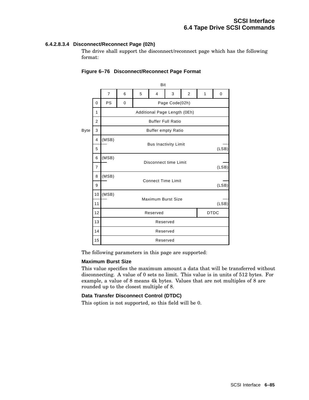## **6.4.2.8.3.4 Disconnect/Reconnect Page (02h)**

The drive shall support the disconnect/reconnect page which has the following format:

|             |                | Bit                      |                         |                              |                                |   |                |       |       |  |
|-------------|----------------|--------------------------|-------------------------|------------------------------|--------------------------------|---|----------------|-------|-------|--|
|             |                | $\overline{7}$           | 6                       | 5                            | $\overline{4}$                 | 3 | $\overline{2}$ | 1     | 0     |  |
|             | 0              | PS                       | 0                       | Page Code(02h)               |                                |   |                |       |       |  |
|             | 1              |                          |                         | Additional Page Length (0Eh) |                                |   |                |       |       |  |
|             | 2              | <b>Buffer Full Ratio</b> |                         |                              |                                |   |                |       |       |  |
| <b>Byte</b> | 3              |                          |                         |                              | <b>Buffer empty Ratio</b>      |   |                |       |       |  |
|             | $\overline{4}$ | (MSB)                    |                         |                              |                                |   |                |       |       |  |
|             | 5              |                          |                         | <b>Bus Inactivity Limit</b>  |                                |   |                |       | (LSB) |  |
|             | 6              | (MSB)                    |                         |                              | Disconnect time Limit<br>(LSB) |   |                |       |       |  |
|             | $\overline{7}$ |                          |                         |                              |                                |   |                |       |       |  |
|             | 8              | (MSB)                    |                         |                              | <b>Connect Time Limit</b>      |   |                |       |       |  |
|             | 9              |                          |                         |                              |                                |   |                |       | (LSB) |  |
|             | 10             | (MSB)                    |                         |                              | <b>Maximum Burst Size</b>      |   |                |       |       |  |
|             | 11             |                          |                         |                              |                                |   |                | (LSB) |       |  |
|             | 12             |                          | <b>DTDC</b><br>Reserved |                              |                                |   |                |       |       |  |
|             | 13             |                          | Reserved                |                              |                                |   |                |       |       |  |
|             | 14             |                          | Reserved                |                              |                                |   |                |       |       |  |
|             | 15             |                          | Reserved                |                              |                                |   |                |       |       |  |

### **Figure 6–76 Disconnect/Reconnect Page Format**

The following parameters in this page are supported:

#### **Maximum Burst Size**

This value specifies the maximum amount a data that will be transferred without disconnecting. A value of 0 sets no limit. This value is in units of 512 bytes. For example, a value of 8 means 4k bytes. Values that are not multiples of 8 are rounded up to the closest multiple of 8.

#### **Data Transfer Disconnect Control (DTDC)**

This option is not supported, so this field will be 0.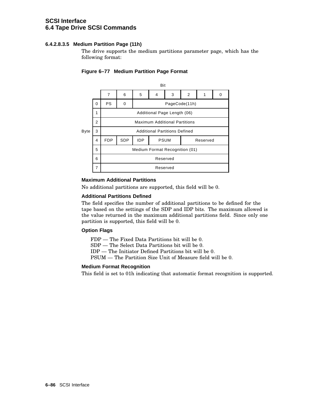## **6.4.2.8.3.5 Medium Partition Page (11h)**

The drive supports the medium partitions parameter page, which has the following format:



## **Figure 6–77 Medium Partition Page Format**

## **Maximum Additional Partitions**

No additional partitions are supported, this field will be 0.

#### **Additional Partitions Defined**

The field specifies the number of additional partitions to be defined for the tape based on the settings of the SDP and IDP bits. The maximum allowed is the value returned in the maximum additional partitions field. Since only one partition is supported, this field will be 0.

#### **Option Flags**

FDP — The Fixed Data Partitions bit will be 0.

SDP — The Select Data Partitions bit will be 0.

IDP — The Initiator Defined Partitions bit will be 0.

PSUM — The Partition Size Unit of Measure field will be 0.

## **Medium Format Recognition**

This field is set to 01h indicating that automatic format recognition is supported.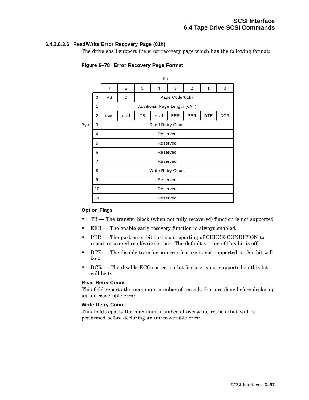### **6.4.2.8.3.6 Read/Write Error Recovery Page (01h)**

The drive shall support the error recovery page which has the following format:



## **Figure 6–78 Error Recovery Page Format**

#### **Option Flags**

- $TB$  The transfer block (when not fully recovered) function is not supported.
- EER The enable early recovery function is always enabled.
- PER The post error bit turns on reporting of CHECK CONDITION to report recovered read/write errors. The default setting of this bit is off.
- DTE The disable transfer on error feature is not supported so this bit will be 0.
- DCR The disable ECC correction bit feature is not supported so this bit will be 0.

#### **Read Retry Count**

This field reports the maximum number of rereads that are done before declaring an unrecoverable error.

### **Write Retry Count**

This field reports the maximum number of overwrite retries that will be performed before declaring an unrecoverable error.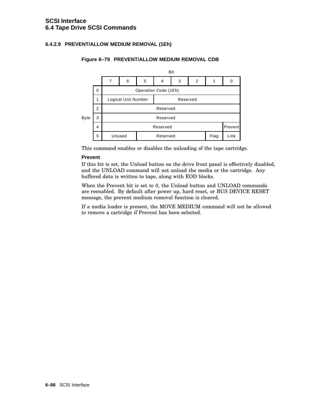## **6.4.2.9 PREVENT/ALLOW MEDIUM REMOVAL (1Eh)**



### **Figure 6–79 PREVENT/ALLOW MEDIUM REMOVAL CDB**

This command enables or disables the unloading of the tape cartridge.

#### **Prevent**

If this bit is set, the Unload button on the drive front panel is effectively disabled, and the UNLOAD command will not unload the media or the cartridge. Any buffered data is written to tape, along with EOD blocks.

When the Prevent bit is set to 0, the Unload button and UNLOAD commands are reenabled. By default after power up, hard reset, or BUS DEVICE RESET message, the prevent medium removal function is cleared.

If a media loader is present, the MOVE MEDIUM command will not be allowed to remove a cartridge if Prevent has been selected.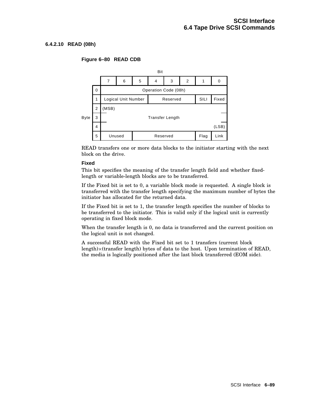### **6.4.2.10 READ (08h)**

#### Bit 7 | 6 | 5 | 4 | 3 | 2 | 1 | 0 0 Operation Code (08h) Logical Unit Number Reserved SILI Fixed (MSB) Byte 3 | Transfer Length Unused Reserved 1 Flag (LSB) 2 Link 3 4 5

### **Figure 6–80 READ CDB**

READ transfers one or more data blocks to the initiator starting with the next block on the drive.

#### **Fixed**

This bit specifies the meaning of the transfer length field and whether fixedlength or variable-length blocks are to be transferred.

If the Fixed bit is set to 0, a variable block mode is requested. A single block is transferred with the transfer length specifying the maximum number of bytes the initiator has allocated for the returned data.

If the Fixed bit is set to 1, the transfer length specifies the number of blocks to be transferred to the initiator. This is valid only if the logical unit is currently operating in fixed block mode.

When the transfer length is 0, no data is transferred and the current position on the logical unit is not changed.

A successful READ with the Fixed bit set to 1 transfers (current block length) (transfer length) bytes of data to the host. Upon termination of READ, the media is logically positioned after the last block transferred (EOM side).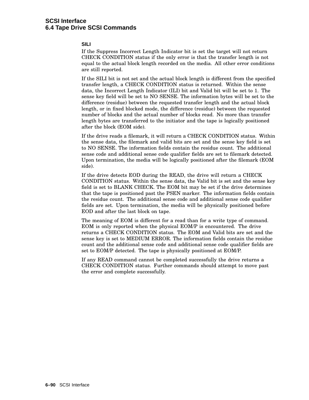## **SILI**

If the Suppress Incorrect Length Indicator bit is set the target will not return CHECK CONDITION status if the only error is that the transfer length is not equal to the actual block length recorded on the media. All other error conditions are still reported.

If the SILI bit is not set and the actual block length is different from the specified transfer length, a CHECK CONDITION status is returned. Within the sense data, the Incorrect Length Indicator (ILI) bit and Valid bit will be set to 1. The sense key field will be set to NO SENSE. The information bytes will be set to the difference (residue) between the requested transfer length and the actual block length, or in fixed blocked mode, the difference (residue) between the requested number of blocks and the actual number of blocks read. No more than transfer length bytes are transferred to the initiator and the tape is logically positioned after the block (EOM side).

If the drive reads a filemark, it will return a CHECK CONDITION status. Within the sense data, the filemark and valid bits are set and the sense key field is set to NO SENSE. The information fields contain the residue count. The additional sense code and additional sense code qualifier fields are set to filemark detected. Upon termination, the media will be logically positioned after the filemark (EOM side).

If the drive detects EOD during the READ, the drive will return a CHECK CONDITION status. Within the sense data, the Valid bit is set and the sense key field is set to BLANK CHECK. The EOM bit may be set if the drive determines that the tape is positioned past the PSEN marker. The information fields contain the residue count. The additional sense code and additional sense code qualifier fields are set. Upon termination, the media will be physically positioned before EOD and after the last block on tape.

The meaning of EOM is different for a read than for a write type of command. EOM is only reported when the physical EOM/P is encountered. The drive returns a CHECK CONDITION status. The EOM and Valid bits are set and the sense key is set to MEDIUM ERROR. The information fields contain the residue count and the additional sense code and additional sense code qualifier fields are set to EOM/P detected. The tape is physically positioned at EOM/P.

If any READ command cannot be completed successfully the drive returns a CHECK CONDITION status. Further commands should attempt to move past the error and complete successfully.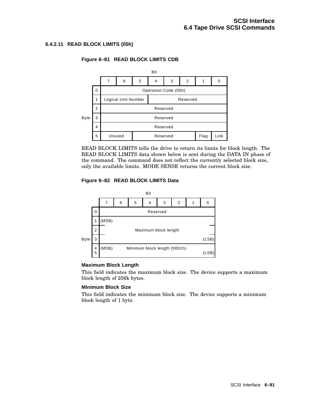## **6.4.2.11 READ BLOCK LIMITS (05h)**



### **Figure 6–81 READ BLOCK LIMITS CDB**

READ BLOCK LIMITS tells the drive to return its limits for block length. The READ BLOCK LIMITS data shown below is sent during the DATA IN phase of the command. The command does not reflect the currently selected block size, only the available limits. MODE SENSE returns the current block size.

## **Figure 6–82 READ BLOCK LIMITS Data**



#### **Maximum Block Length**

This field indicates the maximum block size. The device supports a maximum block length of 256k bytes.

#### **Minimum Block Size**

This field indicates the minimum block size. The device supports a minimum block length of 1 byte.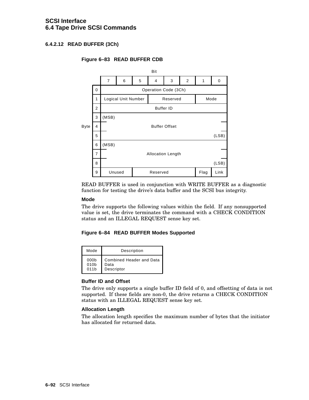## **6.4.2.12 READ BUFFER (3Ch)**

## **Figure 6–83 READ BUFFER CDB**



READ BUFFER is used in conjunction with WRITE BUFFER as a diagnostic function for testing the drive's data buffer and the SCSI bus integrity.

#### **Mode**

The drive supports the following values within the field. If any nonsupported value is set, the drive terminates the command with a CHECK CONDITION status and an ILLEGAL REQUEST sense key set.

#### **Figure 6–84 READ BUFFER Modes Supported**

| Mode             | Description                     |
|------------------|---------------------------------|
| 000 <sub>b</sub> | <b>Combined Header and Data</b> |
| 010 <sub>b</sub> | Data                            |
| 011h             | Descriptor                      |

#### **Buffer ID and Offset**

The drive only supports a single buffer ID field of 0, and offsetting of data is not supported. If these fields are non-0, the drive returns a CHECK CONDITION status with an ILLEGAL REQUEST sense key set.

#### **Allocation Length**

The allocation length specifies the maximum number of bytes that the initiator has allocated for returned data.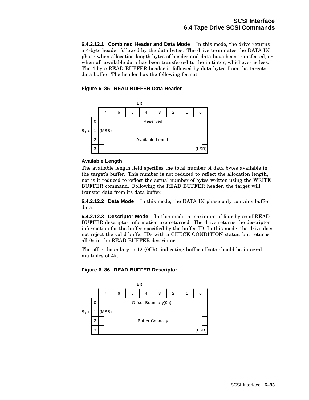**6.4.2.12.1 Combined Header and Data Mode** In this mode, the drive returns a 4-byte header followed by the data bytes. The drive terminates the DATA IN phase when allocation length bytes of header and data have been transferred, or when all available data has been transferred to the initiator, whichever is less. The 4-byte READ BUFFER header is followed by data bytes from the targets data buffer. The header has the following format:

**Figure 6–85 READ BUFFER Data Header**



## **Available Length**

The available length field specifies the total number of data bytes available in the target's buffer. This number is not reduced to reflect the allocation length, nor is it reduced to reflect the actual number of bytes written using the WRITE BUFFER command. Following the READ BUFFER header, the target will transfer data from its data buffer.

**6.4.2.12.2 Data Mode** In this mode, the DATA IN phase only contains buffer data.

**6.4.2.12.3 Descriptor Mode** In this mode, a maximum of four bytes of READ BUFFER descriptor information are returned. The drive returns the descriptor information for the buffer specified by the buffer ID. In this mode, the drive does not reject the valid buffer IDs with a CHECK CONDITION status, but returns all 0s in the READ BUFFER descriptor.

The offset boundary is 12 (0Ch), indicating buffer offsets should be integral multiples of 4k.



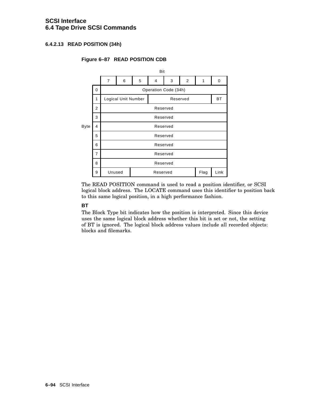## **6.4.2.13 READ POSITION (34h)**

#### Bit 7 6 5 4 3 2 1 0 0 Operation Code (34h) 1 | Logical Unit Number | Reserved | BT Reserved Byte Unused | Reserved | Flag | Link Reserved 2 Reserved 3 Reserved 4 Reserved 5 Reserved 6 Reserved 7 8 9

## **Figure 6–87 READ POSITION CDB**

The READ POSITION command is used to read a position identifier, or SCSI logical block address. The LOCATE command uses this identifier to position back to this same logical position, in a high performance fashion.

## **BT**

The Block Type bit indicates how the position is interpreted. Since this device uses the same logical block address whether this bit is set or not, the setting of BT is ignored. The logical block address values include all recorded objects: blocks and filemarks.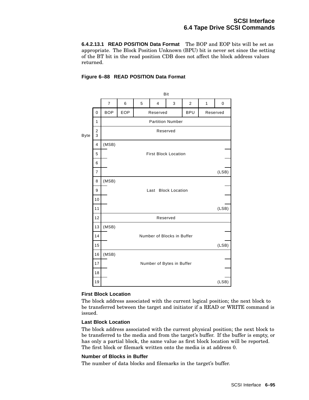**6.4.2.13.1 READ POSITION Data Format** The BOP and EOP bits will be set as appropriate. The Block Position Unknown (BPU) bit is never set since the setting of the BT bit in the read position CDB does not affect the block address values returned.

 $\mathbf{B}^{(i)}$ 

## **Figure 6–88 READ POSITION Data Format**

|             |                    | ы                                           |                             |                            |                           |   |              |          |       |  |
|-------------|--------------------|---------------------------------------------|-----------------------------|----------------------------|---------------------------|---|--------------|----------|-------|--|
|             |                    | $\overline{7}$                              | 6                           | 5                          | $\overline{4}$            | 3 | $\mathbf{2}$ | 1        | 0     |  |
|             | 0                  | EOP<br><b>BOP</b><br>Reserved<br><b>BPU</b> |                             |                            |                           |   |              | Reserved |       |  |
|             | 1                  |                                             |                             | <b>Partition Number</b>    |                           |   |              |          |       |  |
| <b>Byte</b> | 2<br>Reserved<br>3 |                                             |                             |                            |                           |   |              |          |       |  |
|             | $\overline{4}$     | (MSB)                                       |                             |                            |                           |   |              |          |       |  |
|             | 5                  |                                             | <b>First Block Location</b> |                            |                           |   |              |          |       |  |
|             | 6                  |                                             |                             |                            |                           |   |              |          |       |  |
|             | $\overline{7}$     |                                             |                             | (LSB)                      |                           |   |              |          |       |  |
|             | 8                  | (MSB)                                       |                             |                            |                           |   |              |          |       |  |
|             | 9                  |                                             |                             | Last Block Location        |                           |   |              |          |       |  |
|             | 10                 |                                             |                             |                            |                           |   |              |          |       |  |
|             | 11                 |                                             | (LSB)                       |                            |                           |   |              |          |       |  |
|             | 12                 | Reserved                                    |                             |                            |                           |   |              |          |       |  |
|             | 13                 | (MSB)                                       |                             |                            |                           |   |              |          |       |  |
|             | 14                 |                                             |                             | Number of Blocks in Buffer |                           |   |              |          |       |  |
|             | 15                 |                                             |                             |                            |                           |   |              |          | (LSB) |  |
|             | 16                 | (MSB)                                       |                             |                            |                           |   |              |          |       |  |
|             | 17                 |                                             |                             |                            | Number of Bytes in Buffer |   |              |          |       |  |
|             | 18                 |                                             |                             |                            |                           |   |              |          |       |  |
|             | 19                 |                                             |                             |                            |                           |   |              |          | (LSB) |  |

#### **First Block Location**

The block address associated with the current logical position; the next block to be transferred between the target and initiator if a READ or WRITE command is issued.

#### **Last Block Location**

The block address associated with the current physical position; the next block to be transferred to the media and from the target's buffer. If the buffer is empty, or has only a partial block, the same value as first block location will be reported. The first block or filemark written onto the media is at address 0.

#### **Number of Blocks in Buffer**

The number of data blocks and filemarks in the target's buffer.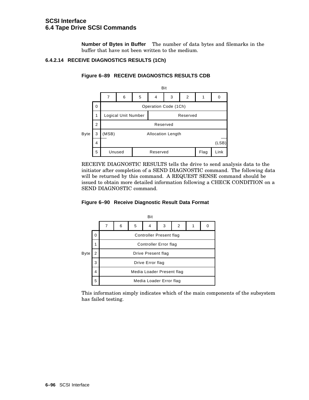**Number of Bytes in Buffer** The number of data bytes and filemarks in the buffer that have not been written to the medium.

#### **6.4.2.14 RECEIVE DIAGNOSTICS RESULTS (1Ch)**



#### **Figure 6–89 RECEIVE DIAGNOSTICS RESULTS CDB**

RECEIVE DIAGNOSTIC RESULTS tells the drive to send analysis data to the initiator after completion of a SEND DIAGNOSTIC command. The following data will be returned by this command. A REQUEST SENSE command should be issued to obtain more detailed information following a CHECK CONDITION on a SEND DIAGNOSTIC command.

#### **Figure 6–90 Receive Diagnostic Result Data Format**



This information simply indicates which of the main components of the subsystem has failed testing.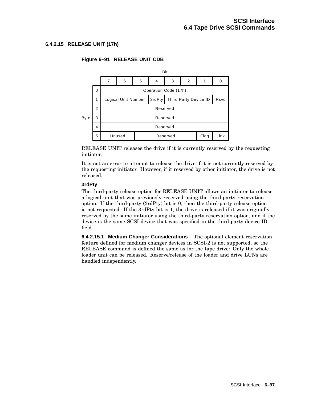## **6.4.2.15 RELEASE UNIT (17h)**



## **Figure 6–91 RELEASE UNIT CDB**

RELEASE UNIT releases the drive if it is currently reserved by the requesting initiator.

It is not an error to attempt to release the drive if it is not currently reserved by the requesting initiator. However, if it reserved by other initiator, the drive is not released.

#### **3rdPty**

The third-party release option for RELEASE UNIT allows an initiator to release a logical unit that was previously reserved using the third-party reservation option. If the third-party (3rdPty) bit is 0, then the third-party release option is not requested. If the 3rdPty bit is 1, the drive is released if it was originally reserved by the same initiator using the third-party reservation option, and if the device is the same SCSI device that was specified in the third-party device ID field.

**6.4.2.15.1 Medium Changer Considerations** The optional element reservation feature defined for medium changer devices in SCSI-2 is not supported, so the RELEASE command is defined the same as for the tape drive: Only the whole loader unit can be released. Reserve/release of the loader and drive LUNs are handled independently.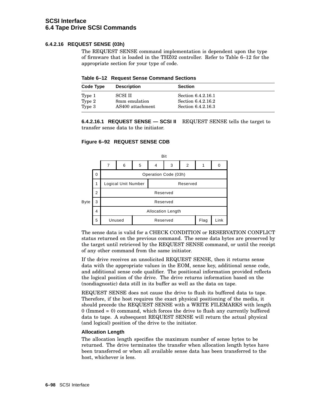## **6.4.2.16 REQUEST SENSE (03h)**

The REQUEST SENSE command implementation is dependent upon the type of firmware that is loaded in the THZ02 controller. Refer to Table 6–12 for the appropriate section for your type of code.

| Table 6-12 Request Sense Command Sections |  |  |  |
|-------------------------------------------|--|--|--|
|-------------------------------------------|--|--|--|

| Code Type | <b>Description</b> | <b>Section</b>     |  |
|-----------|--------------------|--------------------|--|
| Type 1    | SCSI II            | Section 6.4.2.16.1 |  |
| Type 2    | 8mm emulation      | Section 6.4.2.16.2 |  |
| Type 3    | AS400 attachment   | Section 6.4.2.16.3 |  |

**6.4.2.16.1 REQUEST SENSE — SCSI II** REQUEST SENSE tells the target to transfer sense data to the initiator.

#### **Figure 6–92 REQUEST SENSE CDB**



The sense data is valid for a CHECK CONDITION or RESERVATION CONFLICT status returned on the previous command. The sense data bytes are preserved by the target until retrieved by the REQUEST SENSE command, or until the receipt of any other command from the same initiator.

If the drive receives an unsolicited REQUEST SENSE, then it returns sense data with the appropriate values in the EOM, sense key, additional sense code, and additional sense code qualifier. The positional information provided reflects the logical position of the drive. The drive returns information based on the (nondiagnostic) data still in its buffer as well as the data on tape.

REQUEST SENSE does not cause the drive to flush its buffered data to tape. Therefore, if the host requires the exact physical positioning of the media, it should precede the REQUEST SENSE with a WRITE FILEMARKS with length 0 (Immed = 0) command, which forces the drive to flush any currently buffered data to tape. A subsequent REQUEST SENSE will return the actual physical (and logical) position of the drive to the initiator.

#### **Allocation Length**

The allocation length specifies the maximum number of sense bytes to be returned. The drive terminates the transfer when allocation length bytes have been transferred or when all available sense data has been transferred to the host, whichever is less.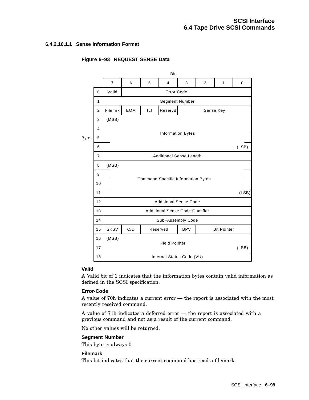## **6.4.2.16.1.1 Sense Information Format**

#### Bit 7 6 5 4 3 2 1 0 0 Valid Error Code Segment Number Filemrk **EOM** ILI Information Bytes Byte (LSB) Command Specific Information Bytes 10 (LSB) Additional Sense Code Additional Sense Code Qualifier Sub−Assembly Code SKSV C/D Reserved BPV Bit Pointer Additional Sense Length Sense Key 1 (MSB) Reservd C/D Internal Status Code (VU) Field Pointer (LSB) 11 Reserved 2 (MSB) 12 3 (MSB) 13 4 14 5 15 6 16 7 17 8 18 9

## **Figure 6–93 REQUEST SENSE Data**

## **Valid**

A Valid bit of 1 indicates that the information bytes contain valid information as defined in the SCSI specification.

## **Error-Code**

A value of 70h indicates a current error — the report is associated with the most recently received command.

A value of 71h indicates a deferred error — the report is associated with a previous command and not as a result of the current command.

No other values will be returned.

## **Segment Number**

This byte is always 0.

#### **Filemark**

This bit indicates that the current command has read a filemark.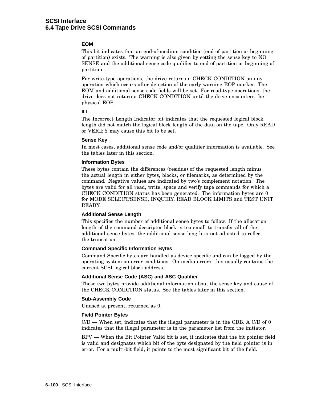#### **EOM**

This bit indicates that an end-of-medium condition (end of partition or beginning of partition) exists. The warning is also given by setting the sense key to NO SENSE and the additional sense code qualifier to end of partition or beginning of partition.

For write-type operations, the drive returns a CHECK CONDITION on any operation which occurs after detection of the early warning EOP marker. The EOM and additional sense code fields will be set. For read-type operations, the drive does not return a CHECK CONDITION until the drive encounters the physical EOP.

#### **ILI**

The Incorrect Length Indicator bit indicates that the requested logical block length did not match the logical block length of the data on the tape. Only READ or VERIFY may cause this bit to be set.

#### **Sense Key**

In most cases, additional sense code and/or qualifier information is available. See the tables later in this section.

#### **Information Bytes**

These bytes contain the differences (residue) of the requested length minus the actual length in either bytes, blocks, or filemarks, as determined by the command. Negative values are indicated by two's complement notation. The bytes are valid for all read, write, space and verify tape commands for which a CHECK CONDITION status has been generated. The information bytes are 0 for MODE SELECT/SENSE, INQUIRY, READ BLOCK LIMITS and TEST UNIT READY.

#### **Additional Sense Length**

This specifies the number of additional sense bytes to follow. If the allocation length of the command descriptor block is too small to transfer all of the additional sense bytes, the additional sense length is not adjusted to reflect the truncation.

#### **Command Specific Information Bytes**

Command Specific bytes are handled as device specific and can be logged by the operating system on error conditions. On media errors, this usually contains the current SCSI logical block address.

#### **Additional Sense Code (ASC) and ASC Qualifier**

These two bytes provide additional information about the sense key and cause of the CHECK CONDITION status. See the tables later in this section.

#### **Sub-Assembly Code**

Unused at present, returned as 0.

#### **Field Pointer Bytes**

C/D — When set, indicates that the illegal parameter is in the CDB. A C/D of 0 indicates that the illegal parameter is in the parameter list from the initiator.

BPV — When the Bit Pointer Valid bit is set, it indicates that the bit pointer field is valid and designates which bit of the byte designated by the field pointer is in error. For a multi-bit field, it points to the most significant bit of the field.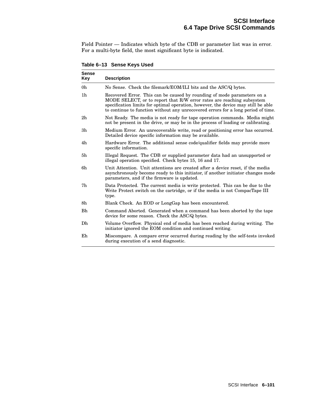Field Pointer — Indicates which byte of the CDB or parameter list was in error. For a multi-byte field, the most significant byte is indicated.

**Sense Key Description** 0h No Sense. Check the filemark/EOM/ILI bits and the ASC/Q bytes. 1h Recovered Error. This can be caused by rounding of mode parameters on a MODE SELECT, or to report that R/W error rates are reaching subsystem specification limits for optimal operation, however, the device may still be able to continue to function without any unrecovered errors for a long period of time. 2h Not Ready. The media is not ready for tape operation commands. Media might not be present in the drive, or may be in the process of loading or calibrating. 3h Medium Error. An unrecoverable write, read or positioning error has occurred. Detailed device specific information may be available. 4h Hardware Error. The additional sense code/qualifier fields may provide more specific information. 5h Illegal Request. The CDB or supplied parameter data had an unsupported or illegal operation specified. Check bytes 15, 16 and 17. 6h Unit Attention. Unit attentions are created after a device reset, if the media asynchronously become ready to this initiator, if another initiator changes mode parameters, and if the firmware is updated. 7h Data Protected. The current media is write protected. This can be due to the Write Protect switch on the cartridge, or if the media is not CompacTape III type. 8h Blank Check. An EOD or LongGap has been encountered. Bh Command Aborted. Generated when a command has been aborted by the tape device for some reason. Check the ASC/Q bytes. Dh Volume Overflow. Physical end of media has been reached during writing. The initiator ignored the EOM condition and continued writing. Eh Miscompare. A compare error occurred during reading by the self-tests invoked during execution of a send diagnostic.

**Table 6–13 Sense Keys Used**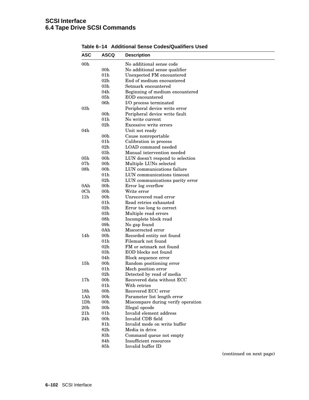# **SCSI Interface 6.4 Tape Drive SCSI Commands**

| <b>ASC</b>      | ASCQ            | <b>Description</b>                 |
|-----------------|-----------------|------------------------------------|
| 00 <sub>h</sub> |                 | No additional sense code           |
|                 | 00 <sub>h</sub> | No additional sense qualifier      |
|                 | 01 <sub>h</sub> | Unexpected FM encountered          |
|                 | 02 <sub>h</sub> | End of medium encountered          |
|                 | 03h             | Setmark encountered                |
|                 | 04h             | Beginning of medium encountered    |
|                 | 05h             | EOD encountered                    |
|                 | 06 <sub>h</sub> | I/O process terminated             |
| 03h             |                 | Peripheral device write error      |
|                 | 00 <sub>h</sub> | Peripheral device write fault      |
|                 | 01 <sub>h</sub> | No write current                   |
|                 | $02\mathrm{h}$  | Excessive write errors             |
| 04h             |                 | Unit not ready                     |
|                 | 00 <sub>h</sub> | Cause nonreportable                |
|                 | 01h             | Calibration in process             |
|                 | 02 <sub>h</sub> | LOAD command needed                |
|                 | 03h             | Manual intervention needed         |
| 05h             | 00h             | LUN doesn't respond to selection   |
| 07 <sub>h</sub> | 00h             | Multiple LUNs selected             |
| 08 <sub>h</sub> | 00h             | LUN communications failure         |
|                 | 01 <sub>h</sub> | LUN communications timeout         |
|                 | 02 <sub>h</sub> | LUN communications parity error    |
| 0Ah             | 00h             | Error log overflow                 |
| 0 <sub>Ch</sub> | 00h             | Write error                        |
| 11h             | 00h             | Unrecovered read error             |
|                 | 01 <sub>h</sub> | Read retries exhausted             |
|                 | 02h             | Error too long to correct          |
|                 | 03h             | Multiple read errors               |
|                 | 08 <sub>h</sub> | Incomplete block read              |
|                 | 09 <sub>h</sub> | No gap found                       |
|                 | 0Ah             | Miscorrected error                 |
| 14h             | 00 <sub>h</sub> | Recorded entity not found          |
|                 | 01 <sub>h</sub> | Filemark not found                 |
|                 | 02 <sub>h</sub> | FM or setmark not found            |
|                 | 03h             | EOD blocks not found               |
|                 | 04h             | Block sequence error               |
| 15h             | 00 <sub>h</sub> | Random positioning error           |
|                 | 01h             | Mech position error                |
|                 | $02\mathrm{h}$  | Detected by read of media          |
| 17h             | 00h             | Recovered data without ECC         |
|                 | 01 <sub>h</sub> | With retries                       |
| 18h             | 00 <sub>h</sub> | Recovered ECC error                |
| 1Ah             | 00 <sub>h</sub> | Parameter list length error        |
| 1Dh             | 00 <sub>h</sub> | Miscompare during verify operation |
| $20\mathrm{h}$  | 00 <sub>h</sub> | Illegal opcode                     |
| 21h             | 01 <sub>h</sub> | Invalid element address            |
| 24h             | 00 <sub>h</sub> | Invalid CDB field                  |
|                 | 81h             | Invalid mode on write buffer       |
|                 | 82h             | Media in drive                     |
|                 | 83h             | Command queue not empty            |
|                 | 84h             | <b>Insufficient resources</b>      |
|                 | 85h             | Invalid buffer ID                  |

## **Table 6–14 Additional Sense Codes/Qualifiers Used**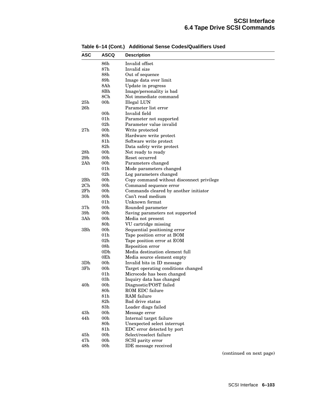| <b>ASC</b>      | ASCQ            | <b>Description</b>                        |
|-----------------|-----------------|-------------------------------------------|
|                 | 86h             | Invalid offset                            |
|                 | $87\mathrm{h}$  | Invalid size                              |
|                 | 88h             | Out of sequence                           |
|                 | 89h             | Image data over limit                     |
|                 | 8Ah             | Update in progress                        |
|                 | $8\mathrm{Bh}$  | Image/personality is bad                  |
|                 | 8Ch             | Not immediate command                     |
| 25h             | $00\mathrm{h}$  | <b>Illegal LUN</b>                        |
| 26h             |                 | Parameter list error                      |
|                 | 00 <sub>h</sub> | Invalid field                             |
|                 | 01h             | Parameter not supported                   |
|                 | $02\mathrm{h}$  | Parameter value invalid                   |
| 27h             | $00\mathrm{h}$  | Write protected                           |
|                 | 80h             | Hardware write protect                    |
|                 | 81h             | Software write protect                    |
|                 | 82 <sub>h</sub> | Data safety write protect                 |
| 28h             | 00h             | Not ready to ready                        |
| 29h             | 00h             | Reset occurred                            |
| 2Ah             | 00h             | Parameters changed                        |
|                 | 01 <sub>h</sub> | Mode parameters changed                   |
|                 | 02 <sub>h</sub> | Log parameters changed                    |
| 2Bh             | 00h             | Copy command without disconnect privilege |
| 2Ch             | 00h             | Command sequence error                    |
| 2Fh             | 00h             | Commands cleared by another initiator     |
| 30 <sub>h</sub> | 00 <sub>h</sub> | Can't read medium                         |
|                 | 01 <sub>h</sub> | Unknown format                            |
| 37h             | 00h             | Rounded parameter                         |
| 39h             | 00h             | Saving parameters not supported           |
| 3Ah             | 00h             | Media not present                         |
|                 | 80h             | VU cartridge missing                      |
| 3Bh             | 00h             | Sequential positioning error              |
|                 | 01h             | Tape position error at BOM                |
|                 | 02 <sub>h</sub> | Tape position error at EOM                |
|                 | 08 <sub>h</sub> | Reposition error                          |
|                 | 0Dh             | Media destination element full            |
|                 | $0\mathrm{Eh}$  | Media source element empty                |
| 3D <sub>h</sub> | 00h             | Invalid bits in ID message                |
| 3Fh             | 00 <sub>h</sub> | Target operating conditions changed       |
|                 | 01 <sub>h</sub> | Microcode has been changed                |
|                 | 03h             | Inquiry data has changed                  |
| 40h             | 00h             | Diagnostic/POST failed                    |
|                 | 80h             | ROM EDC failure                           |
|                 | 81h             | RAM failure                               |
|                 | 82h             | Bad drive status                          |
|                 | 83h             | Loader diags failed                       |
| 43h             | 00h             | Message error                             |
| 44h             | 00h             | Internal target failure                   |
|                 | 80h             | Unexpected select interrupt               |
|                 | 81h             | EDC error detected by port                |
| 45h             | 00 <sub>h</sub> | Select/reselect failure                   |
| 47h             | 00 <sub>h</sub> | SCSI parity error                         |
| 48h             | 00 <sub>h</sub> | <b>IDE</b> message received               |

**Table 6–14 (Cont.) Additional Sense Codes/Qualifiers Used**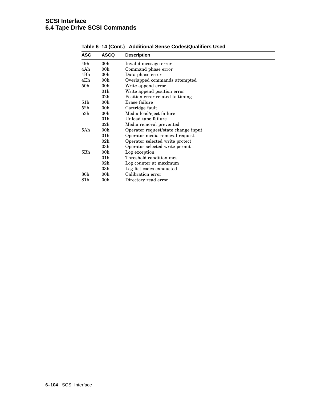| <b>ASC</b>      | <b>ASCQ</b>     | <b>Description</b>                  |
|-----------------|-----------------|-------------------------------------|
| 49h             | 00 <sub>h</sub> | Invalid message error               |
| 4Ah             | 00 <sub>h</sub> | Command phase error                 |
| 4Bh             | 00 <sub>h</sub> | Data phase error                    |
| 4Eh             | 00 <sub>h</sub> | Overlapped commands attempted       |
| 50 <sub>h</sub> | 00 <sub>h</sub> | Write append error                  |
|                 | 01 <sub>h</sub> | Write append position error         |
|                 | 02h             | Position error related to timing    |
| 51 <sub>h</sub> | 00 <sub>h</sub> | Erase failure                       |
| 52 <sub>h</sub> | 00 <sub>h</sub> | Cartridge fault                     |
| 53h             | 00 <sub>h</sub> | Media load/eject failure            |
|                 | 01 <sub>h</sub> | Unload tape failure                 |
|                 | 02 <sub>h</sub> | Media removal prevented             |
| 5Ah             | 00 <sub>h</sub> | Operator request/state change input |
|                 | 01 <sub>h</sub> | Operator media removal request      |
|                 | 02 <sub>h</sub> | Operator selected write protect     |
|                 | 03h             | Operator selected write permit      |
| 5Bh             | 00 <sub>h</sub> | Log exception                       |
|                 | 01 <sub>h</sub> | Threshold condition met             |
|                 | 02h             | Log counter at maximum              |
|                 | 03h             | Log list codes exhausted            |
| 80 <sub>h</sub> | 00 <sub>h</sub> | Calibration error                   |
| 81h             | 00h             | Directory read error                |

**Table 6–14 (Cont.) Additional Sense Codes/Qualifiers Used**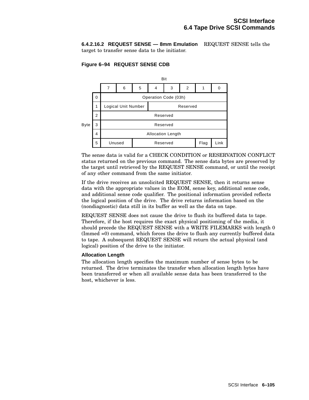**6.4.2.16.2 REQUEST SENSE — 8mm Emulation** REQUEST SENSE tells the target to transfer sense data to the initiator.

## **Figure 6–94 REQUEST SENSE CDB**



The sense data is valid for a CHECK CONDITION or RESERVATION CONFLICT status returned on the previous command. The sense data bytes are preserved by the target until retrieved by the REQUEST SENSE command, or until the receipt of any other command from the same initiator.

If the drive receives an unsolicited REQUEST SENSE, then it returns sense data with the appropriate values in the EOM, sense key, additional sense code, and additional sense code qualifier. The positional information provided reflects the logical position of the drive. The drive returns information based on the (nondiagnostic) data still in its buffer as well as the data on tape.

REQUEST SENSE does not cause the drive to flush its buffered data to tape. Therefore, if the host requires the exact physical positioning of the media, it should precede the REQUEST SENSE with a WRITE FILEMARKS with length 0 (Immed =0) command, which forces the drive to flush any currently buffered data to tape. A subsequent REQUEST SENSE will return the actual physical (and logical) position of the drive to the initiator.

#### **Allocation Length**

The allocation length specifies the maximum number of sense bytes to be returned. The drive terminates the transfer when allocation length bytes have been transferred or when all available sense data has been transferred to the host, whichever is less.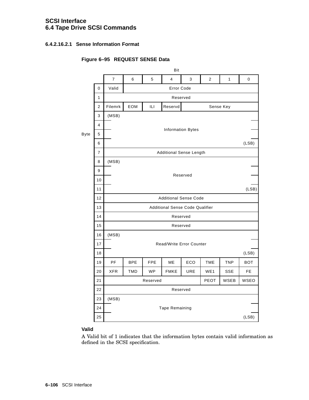# **SCSI Interface 6.4 Tape Drive SCSI Commands**

## **6.4.2.16.2.1 Sense Information Format**

# **Figure 6–95 REQUEST SENSE Data**

|      |                      | Bit            |                                        |                              |                                |            |                |              |             |  |  |  |
|------|----------------------|----------------|----------------------------------------|------------------------------|--------------------------------|------------|----------------|--------------|-------------|--|--|--|
|      |                      | $\overline{7}$ | 6                                      | 5                            | $\overline{4}$                 | 3          | $\overline{2}$ | $\mathbf{1}$ | $\mathbf 0$ |  |  |  |
|      | 0                    | Valid          | Error Code                             |                              |                                |            |                |              |             |  |  |  |
|      | 1                    |                | Reserved                               |                              |                                |            |                |              |             |  |  |  |
|      | $\overline{2}$       | Filemrk        | EOM                                    | ILI                          | Reservd                        |            | Sense Key      |              |             |  |  |  |
|      | 3                    | (MSB)          |                                        |                              |                                |            |                |              |             |  |  |  |
|      | $\overline{4}$       |                |                                        |                              |                                |            |                |              |             |  |  |  |
| Byte | 5                    |                | <b>Information Bytes</b>               |                              |                                |            |                |              |             |  |  |  |
|      | 6                    |                |                                        |                              |                                |            |                |              | (LSB)       |  |  |  |
|      | $\overline{7}$       |                |                                        |                              | <b>Additional Sense Length</b> |            |                |              |             |  |  |  |
|      | 8                    | (MSB)          |                                        |                              |                                |            |                |              |             |  |  |  |
|      | 9                    |                |                                        |                              |                                | Reserved   |                |              |             |  |  |  |
|      | 10                   |                |                                        |                              |                                |            |                |              |             |  |  |  |
|      | 11                   |                |                                        |                              |                                |            |                |              | (LSB)       |  |  |  |
|      | 12                   |                |                                        | <b>Additional Sense Code</b> |                                |            |                |              |             |  |  |  |
|      | 13                   |                | <b>Additional Sense Code Qualifier</b> |                              |                                |            |                |              |             |  |  |  |
|      | 14                   |                | Reserved                               |                              |                                |            |                |              |             |  |  |  |
|      | 15                   | Reserved       |                                        |                              |                                |            |                |              |             |  |  |  |
|      | 16                   | (MSB)          |                                        |                              |                                |            |                |              |             |  |  |  |
|      | 17                   |                |                                        |                              | Read/Write Error Counter       |            |                |              |             |  |  |  |
|      | 18                   |                |                                        |                              |                                |            |                |              | (LSB)       |  |  |  |
|      | 19                   | <b>PF</b>      | <b>BPE</b>                             | <b>FPE</b>                   | ME                             | ECO        | <b>TME</b>     | <b>TNP</b>   | <b>BOT</b>  |  |  |  |
|      | 20                   | <b>XFR</b>     | <b>TMD</b>                             | <b>WP</b>                    | <b>FMKE</b>                    | <b>URE</b> | WE1            | <b>SSE</b>   | FE.         |  |  |  |
|      | 21                   |                |                                        | Reserved                     |                                |            | PEOT           | <b>WSEB</b>  | WSEO        |  |  |  |
|      | 22                   |                |                                        |                              | Reserved                       |            |                |              |             |  |  |  |
|      | 23                   | (MSB)          |                                        |                              |                                |            |                |              |             |  |  |  |
|      | 24<br>Tape Remaining |                |                                        |                              |                                |            |                |              |             |  |  |  |
|      | 25                   |                |                                        |                              |                                |            |                |              | (LSB)       |  |  |  |

# **Valid**

A Valid bit of 1 indicates that the information bytes contain valid information as defined in the SCSI specification.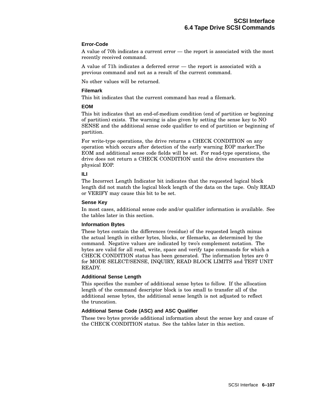#### **Error-Code**

A value of 70h indicates a current error — the report is associated with the most recently received command.

A value of 71h indicates a deferred error — the report is associated with a previous command and not as a result of the current command.

No other values will be returned.

#### **Filemark**

This bit indicates that the current command has read a filemark.

#### **EOM**

This bit indicates that an end-of-medium condition (end of partition or beginning of partition) exists. The warning is also given by setting the sense key to NO SENSE and the additional sense code qualifier to end of partition or beginning of partition.

For write-type operations, the drive returns a CHECK CONDITION on any operation which occurs after detection of the early warning EOP marker.The EOM and additional sense code fields will be set. For read-type operations, the drive does not return a CHECK CONDITION until the drive encounters the physical EOP.

## **ILI**

The Incorrect Length Indicator bit indicates that the requested logical block length did not match the logical block length of the data on the tape. Only READ or VERIFY may cause this bit to be set.

#### **Sense Key**

In most cases, additional sense code and/or qualifier information is available. See the tables later in this section.

## **Information Bytes**

These bytes contain the differences (residue) of the requested length minus the actual length in either bytes, blocks, or filemarks, as determined by the command. Negative values are indicated by two's complement notation. The bytes are valid for all read, write, space and verify tape commands for which a CHECK CONDITION status has been generated. The information bytes are 0 for MODE SELECT/SENSE, INQUIRY, READ BLOCK LIMITS and TEST UNIT READY.

#### **Additional Sense Length**

This specifies the number of additional sense bytes to follow. If the allocation length of the command descriptor block is too small to transfer all of the additional sense bytes, the additional sense length is not adjusted to reflect the truncation.

## **Additional Sense Code (ASC) and ASC Qualifier**

These two bytes provide additional information about the sense key and cause of the CHECK CONDITION status. See the tables later in this section.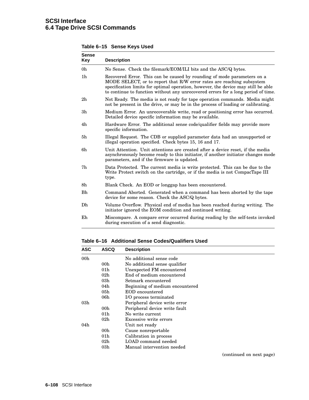| <b>Sense</b><br>Key | <b>Description</b>                                                                                                                                                                                                                                                                                                         |
|---------------------|----------------------------------------------------------------------------------------------------------------------------------------------------------------------------------------------------------------------------------------------------------------------------------------------------------------------------|
| 0h                  | No Sense. Check the filemark/EOM/ILI bits and the ASC/Q bytes.                                                                                                                                                                                                                                                             |
| 1 <sub>h</sub>      | Recovered Error. This can be caused by rounding of mode parameters on a<br>MODE SELECT, or to report that R/W error rates are reaching subsystem<br>specification limits for optimal operation, however, the device may still be able<br>to continue to function without any unrecovered errors for a long period of time. |
| 2h                  | Not Ready. The media is not ready for tape operation commands. Media might<br>not be present in the drive, or may be in the process of loading or calibrating.                                                                                                                                                             |
| 3 <sub>h</sub>      | Medium Error. An unrecoverable write, read or positioning error has occurred.<br>Detailed device specific information may be available.                                                                                                                                                                                    |
| 4h                  | Hardware Error. The additional sense code/qualifier fields may provide more<br>specific information.                                                                                                                                                                                                                       |
| 5 <sub>h</sub>      | Illegal Request. The CDB or supplied parameter data had an unsupported or<br>illegal operation specified. Check bytes 15, 16 and 17.                                                                                                                                                                                       |
| 6h                  | Unit Attention. Unit attentions are created after a device reset, if the media<br>asynchronously become ready to this initiator, if another initiator changes mode<br>parameters, and if the firmware is updated.                                                                                                          |
| 7h                  | Data Protected. The current media is write protected. This can be due to the<br>Write Protect switch on the cartridge, or if the media is not CompacTape III<br>type.                                                                                                                                                      |
| 8h                  | Blank Check. An EOD or longgap has been encountered.                                                                                                                                                                                                                                                                       |
| Bh                  | Command Aborted. Generated when a command has been aborted by the tape<br>device for some reason. Check the ASC/Q bytes.                                                                                                                                                                                                   |
| Dh                  | Volume Overflow. Physical end of media has been reached during writing. The<br>initiator ignored the EOM condition and continued writing.                                                                                                                                                                                  |
| Eh                  | Miscompare. A compare error occurred during reading by the self-tests invoked<br>during execution of a send diagnostic.                                                                                                                                                                                                    |

**Table 6–15 Sense Keys Used**

**Table 6–16 Additional Sense Codes/Qualifiers Used**

| <b>ASC</b>      | <b>ASCQ</b>     | <b>Description</b>              |
|-----------------|-----------------|---------------------------------|
| 00 <sub>h</sub> |                 | No additional sense code        |
|                 | 00 <sub>h</sub> | No additional sense qualifier   |
|                 | 01 <sub>h</sub> | Unexpected FM encountered       |
|                 | 02 <sub>h</sub> | End of medium encountered       |
|                 | 03h             | Setmark encountered             |
|                 | 04h             | Beginning of medium encountered |
|                 | 05h             | EOD encountered                 |
|                 | 06h             | I/O process terminated          |
| 03 <sub>h</sub> |                 | Peripheral device write error   |
|                 | 00 <sub>h</sub> | Peripheral device write fault   |
|                 | 01 <sub>h</sub> | No write current                |
|                 | 02 <sub>h</sub> | Excessive write errors          |
| 04h             |                 | Unit not ready                  |
|                 | 00 <sub>h</sub> | Cause nonreportable             |
|                 | 01 <sub>h</sub> | Calibration in process          |
|                 | 02 <sub>h</sub> | LOAD command needed             |
|                 | 03h             | Manual intervention needed      |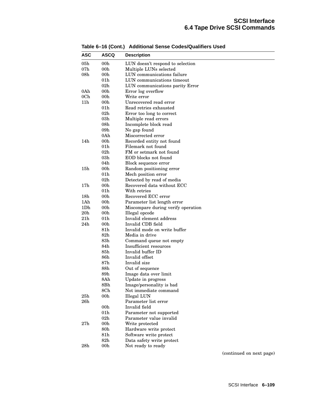| <b>ASC</b>      | <b>ASCQ</b>     | <b>Description</b>                 |
|-----------------|-----------------|------------------------------------|
| 05 <sub>h</sub> | 00h             | LUN doesn't respond to selection   |
| 07h             | 00h             | Multiple LUNs selected             |
| 08h             | 00h             | LUN communications failure         |
|                 | 01h             | LUN communications timeout         |
|                 | $02\mathrm{h}$  | LUN communications parity Error    |
| 0Ah             | 00h             | Error log overflow                 |
| 0 <sub>Ch</sub> | 00h             | Write error                        |
| 11h             | 00h             | Unrecovered read error             |
|                 | 01h             | Read retries exhausted             |
|                 | 02 <sub>h</sub> | Error too long to correct          |
|                 | 03h             | Multiple read errors               |
|                 | 08 <sub>h</sub> | Incomplete block read              |
|                 | 09 <sub>h</sub> | No gap found                       |
|                 | 0Ah             | Miscorrected error                 |
| 14h             | 00h             | Recorded entity not found          |
|                 | 01h             | Filemark not found                 |
|                 | 02 <sub>h</sub> | FM or setmark not found            |
|                 | 03h             | EOD blocks not found               |
|                 | 04h             | Block sequence error               |
| 15 <sub>h</sub> | 00h             | Random positioning error           |
|                 | 01h             | Mech position error                |
|                 | 02h             | Detected by read of media          |
| 17 <sub>h</sub> | 00h             | Recovered data without ECC         |
|                 | 01h             | With retries                       |
| 18 <sub>h</sub> | 00h             | Recovered ECC error                |
| 1Ah             | 00h             | Parameter list length error        |
| 1Dh             | 00h             | Miscompare during verify operation |
| 20h             | 00h             | Illegal opcode                     |
| 21h             | 01h             | Invalid element address            |
| 24h             | 00h             | Invalid CDB field                  |
|                 | 81h             | Invalid mode on write buffer       |
|                 | $82\mathrm{h}$  | Media in drive                     |
|                 | $83\mathrm{h}$  | Command queue not empty            |
|                 | 84h             | Insufficient resources             |
|                 | 85h             | Invalid buffer ID                  |
|                 | 86h             | Invalid offset                     |
|                 | 87h             | Invalid size                       |
|                 | 88h             | Out of sequence                    |
|                 | 89h             | Image data over limit              |
|                 | 8Ah             | Update in progress                 |
|                 | 8Bh             | Image/personality is bad           |
|                 | 8Ch             | Not immediate command              |
| 25h             | 00 <sub>h</sub> | Illegal LUN                        |
| 26h             |                 | Parameter list error               |
|                 | 00 <sub>h</sub> | Invalid field                      |
|                 | 01 <sub>h</sub> | Parameter not supported            |
|                 | 02h             | Parameter value invalid            |
| 27h             | 00 <sub>h</sub> | Write protected                    |
|                 | 80h             | Hardware write protect             |
|                 | 81h             | Software write protect             |
|                 | 82 <sub>h</sub> | Data safety write protect          |
| 28h             | 00 <sub>h</sub> | Not ready to ready                 |

**Table 6–16 (Cont.) Additional Sense Codes/Qualifiers Used**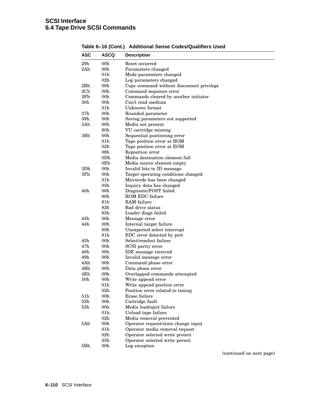| <b>ASC</b>      | ASCQ                   | <b>Description</b>                                    |
|-----------------|------------------------|-------------------------------------------------------|
| 29h             | 00h                    | Reset occurred                                        |
| 2Ah             | 00 <sub>h</sub>        | Parameters changed                                    |
|                 | 01 <sub>h</sub>        | Mode parameters changed                               |
|                 | 02 <sub>h</sub>        | Log parameters changed                                |
| 2Bh             | 00h                    | Copy command without disconnect privilege             |
| 2Ch             | 00h                    | Command sequence error                                |
| 2Fh             | 00 <sub>h</sub>        | Commands cleared by another initiator                 |
| 30 <sub>h</sub> | 00 <sub>h</sub>        | Can't read medium                                     |
|                 | 01 <sub>h</sub>        | Unknown format                                        |
| 37 <sub>h</sub> | 00 <sub>h</sub>        | Rounded parameter                                     |
| 39h             | 00 <sub>h</sub>        | Saving parameters not supported                       |
| 3Ah             | 00h                    | Media not present                                     |
|                 | 80 <sub>h</sub>        | VU cartridge missing                                  |
| 3Bh             | 00 <sub>h</sub>        | Sequential positioning error                          |
|                 | 01 <sub>h</sub>        | Tape position error at BOM                            |
|                 | 02 <sub>h</sub>        | Tape position error at EOM                            |
|                 | 08 <sub>h</sub>        | Reposition error                                      |
|                 | 0Dh                    | Media destination element full                        |
|                 | 0Eh                    | Media source element empty                            |
| 3D <sub>h</sub> | 00 <sub>h</sub>        | Invalid bits in ID message                            |
| 3Fh             | 00h                    | Target operating conditions changed                   |
|                 | 01 <sub>h</sub>        | Microcode has been changed                            |
|                 | 03h                    | Inquiry data has changed                              |
| 40h             | 00h                    | Diagnostic/POST failed                                |
|                 | $80\mathrm{h}$         | ROM EDC failure                                       |
|                 | 81h                    | RAM failure                                           |
|                 | $82\mathrm{h}$         |                                                       |
|                 | $83\mathrm{h}$         | Bad drive status                                      |
| 43h             | 00h                    | Loader diags failed                                   |
|                 |                        | Message error                                         |
| 44h             | 00 <sub>h</sub>        | Internal target failure                               |
|                 | 80 <sub>h</sub>        | Unexpected select interrupt                           |
| 45h             | 81h<br>00 <sub>h</sub> | EDC error detected by port<br>Select/reselect failure |
| 47 <sub>h</sub> |                        |                                                       |
|                 | 00 <sub>h</sub>        | SCSI parity error                                     |
| 48h             | 00 <sub>h</sub>        | <b>IDE</b> message received                           |
| 49h             | 00 <sub>h</sub>        | Invalid message error                                 |
| 4Ah             | 00 <sub>h</sub>        | Command phase error                                   |
| 4Bh             | 00h                    | Data phase error                                      |
| 4Eh             | 00 <sub>h</sub>        | Overlapped commands attempted                         |
| $50\mathrm{h}$  | 00h                    | Write append error                                    |
|                 | 01h                    | Write append position error                           |
|                 | 02h                    | Position error related to timing                      |
| 51 <sub>h</sub> | 00 <sub>h</sub>        | Erase failure                                         |
| 52h             | 00 <sub>h</sub>        | Cartridge fault                                       |
| 53h             | 00h                    | Media load/eject failure                              |
|                 | 01 <sub>h</sub>        | Unload tape failure                                   |
|                 | 02h                    | Media removal prevented                               |
| 5Ah             | 00 <sub>h</sub>        | Operator request/state change input                   |
|                 | 01 <sub>h</sub>        | Operator media removal request                        |
|                 | 02 <sub>h</sub>        | Operator selected write protect                       |
|                 | 03h                    | Operator selected write permit                        |
| 5Bh             | 00h                    | Log exception                                         |

**Table 6–16 (Cont.) Additional Sense Codes/Qualifiers Used**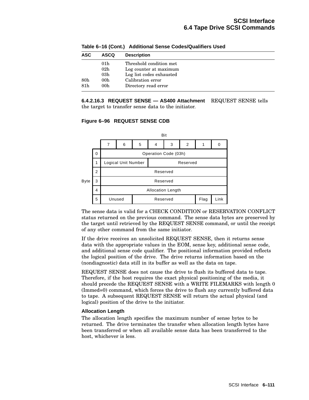| <b>ASC</b>      | <b>ASCQ</b>     | <b>Description</b>       |
|-----------------|-----------------|--------------------------|
|                 | 01 <sub>h</sub> | Threshold condition met  |
|                 | 02 <sub>h</sub> | Log counter at maximum   |
|                 | 03 <sub>h</sub> | Log list codes exhausted |
| 80 <sub>h</sub> | 00h             | Calibration error        |
| 81 <sub>h</sub> | 00 <sub>h</sub> | Directory read error     |

**Table 6–16 (Cont.) Additional Sense Codes/Qualifiers Used**

#### **6.4.2.16.3 REQUEST SENSE — AS400 Attachment** REQUEST SENSE tells the target to transfer sense data to the initiator.

**Figure 6–96 REQUEST SENSE CDB**



The sense data is valid for a CHECK CONDITION or RESERVATION CONFLICT status returned on the previous command. The sense data bytes are preserved by the target until retrieved by the REQUEST SENSE command, or until the receipt of any other command from the same initiator.

If the drive receives an unsolicited REQUEST SENSE, then it returns sense data with the appropriate values in the EOM, sense key, additional sense code, and additional sense code qualifier. The positional information provided reflects the logical position of the drive. The drive returns information based on the (nondiagnostic) data still in its buffer as well as the data on tape.

REQUEST SENSE does not cause the drive to flush its buffered data to tape. Therefore, if the host requires the exact physical positioning of the media, it should precede the REQUEST SENSE with a WRITE FILEMARKS with length 0 (Immed=0) command, which forces the drive to flush any currently buffered data to tape. A subsequent REQUEST SENSE will return the actual physical (and logical) position of the drive to the initiator.

#### **Allocation Length**

The allocation length specifies the maximum number of sense bytes to be returned. The drive terminates the transfer when allocation length bytes have been transferred or when all available sense data has been transferred to the host, whichever is less.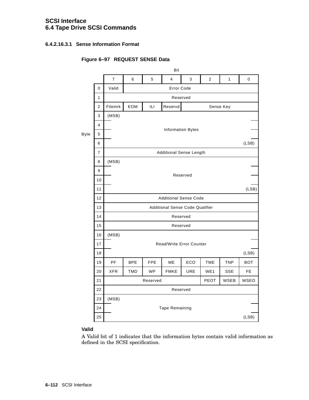# **SCSI Interface 6.4 Tape Drive SCSI Commands**

## **6.4.2.16.3.1 Sense Information Format**

# **Figure 6–97 REQUEST SENSE Data**

|                | Bit                 |                                        |            |                |            |                                                                                |                                                            |             |  |  |  |
|----------------|---------------------|----------------------------------------|------------|----------------|------------|--------------------------------------------------------------------------------|------------------------------------------------------------|-------------|--|--|--|
|                | $\overline{7}$      | 6                                      | 5          | $\overline{4}$ | 3          | $\overline{2}$                                                                 | $\mathbf{1}$                                               | $\mathbf 0$ |  |  |  |
| 0              | Valid<br>Error Code |                                        |            |                |            |                                                                                |                                                            |             |  |  |  |
| 1              |                     |                                        |            |                |            |                                                                                |                                                            |             |  |  |  |
| $\overline{2}$ | Filemrk             | EOM                                    | ILI        | Reservd        |            |                                                                                |                                                            |             |  |  |  |
| 3              | (MSB)               |                                        |            |                |            |                                                                                |                                                            |             |  |  |  |
| $\overline{4}$ |                     |                                        |            |                |            |                                                                                |                                                            |             |  |  |  |
| 5              |                     |                                        |            |                |            |                                                                                |                                                            |             |  |  |  |
| 6              |                     |                                        |            |                |            |                                                                                |                                                            | (LSB)       |  |  |  |
| $\overline{7}$ |                     |                                        |            |                |            |                                                                                |                                                            |             |  |  |  |
| 8              | (MSB)               |                                        |            |                |            |                                                                                |                                                            |             |  |  |  |
| 9              |                     |                                        |            |                |            |                                                                                |                                                            |             |  |  |  |
| 10             |                     |                                        |            |                |            |                                                                                |                                                            |             |  |  |  |
| 11             |                     |                                        |            |                |            |                                                                                |                                                            | (LSB)       |  |  |  |
| 12             |                     | <b>Additional Sense Code</b>           |            |                |            |                                                                                |                                                            |             |  |  |  |
| 13             |                     | <b>Additional Sense Code Qualifier</b> |            |                |            |                                                                                |                                                            |             |  |  |  |
| 14             |                     | Reserved                               |            |                |            |                                                                                |                                                            |             |  |  |  |
| 15             |                     |                                        |            |                |            |                                                                                |                                                            |             |  |  |  |
| 16             | (MSB)               |                                        |            |                |            |                                                                                |                                                            |             |  |  |  |
| 17             |                     |                                        |            |                |            |                                                                                |                                                            |             |  |  |  |
| 18             |                     |                                        |            |                |            |                                                                                |                                                            | (LSB)       |  |  |  |
| 19             | PF                  | <b>BPE</b>                             | <b>FPE</b> | ME             | ECO        | <b>TME</b>                                                                     | <b>TNP</b>                                                 | <b>BOT</b>  |  |  |  |
| 20             | <b>XFR</b>          | <b>TMD</b>                             | <b>WP</b>  | <b>FMKE</b>    | <b>URE</b> | WE1                                                                            | <b>SSE</b>                                                 | FE.         |  |  |  |
| 21             |                     |                                        |            |                |            | PEOT                                                                           | <b>WSEB</b>                                                | <b>WSEO</b> |  |  |  |
| 22             | Reserved            |                                        |            |                |            |                                                                                |                                                            |             |  |  |  |
| 23             | (MSB)               |                                        |            |                |            |                                                                                |                                                            |             |  |  |  |
| 24             |                     |                                        |            |                |            |                                                                                |                                                            |             |  |  |  |
| 25             |                     |                                        |            |                |            |                                                                                |                                                            | (LSB)       |  |  |  |
|                |                     |                                        |            |                | Reserved   | Reserved<br><b>Information Bytes</b><br>Reserved<br>Reserved<br>Tape Remaining | <b>Additional Sense Length</b><br>Read/Write Error Counter | Sense Key   |  |  |  |

# **Valid**

A Valid bit of 1 indicates that the information bytes contain valid information as defined in the SCSI specification.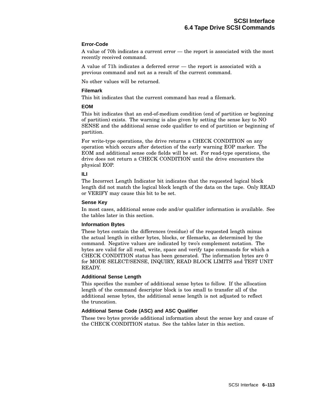#### **Error-Code**

A value of 70h indicates a current error — the report is associated with the most recently received command.

A value of 71h indicates a deferred error — the report is associated with a previous command and not as a result of the current command.

No other values will be returned.

#### **Filemark**

This bit indicates that the current command has read a filemark.

#### **EOM**

This bit indicates that an end-of-medium condition (end of partition or beginning of partition) exists. The warning is also given by setting the sense key to NO SENSE and the additional sense code qualifier to end of partition or beginning of partition.

For write-type operations, the drive returns a CHECK CONDITION on any operation which occurs after detection of the early warning EOP marker. The EOM and additional sense code fields will be set. For read-type operations, the drive does not return a CHECK CONDITION until the drive encounters the physical EOP.

## **ILI**

The Incorrect Length Indicator bit indicates that the requested logical block length did not match the logical block length of the data on the tape. Only READ or VERIFY may cause this bit to be set.

#### **Sense Key**

In most cases, additional sense code and/or qualifier information is available. See the tables later in this section.

#### **Information Bytes**

These bytes contain the differences (residue) of the requested length minus the actual length in either bytes, blocks, or filemarks, as determined by the command. Negative values are indicated by two's complement notation. The bytes are valid for all read, write, space and verify tape commands for which a CHECK CONDITION status has been generated. The information bytes are 0 for MODE SELECT/SENSE, INQUIRY, READ BLOCK LIMITS and TEST UNIT READY.

#### **Additional Sense Length**

This specifies the number of additional sense bytes to follow. If the allocation length of the command descriptor block is too small to transfer all of the additional sense bytes, the additional sense length is not adjusted to reflect the truncation.

## **Additional Sense Code (ASC) and ASC Qualifier**

These two bytes provide additional information about the sense key and cause of the CHECK CONDITION status. See the tables later in this section.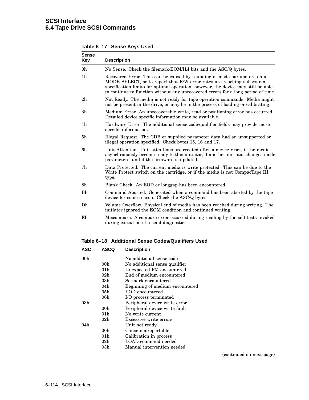| <b>Sense</b><br>Key | <b>Description</b>                                                                                                                                                                                                                                                                                                         |
|---------------------|----------------------------------------------------------------------------------------------------------------------------------------------------------------------------------------------------------------------------------------------------------------------------------------------------------------------------|
| 0h                  | No Sense. Check the filemark/EOM/ILI bits and the ASC/Q bytes.                                                                                                                                                                                                                                                             |
| 1 <sub>h</sub>      | Recovered Error. This can be caused by rounding of mode parameters on a<br>MODE SELECT, or to report that R/W error rates are reaching subsystem<br>specification limits for optimal operation, however, the device may still be able<br>to continue to function without any unrecovered errors for a long period of time. |
| 2h                  | Not Ready. The media is not ready for tape operation commands. Media might<br>not be present in the drive, or may be in the process of loading or calibrating.                                                                                                                                                             |
| 3 <sub>h</sub>      | Medium Error. An unrecoverable write, read or positioning error has occurred.<br>Detailed device specific information may be available.                                                                                                                                                                                    |
| 4h                  | Hardware Error. The additional sense code/qualifier fields may provide more<br>specific information.                                                                                                                                                                                                                       |
| 5h                  | Illegal Request. The CDB or supplied parameter data had an unsupported or<br>illegal operation specified. Check bytes 15, 16 and 17.                                                                                                                                                                                       |
| 6h                  | Unit Attention. Unit attentions are created after a device reset, if the media<br>asynchronously become ready to this initiator, if another initiator changes mode<br>parameters, and if the firmware is updated.                                                                                                          |
| 7h                  | Data Protected. The current media is write protected. This can be due to the<br>Write Protect switch on the cartridge, or if the media is not CompacTape III<br>type.                                                                                                                                                      |
| 8h                  | Blank Check. An EOD or longgap has been encountered.                                                                                                                                                                                                                                                                       |
| Bh                  | Command Aborted. Generated when a command has been aborted by the tape<br>device for some reason. Check the ASC/Q bytes.                                                                                                                                                                                                   |
| Dh                  | Volume Overflow. Physical end of media has been reached during writing. The<br>initiator ignored the EOM condition and continued writing.                                                                                                                                                                                  |
| Eh                  | Miscompare. A compare error occurred during reading by the self-tests invoked<br>during execution of a send diagnostic.                                                                                                                                                                                                    |

**Table 6–17 Sense Keys Used**

**Table 6–18 Additional Sense Codes/Qualifiers Used**

| <b>ASC</b>      | <b>ASCQ</b>     | <b>Description</b>              |
|-----------------|-----------------|---------------------------------|
| 00 <sub>h</sub> |                 | No additional sense code        |
|                 | 00 <sub>h</sub> | No additional sense qualifier   |
|                 | 01 <sub>h</sub> | Unexpected FM encountered       |
|                 | 02 <sub>h</sub> | End of medium encountered       |
|                 | 03h             | Setmark encountered             |
|                 | 04h             | Beginning of medium encountered |
|                 | 05h             | EOD encountered                 |
|                 | 06h             | I/O process terminated          |
| 03 <sub>h</sub> |                 | Peripheral device write error   |
|                 | 00 <sub>h</sub> | Peripheral device write fault   |
|                 | 01 <sub>h</sub> | No write current                |
|                 | 02 <sub>h</sub> | Excessive write errors          |
| 04h             |                 | Unit not ready                  |
|                 | 00 <sub>h</sub> | Cause nonreportable             |
|                 | 01 <sub>h</sub> | Calibration in process          |
|                 | 02 <sub>h</sub> | LOAD command needed             |
|                 | 03h             | Manual intervention needed      |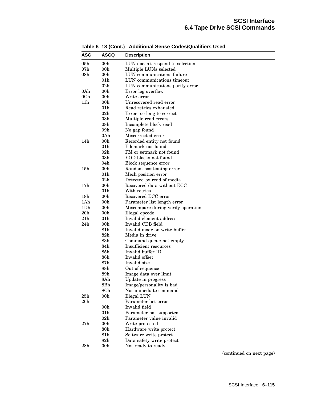| <b>ASC</b>      | <b>ASCQ</b>     | <b>Description</b>                 |  |  |  |  |  |  |
|-----------------|-----------------|------------------------------------|--|--|--|--|--|--|
| 05 <sub>h</sub> | 00h             | LUN doesn't respond to selection   |  |  |  |  |  |  |
| 07h             | 00h             | Multiple LUNs selected             |  |  |  |  |  |  |
| 08h             | 00 <sub>h</sub> | LUN communications failure         |  |  |  |  |  |  |
|                 | 01h             | LUN communications timeout         |  |  |  |  |  |  |
|                 | $02\mathrm{h}$  | LUN communications parity error    |  |  |  |  |  |  |
| 0Ah             | 00 <sub>h</sub> | Error log overflow                 |  |  |  |  |  |  |
| 0 <sub>Ch</sub> | 00h             | Write error                        |  |  |  |  |  |  |
| 11h             | 00 <sub>h</sub> | Unrecovered read error             |  |  |  |  |  |  |
|                 | 01h             | Read retries exhausted             |  |  |  |  |  |  |
|                 | 02 <sub>h</sub> | Error too long to correct          |  |  |  |  |  |  |
|                 | 03h             | Multiple read errors               |  |  |  |  |  |  |
|                 | 08h             | Incomplete block read              |  |  |  |  |  |  |
|                 | 09 <sub>h</sub> | No gap found                       |  |  |  |  |  |  |
|                 | 0Ah             | Miscorrected error                 |  |  |  |  |  |  |
| 14h             | 00 <sub>h</sub> | Recorded entity not found          |  |  |  |  |  |  |
|                 | 01h             | Filemark not found                 |  |  |  |  |  |  |
|                 | 02h             | FM or setmark not found            |  |  |  |  |  |  |
|                 | 03h             | EOD blocks not found               |  |  |  |  |  |  |
|                 | 04h             | Block sequence error               |  |  |  |  |  |  |
| 15 <sub>h</sub> | 00 <sub>h</sub> | Random positioning error           |  |  |  |  |  |  |
|                 | 01h             | Mech position error                |  |  |  |  |  |  |
|                 | 02h             | Detected by read of media          |  |  |  |  |  |  |
| 17 <sub>h</sub> | 00h             | Recovered data without ECC         |  |  |  |  |  |  |
|                 | 01h             | With retries                       |  |  |  |  |  |  |
| 18 <sub>h</sub> | 00 <sub>h</sub> | Recovered ECC error                |  |  |  |  |  |  |
| 1Ah             | 00 <sub>h</sub> | Parameter list length error        |  |  |  |  |  |  |
| 1Dh             | 00 <sub>h</sub> | Miscompare during verify operation |  |  |  |  |  |  |
| 20h             | 00 <sub>h</sub> | Illegal opcode                     |  |  |  |  |  |  |
| 21h             | 01h             | Invalid element address            |  |  |  |  |  |  |
| 24h             | 00h             | Invalid CDB field                  |  |  |  |  |  |  |
|                 | 81h             | Invalid mode on write buffer       |  |  |  |  |  |  |
|                 | $82\mathrm{h}$  | Media in drive                     |  |  |  |  |  |  |
|                 | $83\mathrm{h}$  | Command queue not empty            |  |  |  |  |  |  |
|                 | 84h             | Insufficient resources             |  |  |  |  |  |  |
|                 | 85h             | Invalid buffer ID                  |  |  |  |  |  |  |
|                 | 86h             | Invalid offset                     |  |  |  |  |  |  |
|                 | 87h             | Invalid size                       |  |  |  |  |  |  |
|                 | 88h             | Out of sequence                    |  |  |  |  |  |  |
|                 | 89h             | Image data over limit              |  |  |  |  |  |  |
|                 | 8Ah             | Update in progress                 |  |  |  |  |  |  |
|                 | 8Bh             | Image/personality is bad           |  |  |  |  |  |  |
|                 | 8Ch             | Not immediate command              |  |  |  |  |  |  |
| 25h             | 00 <sub>h</sub> | Illegal LUN                        |  |  |  |  |  |  |
| 26h             |                 | Parameter list error               |  |  |  |  |  |  |
|                 | 00 <sub>h</sub> | Invalid field                      |  |  |  |  |  |  |
|                 | 01 <sub>h</sub> | Parameter not supported            |  |  |  |  |  |  |
|                 | 02h             | Parameter value invalid            |  |  |  |  |  |  |
| 27h             | 00 <sub>h</sub> | Write protected                    |  |  |  |  |  |  |
|                 | 80h             | Hardware write protect             |  |  |  |  |  |  |
|                 | 81h             | Software write protect             |  |  |  |  |  |  |
|                 | 82 <sub>h</sub> | Data safety write protect          |  |  |  |  |  |  |
| 28h             | 00 <sub>h</sub> | Not ready to ready                 |  |  |  |  |  |  |

**Table 6–18 (Cont.) Additional Sense Codes/Qualifiers Used**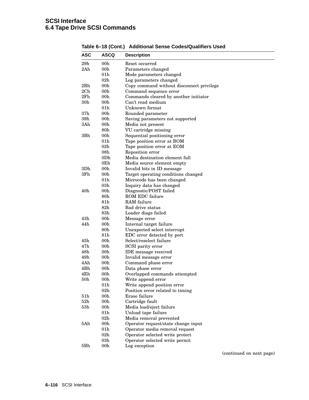| <b>ASC</b>      | ASCQ                   | <b>Description</b>                                    |
|-----------------|------------------------|-------------------------------------------------------|
| 29h             | 00 <sub>h</sub>        | Reset occurred                                        |
| 2Ah             | 00 <sub>h</sub>        | Parameters changed                                    |
|                 | 01 <sub>h</sub>        | Mode parameters changed                               |
|                 | 02 <sub>h</sub>        | Log parameters changed                                |
| 2Bh             | 00h                    | Copy command without disconnect privilege             |
| 2Ch             | 00 <sub>h</sub>        | Command sequence error                                |
| 2Fh             | 00 <sub>h</sub>        | Commands cleared by another initiator                 |
| 30 <sub>h</sub> | 00 <sub>h</sub>        | Can't read medium                                     |
|                 | 01 <sub>h</sub>        | Unknown format                                        |
| 37 <sub>h</sub> | 00 <sub>h</sub>        | Rounded parameter                                     |
| 39h             | 00 <sub>h</sub>        | Saving parameters not supported                       |
| 3Ah             | 00 <sub>h</sub>        | Media not present                                     |
|                 | 80 <sub>h</sub>        | VU cartridge missing                                  |
| 3Bh             | 00 <sub>h</sub>        | Sequential positioning error                          |
|                 | 01 <sub>h</sub>        | Tape position error at BOM                            |
|                 | 02 <sub>h</sub>        | Tape position error at EOM                            |
|                 | 08 <sub>h</sub>        | Reposition error                                      |
|                 | 0Dh                    | Media destination element full                        |
|                 | 0Eh                    | Media source element empty                            |
| 3D <sub>h</sub> | 00 <sub>h</sub>        | Invalid bits in ID message                            |
| 3Fh             | 00h                    | Target operating conditions changed                   |
|                 | 01 <sub>h</sub>        | Microcode has been changed                            |
|                 | 03h                    | Inquiry data has changed                              |
| 40h             | 00 <sub>h</sub>        | Diagnostic/POST failed                                |
|                 | $80\mathrm{h}$         | ROM EDC failure                                       |
|                 | 81h                    | RAM failure                                           |
|                 | $82\mathrm{h}$         |                                                       |
|                 | $83\mathrm{h}$         | Bad drive status                                      |
| 43h             | 00h                    | Loader diags failed                                   |
|                 |                        | Message error                                         |
| 44h             | 00 <sub>h</sub>        | Internal target failure                               |
|                 | 80 <sub>h</sub>        | Unexpected select interrupt                           |
| 45h             | 81h<br>00 <sub>h</sub> | EDC error detected by port<br>Select/reselect failure |
| 47 <sub>h</sub> |                        |                                                       |
|                 | 00 <sub>h</sub>        | SCSI parity error                                     |
| 48h             | 00 <sub>h</sub>        | <b>IDE</b> message received                           |
| 49h             | 00 <sub>h</sub>        | Invalid message error                                 |
| 4Ah             | 00 <sub>h</sub>        | Command phase error                                   |
| 4Bh             | 00 <sub>h</sub>        | Data phase error                                      |
| 4Eh             | 00 <sub>h</sub>        | Overlapped commands attempted                         |
| $50\mathrm{h}$  | 00h                    | Write append error                                    |
|                 | 01h                    | Write append position error                           |
|                 | 02h                    | Position error related to timing                      |
| 51 <sub>h</sub> | 00 <sub>h</sub>        | Erase failure                                         |
| 52h             | 00 <sub>h</sub>        | Cartridge fault                                       |
| 53h             | 00h                    | Media load/eject failure                              |
|                 | 01 <sub>h</sub>        | Unload tape failure                                   |
|                 | 02h                    | Media removal prevented                               |
| 5Ah             | 00 <sub>h</sub>        | Operator request/state change input                   |
|                 | 01 <sub>h</sub>        | Operator media removal request                        |
|                 | 02 <sub>h</sub>        | Operator selected write protect                       |
|                 | 03h                    | Operator selected write permit                        |
| 5Bh             | 00h                    | Log exception                                         |

**Table 6–18 (Cont.) Additional Sense Codes/Qualifiers Used**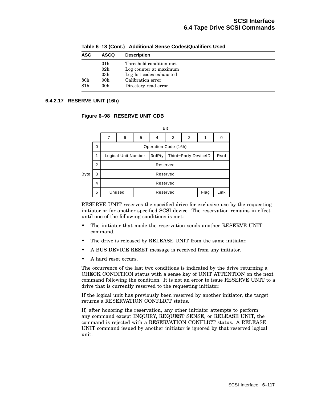| <b>ASC</b>      | <b>ASCQ</b>     | <b>Description</b>       |
|-----------------|-----------------|--------------------------|
|                 | 01 <sub>h</sub> | Threshold condition met  |
|                 | 02 <sub>h</sub> | Log counter at maximum   |
|                 | 03 <sub>h</sub> | Log list codes exhausted |
| 80 <sub>h</sub> | 00 <sub>h</sub> | Calibration error        |
| 81h             | 00 <sub>h</sub> | Directory read error     |

**Table 6–18 (Cont.) Additional Sense Codes/Qualifiers Used**

## **6.4.2.17 RESERVE UNIT (16h)**

#### **Figure 6–98 RESERVE UNIT CDB**



RESERVE UNIT reserves the specified drive for exclusive use by the requesting initiator or for another specified SCSI device. The reservation remains in effect until one of the following conditions is met:

- The initiator that made the reservation sends another RESERVE UNIT command.
- The drive is released by RELEASE UNIT from the same initiator.
- A BUS DEVICE RESET message is received from any initiator.
- A hard reset occurs.

The occurrence of the last two conditions is indicated by the drive returning a CHECK CONDITION status with a sense key of UNIT ATTENTION on the next command following the condition. It is not an error to issue RESERVE UNIT to a drive that is currently reserved to the requesting initiator.

If the logical unit has previously been reserved by another initiator, the target returns a RESERVATION CONFLICT status.

If, after honoring the reservation, any other initiator attempts to perform any command except INQUIRY, REQUEST SENSE, or RELEASE UNIT, the command is rejected with a RESERVATION CONFLICT status. A RELEASE UNIT command issued by another initiator is ignored by that reserved logical unit.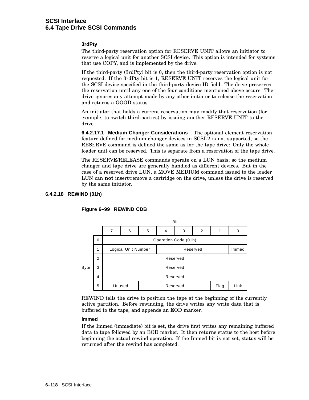# **SCSI Interface 6.4 Tape Drive SCSI Commands**

#### **3rdPty**

The third-party reservation option for RESERVE UNIT allows an initiator to reserve a logical unit for another SCSI device. This option is intended for systems that use COPY, and is implemented by the drive.

If the third-party (3rdPty) bit is 0, then the third-party reservation option is not requested. If the 3rdPty bit is 1, RESERVE UNIT reserves the logical unit for the SCSI device specified in the third-party device ID field. The drive preserves the reservation until any one of the four conditions mentioned above occurs. The drive ignores any attempt made by any other initiator to release the reservation and returns a GOOD status.

An initiator that holds a current reservation may modify that reservation (for example, to switch third-parties) by issuing another RESERVE UNIT to the drive.

**6.4.2.17.1 Medium Changer Considerations** The optional element reservation feature defined for medium changer devices in SCSI-2 is not supported, so the RESERVE command is defined the same as for the tape drive: Only the whole loader unit can be reserved. This is separate from a reservation of the tape drive.

The RESERVE/RELEASE commands operate on a LUN basis; so the medium changer and tape drive are generally handled as different devices. But in the case of a reserved drive LUN, a MOVE MEDIUM command issued to the loader LUN can **not** insert/remove a cartridge on the drive, unless the drive is reserved by the same initiator.

#### **6.4.2.18 REWIND (01h)**



#### **Figure 6–99 REWIND CDB**

REWIND tells the drive to position the tape at the beginning of the currently active partition. Before rewinding, the drive writes any write data that is buffered to the tape, and appends an EOD marker.

#### **Immed**

If the Immed (immediate) bit is set, the drive first writes any remaining buffered data to tape followed by an EOD marker. It then returns status to the host before beginning the actual rewind operation. If the Immed bit is not set, status will be returned after the rewind has completed.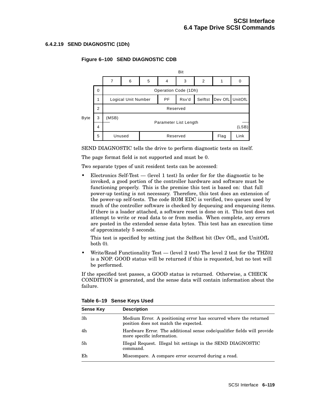#### **6.4.2.19 SEND DIAGNOSTIC (1Dh)**



## **Figure 6–100 SEND DIAGNOSTIC CDB**

SEND DIAGNOSTIC tells the drive to perform diagnostic tests on itself.

The page format field is not supported and must be 0.

Two separate types of unit resident tests can be accessed:

Electronics Self-Test  $-$  (level 1 test) In order for for the diagnostic to be invoked, a good portion of the controller hardware and software must be functioning properly. This is the premise this test is based on: that full power-up testing is not necessary. Therefore, this test does an extension of the power-up self-tests. The code ROM EDC is verified, two queues used by much of the controller software is checked by dequeuing and enqueuing items. If there is a loader attached, a software reset is done on it. This test does not attempt to write or read data to or from media. When complete, any errors are posted in the extended sense data bytes. This test has an execution time of approximately 5 seconds.

This test is specified by setting just the Selftest bit (Dev OfL, and UnitOfL both 0).

• Write/Read Functionality Test — (level 2 test) The level 2 test for the THZ02 is a NOP. GOOD status will be returned if this is requested, but no test will be performed.

If the specified test passes, a GOOD status is returned. Otherwise, a CHECK CONDITION is generated, and the sense data will contain information about the failure.

| <b>Sense Key</b> | <b>Description</b>                                                                                         |
|------------------|------------------------------------------------------------------------------------------------------------|
| 3h               | Medium Error. A positioning error has occurred where the returned<br>position does not match the expected. |
| 4h               | Hardware Error. The additional sense code/qualifier fields will provide<br>more specific information.      |
| 5h               | Illegal Request. Illegal bit settings in the SEND DIAGNOSTIC<br>command.                                   |
| Eh               | Miscompare. A compare error occurred during a read.                                                        |

**Table 6–19 Sense Keys Used**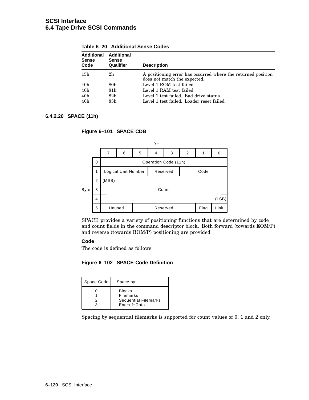| <b>Additional</b><br><b>Sense</b><br>Code | Additional<br><b>Sense</b><br>Qualifier | <b>Description</b>                                                                           |
|-------------------------------------------|-----------------------------------------|----------------------------------------------------------------------------------------------|
| 15h                                       | 2h                                      | A positioning error has occurred where the returned position<br>does not match the expected. |
| 40h                                       | 80h                                     | Level 1 ROM test failed.                                                                     |
| 40 <sub>h</sub>                           | 81h                                     | Level 1 RAM test failed.                                                                     |
| 40 <sub>h</sub>                           | 82h                                     | Level 1 test failed. Bad drive status.                                                       |
| 40h                                       | 83h                                     | Level 1 test failed. Loader reset failed.                                                    |

**Table 6–20 Additional Sense Codes**

## **6.4.2.20 SPACE (11h)**





SPACE provides a variety of positioning functions that are determined by code and count fields in the command descriptor block. Both forward (towards EOM/P) and reverse (towards BOM/P) positioning are provided.

## **Code**

The code is defined as follows:

#### **Figure 6–102 SPACE Code Definition**

| Space Code | Space by:                                                                |
|------------|--------------------------------------------------------------------------|
| 2<br>ર     | <b>Blocks</b><br>Filemarks<br><b>Sequential Filemarks</b><br>End-of-Data |

Spacing by sequential filemarks is supported for count values of 0, 1 and 2 only.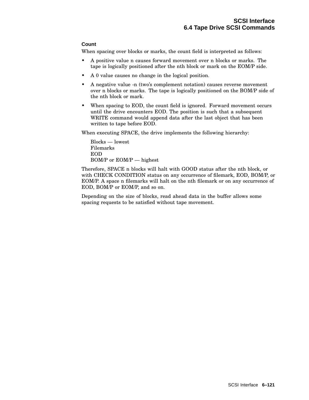## **Count**

When spacing over blocks or marks, the count field is interpreted as follows:

- A positive value n causes forward movement over n blocks or marks. The tape is logically positioned after the nth block or mark on the EOM/P side.
- A 0 value causes no change in the logical position.
- A negative value -n (two's complement notation) causes reverse movement over n blocks or marks. The tape is logically positioned on the BOM/P side of the nth block or mark.
- When spacing to EOD, the count field is ignored. Forward movement occurs until the drive encounters EOD. The position is such that a subsequent WRITE command would append data after the last object that has been written to tape before EOD.

When executing SPACE, the drive implements the following hierarchy:

Blocks — lowest Filemarks EOD BOM/P or EOM/P — highest

Therefore, SPACE n blocks will halt with GOOD status after the nth block, or with CHECK CONDITION status on any occurrence of filemark, EOD, BOM/P, or EOM/P. A space n filemarks will halt on the nth filemark or on any occurrence of EOD, BOM/P or EOM/P, and so on.

Depending on the size of blocks, read ahead data in the buffer allows some spacing requests to be satisfied without tape movement.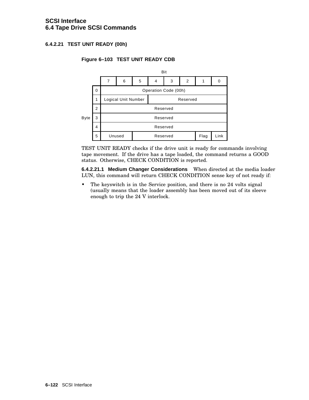## **6.4.2.21 TEST UNIT READY (00h)**



## **Figure 6–103 TEST UNIT READY CDB**

TEST UNIT READY checks if the drive unit is ready for commands involving tape movement. If the drive has a tape loaded, the command returns a GOOD status. Otherwise, CHECK CONDITION is reported.

**6.4.2.21.1 Medium Changer Considerations** When directed at the media loader LUN, this command will return CHECK CONDITION sense key of not ready if:

• The keyswitch is in the Service position, and there is no 24 volts signal (usually means that the loader assembly has been moved out of its sleeve enough to trip the 24 V interlock.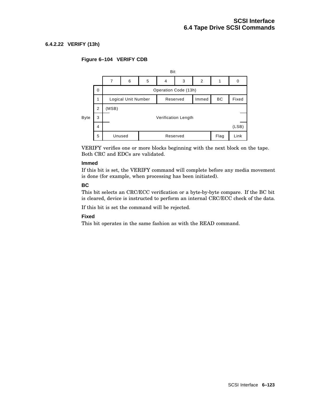## **6.4.2.22 VERIFY (13h)**

## **Figure 6–104 VERIFY CDB**



VERIFY verifies one or more blocks beginning with the next block on the tape. Both CRC and EDCs are validated.

#### **Immed**

If this bit is set, the VERIFY command will complete before any media movement is done (for example, when processing has been initiated).

#### **BC**

This bit selects an CRC/ECC verification or a byte-by-byte compare. If the BC bit is cleared, device is instructed to perform an internal CRC/ECC check of the data.

If this bit is set the command will be rejected.

#### **Fixed**

This bit operates in the same fashion as with the READ command.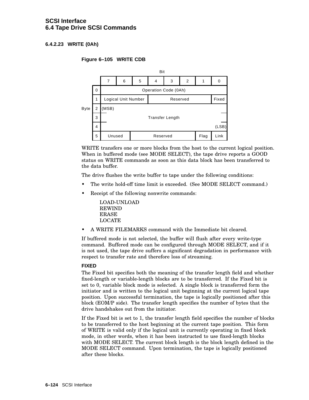# **SCSI Interface 6.4 Tape Drive SCSI Commands**

## **6.4.2.23 WRITE (0Ah)**

## **Figure 6–105 WRITE CDB**



WRITE transfers one or more blocks from the host to the current logical position. When in buffered mode (see MODE SELECT), the tape drive reports a GOOD status on WRITE commands as soon as this data block has been transferred to the data buffer.

The drive flushes the write buffer to tape under the following conditions:

- The write hold-off time limit is exceeded. (See MODE SELECT command.)
- Receipt of the following nonwrite commands:

LOAD-UNLOAD REWIND ERASE LOCATE

• A WRITE FILEMARKS command with the Immediate bit cleared.

If buffered mode is not selected, the buffer will flush after every write-type command. Buffered mode can be configured through MODE SELECT, and if it is not used, the tape drive suffers a significant degradation in performance with respect to transfer rate and therefore loss of streaming.

#### **FIXED**

The Fixed bit specifies both the meaning of the transfer length field and whether fixed-length or variable-length blocks are to be transferred. If the Fixed bit is set to 0, variable block mode is selected. A single block is transferred form the initiator and is written to the logical unit beginning at the current logical tape position. Upon successful termination, the tape is logically positioned after this block (EOM/P side). The transfer length specifies the number of bytes that the drive handshakes out from the initiator.

If the Fixed bit is set to 1, the transfer length field specifies the number of blocks to be transferred to the host beginning at the current tape position. This form of WRITE is valid only if the logical unit is currently operating in fixed block mode, in other words, when it has been instructed to use fixed-length blocks with MODE SELECT. The current block length is the block length defined in the MODE SELECT command. Upon termination, the tape is logically positioned after these blocks.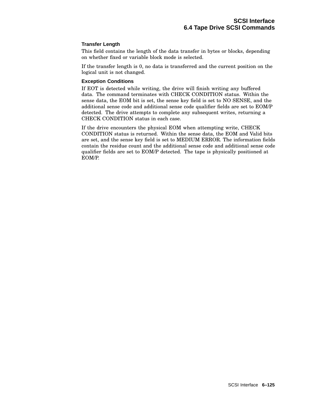#### **Transfer Length**

This field contains the length of the data transfer in bytes or blocks, depending on whether fixed or variable block mode is selected.

If the transfer length is 0, no data is transferred and the current position on the logical unit is not changed.

#### **Exception Conditions**

If EOT is detected while writing, the drive will finish writing any buffered data. The command terminates with CHECK CONDITION status. Within the sense data, the EOM bit is set, the sense key field is set to NO SENSE, and the additional sense code and additional sense code qualifier fields are set to EOM/P detected. The drive attempts to complete any subsequent writes, returning a CHECK CONDITION status in each case.

If the drive encounters the physical EOM when attempting write, CHECK CONDITION status is returned. Within the sense data, the EOM and Valid bits are set, and the sense key field is set to MEDIUM ERROR. The information fields contain the residue count and the additional sense code and additional sense code qualifier fields are set to EOM/P detected. The tape is physically positioned at EOM/P.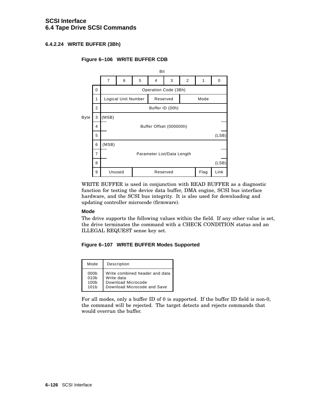## **6.4.2.24 WRITE BUFFER (3Bh)**

## **Figure 6–106 WRITE BUFFER CDB**



WRITE BUFFER is used in conjunction with READ BUFFER as a diagnostic function for testing the device data buffer, DMA engine, SCSI bus interface hardware, and the SCSI bus integrity. It is also used for downloading and updating controller microcode (firmware).

#### **Mode**

The drive supports the following values within the field. If any other value is set, the drive terminates the command with a CHECK CONDITION status and an ILLEGAL REQUEST sense key set.

#### **Figure 6–107 WRITE BUFFER Modes Supported**

| Mode             | Description                    |
|------------------|--------------------------------|
| 000 <sub>b</sub> | Write combined header and data |
| 010 <sub>b</sub> | Write data                     |
| 100 <sub>b</sub> | Download Microcode             |
| 101 <sub>b</sub> | Download Microcode and Save    |

For all modes, only a buffer ID of 0 is supported. If the buffer ID field is non-0, the command will be rejected. The target detects and rejects commands that would overrun the buffer.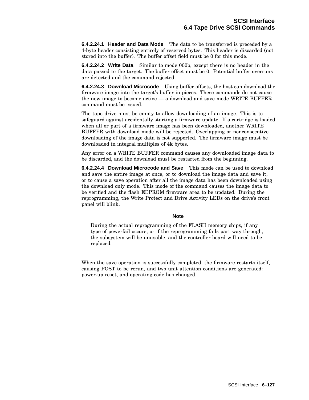**6.4.2.24.1 Header and Data Mode** The data to be transferred is preceded by a 4-byte header consisting entirely of reserved bytes. This header is discarded (not stored into the buffer). The buffer offset field must be 0 for this mode.

**6.4.2.24.2 Write Data** Similar to mode 000b, except there is no header in the data passed to the target. The buffer offset must be 0. Potential buffer overruns are detected and the command rejected.

**6.4.2.24.3 Download Microcode** Using buffer offsets, the host can download the firmware image into the target's buffer in pieces. These commands do not cause the new image to become active — a download and save mode WRITE BUFFER command must be issued.

The tape drive must be empty to allow downloading of an image. This is to safeguard against accidentally starting a firmware update. If a cartridge is loaded when all or part of a firmware image has been downloaded, another WRITE BUFFER with download mode will be rejected. Overlapping or nonconsecutive downloading of the image data is not supported. The firmware image must be downloaded in integral multiples of 4k bytes.

Any error on a WRITE BUFFER command causes any downloaded image data to be discarded, and the download must be restarted from the beginning.

**6.4.2.24.4 Download Microcode and Save** This mode can be used to download and save the entire image at once, or to download the image data and save it, or to cause a save operation after all the image data has been downloaded using the download only mode. This mode of the command causes the image data to be verified and the flash EEPROM firmware area to be updated. During the reprogramming, the Write Protect and Drive Activity LEDs on the drive's front panel will blink.

**Note**

During the actual reprogramming of the FLASH memory chips, if any type of powerfail occurs, or if the reprogramming fails part way through, the subsystem will be unusable, and the controller board will need to be replaced.

When the save operation is successfully completed, the firmware restarts itself, causing POST to be rerun, and two unit attention conditions are generated: power-up reset, and operating code has changed.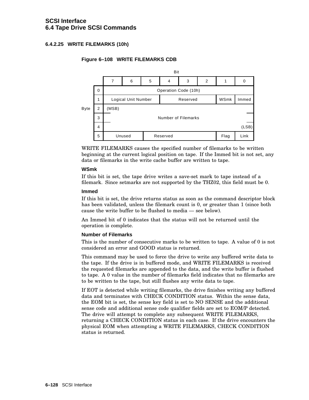## **6.4.2.25 WRITE FILEMARKS (10h)**

## **Figure 6–108 WRITE FILEMARKS CDB**



WRITE FILEMARKS causes the specified number of filemarks to be written beginning at the current logical position on tape. If the Immed bit is not set, any data or filemarks in the write cache buffer are written to tape.

#### **WSmk**

If this bit is set, the tape drive writes a save-set mark to tape instead of a filemark. Since setmarks are not supported by the THZ02, this field must be 0.

#### **Immed**

If this bit is set, the drive returns status as soon as the command descriptor block has been validated, unless the filemark count is 0, or greater than 1 (since both cause the write buffer to be flushed to media — see below).

An Immed bit of 0 indicates that the status will not be returned until the operation is complete.

#### **Number of Filemarks**

This is the number of consecutive marks to be written to tape. A value of 0 is not considered an error and GOOD status is returned.

This command may be used to force the drive to write any buffered write data to the tape. If the drive is in buffered mode, and WRITE FILEMARKS is received the requested filemarks are appended to the data, and the write buffer is flushed to tape. A 0 value in the number of filemarks field indicates that no filemarks are to be written to the tape, but still flushes any write data to tape.

If EOT is detected while writing filemarks, the drive finishes writing any buffered data and terminates with CHECK CONDITION status. Within the sense data, the EOM bit is set, the sense key field is set to NO SENSE and the additional sense code and additional sense code qualifier fields are set to EOM/P detected. The drive will attempt to complete any subsequent WRITE FILEMARKS, returning a CHECK CONDITION status in each case. If the drive encounters the physical EOM when attempting a WRITE FILEMARKS, CHECK CONDITION status is returned.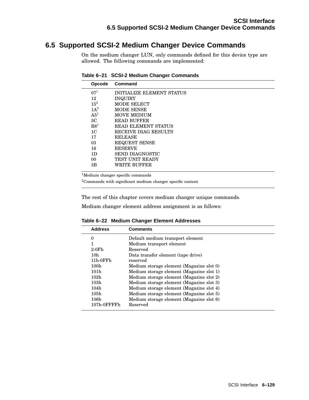# **6.5 Supported SCSI-2 Medium Changer Device Commands**

On the medium changer LUN, only commands defined for this device type are allowed. The following commands are implemented:

| Opcode          | Command                          |
|-----------------|----------------------------------|
| $07^{1}$        | <b>INITIALIZE ELEMENT STATUS</b> |
| 12              | <b>INQUIRY</b>                   |
| $15^2$          | MODE SELECT                      |
| $1A^2$          | <b>MODE SENSE</b>                |
| A5 <sup>1</sup> | <b>MOVE MEDIUM</b>               |
| 3C              | <b>READ BUFFER</b>               |
| B8 <sup>1</sup> | <b>READ ELEMENT STATUS</b>       |
| 1 <sub>C</sub>  | RECEIVE DIAG RESULTS             |
| 17              | <b>RELEASE</b>                   |
| 03              | <b>REQUEST SENSE</b>             |
| 16              | <b>RESERVE</b>                   |
| 1D              | <b>SEND DIAGNOSTIC</b>           |
| 00              | <b>TEST UNIT READY</b>           |
| 3B              | WRITE BUFFER                     |
|                 |                                  |

**Table 6–21 SCSI-2 Medium Changer Commands**

<sup>1</sup>Medium changer specific commands

<sup>2</sup>Commands with significant medium changer specific content

The rest of this chapter covers medium changer unique commands.

Medium changer element address assignment is as follows:

| <b>Address</b>   | Comments                                 |
|------------------|------------------------------------------|
| 0                | Default medium transport element         |
| 1                | Medium transport element                 |
| $2-0Fh$          | Reserved                                 |
| 10 <sub>h</sub>  | Data transfer element (tape drive)       |
| 11h-0FFh         | reserved                                 |
| 100h             | Medium storage element (Magazine slot 0) |
| 101 <sub>h</sub> | Medium storage element (Magazine slot 1) |
| 102h             | Medium storage element (Magazine slot 2) |
| 103h             | Medium storage element (Magazine slot 3) |
| 104h             | Medium storage element (Magazine slot 4) |
| 105h             | Medium storage element (Magazine slot 5) |
| 106h             | Medium storage element (Magazine slot 6) |
| 107h-0FFFFh      | Reserved                                 |
|                  |                                          |

**Table 6–22 Medium Changer Element Addresses**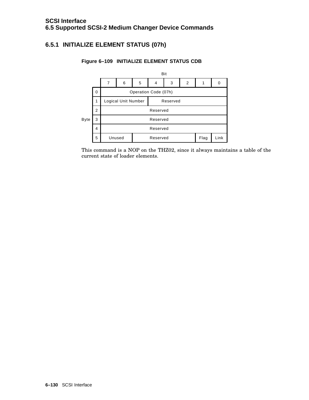# **6.5.1 INITIALIZE ELEMENT STATUS (07h)**



## **Figure 6–109 INITIALIZE ELEMENT STATUS CDB**

This command is a NOP on the THZ02, since it always maintains a table of the current state of loader elements.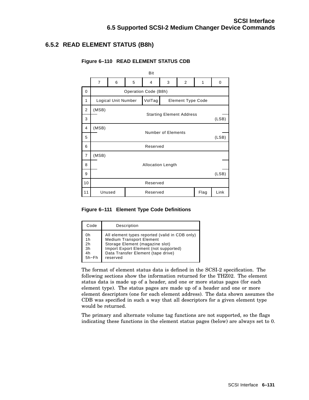# **6.5.2 READ ELEMENT STATUS (B8h)**

|                | Bit                                          |                     |  |        |  |                          |       |       |
|----------------|----------------------------------------------|---------------------|--|--------|--|--------------------------|-------|-------|
|                | 7<br>5<br>6<br>3<br>$\overline{2}$<br>1<br>4 |                     |  |        |  |                          | 0     |       |
| 0              | Operation Code (B8h)                         |                     |  |        |  |                          |       |       |
| 1              |                                              | Logical Unit Number |  | VolTag |  | <b>Element Type Code</b> |       |       |
| 2              | (MSB)<br><b>Starting Element Address</b>     |                     |  |        |  |                          |       |       |
| 3              |                                              |                     |  |        |  |                          |       | (LSB) |
| 4              | (MSB)                                        |                     |  |        |  |                          |       |       |
| 5              | Number of Elements                           |                     |  |        |  |                          |       | (LSB) |
| 6              | Reserved                                     |                     |  |        |  |                          |       |       |
| $\overline{7}$ | (MSB)                                        |                     |  |        |  |                          |       |       |
| 8              | <b>Allocation Length</b>                     |                     |  |        |  |                          |       |       |
| 9              |                                              |                     |  |        |  |                          | (LSB) |       |
| 10             | Reserved                                     |                     |  |        |  |                          |       |       |
| 11             | Unused<br>Flag<br>Reserved                   |                     |  |        |  |                          | Link  |       |
|                |                                              |                     |  |        |  |                          |       |       |

## **Figure 6–110 READ ELEMENT STATUS CDB**

**Figure 6–111 Element Type Code Definitions**

| Code     | Description                                    |
|----------|------------------------------------------------|
| 0h       | All element types reported (valid in CDB only) |
| 1h       | <b>Medium Transport Element</b>                |
| 2h       | Storage Element (magazine slot)                |
| 3h       | Import Export Element (not supported)          |
| 4h       | Data Transfer Element (tape drive)             |
| $5h$ -Fh | reserved                                       |

The format of element status data is defined in the SCSI-2 specification. The following sections show the information returned for the THZ02. The element status data is made up of a header, and one or more status pages (for each element type). The status pages are made up of a header and one or more element descriptors (one for each element address). The data shown assumes the CDB was specified in such a way that all descriptors for a given element type would be returned.

The primary and alternate volume tag functions are not supported, so the flags indicating these functions in the element status pages (below) are always set to 0.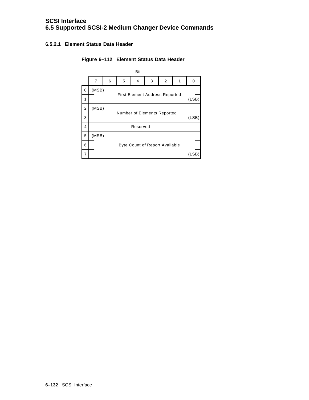## **6.5.2.1 Element Status Data Header**

## **Figure 6–112 Element Status Data Header**

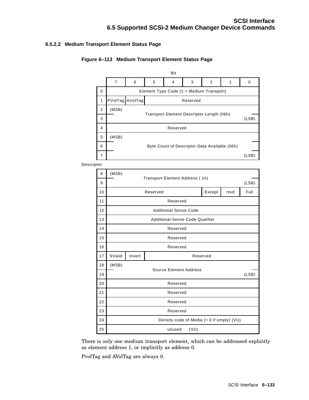## **6.5.2.2 Medium Transport Element Status Page**

| Figure 6-113 Medium Transport Element Status Page |  |  |  |
|---------------------------------------------------|--|--|--|
|                                                   |  |  |  |

|                                               |                                  |                                               |                                                                |   | Bit |   |   |   |       |
|-----------------------------------------------|----------------------------------|-----------------------------------------------|----------------------------------------------------------------|---|-----|---|---|---|-------|
|                                               |                                  | $\overline{7}$                                | 6                                                              | 5 | 4   | 3 | 2 | 1 | 0     |
| Element Type Code (1 = Medium Transport)<br>0 |                                  |                                               |                                                                |   |     |   |   |   |       |
|                                               | PVolTag AVolTag<br>1<br>Reserved |                                               |                                                                |   |     |   |   |   |       |
|                                               | 2                                | (MSB)                                         |                                                                |   |     |   |   |   |       |
|                                               | 3                                |                                               | Transport Element Descriptor Length (06h)<br>(LSB)<br>Reserved |   |     |   |   |   |       |
|                                               | 4                                |                                               |                                                                |   |     |   |   |   |       |
|                                               | 5                                | (MSB)                                         |                                                                |   |     |   |   |   |       |
|                                               | 6                                | Byte Count of Descriptor Data Available (06h) |                                                                |   |     |   |   |   |       |
|                                               | 7                                |                                               |                                                                |   |     |   |   |   | (LSB) |
| Descriptor:                                   |                                  |                                               |                                                                |   |     |   |   |   |       |
|                                               | 8<br>(MSB)                       |                                               |                                                                |   |     |   |   |   |       |
|                                               | 9                                |                                               | Transport Element Address (1h)                                 |   |     |   |   |   | (LSB) |
|                                               | 10                               |                                               | Reserved<br>Except<br>rsvd<br>Reserved                         |   |     |   |   |   | Full  |
|                                               | 11                               |                                               |                                                                |   |     |   |   |   |       |
|                                               | 12                               |                                               | <b>Additional Sense Code</b>                                   |   |     |   |   |   |       |
|                                               | 13                               | <b>Additional Sense Code Qualifier</b>        |                                                                |   |     |   |   |   |       |
|                                               | 14                               |                                               | Reserved                                                       |   |     |   |   |   |       |
|                                               | 15                               | Reserved                                      |                                                                |   |     |   |   |   |       |
|                                               | 16                               | Reserved                                      |                                                                |   |     |   |   |   |       |
|                                               | 17                               | SValid                                        | Invert<br>Reserved                                             |   |     |   |   |   |       |
|                                               | 18                               | (MSB)<br><b>Source Element Address</b>        |                                                                |   |     |   |   |   |       |
|                                               | 19                               |                                               |                                                                |   |     |   |   |   | (LSB) |
|                                               | 20                               |                                               | Reserved                                                       |   |     |   |   |   |       |
|                                               | 21                               |                                               | Reserved                                                       |   |     |   |   |   |       |
|                                               | 22                               |                                               | Reserved                                                       |   |     |   |   |   |       |
|                                               | 23                               |                                               | Reserved                                                       |   |     |   |   |   |       |
|                                               | 24                               | Density code of Media (= 0 if empty) (VU)     |                                                                |   |     |   |   |   |       |
|                                               | 25                               | (VU)<br>unused                                |                                                                |   |     |   |   |   |       |

There is only one medium transport element, which can be addressed explicitly as element address 1, or implicitly as address 0.

PvolTag and AVolTag are always 0.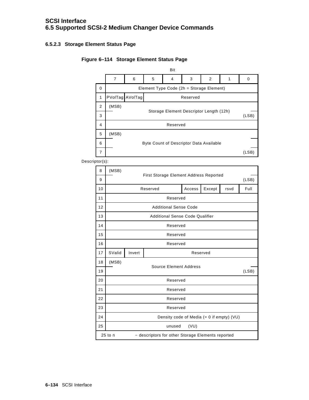## **6.5.2.3 Storage Element Status Page**

# **Figure 6–114 Storage Element Status Page**



Descriptor(s):

| 8  | (MSB)                                                          | First Storage Element Address Reported |  |  |  |  |  |  |  |  |
|----|----------------------------------------------------------------|----------------------------------------|--|--|--|--|--|--|--|--|
| 9  | (LSB)                                                          |                                        |  |  |  |  |  |  |  |  |
| 10 | Except<br>Access<br>Reserved<br>rsvd                           |                                        |  |  |  |  |  |  |  |  |
| 11 | Reserved                                                       |                                        |  |  |  |  |  |  |  |  |
| 12 | <b>Additional Sense Code</b>                                   |                                        |  |  |  |  |  |  |  |  |
| 13 | <b>Additional Sense Code Qualifier</b>                         |                                        |  |  |  |  |  |  |  |  |
| 14 | Reserved                                                       |                                        |  |  |  |  |  |  |  |  |
| 15 | Reserved                                                       |                                        |  |  |  |  |  |  |  |  |
| 16 | Reserved                                                       |                                        |  |  |  |  |  |  |  |  |
| 17 | SValid<br>Invert<br>Reserved                                   |                                        |  |  |  |  |  |  |  |  |
| 18 | (MSB)<br>Source Element Address                                |                                        |  |  |  |  |  |  |  |  |
| 19 | (LSB)                                                          |                                        |  |  |  |  |  |  |  |  |
| 20 | Reserved                                                       |                                        |  |  |  |  |  |  |  |  |
| 21 | Reserved                                                       |                                        |  |  |  |  |  |  |  |  |
| 22 | Reserved                                                       |                                        |  |  |  |  |  |  |  |  |
| 23 | Reserved                                                       |                                        |  |  |  |  |  |  |  |  |
| 24 | Density code of Media $(= 0$ if empty) (VU)                    |                                        |  |  |  |  |  |  |  |  |
| 25 | (VU)<br>unused                                                 |                                        |  |  |  |  |  |  |  |  |
|    | $25$ to n<br>- descriptors for other Storage Elements reported |                                        |  |  |  |  |  |  |  |  |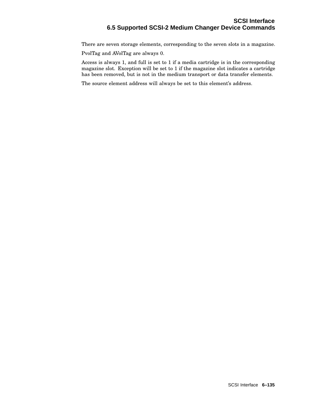There are seven storage elements, corresponding to the seven slots in a magazine.

PvolTag and AVolTag are always 0.

Access is always 1, and full is set to 1 if a media cartridge is in the corresponding magazine slot. Exception will be set to 1 if the magazine slot indicates a cartridge has been removed, but is not in the medium transport or data transfer elements.

The source element address will always be set to this element's address.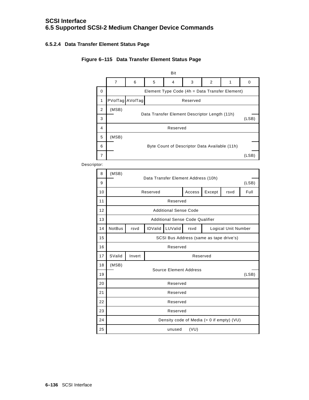## **6.5.2.4 Data Transfer Element Status Page**

#### Bit 7 6 5 4 3 2 1 0 0 **Element Type Code (4h = Data Transfer Element)** PVolTag AVolTag Reserved (MSB) (LSB) Reserved Data Transfer Element Descriptor Length (11h) 1 Byte Count of Descriptor Data Available (11h) (MSB) (LSB) 2 3 4 5 6 7



Descriptor:

| 8  | (MSB)                                        |                                              |                |         |      |                     |  |  |  |
|----|----------------------------------------------|----------------------------------------------|----------------|---------|------|---------------------|--|--|--|
| 9  |                                              | Data Transfer Element Address (10h)<br>(LSB) |                |         |      |                     |  |  |  |
| 10 | Access<br>Except<br>Reserved<br>Full<br>rsvd |                                              |                |         |      |                     |  |  |  |
| 11 | Reserved                                     |                                              |                |         |      |                     |  |  |  |
| 12 | <b>Additional Sense Code</b>                 |                                              |                |         |      |                     |  |  |  |
| 13 | <b>Additional Sense Code Qualifier</b>       |                                              |                |         |      |                     |  |  |  |
| 14 | <b>NotBus</b>                                | rsvd                                         | <b>IDValid</b> | LUValid | rsvd | Logical Unit Number |  |  |  |
| 15 | SCSI Bus Address (same as tape drive's)      |                                              |                |         |      |                     |  |  |  |
| 16 | Reserved                                     |                                              |                |         |      |                     |  |  |  |
| 17 | SValid<br>Invert<br>Reserved                 |                                              |                |         |      |                     |  |  |  |
| 18 | (MSB)                                        |                                              |                |         |      |                     |  |  |  |
| 19 | Source Element Address                       |                                              |                |         |      | (LSB)               |  |  |  |
| 20 | Reserved                                     |                                              |                |         |      |                     |  |  |  |
| 21 | Reserved                                     |                                              |                |         |      |                     |  |  |  |
| 22 | Reserved                                     |                                              |                |         |      |                     |  |  |  |
| 23 | Reserved                                     |                                              |                |         |      |                     |  |  |  |
| 24 | Density code of Media $(= 0$ if empty) (VU)  |                                              |                |         |      |                     |  |  |  |
| 25 | (VU)<br>unused                               |                                              |                |         |      |                     |  |  |  |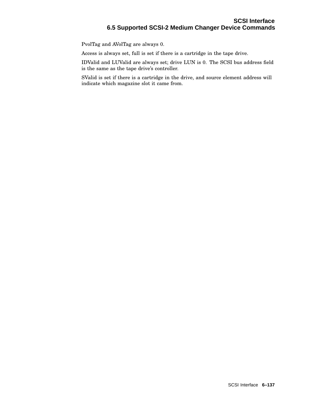PvolTag and AVolTag are always 0.

Access is always set, full is set if there is a cartridge in the tape drive.

IDValid and LUValid are always set; drive LUN is 0. The SCSI bus address field is the same as the tape drive's controller.

SValid is set if there is a cartridge in the drive, and source element address will indicate which magazine slot it came from.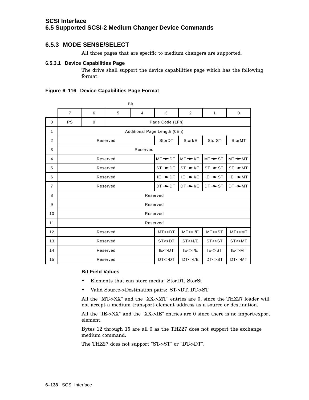# **6.5.3 MODE SENSE/SELECT**

All three pages that are specific to medium changers are supported.

#### **6.5.3.1 Device Capabilities Page**

The drive shall support the device capabilities page which has the following format:

|                | Bit                                            |                              |          |                |                      |                      |                     |                      |
|----------------|------------------------------------------------|------------------------------|----------|----------------|----------------------|----------------------|---------------------|----------------------|
|                | $\overline{7}$                                 | 6                            | 5        | $\overline{4}$ | 3                    | 2                    | $\mathbf{1}$        | $\mathbf 0$          |
| $\Omega$       | <b>PS</b>                                      | $\mathbf 0$                  |          |                | Page Code (1Fh)      |                      |                     |                      |
| 1              |                                                | Additional Page Length (0Eh) |          |                |                      |                      |                     |                      |
| 2              |                                                |                              | Reserved |                | StorDT               | Storl/E              | StorST              | StorMT               |
| 3              |                                                |                              |          | Reserved       |                      |                      |                     |                      |
| 4              |                                                |                              | Reserved |                | $MT \rightarrow D$ T | $MT \rightarrow I/E$ | $MT \rightarrow ST$ | $MT \rightarrow M$   |
| 5              | Reserved                                       |                              |          |                | $ST \rightarrow D$   | $ST \rightarrow V/E$ | $ST \rightarrow ST$ | $ST \rightarrow M$   |
| 6              | Reserved                                       |                              |          |                | $IE \rightarrow D$ T | $IE \rightarrow I/E$ | $IE \rightarrow ST$ | $IE \rightarrow M$ T |
| $\overline{7}$ | Reserved                                       |                              |          |                | $DT + DT$            | $DT \rightarrow I/E$ | $DT \rightarrow ST$ | $DT \rightarrow M T$ |
| 8              | Reserved                                       |                              |          |                |                      |                      |                     |                      |
| 9              | Reserved                                       |                              |          |                |                      |                      |                     |                      |
| 10             | Reserved                                       |                              |          |                |                      |                      |                     |                      |
| 11             | Reserved                                       |                              |          |                |                      |                      |                     |                      |
| 12             | MT < >DT<br>MT < > I/E<br>MT < >ST<br>Reserved |                              |          |                | MT < > MT            |                      |                     |                      |
| 13             |                                                |                              | Reserved |                | ST < >DT             | ST < > I/E           | ST < >ST            | ST<>MT               |
| 14             |                                                | Reserved                     |          |                | $IE <$ $D$ T         | IE < > I/E           | $IE \rightarrow ST$ | IE < >MT             |
| 15             |                                                |                              | Reserved |                | $D$ T< $>$ $D$ T     | DT < > I/E           | $D$ T< $>$ ST       | $D$ T<>MT            |

#### **Bit Field Values**

- Elements that can store media: StorDT, StorSt
- Valid Source->Destination pairs: ST->DT, DT->ST

All the "MT->XX" and the "XX->MT" entries are 0, since the THZ27 loader will not accept a medium transport element address as a source or destination.

All the "IE->XX" and the "XX->IE" entries are 0 since there is no import/export element.

Bytes 12 through 15 are all 0 as the THZ27 does not support the exchange medium command.

The THZ27 does not support "ST->ST" or "DT->DT".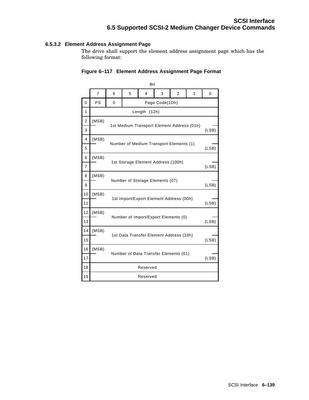#### **6.5.3.2 Element Address Assignment Page**

The drive shall support the element address assignment page which has the following format:

|                |                |   |                                            | Bit          |                                         |                |       |       |
|----------------|----------------|---|--------------------------------------------|--------------|-----------------------------------------|----------------|-------|-------|
|                | $\overline{7}$ | 6 | 5                                          | 4            | 3                                       | $\overline{2}$ | 1     | 0     |
| $\Omega$       | <b>PS</b>      | 0 |                                            |              | Page Code(1Dh)                          |                |       |       |
| $\mathbf{1}$   |                |   |                                            | Length (12h) |                                         |                |       |       |
| $\overline{2}$ | (MSB)          |   | 1st Medium Transport Element Address (01h) |              |                                         |                |       |       |
| 3              |                |   |                                            |              |                                         |                |       | (LSB) |
| 4              | (MSB)          |   |                                            |              | Number of Medium Transport Elements (1) |                |       |       |
| 5              |                |   |                                            |              |                                         |                |       | (LSB) |
| 6              | (MSB)          |   |                                            |              |                                         |                |       |       |
| $\overline{7}$ |                |   | 1st Storage Element Address (100h)         |              |                                         | (LSB)          |       |       |
| 8              | (MSB)          |   | Number of Storage Elements (07)            |              |                                         |                |       |       |
| 9              |                |   |                                            |              |                                         |                | (LSB) |       |
| 10             | (MSB)          |   | 1st Import/Export Element Address (00h)    |              |                                         |                |       |       |
| 11             |                |   |                                            |              |                                         |                | (LSB) |       |
| 12             | (MSB)          |   |                                            |              | Number of Import/Export Elements (0)    |                |       |       |
| 13             |                |   |                                            |              |                                         |                |       | (LSB) |
| 14             | (MSB)          |   |                                            |              |                                         |                |       |       |
| 15             |                |   | 1st Data Transfer Element Address (10h)    |              |                                         |                |       |       |
| 16             | (MSB)          |   | Number of Data Transfer Elements (01)      |              |                                         |                |       |       |
| 17             |                |   |                                            |              |                                         |                |       | (LSB) |
| 18             |                |   |                                            | Reserved     |                                         |                |       |       |
| 19             |                |   |                                            | Reserved     |                                         |                |       |       |

#### **Figure 6–117 Element Address Assignment Page Format**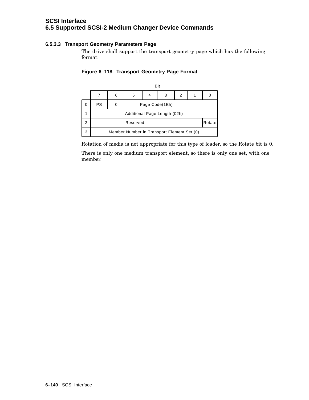# **SCSI Interface 6.5 Supported SCSI-2 Medium Changer Device Commands**

#### **6.5.3.3 Transport Geometry Parameters Page**

The drive shall support the transport geometry page which has the following format:

#### **Figure 6–118 Transport Geometry Page Format**



Rotation of media is not appropriate for this type of loader, so the Rotate bit is 0.

There is only one medium transport element, so there is only one set, with one member.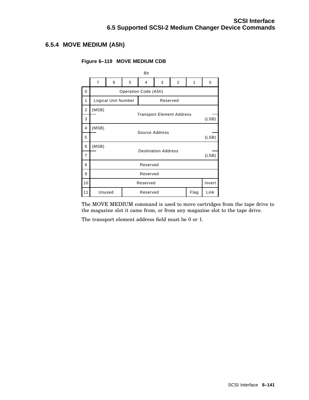# **6.5.4 MOVE MEDIUM (A5h)**

#### **Figure 6–119 MOVE MEDIUM CDB**

|                |                                     |                     |   | Bit                  |          |                |      |        |
|----------------|-------------------------------------|---------------------|---|----------------------|----------|----------------|------|--------|
|                | $\overline{7}$                      | 6                   | 5 | 4                    | 3        | $\overline{2}$ | 1    | 0      |
| $\mathbf 0$    |                                     |                     |   | Operation Code (A5h) |          |                |      |        |
| 1              |                                     | Logical Unit Number |   |                      | Reserved |                |      |        |
| $\overline{2}$ | (MSB)                               |                     |   |                      |          |                |      |        |
| 3              | <b>Transport Element Address</b>    |                     |   |                      |          | (LSB)          |      |        |
| 4              | (MSB)<br>Source Address             |                     |   |                      |          |                |      |        |
| 5              | (LSB)                               |                     |   |                      |          |                |      |        |
| 6              | (MSB)                               |                     |   |                      |          |                |      |        |
| 7              | <b>Destination Address</b><br>(LSB) |                     |   |                      |          |                |      |        |
| 8              | Reserved                            |                     |   |                      |          |                |      |        |
| 9              | Reserved                            |                     |   |                      |          |                |      |        |
| 10             |                                     |                     |   | Reserved             |          |                |      | Invert |
| 11             | Unused                              |                     |   | Reserved             |          |                | Flag | Link   |

The MOVE MEDIUM command is used to move cartridges from the tape drive to the magazine slot it came from, or from any magazine slot to the tape drive.

The transport element address field must be 0 or 1.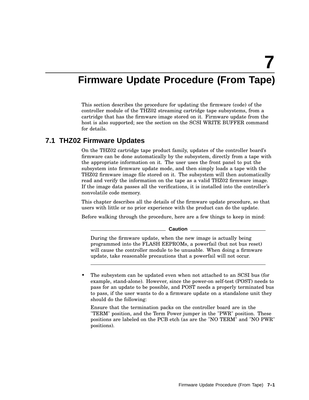# **Firmware Update Procedure (From Tape)**

This section describes the procedure for updating the firmware (code) of the controller module of the THZ02 streaming cartridge tape subsystems, from a cartridge that has the firmware image stored on it. Firmware update from the host is also supported; see the section on the SCSI WRITE BUFFER command for details.

# **7.1 THZ02 Firmware Updates**

On the THZ02 cartridge tape product family, updates of the controller board's firmware can be done automatically by the subsystem, directly from a tape with the appropriate information on it. The user uses the front panel to put the subsystem into firmware update mode, and then simply loads a tape with the THZ02 firmware image file stored on it. The subsystem will then automatically read and verify the information on the tape as a valid THZ02 firmware image. If the image data passes all the verifications, it is installed into the controller's nonvolatile code memory.

This chapter describes all the details of the firmware update procedure, so that users with little or no prior experience with the product can do the update.

Before walking through the procedure, here are a few things to keep in mind:

**Caution**

During the firmware update, when the new image is actually being programmed into the FLASH EEPROMs, a powerfail (but not bus reset) will cause the controller module to be unusable. When doing a firmware update, take reasonable precautions that a powerfail will not occur.

The subsystem can be updated even when not attached to an SCSI bus (for example, stand-alone). However, since the power-on self-test (POST) needs to pass for an update to be possible, and POST needs a properly terminated bus to pass, if the user wants to do a firmware update on a standalone unit they should do the following:

Ensure that the termination packs on the controller board are in the "TERM" position, and the Term Power jumper in the "PWR" position. These positions are labeled on the PCB etch (as are the "NO TERM" and "NO PWR" positions).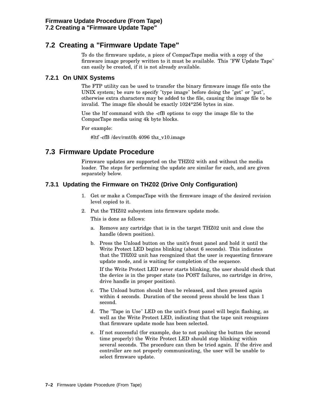# **7.2 Creating a "Firmware Update Tape"**

To do the firmware update, a piece of CompacTape media with a copy of the firmware image properly written to it must be available. This "FW Update Tape" can easily be created, if it is not already available.

### **7.2.1 On UNIX Systems**

The FTP utility can be used to transfer the binary firmware image file onto the UNIX system; be sure to specify "type image" before doing the "get" or "put", otherwise extra characters may be added to the file, causing the image file to be invalid. The image file should be exactly 1024\*256 bytes in size.

Use the ltf command with the -cfB options to copy the image file to the CompacTape media using 4k byte blocks.

For example:

#ltf -cfB /dev/rmt0h 4096 thz\_v10.image

# **7.3 Firmware Update Procedure**

Firmware updates are supported on the THZ02 with and without the media loader. The steps for performing the update are similar for each, and are given separately below.

# **7.3.1 Updating the Firmware on THZ02 (Drive Only Configuration)**

- 1. Get or make a CompacTape with the firmware image of the desired revision level copied to it.
- 2. Put the THZ02 subsystem into firmware update mode.

This is done as follows:

- a. Remove any cartridge that is in the target THZ02 unit and close the handle (down position).
- b. Press the Unload button on the unit's front panel and hold it until the Write Protect LED begins blinking (about 6 seconds). This indicates that the THZ02 unit has recognized that the user is requesting firmware update mode, and is waiting for completion of the sequence.

If the Write Protect LED never starts blinking, the user should check that the device is in the proper state (no POST failures, no cartridge in drive, drive handle in proper position).

- c. The Unload button should then be released, and then pressed again within 4 seconds. Duration of the second press should be less than 1 second.
- d. The "Tape in Use" LED on the unit's front panel will begin flashing, as well as the Write Protect LED, indicating that the tape unit recognizes that firmware update mode has been selected.
- e. If not successful (for example, due to not pushing the button the second time properly) the Write Protect LED should stop blinking within several seconds. The procedure can then be tried again. If the drive and controller are not properly communicating, the user will be unable to select firmware update.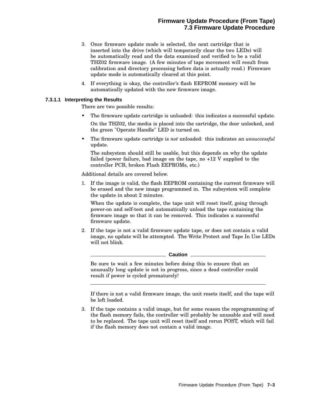# **Firmware Update Procedure (From Tape) 7.3 Firmware Update Procedure**

- 3. Once firmware update mode is selected, the next cartridge that is inserted into the drive (which will temporarily clear the two LEDs) will be automatically read and the data examined and verified to be a valid THZ02 firmware image. (A few minutes of tape movement will result from calibration and directory processing before data is actually read.) Firmware update mode is automatically cleared at this point.
- 4. If everything is okay, the controller's flash EEPROM memory will be automatically updated with the new firmware image.

#### **7.3.1.1 Interpreting the Results**

There are two possible results:

- The firmware update cartridge is unloaded: this indicates a successful update. On the THZ02, the media is placed into the cartridge, the door unlocked, and the green "Operate Handle" LED is turned on.
- The firmware update cartridge is *not* unloaded: this indicates an *unsuccessful* update.

The subsystem should still be usable, but this depends on why the update failed (power failure, bad image on the tape, no +12 V supplied to the controller PCB, broken Flash EEPROMs, etc.)

Additional details are covered below.

1. If the image is valid, the flash EEPROM containing the current firmware will be erased and the new image programmed in. The subsystem will complete the update in about 2 minutes.

When the update is complete, the tape unit will reset itself, going through power-on and self-test and automatically unload the tape containing the firmware image so that it can be removed. This indicates a successful firmware update.

2. If the tape is not a valid firmware update tape, or does not contain a valid image, no update will be attempted. The Write Protect and Tape In Use LEDs will not blink.

\_\_ Caution \_\_\_\_\_\_

Be sure to wait a few minutes before doing this to ensure that an unusually long update is not in progress, since a dead controller could result if power is cycled prematurely!

If there is not a valid firmware image, the unit resets itself, and the tape will be left loaded.

3. If the tape contains a valid image, but for some reason the reprogramming of the flash memory fails, the controller will probably be unusable and will need to be replaced. The tape unit will reset itself and rerun POST, which will fail if the flash memory does not contain a valid image.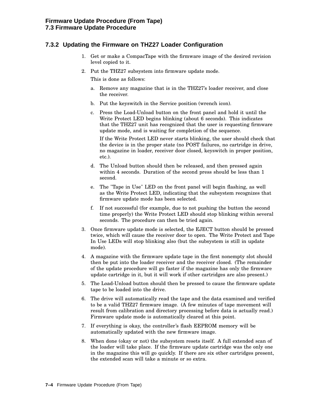# **7.3.2 Updating the Firmware on THZ27 Loader Configuration**

- 1. Get or make a CompacTape with the firmware image of the desired revision level copied to it.
- 2. Put the THZ27 subsystem into firmware update mode.

This is done as follows:

- a. Remove any magazine that is in the THZ27's loader receiver, and close the receiver.
- b. Put the keyswitch in the Service position (wrench icon).
- c. Press the Load-Unload button on the front panel and hold it until the Write Protect LED begins blinking (about 6 seconds). This indicates that the THZ27 unit has recognized that the user is requesting firmware update mode, and is waiting for completion of the sequence.

If the Write Protect LED never starts blinking, the user should check that the device is in the proper state (no POST failures, no cartridge in drive, no magazine in loader, receiver door closed, keyswitch in proper position, etc.).

- d. The Unload button should then be released, and then pressed again within 4 seconds. Duration of the second press should be less than 1 second.
- e. The "Tape in Use" LED on the front panel will begin flashing, as well as the Write Protect LED, indicating that the subsystem recognizes that firmware update mode has been selected.
- f. If not successful (for example, due to not pushing the button the second time properly) the Write Protect LED should stop blinking within several seconds. The procedure can then be tried again.
- 3. Once firmware update mode is selected, the EJECT button should be pressed twice, which will cause the receiver door to open. The Write Protect and Tape In Use LEDs will stop blinking also (but the subsystem is still in update mode).
- 4. A magazine with the firmware update tape in the first nonempty slot should then be put into the loader receiver and the receiver closed. (The remainder of the update procedure will go faster if the magazine has only the firmware update cartridge in it, but it will work if other cartridges are also present.)
- 5. The Load-Unload button should then be pressed to cause the firmware update tape to be loaded into the drive.
- 6. The drive will automatically read the tape and the data examined and verified to be a valid THZ27 firmware image. (A few minutes of tape movement will result from calibration and directory processing before data is actually read.) Firmware update mode is automatically cleared at this point.
- 7. If everything is okay, the controller's flash EEPROM memory will be automatically updated with the new firmware image.
- 8. When done (okay or not) the subsystem resets itself. A full extended scan of the loader will take place. If the firmware update cartridge was the only one in the magazine this will go quickly. If there are six other cartridges present, the extended scan will take a minute or so extra.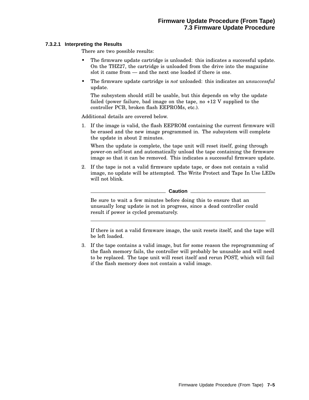#### **7.3.2.1 Interpreting the Results**

There are two possible results:

- The firmware update cartridge is unloaded: this indicates a successful update. On the THZ27, the cartridge is unloaded from the drive into the magazine slot it came from — and the next one loaded if there is one.
- The firmware update cartridge is *not* unloaded: this indicates an *unsuccessful* update.

The subsystem should still be usable, but this depends on why the update failed (power failure, bad image on the tape, no +12 V supplied to the controller PCB, broken flash EEPROMs, etc.).

Additional details are covered below.

1. If the image is valid, the flash EEPROM containing the current firmware will be erased and the new image programmed in. The subsystem will complete the update in about 2 minutes.

When the update is complete, the tape unit will reset itself, going through power-on self-test and automatically unload the tape containing the firmware image so that it can be removed. This indicates a successful firmware update.

2. If the tape is not a valid firmware update tape, or does not contain a valid image, no update will be attempted. The Write Protect and Tape In Use LEDs will not blink.

**Caution**

Be sure to wait a few minutes before doing this to ensure that an unusually long update is not in progress, since a dead controller could result if power is cycled prematurely.

If there is not a valid firmware image, the unit resets itself, and the tape will be left loaded.

3. If the tape contains a valid image, but for some reason the reprogramming of the flash memory fails, the controller will probably be unusable and will need to be replaced. The tape unit will reset itself and rerun POST, which will fail if the flash memory does not contain a valid image.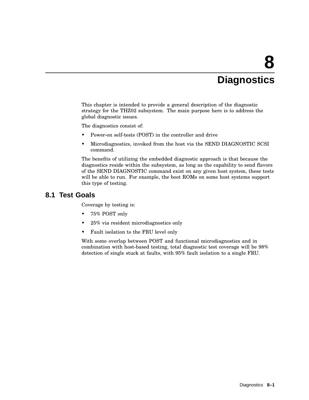# **8 Diagnostics**

This chapter is intended to provide a general description of the diagnostic strategy for the THZ02 subsystem. The main purpose here is to address the global diagnostic issues.

The diagnostics consist of:

- Power-on self-tests (POST) in the controller and drive
- Microdiagnostics, invoked from the host via the SEND DIAGNOSTIC SCSI command.

The benefits of utilizing the embedded diagnostic approach is that because the diagnostics reside within the subsystem, as long as the capability to send flavors of the SEND DIAGNOSTIC command exist on any given host system, these tests will be able to run. For example, the boot ROMs on some host systems support this type of testing.

# **8.1 Test Goals**

Coverage by testing is:

- 75% POST only
- 25% via resident microdiagnostics only
- Fault isolation to the FRU level only

With some overlap between POST and functional microdiagnostics and in combination with host-based testing, total diagnostic test coverage will be 98% detection of single stuck at faults, with 95% fault isolation to a single FRU.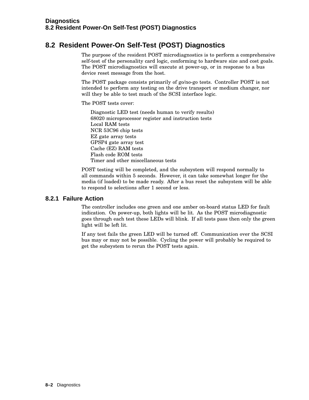# **8.2 Resident Power-On Self-Test (POST) Diagnostics**

The purpose of the resident POST microdiagnostics is to perform a comprehensive self-test of the personality card logic, conforming to hardware size and cost goals. The POST microdiagnostics will execute at power-up, or in response to a bus device reset message from the host.

The POST package consists primarily of go/no-go tests. Controller POST is not intended to perform any testing on the drive transport or medium changer, nor will they be able to test much of the SCSI interface logic.

The POST tests cover:

Diagnostic LED test (needs human to verify results) 68020 microprocessor register and instruction tests Local RAM tests NCR 53C96 chip tests EZ gate array tests GPSP4 gate array test Cache (EZ) RAM tests Flash code ROM tests Timer and other miscellaneous tests

POST testing will be completed, and the subsystem will respond normally to all commands within 5 seconds. However, it can take somewhat longer for the media (if loaded) to be made ready. After a bus reset the subsystem will be able to respond to selections after 1 second or less.

### **8.2.1 Failure Action**

The controller includes one green and one amber on-board status LED for fault indication. On power-up, both lights will be lit. As the POST microdiagnostic goes through each test these LEDs will blink. If all tests pass then only the green light will be left lit.

If any test fails the green LED will be turned off. Communication over the SCSI bus may or may not be possible. Cycling the power will probably be required to get the subsystem to rerun the POST tests again.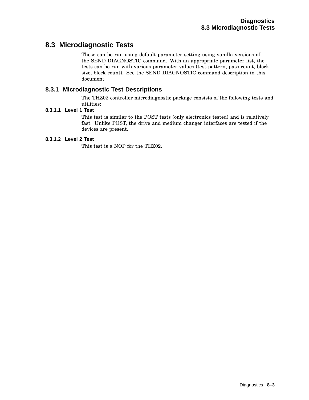# **8.3 Microdiagnostic Tests**

These can be run using default parameter setting using vanilla versions of the SEND DIAGNOSTIC command. With an appropriate parameter list, the tests can be run with various parameter values (test pattern, pass count, block size, block count). See the SEND DIAGNOSTIC command description in this document.

# **8.3.1 Microdiagnostic Test Descriptions**

The THZ02 controller microdiagnostic package consists of the following tests and utilities:

# **8.3.1.1 Level 1 Test**

This test is similar to the POST tests (only electronics tested) and is relatively fast. Unlike POST, the drive and medium changer interfaces are tested if the devices are present.

#### **8.3.1.2 Level 2 Test**

This test is a NOP for the THZ02.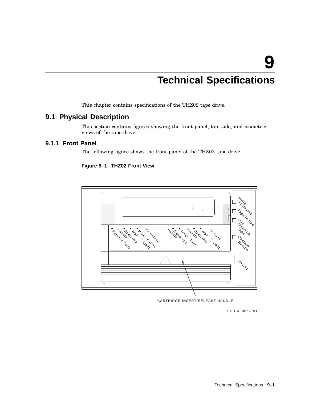# **Technical Specifications**

This chapter contains specifications of the THZ02 tape drive.

# **9.1 Physical Description**

This section contains figures showing the front panel, top, side, and isometric views of the tape drive.

### **9.1.1 Front Panel**

The following figure shows the front panel of the THZ02 tape drive.

#### **Figure 9–1 THZ02 Front View**



CARTRIDGE INSERT/RELEASE HANDLE

SHR-X0056G-91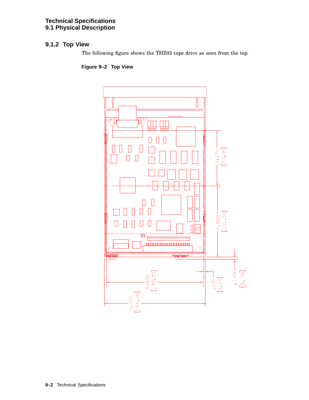### **Technical Specifications 9.1 Physical Description**

# **9.1.2 Top View**

The following figure shows the THZ02 tape drive as seen from the top.

**Figure 9–2 Top View**

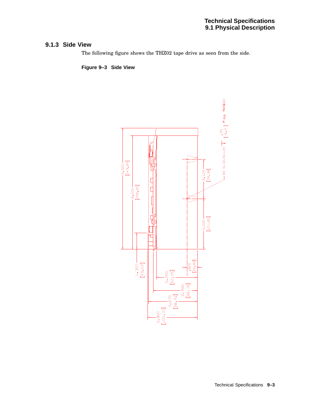# **9.1.3 Side View**

The following figure shows the THZ02 tape drive as seen from the side.

**Figure 9–3 Side View**

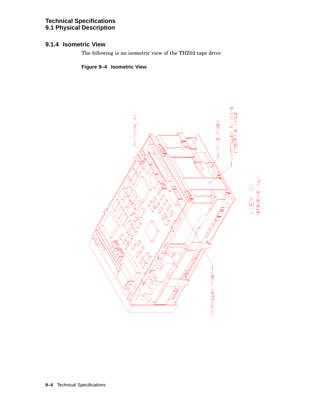### **Technical Specifications 9.1 Physical Description**

# **9.1.4 Isometric View**

The following is an isometric view of the THZ02 tape drive.

**Figure 9–4 Isometric View**

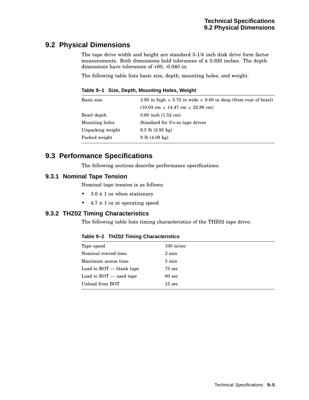# **9.2 Physical Dimensions**

The tape drive width and height are standard 5-1/4 inch disk drive form factor measurements. Both dimensions hold tolerances of  $\pm$  0.020 inches. The depth dimensions have tolerances of +00, -0.040 in.

The following table lists basic size, depth, mounting holes, and weight.

**Table 9–1 Size, Depth, Mounting Holes, Weight**

| Basic size       | 3.95 in high $\times$ 5.70 in wide $\times$ 9.00 in deep (from rear of bezel) |
|------------------|-------------------------------------------------------------------------------|
|                  | $(10.03 \text{ cm} \times 14.47 \text{ cm} \times 22.86 \text{ cm})$          |
| Bezel depth      | $0.60$ inch $(1.52$ cm)                                                       |
| Mounting holes   | Standard for $5\frac{1}{4}$ -in tape drives                                   |
| Unpacking weight | 6.5 lb $(2.95 \text{ kg})$                                                    |
| Packed weight    | 9 lb (4.08 kg)                                                                |
|                  |                                                                               |

# **9.3 Performance Specifications**

The following sections describe performance specifications.

# **9.3.1 Nominal Tape Tension**

Nominal tape tension is as follows:

- $3.0 \pm 1$  oz when stationary
- $4.7 \pm 1$  oz at operating speed

# **9.3.2 THZ02 Timing Characteristics**

The following table lists timing characteristics of the THZ02 tape drive:

#### **Table 9–2 THZ02 Timing Characteristics**

| Tape speed                | $100$ in/sec     |
|---------------------------|------------------|
| Nominal rewind time       | $2 \text{ min}$  |
| Maximum access time       | $3 \text{ min}$  |
| Load to BOT - blank tape  | $75 \text{ sec}$ |
| Load to $BOT$ — used tape | $60 \text{ sec}$ |
| Unload from BOT           | $15 \text{ sec}$ |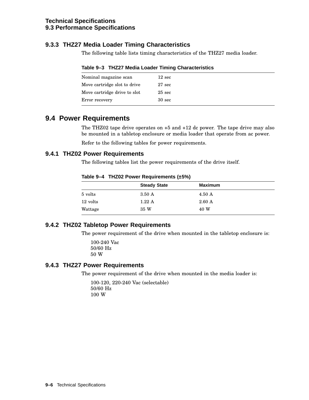# **9.3.3 THZ27 Media Loader Timing Characteristics**

The following table lists timing characteristics of the THZ27 media loader.

|  | Table 9-3 THZ27 Media Loader Timing Characteristics |  |
|--|-----------------------------------------------------|--|
|--|-----------------------------------------------------|--|

| Nominal magazine scan        | $12 \text{ sec}$  |
|------------------------------|-------------------|
| Move cartridge slot to drive | $27 \text{ sec}$  |
| Move cartridge drive to slot | $25 \text{ sec}$  |
| Error recovery               | 30 <sub>sec</sub> |

# **9.4 Power Requirements**

The THZ02 tape drive operates on +5 and +12 dc power. The tape drive may also be mounted in a tabletop enclosure or media loader that operate from ac power.

Refer to the following tables for power requirements.

### **9.4.1 THZ02 Power Requirements**

The following tables list the power requirements of the drive itself.

**Table 9–4 THZ02 Power Requirements (±5%)**

|          | <b>Steady State</b> | <b>Maximum</b>   |  |
|----------|---------------------|------------------|--|
| 5 volts  | $3.50 \text{ A}$    | $4.50 \text{ A}$ |  |
| 12 volts | 1.22A               | $2.60\text{ A}$  |  |
| Wattage  | 35 W                | 40 W             |  |
|          |                     |                  |  |

### **9.4.2 THZ02 Tabletop Power Requirements**

The power requirement of the drive when mounted in the tabletop enclosure is:

100-240 Vac 50/60 Hz 50 W

### **9.4.3 THZ27 Power Requirements**

The power requirement of the drive when mounted in the media loader is:

100-120, 220-240 Vac (selectable) 50/60 Hz 100 W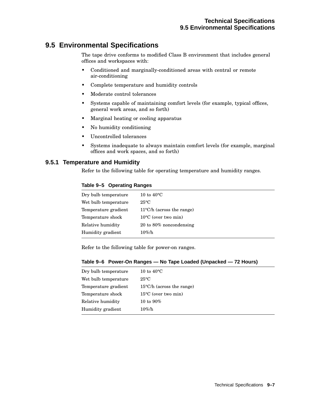# **9.5 Environmental Specifications**

The tape drive conforms to modified Class B environment that includes general offices and workspaces with:

- Conditioned and marginally-conditioned areas with central or remote air-conditioning
- Complete temperature and humidity controls
- Moderate control tolerances
- Systems capable of maintaining comfort levels (for example, typical offices, general work areas, and so forth)
- Marginal heating or cooling apparatus
- No humidity conditioning
- Uncontrolled tolerances
- Systems inadequate to always maintain comfort levels (for example, marginal offices and work spaces, and so forth)

### **9.5.1 Temperature and Humidity**

Refer to the following table for operating temperature and humidity ranges.

#### **Table 9–5 Operating Ranges**

| Dry bulb temperature | 10 to $40^{\circ}$ C                |
|----------------------|-------------------------------------|
| Wet bulb temperature | $25^{\circ}C$                       |
| Temperature gradient | $11^{\circ}$ C/h (across the range) |
| Temperature shock    | $10^{\circ}$ C (over two min)       |
| Relative humidity    | 20 to 80% noncondensing             |
| Humidity gradient    | $10\%$ /h                           |
|                      |                                     |

Refer to the following table for power-on ranges.

|  | Table 9–6 Power-On Ranges — No Tape Loaded (Unpacked — 72 Hours) |  |  |  |
|--|------------------------------------------------------------------|--|--|--|
|--|------------------------------------------------------------------|--|--|--|

| Dry bulb temperature | 10 to $40^{\circ}$ C                |
|----------------------|-------------------------------------|
| Wet bulb temperature | $25^{\circ}$ C                      |
| Temperature gradient | $15^{\circ}$ C/h (across the range) |
| Temperature shock    | $15^{\circ}$ C (over two min)       |
| Relative humidity    | 10 to 90%                           |
| Humidity gradient    | $10\%$ /h                           |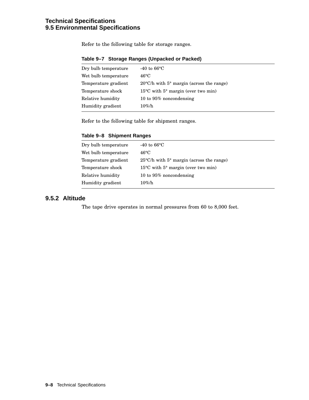# **Technical Specifications 9.5 Environmental Specifications**

Refer to the following table for storage ranges.

| Dry bulb temperature | -40 to $66^{\circ}$ C                                       |
|----------------------|-------------------------------------------------------------|
| Wet bulb temperature | $46^{\circ}$ C                                              |
| Temperature gradient | $20^{\circ}$ C/h with $5^{\circ}$ margin (across the range) |
| Temperature shock    | $15^{\circ}$ C with $5^{\circ}$ margin (over two min)       |
| Relative humidity    | 10 to 95% noncondensing                                     |
| Humidity gradient    | $10\%$ /h                                                   |
|                      |                                                             |

#### **Table 9–7 Storage Ranges (Unpacked or Packed)**

Refer to the following table for shipment ranges.

#### **Table 9–8 Shipment Ranges**

| Dry bulb temperature | -40 to $66^{\circ}$ C                                 |
|----------------------|-------------------------------------------------------|
| Wet bulb temperature | $46^{\circ}$ C                                        |
| Temperature gradient | $25^{\circ}$ C/h with 5° margin (across the range)    |
| Temperature shock    | $15^{\circ}$ C with $5^{\circ}$ margin (over two min) |
| Relative humidity    | 10 to 95% noncondensing                               |
| Humidity gradient    | $10\%$ /h                                             |
|                      |                                                       |

# **9.5.2 Altitude**

The tape drive operates in normal pressures from 60 to 8,000 feet.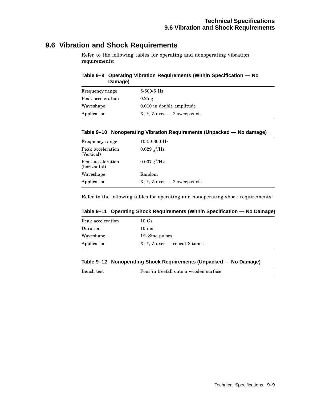# **9.6 Vibration and Shock Requirements**

Refer to the following tables for operating and nonoperating vibration requirements:

#### **Table 9–9 Operating Vibration Requirements (Within Specification — No Damage)**

| Frequency range   | $5-500-5$ Hz                   |
|-------------------|--------------------------------|
| Peak acceleration | $0.25$ g                       |
| Waveshape         | 0.010 in double amplitude      |
| Application       | X, Y, Z $axes - 2$ sweeps/axis |

#### **Table 9–10 Nonoperating Vibration Requirements (Unpacked — No damage)**

| Frequency range                   | $10-50-300$ Hz                 |
|-----------------------------------|--------------------------------|
| Peak acceleration<br>(Vertical)   | 0.029 $q^2$ /Hz                |
| Peak acceleration<br>(horizontal) | 0.007 $g^2$ /Hz                |
| Waveshape                         | Random                         |
| Application                       | X, Y, Z $axes - 2$ sweeps/axis |

Refer to the following tables for operating and nonoperating shock requirements:

#### **Table 9–11 Operating Shock Requirements (Within Specification — No Damage)**

| Peak acceleration | 10Gs                                                              |
|-------------------|-------------------------------------------------------------------|
| Duration          | $10 \text{ ms}$                                                   |
| Waveshape         | $1/2$ Sine pulses                                                 |
| Application       | $X, Y, Z \text{ axes} \rightarrow \text{repeat } 3 \text{ times}$ |

#### **Table 9–12 Nonoperating Shock Requirements (Unpacked — No Damage)**

| Bench test | Four in freefall onto a wooden surface |
|------------|----------------------------------------|
|            |                                        |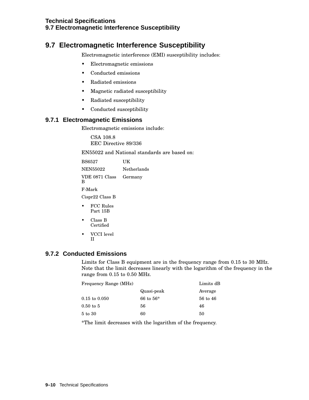# **9.7 Electromagnetic Interference Susceptibility**

Electromagnetic interference (EMI) susceptibility includes:

- Electromagnetic emissions
- Conducted emissions
- Radiated emissions
- Magnetic radiated susceptibility
- Radiated susceptibility
- Conducted susceptibility

#### **9.7.1 Electromagnetic Emissions**

Electromagnetic emissions include:

CSA 108.8 EEC Directive 89/336

EN55022 and National standards are based on:

| <b>BS6527</b>               | UК          |
|-----------------------------|-------------|
| <b>NEN55022</b>             | Netherlands |
| VDE 0871 Class Germany<br>B |             |

F-Mark

Cispr22 Class B

- FCC Rules Part 15B
- Class B Certified
- VCCI level II

# **9.7.2 Conducted Emissions**

Limits for Class B equipment are in the frequency range from 0.15 to 30 MHz. Note that the limit decreases linearly with the logarithm of the frequency in the range from 0.15 to 0.50 MHz.

| Frequency Range (MHz)    |             | Limits dB |  |
|--------------------------|-------------|-----------|--|
|                          | Quasi-peak  | Average   |  |
| $0.15 \text{ to } 0.050$ | 66 to $56*$ | 56 to 46  |  |
| $0.50$ to $5$            | 56          | 46        |  |
| 5 to 30                  | 60          | 50        |  |

\*The limit decreases with the logarithm of the frequency.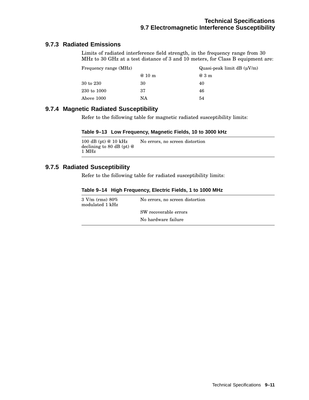# **9.7.3 Radiated Emissions**

Limits of radiated interference field strength, in the frequency range from 30 MHz to 30 GHz at a test distance of 3 and 10 meters, for Class B equipment are:

| Frequency range (MHz) |         | Quasi-peak limit dB $(\mu V/m)$ |
|-----------------------|---------|---------------------------------|
|                       | $@10$ m | @3m                             |
| 30 to 230             | 30      | 40                              |
| 230 to 1000           | 37      | 46                              |
| Above 1000            | NA      | 54                              |

### **9.7.4 Magnetic Radiated Susceptibility**

Refer to the following table for magnetic radiated susceptibility limits:

#### **Table 9–13 Low Frequency, Magnetic Fields, 10 to 3000 kHz**

```
100 dB (pt) @ 10 kHz
declining to 80 dB (pt) @
1 MHz
                          No errors, no screen distortion
```
### **9.7.5 Radiated Susceptibility**

Refer to the following table for radiated susceptibility limits:

#### **Table 9–14 High Frequency, Electric Fields, 1 to 1000 MHz**

| $3 \text{ V/m (rms)} 80\%$<br>modulated 1 kHz | No errors, no screen distortion |
|-----------------------------------------------|---------------------------------|
|                                               | SW recoverable errors           |
|                                               | No hardware failure             |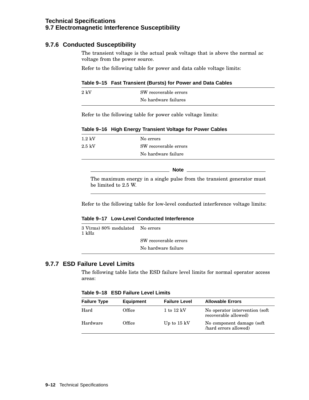# **9.7.6 Conducted Susceptibility**

The transient voltage is the actual peak voltage that is above the normal ac voltage from the power source.

Refer to the following table for power and data cable voltage limits:

#### **Table 9–15 Fast Transient (Bursts) for Power and Data Cables**

| $2 \text{ kV}$ | SW recoverable errors |
|----------------|-----------------------|
|                | No hardware failures  |

Refer to the following table for power cable voltage limits:

| Table 9-16 High Energy Transient Voltage for Power Cables |  |
|-----------------------------------------------------------|--|
|-----------------------------------------------------------|--|

| $1.2~{\rm kV}$ | No errors             |
|----------------|-----------------------|
| $2.5~{\rm kV}$ | SW recoverable errors |
|                | No hardware failure   |

**Note** \_\_\_\_\_\_

The maximum energy in a single pulse from the transient generator must be limited to 2.5 W.

Refer to the following table for low-level conducted interference voltage limits:

#### **Table 9–17 Low-Level Conducted Interference**

| 3 V(rms) 80% modulated No errors<br>1 kHz |                       |
|-------------------------------------------|-----------------------|
|                                           | SW recoverable errors |
|                                           | No hardware failure   |

### **9.7.7 ESD Failure Level Limits**

The following table lists the ESD failure level limits for normal operator access areas:

**Table 9–18 ESD Failure Level Limits**

| <b>Failure Type</b> | <b>Equipment</b> | <b>Failure Level</b>  | <b>Allowable Errors</b>                                 |
|---------------------|------------------|-----------------------|---------------------------------------------------------|
| Hard                | Office           | $1$ to $12$ kV        | No operator intervention (soft)<br>recoverable allowed) |
| Hardware            | Office           | Up to $15 \text{ kV}$ | No component damage (soft)<br>hard errors allowed)      |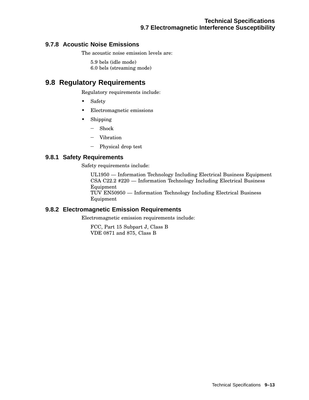# **9.7.8 Acoustic Noise Emissions**

The acoustic noise emission levels are:

5.9 bels (idle mode)

6.0 bels (streaming mode)

# **9.8 Regulatory Requirements**

Regulatory requirements include:

- Safety
- Electromagnetic emissions
- Shipping
	- Shock
	- Vibration
	- Physical drop test

### **9.8.1 Safety Requirements**

Safety requirements include:

UL1950 — Information Technology Including Electrical Business Equipment CSA C22.2 #220 — Information Technology Including Electrical Business Equipment TUV EN50950 — Information Technology Including Electrical Business Equipment

### **9.8.2 Electromagnetic Emission Requirements**

Electromagnetic emission requirements include:

FCC, Part 15 Subpart J, Class B VDE 0871 and 875, Class B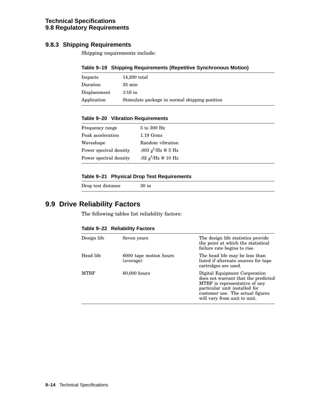### **Technical Specifications 9.8 Regulatory Requirements**

# **9.8.3 Shipping Requirements**

Shipping requirements include:

#### **Table 9–19 Shipping Requirements (Repetitive Synchronous Motion)**

| Impacts      | 14,200 total                                  |
|--------------|-----------------------------------------------|
| Duration     | $35 \text{ min}$                              |
| Displacement | $1/16$ in                                     |
| Application  | Stimulate package in normal shipping position |

#### **Table 9–20 Vibration Requirements**

| Frequency range        | 5 to 300 Hz           |
|------------------------|-----------------------|
| Peak acceleration      | $1.19$ Grms           |
| Waveshape              | Random vibration      |
| Power spectral density | .003 $g^2$ /Hz @ 5 Hz |
| Power spectral density | .02 $q^2$ /Hz @ 10 Hz |

#### **Table 9–21 Physical Drop Test Requirements**

Drop test distance 30 in

# **9.9 Drive Reliability Factors**

The following tables list reliability factors:

#### **Table 9–22 Reliability Factors**

| Design life | Seven years                         | The design life statistics provide<br>the point at which the statistical<br>failure rate begins to rise.                                                                                                   |
|-------------|-------------------------------------|------------------------------------------------------------------------------------------------------------------------------------------------------------------------------------------------------------|
| Head life   | 6000 tape motion hours<br>(average) | The head life may be less than<br>listed if alternate sources for tape<br>cartridges are used.                                                                                                             |
| <b>MTRF</b> | $60,000$ hours                      | Digital Equipment Corporation<br>does not warrant that the predicted<br>MTBF is representative of any<br>particular unit installed for<br>customer use. The actual figures<br>will vary from unit to unit. |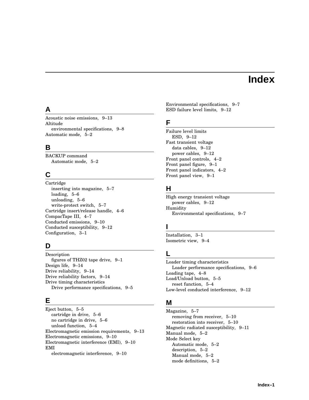# **Index**

# **A**

Acoustic noise emissions, 9–13 Altitude environmental specifications, 9–8 Automatic mode, 5–2

# **B**

BACKUP command Automatic mode, 5–2

# **C**

Cartridge inserting into magazine, 5–7 loading, 5–6 unloading, 5–6 write-protect switch, 5–7 Cartridge insert/release handle, 4–6 CompacTape III, 4–7 Conducted emissions, 9–10 Conducted susceptibility, 9–12 Configuration, 3–1

# **D**

Description figures of THZ02 tape drive, 9–1 Design life, 9–14 Drive reliability, 9–14 Drive reliability factors, 9–14 Drive timing characteristics Drive performance specifications, 9–5

# **E**

Eject button, 5–5 cartridge in drive, 5–6 no cartridge in drive, 5–6 unload function, 5–4 Electromagnetic emission requirements, 9–13 Electromagnetic emissions, 9–10 Electromagnetic interference (EMI), 9–10 EMI electromagnetic interference, 9–10

Environmental specifications, 9–7 ESD failure level limits, 9–12

# **F**

Failure level limits ESD, 9–12 Fast transient voltage data cables, 9–12 power cables, 9–12 Front panel controls, 4–2 Front panel figure, 9–1 Front panel indicators, 4–2 Front panel view, 9–1

# **H**

High energy transient voltage power cables, 9–12 Humidity Environmental specifications, 9–7

# **I**

Installation, 3–1 Isometric view, 9–4

# **L**

Loader timing characteristics Loader performance specifications, 9–6 Loading tape, 4–8 Load/Unload button, 5–5 reset function, 5–4 Low-level conducted interference, 9–12

# **M**

Magazine, 5–7 removing from receiver, 5–10 restoration into receiver, 5–10 Magnetic radiated susceptibility, 9–11 Manual mode, 5–2 Mode Select key Automatic mode, 5–2 description, 5–2 Manual mode, 5–2 mode definitions, 5–2